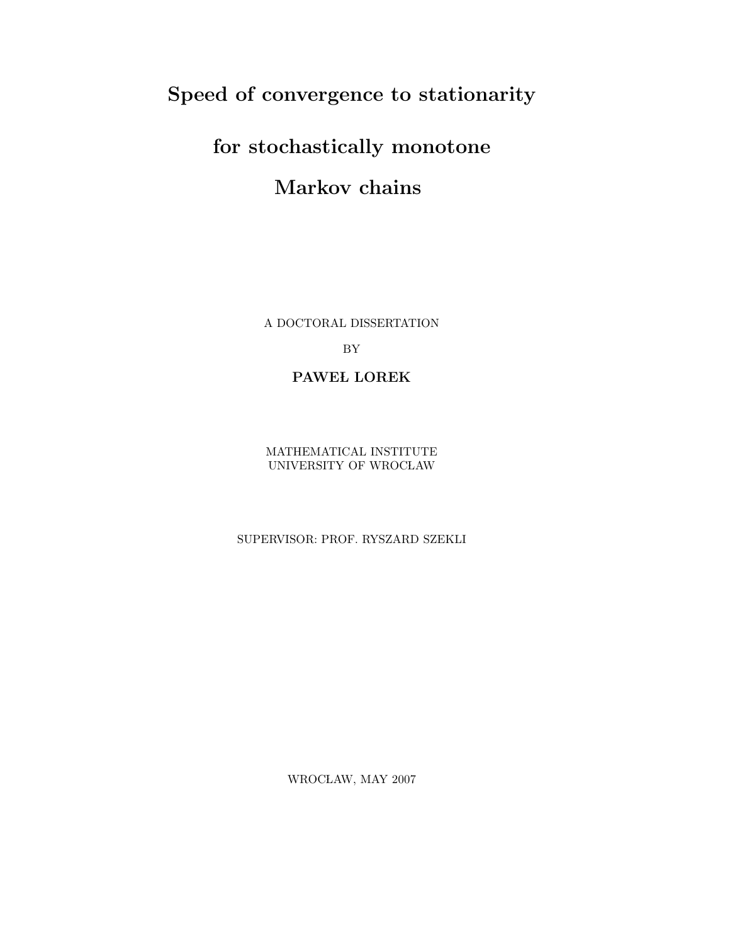# Speed of convergence to stationarity

# for stochastically monotone Markov chains

A DOCTORAL DISSERTATION

BY

# PAWEL LOREK

MATHEMATICAL INSTITUTE UNIVERSITY OF WROCŁAW

SUPERVISOR: PROF. RYSZARD SZEKLI

WROCŁAW, MAY $2007\,$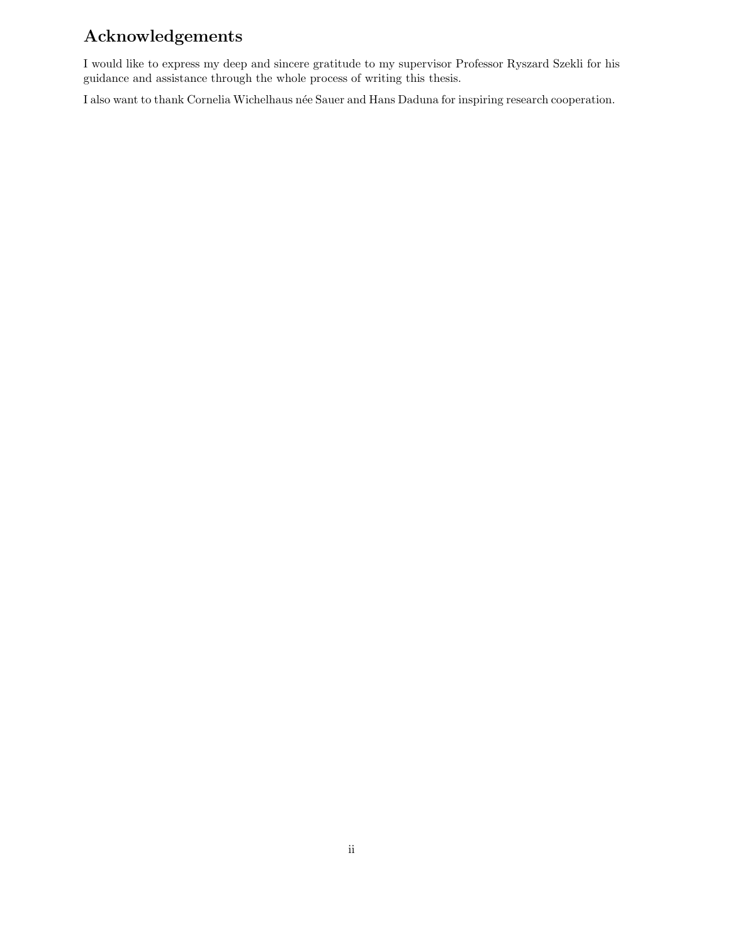# Acknowledgements

I would like to express my deep and sincere gratitude to my supervisor Professor Ryszard Szekli for his guidance and assistance through the whole process of writing this thesis.

I also want to thank Cornelia Wichelhaus née Sauer and Hans Daduna for inspiring research cooperation.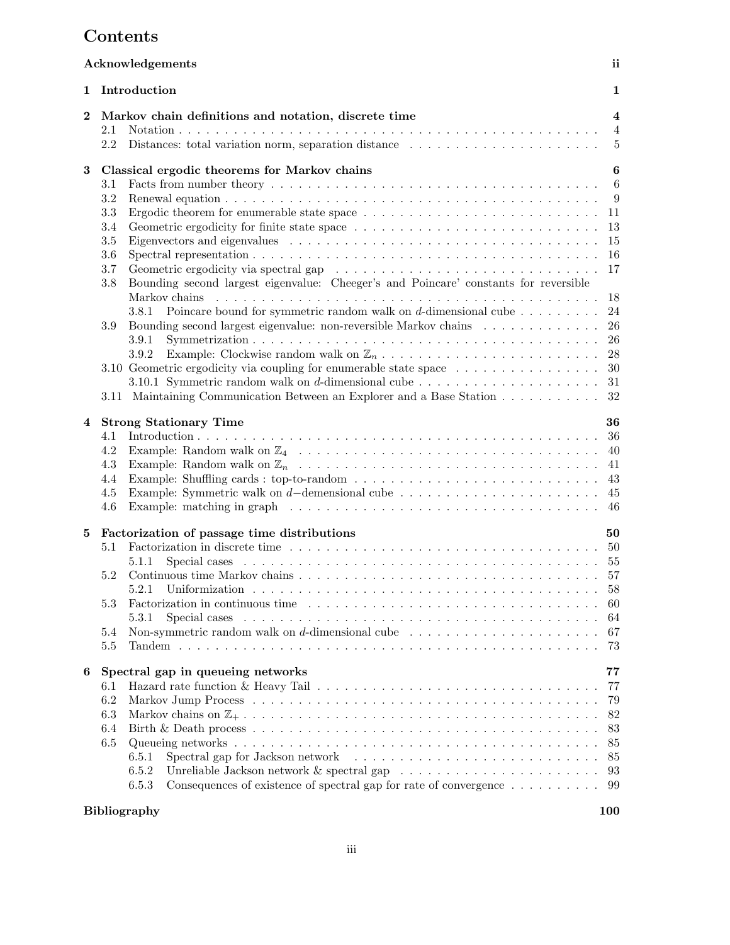# Contents

|          | Acknowledgements                                                                                                                                                                                                                                                                                                                                                                                                           | ii                                                          |
|----------|----------------------------------------------------------------------------------------------------------------------------------------------------------------------------------------------------------------------------------------------------------------------------------------------------------------------------------------------------------------------------------------------------------------------------|-------------------------------------------------------------|
| 1        | Introduction                                                                                                                                                                                                                                                                                                                                                                                                               | $\mathbf{1}$                                                |
| $\bf{2}$ | Markov chain definitions and notation, discrete time<br>2.1<br>Distances: total variation norm, separation distance<br>2.2                                                                                                                                                                                                                                                                                                 | $\overline{\mathbf{4}}$<br>$\overline{4}$<br>$\overline{5}$ |
| 3        | Classical ergodic theorems for Markov chains                                                                                                                                                                                                                                                                                                                                                                               | 6                                                           |
|          | 3.1<br>3.2<br>3.3<br>Ergodic theorem for enumerable state space $\dots \dots \dots \dots \dots \dots \dots \dots \dots \dots$<br>3.4<br>3.5<br>3.6<br>3.7<br>Bounding second largest eigenvalue: Cheeger's and Poincare' constants for reversible<br>3.8                                                                                                                                                                   | - 6<br>9<br>-11<br>13<br>15<br>-16<br>17                    |
|          | Poincare bound for symmetric random walk on $d$ -dimensional cube $\dots \dots \dots$<br>3.8.1<br>Bounding second largest eigenvalue: non-reversible Markov chains<br>3.9<br>3.9.1                                                                                                                                                                                                                                         | 18<br>24<br>26<br>26                                        |
|          | 3.9.2<br>3.10 Geometric ergodicity via coupling for enumerable state space $\dots \dots \dots \dots \dots$<br>3.10.1 Symmetric random walk on d-dimensional cube $\dots \dots \dots \dots \dots \dots \dots$<br>3.11 Maintaining Communication Between an Explorer and a Base Station                                                                                                                                      | 28<br>30<br>31<br>32                                        |
| 4        | <b>Strong Stationary Time</b><br>4.1<br>4.2<br>4.3<br>4.4<br>Example: Symmetric walk on d-demensional cube $\dots \dots \dots \dots \dots \dots \dots \dots \dots$<br>4.5<br>Example: matching in graph $\ldots \ldots \ldots \ldots \ldots \ldots \ldots \ldots \ldots \ldots \ldots \ldots \ldots$<br>4.6                                                                                                                | 36<br>36<br>-40<br>-41                                      |
| 5        | Factorization of passage time distributions<br>5.1<br>5.1.1<br>5.2<br>5.3<br>Factorization in continuous time $\ldots \ldots \ldots \ldots \ldots \ldots \ldots \ldots \ldots \ldots \ldots$<br>5.3.1<br>Non-symmetric random walk on d-dimensional cube $\dots \dots \dots \dots \dots \dots \dots \dots$<br>5.4<br>5.5                                                                                                   | 50<br>58<br>-60<br>64<br>67<br>73                           |
| 6        | Spectral gap in queueing networks<br>6.1<br>6.2<br>6.3<br>6.4<br>6.5<br>Spectral gap for Jackson network (a) in the set of the set of the set of the set of the set of the set of the set of the set of the set of the set of the set of the set of the set of the set of the set of the set of the se<br>6.5.1<br>6.5.2<br>Consequences of existence of spectral gap for rate of convergence $\dots \dots \dots$<br>6.5.3 | 77<br>77<br>79<br>82<br>83<br>85<br>85<br>93<br>99          |
|          | <b>Bibliography</b>                                                                                                                                                                                                                                                                                                                                                                                                        | 100                                                         |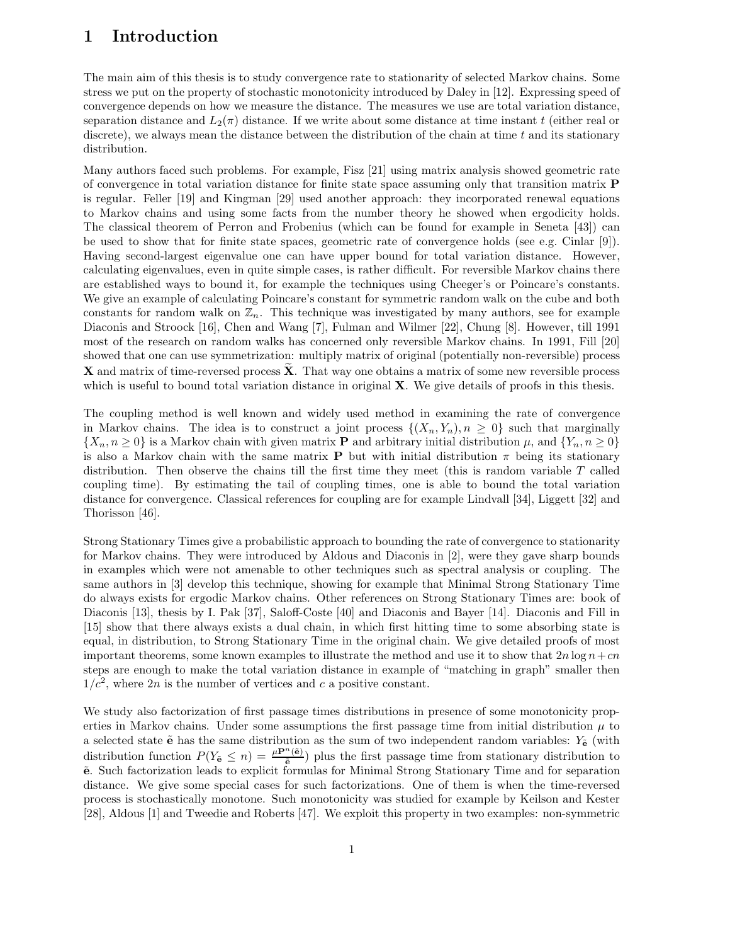# 1 Introduction

The main aim of this thesis is to study convergence rate to stationarity of selected Markov chains. Some stress we put on the property of stochastic monotonicity introduced by Daley in [12]. Expressing speed of convergence depends on how we measure the distance. The measures we use are total variation distance, separation distance and  $L_2(\pi)$  distance. If we write about some distance at time instant t (either real or discrete), we always mean the distance between the distribution of the chain at time  $t$  and its stationary distribution.

Many authors faced such problems. For example, Fisz [21] using matrix analysis showed geometric rate of convergence in total variation distance for finite state space assuming only that transition matrix P is regular. Feller [19] and Kingman [29] used another approach: they incorporated renewal equations to Markov chains and using some facts from the number theory he showed when ergodicity holds. The classical theorem of Perron and Frobenius (which can be found for example in Seneta [43]) can be used to show that for finite state spaces, geometric rate of convergence holds (see e.g. Cinlar [9]). Having second-largest eigenvalue one can have upper bound for total variation distance. However, calculating eigenvalues, even in quite simple cases, is rather difficult. For reversible Markov chains there are established ways to bound it, for example the techniques using Cheeger's or Poincare's constants. We give an example of calculating Poincare's constant for symmetric random walk on the cube and both constants for random walk on  $\mathbb{Z}_n$ . This technique was investigated by many authors, see for example Diaconis and Stroock [16], Chen and Wang [7], Fulman and Wilmer [22], Chung [8]. However, till 1991 most of the research on random walks has concerned only reversible Markov chains. In 1991, Fill [20] showed that one can use symmetrization: multiply matrix of original (potentially non-reversible) process **X** and matrix of time-reversed process  $\tilde{\mathbf{X}}$ . That way one obtains a matrix of some new reversible process which is useful to bound total variation distance in original  $X$ . We give details of proofs in this thesis.

The coupling method is well known and widely used method in examining the rate of convergence in Markov chains. The idea is to construct a joint process  $\{(X_n, Y_n), n \geq 0\}$  such that marginally  $\{X_n, n \geq 0\}$  is a Markov chain with given matrix **P** and arbitrary initial distribution  $\mu$ , and  $\{Y_n, n \geq 0\}$ is also a Markov chain with the same matrix **P** but with initial distribution  $\pi$  being its stationary distribution. Then observe the chains till the first time they meet (this is random variable T called coupling time). By estimating the tail of coupling times, one is able to bound the total variation distance for convergence. Classical references for coupling are for example Lindvall [34], Liggett [32] and Thorisson [46].

Strong Stationary Times give a probabilistic approach to bounding the rate of convergence to stationarity for Markov chains. They were introduced by Aldous and Diaconis in [2], were they gave sharp bounds in examples which were not amenable to other techniques such as spectral analysis or coupling. The same authors in [3] develop this technique, showing for example that Minimal Strong Stationary Time do always exists for ergodic Markov chains. Other references on Strong Stationary Times are: book of Diaconis [13], thesis by I. Pak [37], Saloff-Coste [40] and Diaconis and Bayer [14]. Diaconis and Fill in [15] show that there always exists a dual chain, in which first hitting time to some absorbing state is equal, in distribution, to Strong Stationary Time in the original chain. We give detailed proofs of most important theorems, some known examples to illustrate the method and use it to show that  $2n \log n + cn$ steps are enough to make the total variation distance in example of "matching in graph" smaller then  $1/c<sup>2</sup>$ , where  $2n$  is the number of vertices and c a positive constant.

We study also factorization of first passage times distributions in presence of some monotonicity properties in Markov chains. Under some assumptions the first passage time from initial distribution  $\mu$  to a selected state  $\tilde{e}$  has the same distribution as the sum of two independent random variables:  $Y_{\tilde{e}}$  (with distribution function  $P(Y_{\tilde{e}} \leq n) = \frac{\mu P^{n}(\tilde{e})}{\tilde{e}}$  plus the first passage time from stationary distribution to  $\tilde{e}$ . Such factorization leads to explicit formulas for Minimal Strong Stationary Time and for separation distance. We give some special cases for such factorizations. One of them is when the time-reversed process is stochastically monotone. Such monotonicity was studied for example by Keilson and Kester [28], Aldous [1] and Tweedie and Roberts [47]. We exploit this property in two examples: non-symmetric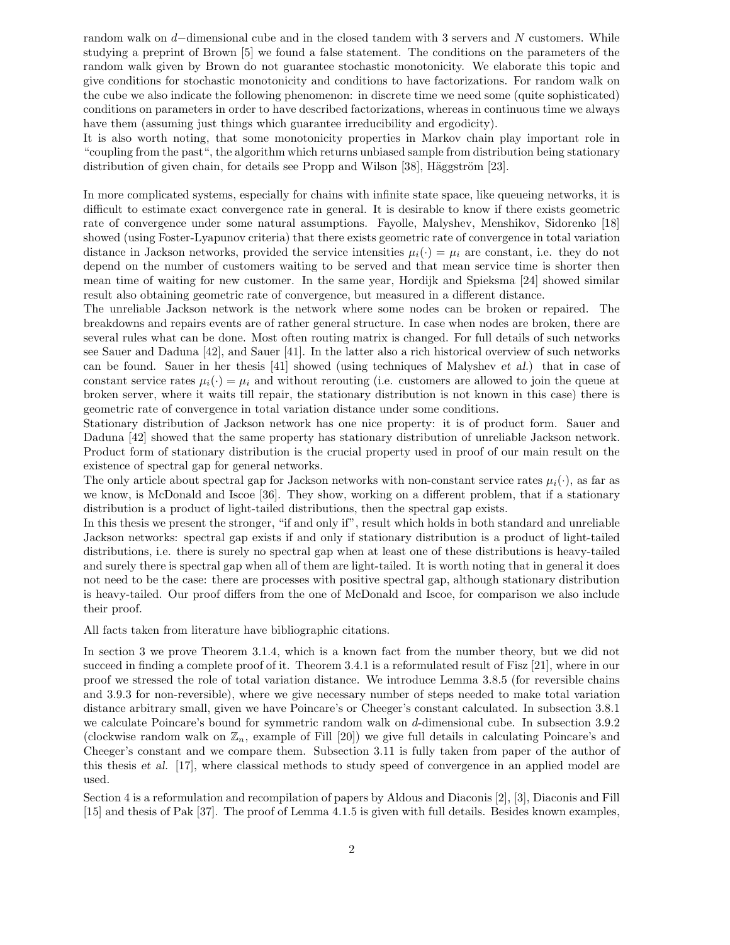random walk on d−dimensional cube and in the closed tandem with 3 servers and N customers. While studying a preprint of Brown [5] we found a false statement. The conditions on the parameters of the random walk given by Brown do not guarantee stochastic monotonicity. We elaborate this topic and give conditions for stochastic monotonicity and conditions to have factorizations. For random walk on the cube we also indicate the following phenomenon: in discrete time we need some (quite sophisticated) conditions on parameters in order to have described factorizations, whereas in continuous time we always have them (assuming just things which guarantee irreducibility and ergodicity).

It is also worth noting, that some monotonicity properties in Markov chain play important role in "coupling from the past", the algorithm which returns unbiased sample from distribution being stationary distribution of given chain, for details see Propp and Wilson  $[38]$ , Häggström  $[23]$ .

In more complicated systems, especially for chains with infinite state space, like queueing networks, it is difficult to estimate exact convergence rate in general. It is desirable to know if there exists geometric rate of convergence under some natural assumptions. Fayolle, Malyshev, Menshikov, Sidorenko [18] showed (using Foster-Lyapunov criteria) that there exists geometric rate of convergence in total variation distance in Jackson networks, provided the service intensities  $\mu_i(\cdot) = \mu_i$  are constant, i.e. they do not depend on the number of customers waiting to be served and that mean service time is shorter then mean time of waiting for new customer. In the same year, Hordijk and Spieksma [24] showed similar result also obtaining geometric rate of convergence, but measured in a different distance.

The unreliable Jackson network is the network where some nodes can be broken or repaired. The breakdowns and repairs events are of rather general structure. In case when nodes are broken, there are several rules what can be done. Most often routing matrix is changed. For full details of such networks see Sauer and Daduna [42], and Sauer [41]. In the latter also a rich historical overview of such networks can be found. Sauer in her thesis [41] showed (using techniques of Malyshev et al.) that in case of constant service rates  $\mu_i(\cdot) = \mu_i$  and without rerouting (i.e. customers are allowed to join the queue at broken server, where it waits till repair, the stationary distribution is not known in this case) there is geometric rate of convergence in total variation distance under some conditions.

Stationary distribution of Jackson network has one nice property: it is of product form. Sauer and Daduna [42] showed that the same property has stationary distribution of unreliable Jackson network. Product form of stationary distribution is the crucial property used in proof of our main result on the existence of spectral gap for general networks.

The only article about spectral gap for Jackson networks with non-constant service rates  $\mu_i(\cdot)$ , as far as we know, is McDonald and Iscoe [36]. They show, working on a different problem, that if a stationary distribution is a product of light-tailed distributions, then the spectral gap exists.

In this thesis we present the stronger, "if and only if", result which holds in both standard and unreliable Jackson networks: spectral gap exists if and only if stationary distribution is a product of light-tailed distributions, i.e. there is surely no spectral gap when at least one of these distributions is heavy-tailed and surely there is spectral gap when all of them are light-tailed. It is worth noting that in general it does not need to be the case: there are processes with positive spectral gap, although stationary distribution is heavy-tailed. Our proof differs from the one of McDonald and Iscoe, for comparison we also include their proof.

All facts taken from literature have bibliographic citations.

In section 3 we prove Theorem 3.1.4, which is a known fact from the number theory, but we did not succeed in finding a complete proof of it. Theorem 3.4.1 is a reformulated result of Fisz [21], where in our proof we stressed the role of total variation distance. We introduce Lemma 3.8.5 (for reversible chains and 3.9.3 for non-reversible), where we give necessary number of steps needed to make total variation distance arbitrary small, given we have Poincare's or Cheeger's constant calculated. In subsection 3.8.1 we calculate Poincare's bound for symmetric random walk on d-dimensional cube. In subsection 3.9.2 (clockwise random walk on  $\mathbb{Z}_n$ , example of Fill [20]) we give full details in calculating Poincare's and Cheeger's constant and we compare them. Subsection 3.11 is fully taken from paper of the author of this thesis et al. [17], where classical methods to study speed of convergence in an applied model are used.

Section 4 is a reformulation and recompilation of papers by Aldous and Diaconis [2], [3], Diaconis and Fill [15] and thesis of Pak [37]. The proof of Lemma 4.1.5 is given with full details. Besides known examples,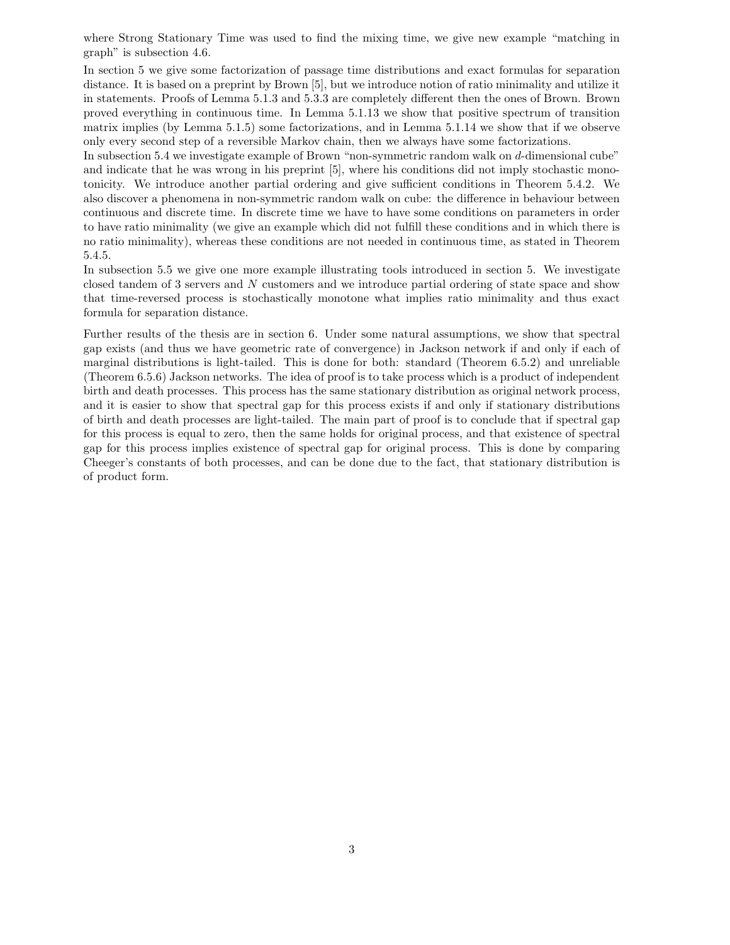where Strong Stationary Time was used to find the mixing time, we give new example "matching in graph" is subsection 4.6.

In section 5 we give some factorization of passage time distributions and exact formulas for separation distance. It is based on a preprint by Brown [5], but we introduce notion of ratio minimality and utilize it in statements. Proofs of Lemma 5.1.3 and 5.3.3 are completely different then the ones of Brown. Brown proved everything in continuous time. In Lemma 5.1.13 we show that positive spectrum of transition matrix implies (by Lemma 5.1.5) some factorizations, and in Lemma 5.1.14 we show that if we observe only every second step of a reversible Markov chain, then we always have some factorizations.

In subsection 5.4 we investigate example of Brown "non-symmetric random walk on d-dimensional cube" and indicate that he was wrong in his preprint [5], where his conditions did not imply stochastic monotonicity. We introduce another partial ordering and give sufficient conditions in Theorem 5.4.2. We also discover a phenomena in non-symmetric random walk on cube: the difference in behaviour between continuous and discrete time. In discrete time we have to have some conditions on parameters in order to have ratio minimality (we give an example which did not fulfill these conditions and in which there is no ratio minimality), whereas these conditions are not needed in continuous time, as stated in Theorem 5.4.5.

In subsection 5.5 we give one more example illustrating tools introduced in section 5. We investigate closed tandem of 3 servers and N customers and we introduce partial ordering of state space and show that time-reversed process is stochastically monotone what implies ratio minimality and thus exact formula for separation distance.

Further results of the thesis are in section 6. Under some natural assumptions, we show that spectral gap exists (and thus we have geometric rate of convergence) in Jackson network if and only if each of marginal distributions is light-tailed. This is done for both: standard (Theorem 6.5.2) and unreliable (Theorem 6.5.6) Jackson networks. The idea of proof is to take process which is a product of independent birth and death processes. This process has the same stationary distribution as original network process, and it is easier to show that spectral gap for this process exists if and only if stationary distributions of birth and death processes are light-tailed. The main part of proof is to conclude that if spectral gap for this process is equal to zero, then the same holds for original process, and that existence of spectral gap for this process implies existence of spectral gap for original process. This is done by comparing Cheeger's constants of both processes, and can be done due to the fact, that stationary distribution is of product form.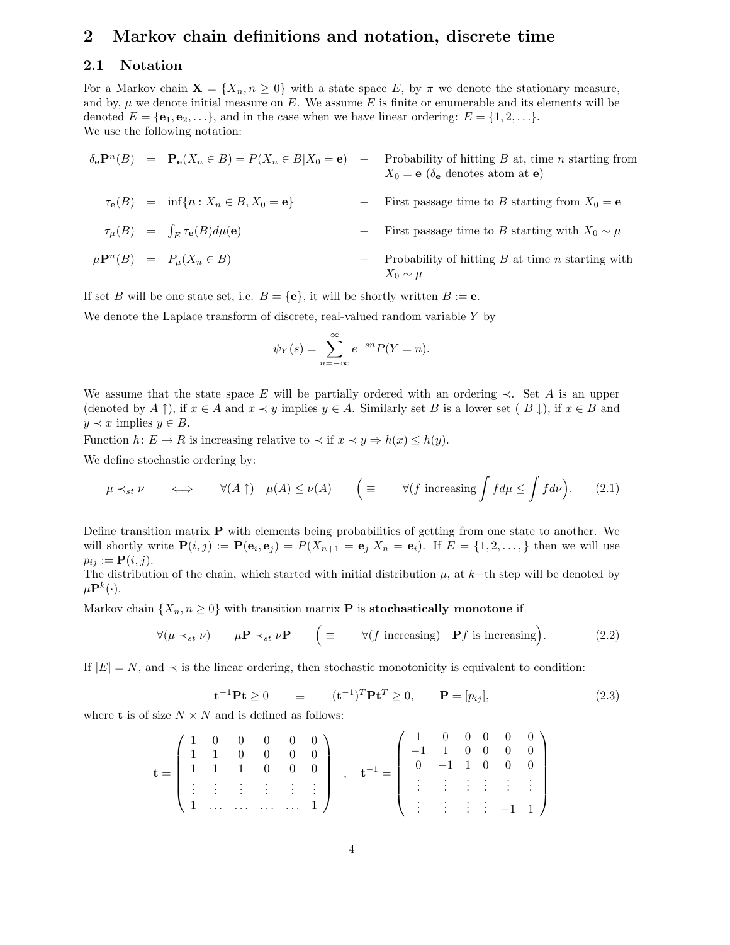# 2 Markov chain definitions and notation, discrete time

### 2.1 Notation

For a Markov chain  $\mathbf{X} = \{X_n, n \geq 0\}$  with a state space E, by  $\pi$  we denote the stationary measure, and by,  $\mu$  we denote initial measure on E. We assume E is finite or enumerable and its elements will be denoted  $E = {\mathbf{e}_1, \mathbf{e}_2, \ldots}$ , and in the case when we have linear ordering:  $E = \{1, 2, \ldots\}$ . We use the following notation:

$$
\delta_{\mathbf{e}} \mathbf{P}^{n}(B) = \mathbf{P}_{\mathbf{e}}(X_{n} \in B) = P(X_{n} \in B | X_{0} = \mathbf{e}) - \text{Probability of hitting } B \text{ at, time } n \text{ starting from } X_{0} = \mathbf{e} \left( \delta_{\mathbf{e}} \text{ denotes atom at } \mathbf{e} \right)
$$
\n
$$
\tau_{\mathbf{e}}(B) = \inf \{ n : X_{n} \in B, X_{0} = \mathbf{e} \} - \text{First passage time to } B \text{ starting from } X_{0} = \mathbf{e}
$$
\n
$$
\tau_{\mu}(B) = \int_{E} \tau_{\mathbf{e}}(B) d\mu(\mathbf{e}) - \text{First passage time to } B \text{ starting with } X_{0} \sim \mu
$$
\n
$$
\mu \mathbf{P}^{n}(B) = P_{\mu}(X_{n} \in B) - \text{Probability of hitting } B \text{ at time } n \text{ starting with } X_{0} \sim \mu
$$

If set B will be one state set, i.e.  $B = \{e\}$ , it will be shortly written  $B := e$ .

We denote the Laplace transform of discrete, real-valued random variable Y by

$$
\psi_Y(s) = \sum_{n=-\infty}^{\infty} e^{-sn} P(Y = n).
$$

We assume that the state space E will be partially ordered with an ordering  $\prec$ . Set A is an upper (denoted by  $A \uparrow$ ), if  $x \in A$  and  $x \prec y$  implies  $y \in A$ . Similarly set B is a lower set ( $B \downarrow$ ), if  $x \in B$  and  $y \prec x$  implies  $y \in B$ .

Function  $h: E \to R$  is increasing relative to  $\prec$  if  $x \prec y \Rightarrow h(x) \leq h(y)$ .

We define stochastic ordering by:

$$
\mu \prec_{st} \nu \qquad \Longleftrightarrow \qquad \forall (A \uparrow) \quad \mu(A) \le \nu(A) \qquad \Big( \equiv \qquad \forall (f \text{ increasing } \int f d\mu \le \int f d\nu \Big). \tag{2.1}
$$

Define transition matrix  $P$  with elements being probabilities of getting from one state to another. We will shortly write  $\mathbf{P}(i,j) := \mathbf{P}(\mathbf{e}_i, \mathbf{e}_j) = P(X_{n+1} = \mathbf{e}_j | X_n = \mathbf{e}_i)$ . If  $E = \{1, 2, \ldots, \}$  then we will use  $p_{ij} := \mathbf{P}(i, j).$ The distribution of the chain, which started with initial distribution  $\mu$ , at  $k$ −th step will be denoted by

 $\mu \mathbf{P}^k(\cdot).$ 

Markov chain  $\{X_n, n \geq 0\}$  with transition matrix **P** is **stochastically monotone** if

$$
\forall (\mu \prec_{st} \nu) \qquad \mu \mathbf{P} \prec_{st} \nu \mathbf{P} \qquad \Big( \equiv \qquad \forall (f \text{ increasing}) \quad \mathbf{P}f \text{ is increasing} \Big). \tag{2.2}
$$

If  $|E| = N$ , and  $\prec$  is the linear ordering, then stochastic monotonicity is equivalent to condition:

$$
\mathbf{t}^{-1} \mathbf{P} \mathbf{t} \ge 0 \qquad \equiv \qquad (\mathbf{t}^{-1})^T \mathbf{P} \mathbf{t}^T \ge 0, \qquad \mathbf{P} = [p_{ij}], \tag{2.3}
$$

where **t** is of size  $N \times N$  and is defined as follows:

$$
\mathbf{t} = \left( \begin{array}{cccccc} 1 & 0 & 0 & 0 & 0 & 0 \\ 1 & 1 & 0 & 0 & 0 & 0 \\ 1 & 1 & 1 & 0 & 0 & 0 \\ \vdots & \vdots & \vdots & \vdots & \vdots & \vdots \\ 1 & \cdots & \cdots & \cdots & \cdots & 1 \end{array} \right) \ , \quad \mathbf{t}^{-1} = \left( \begin{array}{cccccc} 1 & 0 & 0 & 0 & 0 & 0 \\ -1 & 1 & 0 & 0 & 0 & 0 \\ 0 & -1 & 1 & 0 & 0 & 0 \\ \vdots & \vdots & \vdots & \vdots & \vdots & \vdots \\ \vdots & \vdots & \vdots & \vdots & \vdots & \vdots \\ \end{array} \right)
$$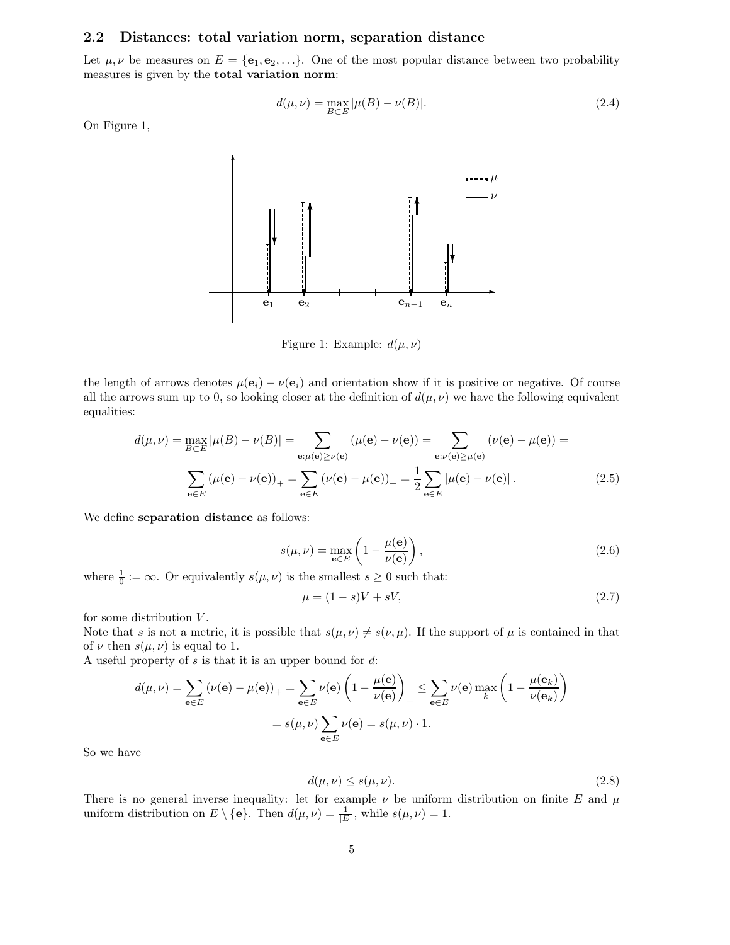#### 2.2 Distances: total variation norm, separation distance

Let  $\mu, \nu$  be measures on  $E = {\bf{e_1}, e_2, \ldots}$ . One of the most popular distance between two probability measures is given by the total variation norm:

$$
d(\mu, \nu) = \max_{B \subset E} |\mu(B) - \nu(B)|.
$$
 (2.4)

On Figure 1,



Figure 1: Example:  $d(\mu, \nu)$ 

the length of arrows denotes  $\mu(\mathbf{e}_i) - \nu(\mathbf{e}_i)$  and orientation show if it is positive or negative. Of course all the arrows sum up to 0, so looking closer at the definition of  $d(\mu, \nu)$  we have the following equivalent equalities:

$$
d(\mu, \nu) = \max_{B \subset E} |\mu(B) - \nu(B)| = \sum_{\mathbf{e}: \mu(\mathbf{e}) \ge \nu(\mathbf{e})} (\mu(\mathbf{e}) - \nu(\mathbf{e})) = \sum_{\mathbf{e}: \nu(\mathbf{e}) \ge \mu(\mathbf{e})} (\nu(\mathbf{e}) - \mu(\mathbf{e})) =
$$
  

$$
\sum_{\mathbf{e} \in E} (\mu(\mathbf{e}) - \nu(\mathbf{e}))_+ = \sum_{\mathbf{e} \in E} (\nu(\mathbf{e}) - \mu(\mathbf{e}))_+ = \frac{1}{2} \sum_{\mathbf{e} \in E} |\mu(\mathbf{e}) - \nu(\mathbf{e})|.
$$
 (2.5)

We define separation distance as follows:

$$
s(\mu, \nu) = \max_{\mathbf{e} \in E} \left( 1 - \frac{\mu(\mathbf{e})}{\nu(\mathbf{e})} \right),\tag{2.6}
$$

where  $\frac{1}{0} := \infty$ . Or equivalently  $s(\mu, \nu)$  is the smallest  $s \geq 0$  such that:

$$
\mu = (1 - s)V + sV,\tag{2.7}
$$

for some distribution  $V$ .

Note that s is not a metric, it is possible that  $s(\mu, \nu) \neq s(\nu, \mu)$ . If the support of  $\mu$  is contained in that of  $\nu$  then  $s(\mu, \nu)$  is equal to 1.

A useful property of  $s$  is that it is an upper bound for  $d$ :

$$
d(\mu, \nu) = \sum_{\mathbf{e} \in E} (\nu(\mathbf{e}) - \mu(\mathbf{e}))_+ = \sum_{\mathbf{e} \in E} \nu(\mathbf{e}) \left(1 - \frac{\mu(\mathbf{e})}{\nu(\mathbf{e})}\right)_+ \le \sum_{\mathbf{e} \in E} \nu(\mathbf{e}) \max_k \left(1 - \frac{\mu(\mathbf{e}_k)}{\nu(\mathbf{e}_k)}\right)
$$

$$
= s(\mu, \nu) \sum_{\mathbf{e} \in E} \nu(\mathbf{e}) = s(\mu, \nu) \cdot 1.
$$

So we have

$$
d(\mu, \nu) \le s(\mu, \nu). \tag{2.8}
$$

There is no general inverse inequality: let for example  $\nu$  be uniform distribution on finite E and  $\mu$ uniform distribution on  $E \setminus \{e\}$ . Then  $d(\mu, \nu) = \frac{1}{|E|}$ , while  $s(\mu, \nu) = 1$ .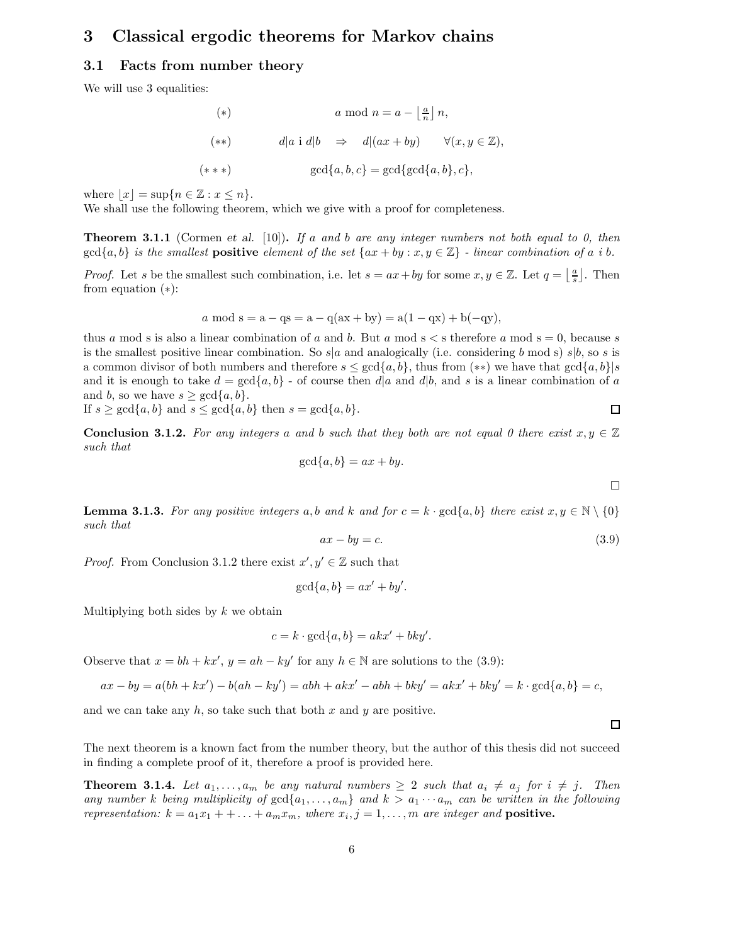# 3 Classical ergodic theorems for Markov chains

#### 3.1 Facts from number theory

We will use 3 equalities:

$$
(*) \t a \mod n = a - \left\lfloor \frac{a}{n} \right\rfloor n,
$$
  
\n
$$
(**) \t d|a \text{ i } d|b \Rightarrow d|(ax + by) \forall (x, y \in \mathbb{Z}),
$$
  
\n
$$
(***) \t gcd{a, b, c} = \gcd{\gcd{a, b\}, c},
$$

where  $|x| = \sup\{n \in \mathbb{Z} : x \leq n\}.$ 

We shall use the following theorem, which we give with a proof for completeness.

**Theorem 3.1.1** (Cormen et al. [10]). If a and b are any integer numbers not both equal to 0, then  $gcd{a,b}$  is the smallest **positive** element of the set  $\{ax + by : x, y \in \mathbb{Z}\}\$ -linear combination of a i b.

*Proof.* Let s be the smallest such combination, i.e. let  $s = ax + by$  for some  $x, y \in \mathbb{Z}$ . Let  $q = \lfloor \frac{a}{s} \rfloor$ . Then from equation (∗):

$$
a \mod s = a - qs = a - q(ax + by) = a(1 - qx) + b(-qy),
$$

thus a mod s is also a linear combination of a and b. But a mod  $s < s$  therefore a mod  $s = 0$ , because s is the smallest positive linear combination. So s|a and analogically (i.e. considering b mod s) s|b, so s is a common divisor of both numbers and therefore  $s \leq \gcd\{a, b\}$ , thus from  $(**)$  we have that  $\gcd\{a, b\}\$ and it is enough to take  $d = \gcd\{a, b\}$  - of course then  $d|a$  and  $d|b$ , and s is a linear combination of a and b, so we have  $s \ge \gcd\{a, b\}.$ 

If 
$$
s \ge \gcd\{a, b\}
$$
 and  $s \le \gcd\{a, b\}$  then  $s = \gcd\{a, b\}$ .

**Conclusion 3.1.2.** For any integers a and b such that they both are not equal 0 there exist  $x, y \in \mathbb{Z}$ such that

$$
\gcd\{a, b\} = ax + by.
$$

 $\Box$ 

**Lemma 3.1.3.** For any positive integers a, b and k and for  $c = k \cdot \gcd\{a, b\}$  there exist  $x, y \in \mathbb{N} \setminus \{0\}$ such that

$$
ax - by = c.\t\t(3.9)
$$

*Proof.* From Conclusion 3.1.2 there exist  $x', y' \in \mathbb{Z}$  such that

$$
\gcd\{a,b\} = ax' + by'.
$$

Multiplying both sides by  $k$  we obtain

$$
c = k \cdot \gcd\{a, b\} = akx' + bky'.
$$

Observe that  $x = bh + kx'$ ,  $y = ah - ky'$  for any  $h \in \mathbb{N}$  are solutions to the (3.9):

$$
ax - by = a(bh + kx') - b(ah - ky') = abh + akx' - abh + bky' = akx' + bky' = k \cdot \gcd\{a, b\} = c,
$$

and we can take any  $h$ , so take such that both x and y are positive.

 $\Box$ 

The next theorem is a known fact from the number theory, but the author of this thesis did not succeed in finding a complete proof of it, therefore a proof is provided here.

**Theorem 3.1.4.** Let  $a_1, \ldots, a_m$  be any natural numbers  $\geq 2$  such that  $a_i \neq a_j$  for  $i \neq j$ . Then any number k being multiplicity of  $gcd{a_1, \ldots, a_m}$  and  $k > a_1 \cdots a_m$  can be written in the following representation:  $k = a_1x_1 + \ldots + a_mx_m$ , where  $x_i, j = 1, \ldots, m$  are integer and **positive.**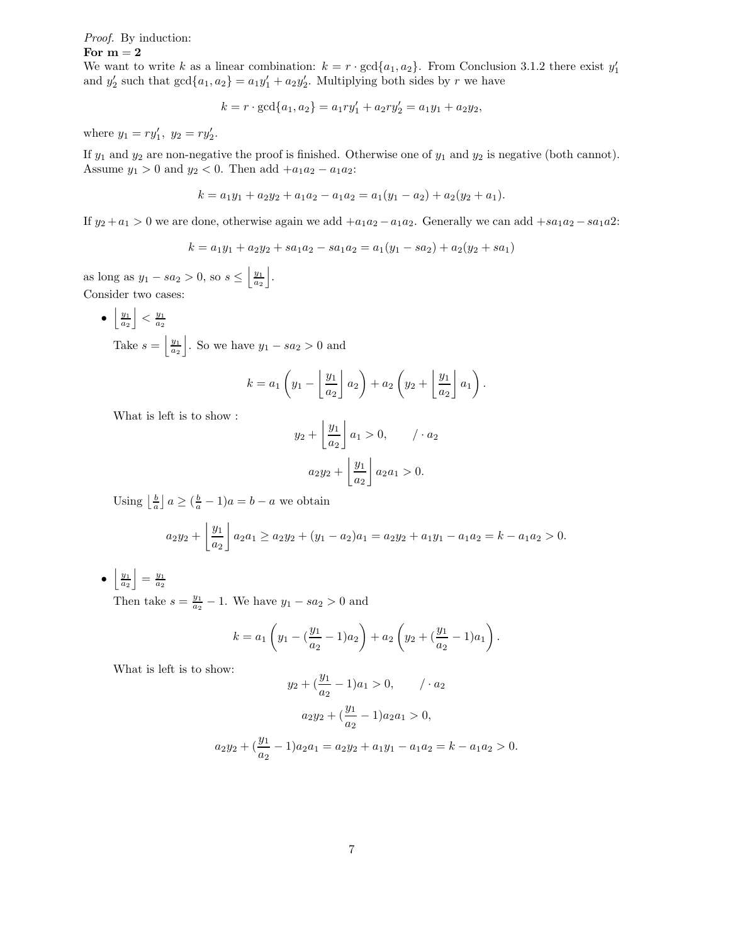# Proof. By induction:

#### For  $m = 2$

We want to write k as a linear combination:  $k = r \cdot \gcd\{a_1, a_2\}$ . From Conclusion 3.1.2 there exist  $y'_1$ and  $y'_2$  such that  $gcd{a_1, a_2} = a_1y'_1 + a_2y'_2$ . Multiplying both sides by r we have

$$
k = r \cdot \gcd\{a_1, a_2\} = a_1 r y_1' + a_2 r y_2' = a_1 y_1 + a_2 y_2,
$$

where  $y_1 = ry'_1, y_2 = ry'_2.$ 

If  $y_1$  and  $y_2$  are non-negative the proof is finished. Otherwise one of  $y_1$  and  $y_2$  is negative (both cannot). Assume  $y_1 > 0$  and  $y_2 < 0$ . Then add  $+a_1a_2 - a_1a_2$ :

$$
k = a_1y_1 + a_2y_2 + a_1a_2 - a_1a_2 = a_1(y_1 - a_2) + a_2(y_2 + a_1).
$$

If  $y_2 + a_1 > 0$  we are done, otherwise again we add  $+a_1a_2 - a_1a_2$ . Generally we can add  $+sa_1a_2 - sa_1a2$ :

$$
k = a_1y_1 + a_2y_2 + sa_1a_2 - sa_1a_2 = a_1(y_1 - sa_2) + a_2(y_2 + sa_1)
$$

as long as  $y_1 - sa_2 > 0$ , so  $s \leq \left| \frac{y_1}{a_2} \right|$ k . Consider two cases:

> •  $\frac{y_1}{a_2}$  $\Big| < \frac{y_1}{a_2}$

Take  $s = \left| \frac{y_1}{a_2} \right|$ . So we have  $y_1 - sa_2 > 0$  and

$$
k = a_1 \left(y_1 - \left\lfloor \frac{y_1}{a_2} \right\rfloor a_2\right) + a_2 \left(y_2 + \left\lfloor \frac{y_1}{a_2} \right\rfloor a_1\right).
$$

What is left is to show :

$$
y_2 + \left\lfloor \frac{y_1}{a_2} \right\rfloor a_1 > 0, \qquad / \cdot a_2
$$

$$
a_2 y_2 + \left\lfloor \frac{y_1}{a_2} \right\rfloor a_2 a_1 > 0.
$$

Using  $\left\lfloor \frac{b}{a} \right\rfloor$   $a \geq \left( \frac{b}{a} - 1 \right) a = b - a$  we obtain

$$
a_2y_2 + \left\lfloor \frac{y_1}{a_2} \right\rfloor a_2a_1 \ge a_2y_2 + (y_1 - a_2)a_1 = a_2y_2 + a_1y_1 - a_1a_2 = k - a_1a_2 > 0.
$$

•  $\frac{y_1}{a_2}$  $= \frac{y_1}{a_2}$ 

Then take  $s = \frac{y_1}{a_2} - 1$ . We have  $y_1 - sa_2 > 0$  and

$$
k = a_1 \left( y_1 - \left( \frac{y_1}{a_2} - 1 \right) a_2 \right) + a_2 \left( y_2 + \left( \frac{y_1}{a_2} - 1 \right) a_1 \right).
$$

What is left is to show:

<sup>y</sup><sup>2</sup> + ( <sup>y</sup><sup>1</sup> a2 − 1)a<sup>1</sup> > 0, / · a<sup>2</sup> <sup>a</sup>2y<sup>2</sup> + ( <sup>y</sup><sup>1</sup> a2 − 1)a2a<sup>1</sup> > 0, <sup>a</sup>2y<sup>2</sup> + ( <sup>y</sup><sup>1</sup> a2 − 1)a2a<sup>1</sup> = a2y<sup>2</sup> + a1y<sup>1</sup> − a1a<sup>2</sup> = k − a1a<sup>2</sup> > 0.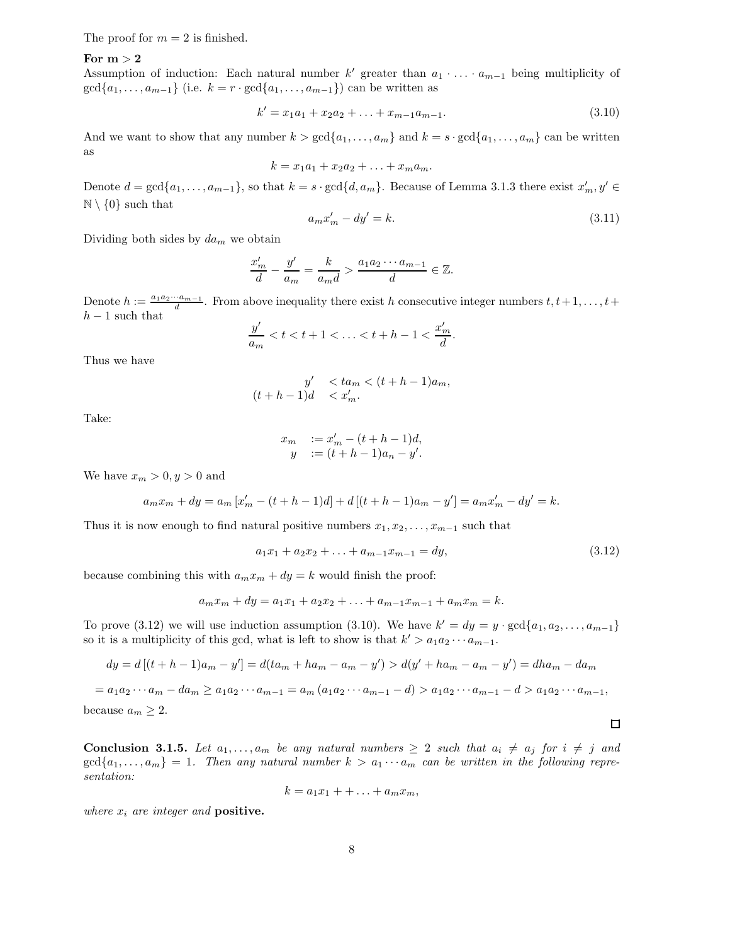The proof for  $m = 2$  is finished.

#### For  $m > 2$

Assumption of induction: Each natural number  $k'$  greater than  $a_1 \cdot \ldots \cdot a_{m-1}$  being multiplicity of  $gcd{a_1, \ldots, a_{m-1}}$  (i.e.  $k = r \cdot gcd{a_1, \ldots, a_{m-1}}$ ) can be written as

$$
k' = x_1 a_1 + x_2 a_2 + \ldots + x_{m-1} a_{m-1}.
$$
\n(3.10)

And we want to show that any number  $k > \gcd\{a_1, \ldots, a_m\}$  and  $k = s \cdot \gcd\{a_1, \ldots, a_m\}$  can be written as

$$
k = x_1a_1 + x_2a_2 + \ldots + x_ma_m.
$$

Denote  $d = \gcd\{a_1, \ldots, a_{m-1}\}\)$ , so that  $k = s \cdot \gcd\{d, a_m\}$ . Because of Lemma 3.1.3 there exist  $x'_m, y' \in$  $\mathbb{N} \setminus \{0\}$  such that

$$
a_m x'_m - dy' = k.\tag{3.11}
$$

.

Dividing both sides by  $da_m$  we obtain

$$
\frac{x'_m}{d} - \frac{y'}{a_m} = \frac{k}{a_m d} > \frac{a_1 a_2 \cdots a_{m-1}}{d} \in \mathbb{Z}.
$$

Denote  $h := \frac{a_1 a_2 \cdots a_{m-1}}{d}$ . From above inequality there exist h consecutive integer numbers  $t, t+1, \ldots, t+1$  $h-1$  such that

$$
\frac{y'}{a_m} < t < t + 1 < \ldots < t + h - 1 < \frac{x'_m}{d}
$$

Thus we have

$$
y' < ta_m < (t+h-1)a_m,
$$
  

$$
(t+h-1)d < x'_m.
$$

Take:

$$
x_m := x'_m - (t + h - 1)d,
$$
  
\n
$$
y := (t + h - 1)a_n - y'.
$$

We have  $x_m > 0, y > 0$  and

$$
a_m x_m + dy = a_m [x'_m - (t + h - 1)d] + d [(t + h - 1)a_m - y'] = a_m x'_m - dy' = k.
$$

Thus it is now enough to find natural positive numbers  $x_1, x_2, \ldots, x_{m-1}$  such that

$$
a_1x_1 + a_2x_2 + \ldots + a_{m-1}x_{m-1} = dy,\tag{3.12}
$$

because combining this with  $a_m x_m + dy = k$  would finish the proof:

$$
a_m x_m + dy = a_1 x_1 + a_2 x_2 + \ldots + a_{m-1} x_{m-1} + a_m x_m = k.
$$

To prove (3.12) we will use induction assumption (3.10). We have  $k' = dy = y \cdot \gcd\{a_1, a_2, \ldots, a_{m-1}\}\$ so it is a multiplicity of this gcd, what is left to show is that  $k' > a_1 a_2 \cdots a_{m-1}$ .

$$
dy = d[(t + h - 1)a_m - y'] = d(ta_m + ha_m - a_m - y') > d(y' + ha_m - a_m - y') = dha_m - da_m
$$

$$
= a_1 a_2 \cdots a_m - d a_m \ge a_1 a_2 \cdots a_{m-1} = a_m (a_1 a_2 \cdots a_{m-1} - d) > a_1 a_2 \cdots a_{m-1} - d > a_1 a_2 \cdots a_{m-1},
$$
  
because  $a_m \ge 2$ .

**Conclusion 3.1.5.** Let  $a_1, \ldots, a_m$  be any natural numbers  $\geq 2$  such that  $a_i \neq a_j$  for  $i \neq j$  and  $gcd{a_1, \ldots, a_m} = 1$ . Then any natural number  $k > a_1 \cdots a_m$  can be written in the following representation:

$$
k = a_1x_1 + \ldots + a_mx_m,
$$

where  $x_i$  are integer and **positive.** 

 $\Box$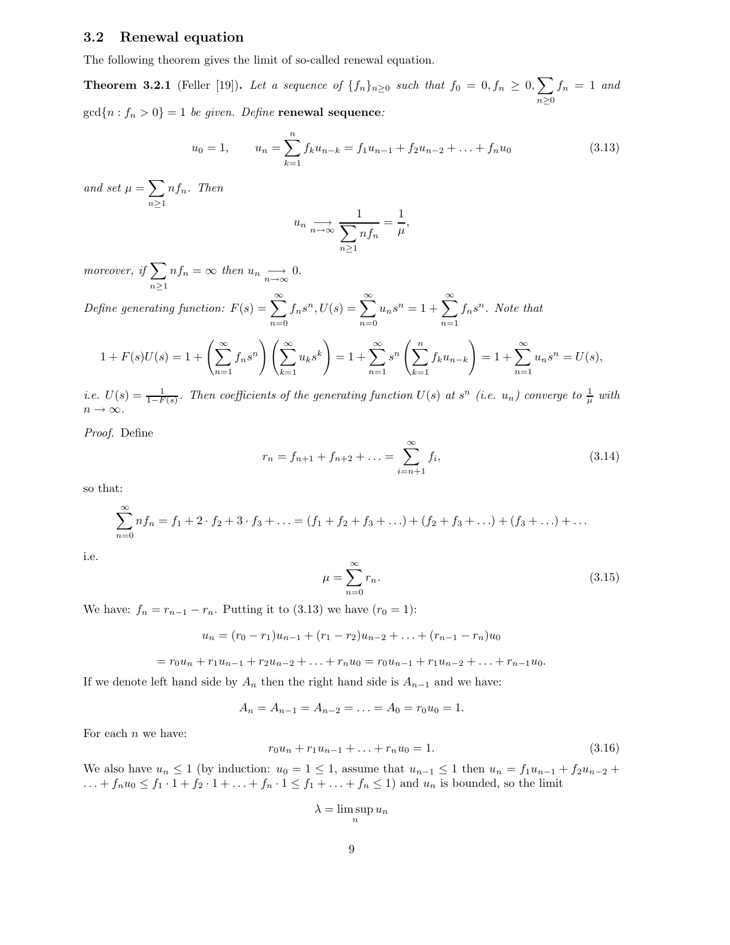#### 3.2 Renewal equation

The following theorem gives the limit of so-called renewal equation.

**Theorem 3.2.1** (Feller [19]). Let a sequence of  $\{f_n\}_{n\geq 0}$  such that  $f_0 = 0, f_n \geq 0, \sum$  $n\geq 0$  $f_n = 1$  and  $gcd{n: f_n > 0} = 1$  be given. Define **renewal sequence**:

$$
u_0 = 1, \qquad u_n = \sum_{k=1}^n f_k u_{n-k} = f_1 u_{n-1} + f_2 u_{n-2} + \ldots + f_n u_0 \tag{3.13}
$$

and set  $\mu = \sum$  $n\geq 1$ nfn. Then

$$
u_n \underset{n \to \infty}{\longrightarrow} \frac{1}{\sum_{n \ge 1} n f_n} = \frac{1}{\mu},
$$

moreover, if  $\sum$  $\sum_{n\geq 1} nf_n = \infty$  then  $u_n \longrightarrow 0$ .

Define generating function:  $F(s) = \sum_{n=0}^{\infty}$  $n=0$  $f_n s^n, U(s) = \sum_{n=1}^{\infty}$  $n=0$  $u_n s^n = 1 + \sum_{n=1}^{\infty}$  $n=1$  $f_n s^n$ . Note that

$$
1 + F(s)U(s) = 1 + \left(\sum_{n=1}^{\infty} f_n s^n\right) \left(\sum_{k=1}^{\infty} u_k s^k\right) = 1 + \sum_{n=1}^{\infty} s^n \left(\sum_{k=1}^n f_k u_{n-k}\right) = 1 + \sum_{n=1}^{\infty} u_n s^n = U(s),
$$

i.e.  $U(s) = \frac{1}{1-F(s)}$ . Then coefficients of the generating function  $U(s)$  at  $s^n$  (i.e.  $u_n$ ) converge to  $\frac{1}{\mu}$  with  $n \to \infty$ .

Proof. Define

$$
r_n = f_{n+1} + f_{n+2} + \dots = \sum_{i=n+1}^{\infty} f_i,
$$
\n(3.14)

so that:

$$
\sum_{n=0}^{\infty} nf_n = f_1 + 2 \cdot f_2 + 3 \cdot f_3 + \ldots = (f_1 + f_2 + f_3 + \ldots) + (f_2 + f_3 + \ldots) + (f_3 + \ldots) + \ldots
$$

i.e.

$$
\mu = \sum_{n=0}^{\infty} r_n.
$$
\n(3.15)

We have:  $f_n = r_{n-1} - r_n$ . Putting it to (3.13) we have  $(r_0 = 1)$ :

$$
u_n = (r_0 - r_1)u_{n-1} + (r_1 - r_2)u_{n-2} + \ldots + (r_{n-1} - r_n)u_0
$$

$$
= r_0u_n + r_1u_{n-1} + r_2u_{n-2} + \ldots + r_nu_0 = r_0u_{n-1} + r_1u_{n-2} + \ldots + r_{n-1}u_0.
$$

If we denote left hand side by  $A_n$  then the right hand side is  $A_{n-1}$  and we have:

 $A_n = A_{n-1} = A_{n-2} = \ldots = A_0 = r_0 u_0 = 1.$ 

For each  $n$  we have:

$$
r_0 u_n + r_1 u_{n-1} + \ldots + r_n u_0 = 1. \tag{3.16}
$$

We also have  $u_n \leq 1$  (by induction:  $u_0 = 1 \leq 1$ , assume that  $u_{n-1} \leq 1$  then  $u_n = f_1u_{n-1} + f_2u_{n-2} +$ ... +  $f_n u_0 \le f_1 \cdot 1 + f_2 \cdot 1 + ... + f_n \cdot 1 \le f_1 + ... + f_n \le 1$  and  $u_n$  is bounded, so the limit

$$
\lambda = \limsup_{n} u_n
$$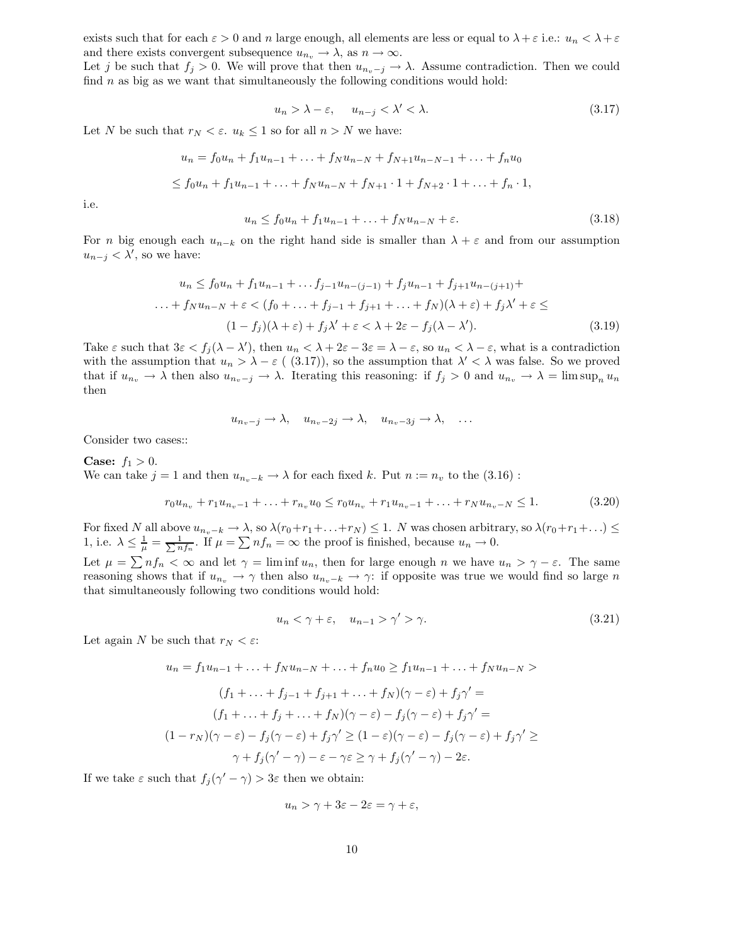exists such that for each  $\varepsilon > 0$  and n large enough, all elements are less or equal to  $\lambda + \varepsilon$  i.e.:  $u_n < \lambda + \varepsilon$ and there exists convergent subsequence  $u_{n_v} \to \lambda$ , as  $n \to \infty$ .

Let j be such that  $f_j > 0$ . We will prove that then  $u_{n_v-j} \to \lambda$ . Assume contradiction. Then we could find  $n$  as big as we want that simultaneously the following conditions would hold:

$$
u_n > \lambda - \varepsilon, \quad u_{n-j} < \lambda' < \lambda. \tag{3.17}
$$

Let N be such that  $r_N < \varepsilon$ .  $u_k \leq 1$  so for all  $n > N$  we have:

$$
u_n = f_0 u_n + f_1 u_{n-1} + \ldots + f_N u_{n-N} + f_{N+1} u_{n-N-1} + \ldots + f_n u_0
$$
  
\n
$$
\leq f_0 u_n + f_1 u_{n-1} + \ldots + f_N u_{n-N} + f_{N+1} \cdot 1 + f_{N+2} \cdot 1 + \ldots + f_n \cdot 1,
$$

i.e.

$$
u_n \le f_0 u_n + f_1 u_{n-1} + \dots + f_N u_{n-N} + \varepsilon. \tag{3.18}
$$

For n big enough each  $u_{n-k}$  on the right hand side is smaller than  $\lambda + \varepsilon$  and from our assumption  $u_{n-j} < \lambda'$ , so we have:

$$
u_n \le f_0 u_n + f_1 u_{n-1} + \dots + f_{j-1} u_{n-(j-1)} + f_j u_{n-1} + f_{j+1} u_{n-(j+1)} +
$$
  
\n
$$
\dots + f_N u_{n-N} + \varepsilon < (f_0 + \dots + f_{j-1} + f_{j+1} + \dots + f_N)(\lambda + \varepsilon) + f_j \lambda' + \varepsilon \le
$$
  
\n
$$
(1 - f_j)(\lambda + \varepsilon) + f_j \lambda' + \varepsilon < \lambda + 2\varepsilon - f_j(\lambda - \lambda'). \tag{3.19}
$$

Take  $\varepsilon$  such that  $3\varepsilon < f_j(\lambda - \lambda')$ , then  $u_n < \lambda + 2\varepsilon - 3\varepsilon = \lambda - \varepsilon$ , so  $u_n < \lambda - \varepsilon$ , what is a contradiction with the assumption that  $u_n > \lambda - \varepsilon$  ((3.17)), so the assumption that  $\lambda' < \lambda$  was false. So we proved that if  $u_{n_v} \to \lambda$  then also  $u_{n_v-j} \to \lambda$ . Iterating this reasoning: if  $f_j > 0$  and  $u_{n_v} \to \lambda = \limsup_n u_n$ then

$$
u_{n_v-j} \to \lambda, \quad u_{n_v-2j} \to \lambda, \quad u_{n_v-3j} \to \lambda, \quad \ldots
$$

Consider two cases::

**Case:**  $f_1 > 0$ . We can take  $j = 1$  and then  $u_{n_v-k} \to \lambda$  for each fixed k. Put  $n := n_v$  to the  $(3.16)$ :

$$
r_0 u_{n_v} + r_1 u_{n_v - 1} + \ldots + r_{n_v} u_0 \le r_0 u_{n_v} + r_1 u_{n_v - 1} + \ldots + r_N u_{n_v - N} \le 1. \tag{3.20}
$$

For fixed N all above  $u_{n_v-k} \to \lambda$ , so  $\lambda(r_0+r_1+\ldots+r_N) \leq 1$ . N was chosen arbitrary, so  $\lambda(r_0+r_1+\ldots) \leq$ 1, i.e.  $\lambda \leq \frac{1}{\mu} = \frac{1}{\sum n f_n}$ . If  $\mu = \sum n f_n = \infty$  the proof is finished, because  $u_n \to 0$ . Let  $\mu = \sum nf_n < \infty$  and let  $\gamma = \liminf u_n$ , then for large enough n we have  $u_n > \gamma - \varepsilon$ . The same reasoning shows that if  $u_{n_v} \to \gamma$  then also  $u_{n_v-k} \to \gamma$ : if opposite was true we would find so large n

that simultaneously following two conditions would hold:

$$
u_n < \gamma + \varepsilon, \quad u_{n-1} > \gamma' > \gamma. \tag{3.21}
$$

Let again N be such that  $r_N < \varepsilon$ :

$$
u_n = f_1 u_{n-1} + \dots + f_N u_{n-N} + \dots + f_n u_0 \ge f_1 u_{n-1} + \dots + f_N u_{n-N} >
$$
  

$$
(f_1 + \dots + f_{j-1} + f_{j+1} + \dots + f_N)(\gamma - \varepsilon) + f_j \gamma' =
$$
  

$$
(f_1 + \dots + f_j + \dots + f_N)(\gamma - \varepsilon) - f_j(\gamma - \varepsilon) + f_j \gamma' =
$$
  

$$
(1 - r_N)(\gamma - \varepsilon) - f_j(\gamma - \varepsilon) + f_j \gamma' \ge (1 - \varepsilon)(\gamma - \varepsilon) - f_j(\gamma - \varepsilon) + f_j \gamma' \ge
$$
  

$$
\gamma + f_j(\gamma' - \gamma) - \varepsilon - \gamma \varepsilon \ge \gamma + f_j(\gamma' - \gamma) - 2\varepsilon.
$$

If we take  $\varepsilon$  such that  $f_j(\gamma'-\gamma) > 3\varepsilon$  then we obtain:

$$
u_n > \gamma + 3\varepsilon - 2\varepsilon = \gamma + \varepsilon,
$$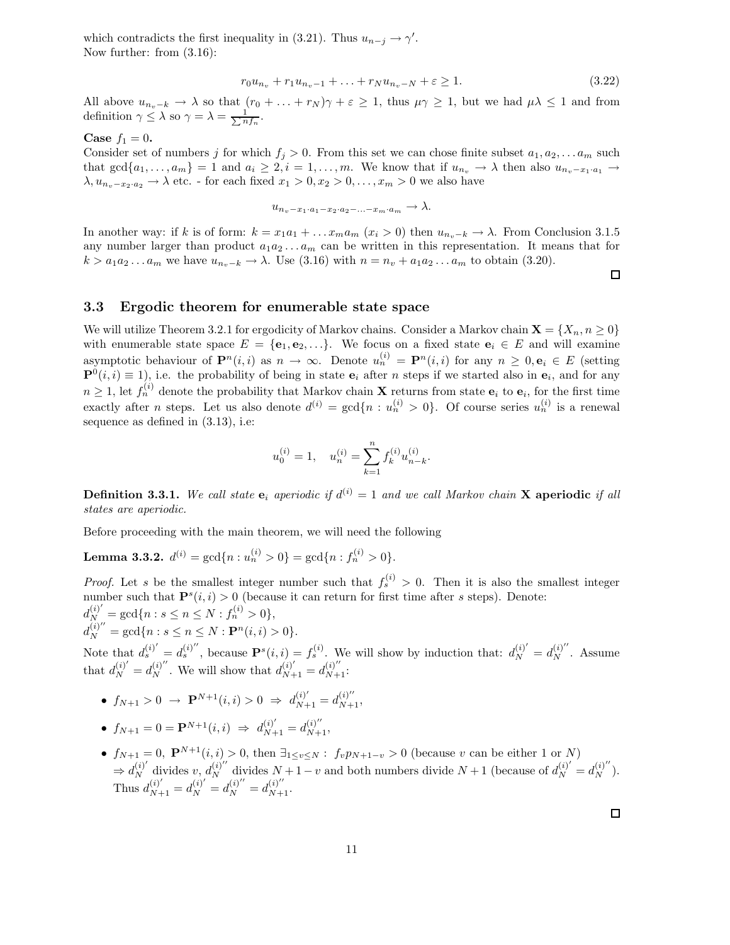which contradicts the first inequality in (3.21). Thus  $u_{n-j} \to \gamma'$ . Now further: from (3.16):

$$
r_0 u_{n_v} + r_1 u_{n_v - 1} + \ldots + r_N u_{n_v - N} + \varepsilon \ge 1.
$$
\n(3.22)

All above  $u_{n_v-k} \to \lambda$  so that  $(r_0 + \ldots + r_N)\gamma + \varepsilon \geq 1$ , thus  $\mu \gamma \geq 1$ , but we had  $\mu \lambda \leq 1$  and from definition  $\gamma \leq \lambda$  so  $\gamma = \lambda = \frac{1}{\sum n f_n}$ .

#### Case  $f_1 = 0$ .

Consider set of numbers j for which  $f_j > 0$ . From this set we can chose finite subset  $a_1, a_2, \ldots a_m$  such that  $gcd{a_1, ..., a_m} = 1$  and  $a_i \geq 2, i = 1, ..., m$ . We know that if  $u_{n_v} \to \lambda$  then also  $u_{n_v-x_1\cdot a_1} \to$  $\lambda, u_{n_v-x_2\cdot a_2} \to \lambda$  etc. - for each fixed  $x_1 > 0, x_2 > 0, \ldots, x_m > 0$  we also have

 $u_{n_v-x_1\cdot a_1-x_2\cdot a_2-\ldots-x_m\cdot a_m} \to \lambda.$ 

In another way: if k is of form:  $k = x_1a_1 + \ldots x_ma_m$   $(x_i > 0)$  then  $u_{n_i-k} \to \lambda$ . From Conclusion 3.1.5 any number larger than product  $a_1 a_2 \ldots a_m$  can be written in this representation. It means that for  $k > a_1 a_2 \dots a_m$  we have  $u_{n_v-k} \to \lambda$ . Use (3.16) with  $n = n_v + a_1 a_2 \dots a_m$  to obtain (3.20).

 $\Box$ 

#### 3.3 Ergodic theorem for enumerable state space

We will utilize Theorem 3.2.1 for ergodicity of Markov chains. Consider a Markov chain  $\mathbf{X} = \{X_n, n \geq 0\}$ with enumerable state space  $E = \{e_1, e_2, \ldots\}$ . We focus on a fixed state  $e_i \in E$  and will examine asymptotic behaviour of  $\mathbf{P}^n(i,i)$  as  $n \to \infty$ . Denote  $u_n^{(i)} = \mathbf{P}^n(i,i)$  for any  $n \geq 0, \mathbf{e}_i \in E$  (setting  $\mathbf{P}^0(i,i) \equiv 1$ , i.e. the probability of being in state  $\mathbf{e}_i$  after *n* steps if we started also in  $\mathbf{e}_i$ , and for any  $n \geq 1$ , let  $f_n^{(i)}$  denote the probability that Markov chain **X** returns from state  $e_i$  to  $e_i$ , for the first time exactly after *n* steps. Let us also denote  $d^{(i)} = \gcd\{n : u_n^{(i)} > 0\}$ . Of course series  $u_n^{(i)}$  is a renewal sequence as defined in (3.13), i.e:

$$
u_0^{(i)} = 1, \quad u_n^{(i)} = \sum_{k=1}^n f_k^{(i)} u_{n-k}^{(i)}.
$$

**Definition 3.3.1.** We call state  $e_i$  aperiodic if  $d^{(i)} = 1$  and we call Markov chain **X** aperiodic if all states are aperiodic.

Before proceeding with the main theorem, we will need the following

**Lemma 3.3.2.**  $d^{(i)} = \gcd\{n : u_n^{(i)} > 0\} = \gcd\{n : f_n^{(i)} > 0\}.$ 

*Proof.* Let s be the smallest integer number such that  $f_s^{(i)} > 0$ . Then it is also the smallest integer number such that  $\mathbf{P}^s(i,i) > 0$  (because it can return for first time after s steps). Denote:  $d_{N}^{(i)'} = \gcd\{n : s \leq n \leq N : f_n^{(i)} > 0\},\$  $d_N^{(i)''} = \gcd\{n : s \leq n \leq N : \mathbf{P}^n(i, i) > 0\}.$ 

Note that  $d_s^{(i)'} = d_s^{(i)''}$ , because  $\mathbf{P}^s(i, i) = f_s^{(i)}$ . We will show by induction that:  $d_N^{(i)'} = d_N^{(i)''}$ . Assume that  $d_N^{(i)'} = d_N^{(i)''}$ . We will show that  $d_{N+1}^{(i)'} = d_{N+1}^{(i)''}$ :

- $f_{N+1} > 0 \rightarrow \mathbf{P}^{N+1}(i,i) > 0 \Rightarrow d_{N+1}^{(i)'} = d_{N+1}^{(i)''},$
- $f_{N+1} = 0 = \mathbf{P}^{N+1}(i,i) \Rightarrow d_{N+1}^{(i)'} = d_{N+1}^{(i)''},$
- $f_{N+1} = 0$ ,  $\mathbf{P}^{N+1}(i, i) > 0$ , then  $\exists_{1 \le v \le N} : f_v p_{N+1-v} > 0$  (because v can be either 1 or N)  $\Rightarrow d_N^{(i)'}$  divides  $v, d_N^{(i)''}$  divides  $N+1-v$  and both numbers divide  $N+1$  (because of  $d_N^{(i)'} = d_N^{(i)''}$ ). Thus  $d_{N+1}^{(i)'} = d_N^{(i)'} = d_N^{(i)''} = d_{N+1}^{(i)''}.$

 $\Box$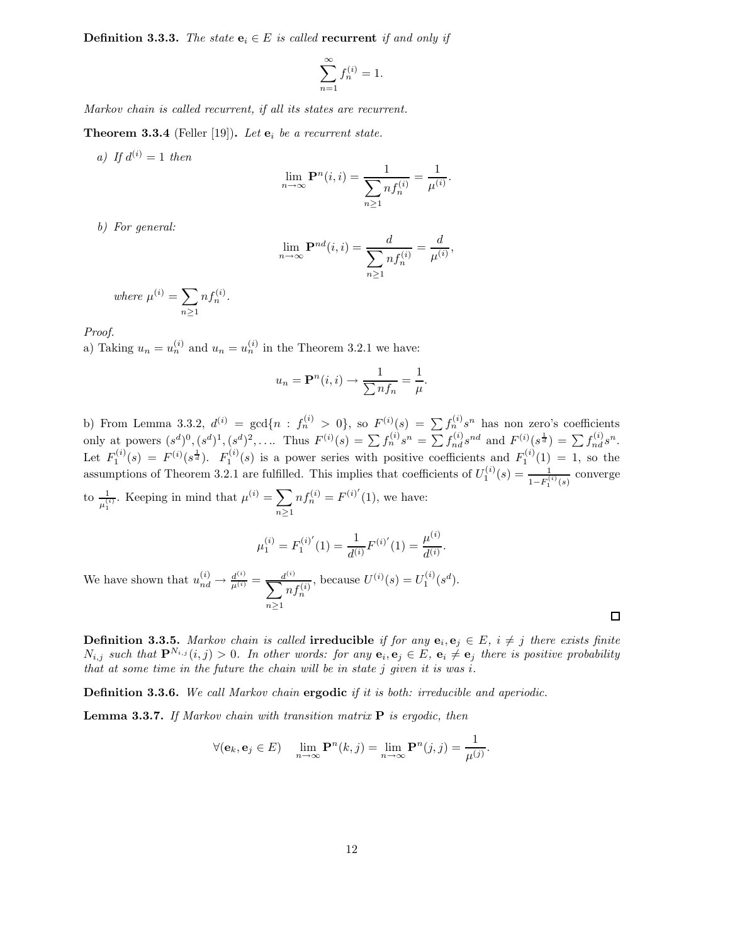**Definition 3.3.3.** The state  $\mathbf{e}_i \in E$  is called recurrent if and only if

$$
\sum_{n=1}^{\infty} f_n^{(i)} = 1.
$$

Markov chain is called recurrent, if all its states are recurrent.

**Theorem 3.3.4** (Feller [19]). Let  $\mathbf{e}_i$  be a recurrent state.

a) If  $d^{(i)} = 1$  then

$$
\lim_{n \to \infty} \mathbf{P}^n(i, i) = \frac{1}{\sum_{n \ge 1} n f_n^{(i)}} = \frac{1}{\mu^{(i)}}.
$$

b) For general:

$$
\lim_{n \to \infty} \mathbf{P}^{nd}(i, i) = \frac{d}{\sum_{n \ge 1} n f_n^{(i)}} = \frac{d}{\mu^{(i)}},
$$

where 
$$
\mu^{(i)} = \sum_{n \geq 1} n f_n^{(i)}
$$
.

Proof.

a) Taking  $u_n = u_n^{(i)}$  and  $u_n = u_n^{(i)}$  in the Theorem 3.2.1 we have:

$$
u_n = \mathbf{P}^n(i, i) \to \frac{1}{\sum nf_n} = \frac{1}{\mu}.
$$

b) From Lemma 3.3.2,  $d^{(i)} = \gcd\{n : f_n^{(i)} > 0\}$ , so  $F^{(i)}(s) = \sum f_n^{(i)} s^n$  has non zero's coefficients only at powers  $(s^d)^0, (s^d)^1, (s^d)^2, \ldots$  Thus  $F^{(i)}(s) = \sum f_n^{(i)} s^n = \sum f_{nd}^{(i)} s^{nd}$  and  $F^{(i)}(s^{\frac{1}{d}}) = \sum f_{nd}^{(i)} s^n$ . Let  $F_1^{(i)}(s) = F^{(i)}(s^{\frac{1}{d}})$ .  $F_1^{(i)}(s)$  is a power series with positive coefficients and  $F_1^{(i)}(1) = 1$ , so the assumptions of Theorem 3.2.1 are fulfilled. This implies that coefficients of  $U_1^{(i)}(s) = \frac{1}{1-F_1^{(i)}(s)}$  converge to  $\frac{1}{\mu_1^{(i)}}$ . Keeping in mind that  $\mu^{(i)} = \sum_{n \geq 1}$  $n\geq 1$  $nf_n^{(i)} = F^{(i)'}(1)$ , we have:

$$
\mu_1^{(i)} = F_1^{(i)'}(1) = \frac{1}{d^{(i)}} F^{(i)'}(1) = \frac{\mu^{(i)}}{d^{(i)}}.
$$

We have shown that  $u_{nd}^{(i)} \rightarrow \frac{d^{(i)}}{\mu^{(i)}} = \frac{d^{(i)}}{\sum n}$  $n\geq 1$  $\displaystyle nf_n^{(i)}$ , because  $U^{(i)}(s) = U_1^{(i)}(s^d)$ .

**Definition 3.3.5.** Markov chain is called **irreducible** if for any  $e_i, e_j \in E$ ,  $i \neq j$  there exists finite  $N_{i,j}$  such that  $\mathbf{P}^{N_{i,j}}(i,j) > 0$ . In other words: for any  $\mathbf{e}_i, \mathbf{e}_j \in E$ ,  $\mathbf{e}_i \neq \mathbf{e}_j$  there is positive probability that at some time in the future the chain will be in state  $j$  given it is was  $i$ .

 $\Box$ 

**Definition 3.3.6.** We call Markov chain **ergodic** if it is both: irreducible and aperiodic.

**Lemma 3.3.7.** If Markov chain with transition matrix  $P$  is ergodic, then

$$
\forall (\mathbf{e}_k, \mathbf{e}_j \in E) \quad \lim_{n \to \infty} \mathbf{P}^n(k, j) = \lim_{n \to \infty} \mathbf{P}^n(j, j) = \frac{1}{\mu^{(j)}}.
$$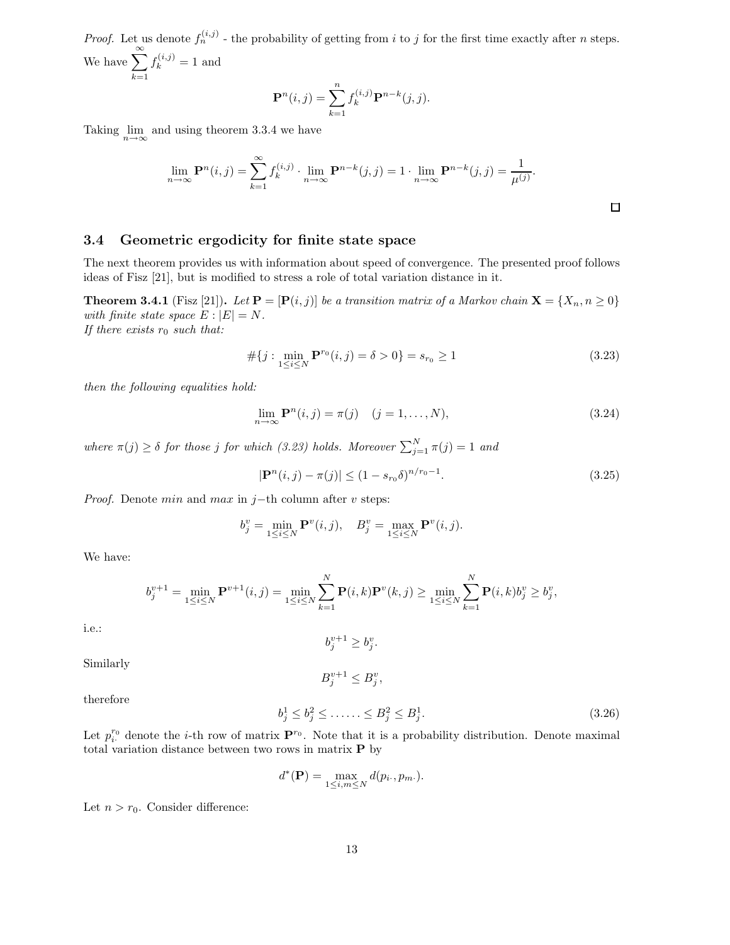*Proof.* Let us denote  $f_n^{(i,j)}$  - the probability of getting from i to j for the first time exactly after n steps. We have  $\sum_{n=1}^{\infty}$  $k=1$  $f_k^{(i,j)} = 1$  and

$$
\mathbf{P}^{n}(i,j) = \sum_{k=1}^{n} f_{k}^{(i,j)} \mathbf{P}^{n-k}(j,j).
$$

Taking  $\lim_{n \to \infty}$  and using theorem 3.3.4 we have

$$
\lim_{n \to \infty} \mathbf{P}^n(i,j) = \sum_{k=1}^{\infty} f_k^{(i,j)} \cdot \lim_{n \to \infty} \mathbf{P}^{n-k}(j,j) = 1 \cdot \lim_{n \to \infty} \mathbf{P}^{n-k}(j,j) = \frac{1}{\mu^{(j)}}.
$$

#### 3.4 Geometric ergodicity for finite state space

The next theorem provides us with information about speed of convergence. The presented proof follows ideas of Fisz [21], but is modified to stress a role of total variation distance in it.

**Theorem 3.4.1** (Fisz [21]). Let  $\mathbf{P} = [\mathbf{P}(i, j)]$  be a transition matrix of a Markov chain  $\mathbf{X} = \{X_n, n \geq 0\}$ with finite state space  $E : |E| = N$ . If there exists  $r_0$  such that:

$$
\#\{j : \min_{1 \le i \le N} \mathbf{P}^{r_0}(i,j) = \delta > 0\} = s_{r_0} \ge 1\tag{3.23}
$$

then the following equalities hold:

$$
\lim_{n \to \infty} \mathbf{P}^n(i, j) = \pi(j) \quad (j = 1, \dots, N), \tag{3.24}
$$

where  $\pi(j) \geq \delta$  for those j for which (3.23) holds. Moreover  $\sum_{j=1}^{N} \pi(j) = 1$  and

$$
|\mathbf{P}^{n}(i,j) - \pi(j)| \le (1 - s_{r_0} \delta)^{n/r_0 - 1}.
$$
\n(3.25)

*Proof.* Denote *min* and *max* in j−th column after v steps:

$$
b_j^v = \min_{1 \le i \le N} \mathbf{P}^v(i, j), \quad B_j^v = \max_{1 \le i \le N} \mathbf{P}^v(i, j).
$$

We have:

$$
b_j^{v+1} = \min_{1 \le i \le N} \mathbf{P}^{v+1}(i,j) = \min_{1 \le i \le N} \sum_{k=1}^N \mathbf{P}(i,k) \mathbf{P}^v(k,j) \ge \min_{1 \le i \le N} \sum_{k=1}^N \mathbf{P}(i,k) b_j^v \ge b_j^v,
$$

i.e.:

Similarly

$$
B^{v+1}_j \le B^v_j,
$$

 $b_j^{v+1} \ge b_j^v$ .

therefore

$$
b_j^1 \le b_j^2 \le \dots \le B_j^2 \le B_j^1. \tag{3.26}
$$

Let  $p_i^{r_0}$  denote the *i*-th row of matrix  $\mathbf{P}^{r_0}$ . Note that it is a probability distribution. Denote maximal total variation distance between two rows in matrix P by

$$
d^*(\mathbf{P}) = \max_{1 \le i,m \le N} d(p_i, p_m).
$$

Let  $n > r_0$ . Consider difference: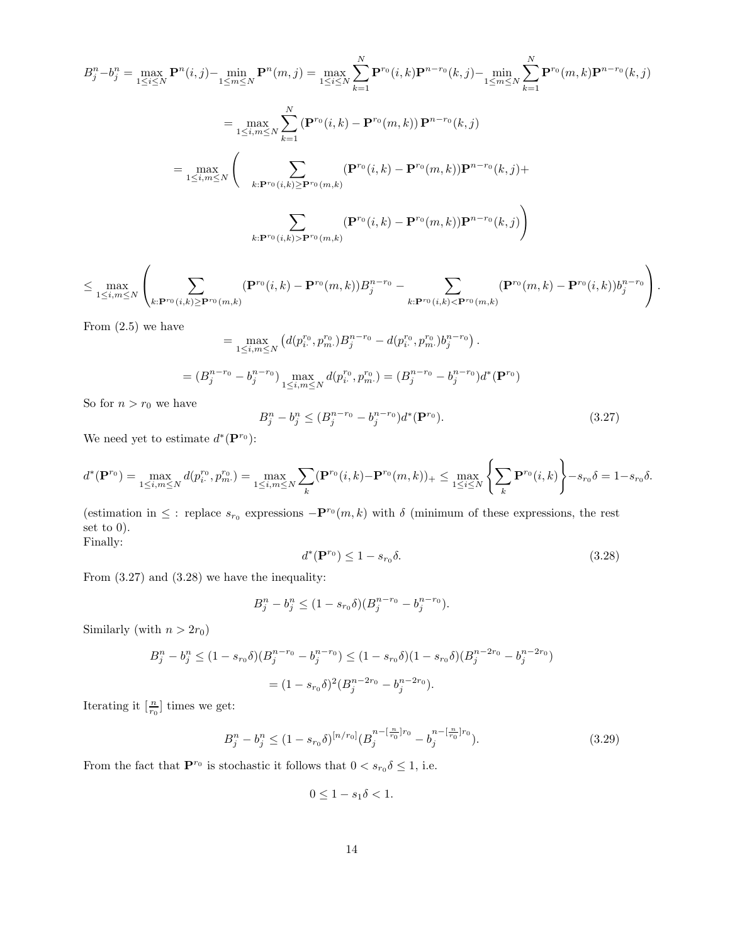$$
B_{j}^{n} - b_{j}^{n} = \max_{1 \leq i \leq N} \mathbf{P}^{n}(i, j) - \min_{1 \leq m \leq N} \mathbf{P}^{n}(m, j) = \max_{1 \leq i \leq N} \sum_{k=1}^{N} \mathbf{P}^{r_{0}}(i, k) \mathbf{P}^{n-r_{0}}(k, j) - \min_{1 \leq m \leq N} \sum_{k=1}^{N} \mathbf{P}^{r_{0}}(m, k) \mathbf{P}^{n-r_{0}}(k, j)
$$
  
\n
$$
= \max_{1 \leq i, m \leq N} \sum_{k=1}^{N} (\mathbf{P}^{r_{0}}(i, k) - \mathbf{P}^{r_{0}}(m, k)) \mathbf{P}^{n-r_{0}}(k, j)
$$
  
\n
$$
= \max_{1 \leq i, m \leq N} \left( \sum_{k: \mathbf{P}^{r_{0}}(i, k) \geq \mathbf{P}^{r_{0}}(m, k)} (\mathbf{P}^{r_{0}}(i, k) - \mathbf{P}^{r_{0}}(m, k)) \mathbf{P}^{n-r_{0}}(k, j) + \sum_{k: \mathbf{P}^{r_{0}}(i, k) > \mathbf{P}^{r_{0}}(m, k)} (\mathbf{P}^{r_{0}}(i, k) - \mathbf{P}^{r_{0}}(m, k)) \mathbf{P}^{n-r_{0}}(k, j) \right)
$$

$$
\leq \max_{1\leq i,m\leq N} \left( \sum_{k:\mathbf{P}^{r_0}(i,k)\geq \mathbf{P}^{r_0}(m,k)} (\mathbf{P}^{r_0}(i,k)-\mathbf{P}^{r_0}(m,k)) B^{n-r_0}_j - \sum_{k:\mathbf{P}^{r_0}(i,k)<\mathbf{P}^{r_0}(m,k)} (\mathbf{P}^{r_0}(m,k)-\mathbf{P}^{r_0}(i,k)) b_j^{n-r_0} \right).
$$

From  $(2.5)$  we have

$$
= \max_{1 \le i,m \le N} \left( d(p_i^{r_0}, p_m^{r_0}) B_j^{n-r_0} - d(p_i^{r_0}, p_m^{r_0}) b_j^{n-r_0} \right).
$$
  

$$
= (B_j^{n-r_0} - b_j^{n-r_0}) \max_{1 \le i,m \le N} d(p_i^{r_0}, p_m^{r_0}) = (B_j^{n-r_0} - b_j^{n-r_0}) d^*(\mathbf{P}^{r_0})
$$

So for  $n > r_0$  we have

$$
B_j^n - b_j^n \le (B_j^{n-r_0} - b_j^{n-r_0})d^*(\mathbf{P}^{r_0}).
$$
\n(3.27)

We need yet to estimate  $d^*(\mathbf{P}^{r_0})$ :

$$
d^*(\mathbf{P}^{r_0}) = \max_{1 \leq i , m \leq N} d(p^{r_0}_i, p^{r_0}_m) = \max_{1 \leq i , m \leq N} \sum_k (\mathbf{P}^{r_0}(i,k) - \mathbf{P}^{r_0}(m,k))_+ \leq \max_{1 \leq i \leq N} \left\{ \sum_k \mathbf{P}^{r_0}(i,k) \right\} - s_{r_0} \delta = 1 - s_{r_0} \delta.
$$

(estimation in  $\leq$ : replace  $s_{r_0}$  expressions  $-\mathbf{P}^{r_0}(m,k)$  with  $\delta$  (minimum of these expressions, the rest set to 0). Finally:

$$
d^*(\mathbf{P}^{r_0}) \le 1 - s_{r_0} \delta. \tag{3.28}
$$

From (3.27) and (3.28) we have the inequality:

$$
B_j^n - b_j^n \le (1 - s_{r_0} \delta)(B_j^{n-r_0} - b_j^{n-r_0}).
$$

Similarly (with  $n > 2r_0$ )

$$
B_j^n - b_j^n \le (1 - s_{r_0} \delta)(B_j^{n-r_0} - b_j^{n-r_0}) \le (1 - s_{r_0} \delta)(1 - s_{r_0} \delta)(B_j^{n-2r_0} - b_j^{n-2r_0})
$$
  
=  $(1 - s_{r_0} \delta)^2 (B_j^{n-2r_0} - b_j^{n-2r_0}).$ 

Iterating it  $\left[\frac{n}{r_0}\right]$  times we get:

$$
B_j^n - b_j^n \le (1 - s_{r_0} \delta)^{[n/r_0]} (B_j^{n - \left[\frac{n}{r_0}\right]r_0} - b_j^{n - \left[\frac{n}{r_0}\right]r_0}).\tag{3.29}
$$

From the fact that  $\mathbf{P}^{r_0}$  is stochastic it follows that  $0 < s_{r_0} \delta \leq 1$ , i.e.

$$
0 \le 1 - s_1 \delta < 1.
$$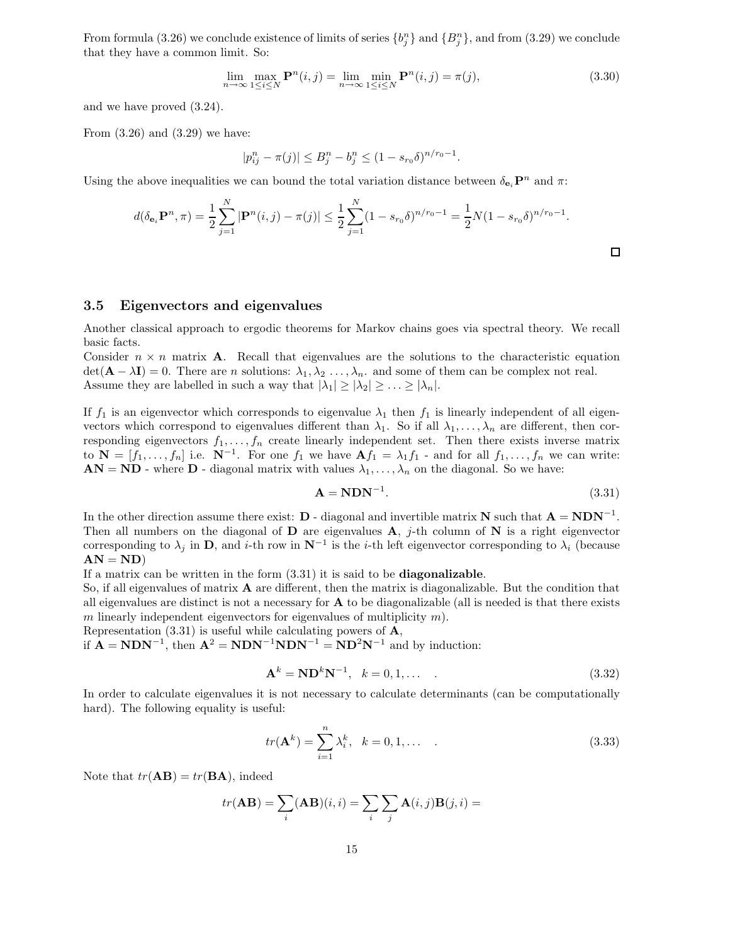From formula (3.26) we conclude existence of limits of series  $\{b_j^n\}$  and  $\{B_j^n\}$ , and from (3.29) we conclude that they have a common limit. So:

$$
\lim_{n \to \infty} \max_{1 \le i \le N} \mathbf{P}^n(i,j) = \lim_{n \to \infty} \min_{1 \le i \le N} \mathbf{P}^n(i,j) = \pi(j),\tag{3.30}
$$

and we have proved (3.24).

From (3.26) and (3.29) we have:

$$
|p_{ij}^n - \pi(j)| \le B_j^n - b_j^n \le (1 - s_{r_0} \delta)^{n/r_0 - 1}.
$$

Using the above inequalities we can bound the total variation distance between  $\delta_{\mathbf{e}_i} \mathbf{P}^n$  and  $\pi$ :

$$
d(\delta_{\mathbf{e}_i} \mathbf{P}^n, \pi) = \frac{1}{2} \sum_{j=1}^N |\mathbf{P}^n(i, j) - \pi(j)| \le \frac{1}{2} \sum_{j=1}^N (1 - s_{r_0} \delta)^{n/r_0 - 1} = \frac{1}{2} N (1 - s_{r_0} \delta)^{n/r_0 - 1}.
$$

#### 3.5 Eigenvectors and eigenvalues

Another classical approach to ergodic theorems for Markov chains goes via spectral theory. We recall basic facts.

Consider  $n \times n$  matrix **A**. Recall that eigenvalues are the solutions to the characteristic equation  $\det(\mathbf{A} - \lambda \mathbf{I}) = 0$ . There are *n* solutions:  $\lambda_1, \lambda_2, \ldots, \lambda_n$ , and some of them can be complex not real. Assume they are labelled in such a way that  $|\lambda_1| \geq |\lambda_2| \geq \ldots \geq |\lambda_n|$ .

If  $f_1$  is an eigenvector which corresponds to eigenvalue  $\lambda_1$  then  $f_1$  is linearly independent of all eigenvectors which correspond to eigenvalues different than  $\lambda_1$ . So if all  $\lambda_1, \ldots, \lambda_n$  are different, then corresponding eigenvectors  $f_1, \ldots, f_n$  create linearly independent set. Then there exists inverse matrix to  $N = [f_1, \ldots, f_n]$  i.e.  $N^{-1}$ . For one  $f_1$  we have  $\mathbf{A} f_1 = \lambda_1 f_1$  - and for all  $f_1, \ldots, f_n$  we can write:  $AN = ND$  - where D - diagonal matrix with values  $\lambda_1, \ldots, \lambda_n$  on the diagonal. So we have:

$$
\mathbf{A} = \mathbf{N} \mathbf{D} \mathbf{N}^{-1}.\tag{3.31}
$$

In the other direction assume there exist:  $D$  - diagonal and invertible matrix N such that  $A = NDN^{-1}$ . Then all numbers on the diagonal of  $D$  are eigenvalues  $A$ , j-th column of  $N$  is a right eigenvector corresponding to  $\lambda_j$  in D, and *i*-th row in  $N^{-1}$  is the *i*-th left eigenvector corresponding to  $\lambda_i$  (because  $AN = ND$ 

If a matrix can be written in the form (3.31) it is said to be diagonalizable.

So, if all eigenvalues of matrix  $\bf{A}$  are different, then the matrix is diagonalizable. But the condition that all eigenvalues are distinct is not a necessary for A to be diagonalizable (all is needed is that there exists m linearly independent eigenvectors for eigenvalues of multiplicity  $m$ ).

Representation  $(3.31)$  is useful while calculating powers of  $\mathbf{A}$ ,

if  $A = NDN^{-1}$ , then  $A^2 = NDN^{-1}NDN^{-1} = ND^2N^{-1}$  and by induction:

$$
\mathbf{A}^k = \mathbf{N} \mathbf{D}^k \mathbf{N}^{-1}, \quad k = 0, 1, \dots \tag{3.32}
$$

In order to calculate eigenvalues it is not necessary to calculate determinants (can be computationally hard). The following equality is useful:

$$
tr(\mathbf{A}^{k}) = \sum_{i=1}^{n} \lambda_{i}^{k}, \quad k = 0, 1, \dots
$$
 (3.33)

Note that  $tr(AB) = tr(BA)$ , indeed

$$
tr(\mathbf{AB}) = \sum_{i} (\mathbf{AB})(i, i) = \sum_{i} \sum_{j} \mathbf{A}(i, j) \mathbf{B}(j, i) =
$$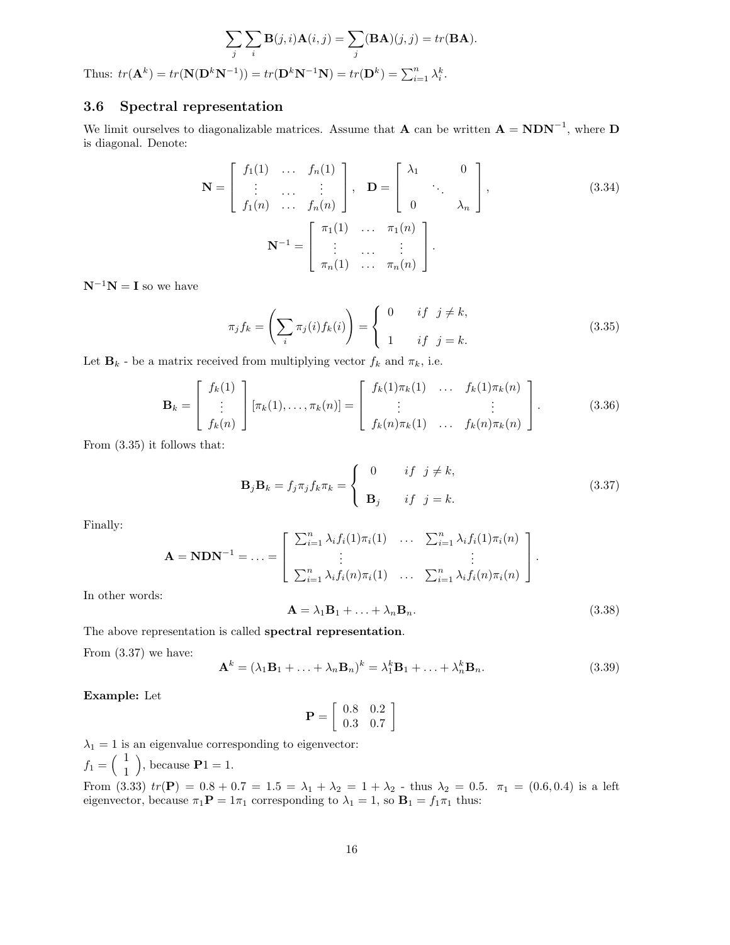$$
\sum_{j} \sum_{i} \mathbf{B}(j, i) \mathbf{A}(i, j) = \sum_{j} (\mathbf{B} \mathbf{A})(j, j) = tr(\mathbf{B} \mathbf{A}).
$$
  

$$
\mathbf{N}(\mathbf{D}^{k} \mathbf{N}^{-1})) = tr(\mathbf{D}^{k} \mathbf{N}^{-1} \mathbf{N}) = tr(\mathbf{D}^{k}) = \sum_{i}^{n} k^{k}
$$

Thus:  $tr(\mathbf{A}^k) = tr(\mathbf{N}(\mathbf{D}^k \mathbf{N}^{-1})) = tr(\mathbf{D}^k \mathbf{N}^{-1} \mathbf{N}) = tr(\mathbf{D}^k) = \sum_{i=1}^n \lambda_i^k$ .

### 3.6 Spectral representation

We limit ourselves to diagonalizable matrices. Assume that **A** can be written  $\mathbf{A} = \mathbf{N} \mathbf{D} \mathbf{N}^{-1}$ , where  $\mathbf{D}$ is diagonal. Denote:

$$
\mathbf{N} = \begin{bmatrix} f_1(1) & \dots & f_n(1) \\ \vdots & \dots & \vdots \\ f_1(n) & \dots & f_n(n) \end{bmatrix}, \quad \mathbf{D} = \begin{bmatrix} \lambda_1 & & 0 \\ & \ddots & \\ 0 & & \lambda_n \end{bmatrix},
$$
(3.34)  

$$
\mathbf{N}^{-1} = \begin{bmatrix} \pi_1(1) & \dots & \pi_1(n) \\ \vdots & \dots & \vdots \\ \pi_n(1) & \dots & \pi_n(n) \end{bmatrix}.
$$

 $N^{-1}N = I$  so we have

$$
\pi_j f_k = \left(\sum_i \pi_j(i) f_k(i)\right) = \begin{cases} 0 & \text{if } j \neq k, \\ 1 & \text{if } j = k. \end{cases} \tag{3.35}
$$

Let  $\mathbf{B}_k$  - be a matrix received from multiplying vector  $f_k$  and  $\pi_k,$  i.e.

$$
\mathbf{B}_k = \begin{bmatrix} f_k(1) \\ \vdots \\ f_k(n) \end{bmatrix} [\pi_k(1), \dots, \pi_k(n)] = \begin{bmatrix} f_k(1)\pi_k(1) & \dots & f_k(1)\pi_k(n) \\ \vdots & & \vdots \\ f_k(n)\pi_k(1) & \dots & f_k(n)\pi_k(n) \end{bmatrix} .
$$
 (3.36)

From (3.35) it follows that:

$$
\mathbf{B}_{j}\mathbf{B}_{k} = f_{j}\pi_{j}f_{k}\pi_{k} = \begin{cases} 0 & \text{if } j \neq k, \\ \mathbf{B}_{j} & \text{if } j = k. \end{cases}
$$
 (3.37)

Finally:

$$
\mathbf{A} = \mathbf{N} \mathbf{D} \mathbf{N}^{-1} = \ldots = \begin{bmatrix} \sum_{i=1}^{n} \lambda_i f_i(1) \pi_i(1) & \ldots & \sum_{i=1}^{n} \lambda_i f_i(1) \pi_i(n) \\ \vdots & & \vdots \\ \sum_{i=1}^{n} \lambda_i f_i(n) \pi_i(1) & \ldots & \sum_{i=1}^{n} \lambda_i f_i(n) \pi_i(n) \end{bmatrix}.
$$

In other words:

$$
\mathbf{A} = \lambda_1 \mathbf{B}_1 + \ldots + \lambda_n \mathbf{B}_n. \tag{3.38}
$$

The above representation is called spectral representation.

From (3.37) we have:

$$
\mathbf{A}^k = (\lambda_1 \mathbf{B}_1 + \ldots + \lambda_n \mathbf{B}_n)^k = \lambda_1^k \mathbf{B}_1 + \ldots + \lambda_n^k \mathbf{B}_n.
$$
 (3.39)

Example: Let

$$
\mathbf{P} = \left[ \begin{array}{cc} 0.8 & 0.2 \\ 0.3 & 0.7 \end{array} \right]
$$

$$
\lambda_1 = 1
$$
 is an eigenvalue corresponding to eigenvector:  
\n $f_1 = \begin{pmatrix} 1 \\ 1 \end{pmatrix}$ , because  $\mathbf{P}1 = 1$ .

From (3.33)  $tr(\mathbf{P}) = 0.8 + 0.7 = 1.5 = \lambda_1 + \lambda_2 = 1 + \lambda_2$  - thus  $\lambda_2 = 0.5$ .  $\pi_1 = (0.6, 0.4)$  is a left eigenvector, because  $\pi_1 \mathbf{P} = 1\pi_1$  corresponding to  $\lambda_1 = 1$ , so  $\mathbf{B}_1 = f_1 \pi_1$  thus: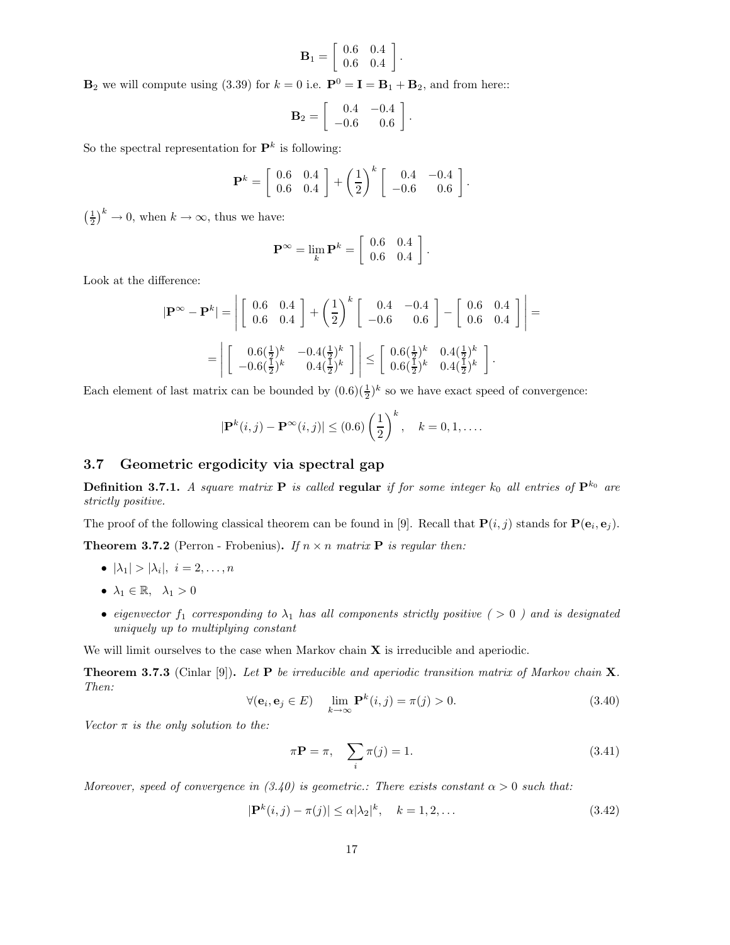$$
\mathbf{B}_1 = \left[ \begin{array}{cc} 0.6 & 0.4 \\ 0.6 & 0.4 \end{array} \right].
$$

 $\mathbf{B}_2$  we will compute using (3.39) for  $k = 0$  i.e.  $\mathbf{P}^0 = \mathbf{I} = \mathbf{B}_1 + \mathbf{B}_2$ , and from here::

$$
\mathbf{B}_2 = \left[ \begin{array}{cc} 0.4 & -0.4 \\ -0.6 & 0.6 \end{array} \right].
$$

So the spectral representation for  $\mathbf{P}^k$  is following:

$$
\mathbf{P}^{k} = \left[ \begin{array}{cc} 0.6 & 0.4 \\ 0.6 & 0.4 \end{array} \right] + \left( \frac{1}{2} \right)^{k} \left[ \begin{array}{cc} 0.4 & -0.4 \\ -0.6 & 0.6 \end{array} \right].
$$

 $\left(\frac{1}{2}\right)^k \to 0$ , when  $k \to \infty$ , thus we have:

$$
\mathbf{P}^{\infty} = \lim_{k} \mathbf{P}^{k} = \left[ \begin{array}{cc} 0.6 & 0.4 \\ 0.6 & 0.4 \end{array} \right].
$$

Look at the difference:

$$
|\mathbf{P}^{\infty} - \mathbf{P}^{k}| = \left| \begin{bmatrix} 0.6 & 0.4 \\ 0.6 & 0.4 \end{bmatrix} + \left(\frac{1}{2}\right)^{k} \begin{bmatrix} 0.4 & -0.4 \\ -0.6 & 0.6 \end{bmatrix} - \begin{bmatrix} 0.6 & 0.4 \\ 0.6 & 0.4 \end{bmatrix} \right| =
$$
  
= 
$$
\left| \begin{bmatrix} 0.6(\frac{1}{2})^{k} & -0.4(\frac{1}{2})^{k} \\ -0.6(\frac{1}{2})^{k} & 0.4(\frac{1}{2})^{k} \end{bmatrix} \right| \leq \begin{bmatrix} 0.6(\frac{1}{2})^{k} & 0.4(\frac{1}{2})^{k} \\ 0.6(\frac{1}{2})^{k} & 0.4(\frac{1}{2})^{k} \end{bmatrix}.
$$

Each element of last matrix can be bounded by  $(0.6)(\frac{1}{2})^k$  so we have exact speed of convergence:

$$
|\mathbf{P}^{k}(i,j) - \mathbf{P}^{\infty}(i,j)| \leq (0.6) \left(\frac{1}{2}\right)^{k}, \quad k = 0, 1, \dots
$$

#### 3.7 Geometric ergodicity via spectral gap

**Definition 3.7.1.** A square matrix **P** is called **regular** if for some integer  $k_0$  all entries of  $\mathbf{P}^{k_0}$  are strictly positive.

The proof of the following classical theorem can be found in [9]. Recall that  $P(i, j)$  stands for  $P(e_i, e_j)$ .

**Theorem 3.7.2** (Perron - Frobenius). If  $n \times n$  matrix **P** is regular then:

- $\bullet \ |\lambda_1| > |\lambda_i|, i = 2, \ldots, n$
- $\lambda_1 \in \mathbb{R}, \lambda_1 > 0$
- eigenvector  $f_1$  corresponding to  $\lambda_1$  has all components strictly positive (>0) and is designated uniquely up to multiplying constant

We will limit ourselves to the case when Markov chain  $X$  is irreducible and aperiodic.

**Theorem 3.7.3** (Cinlar [9]). Let **P** be irreducible and aperiodic transition matrix of Markov chain **X**. Then:

$$
\forall (\mathbf{e}_i, \mathbf{e}_j \in E) \quad \lim_{k \to \infty} \mathbf{P}^k(i, j) = \pi(j) > 0.
$$
 (3.40)

Vector  $\pi$  is the only solution to the:

$$
\pi \mathbf{P} = \pi, \quad \sum_{i} \pi(j) = 1. \tag{3.41}
$$

Moreover, speed of convergence in  $(3.40)$  is geometric.: There exists constant  $\alpha > 0$  such that:

$$
|\mathbf{P}^{k}(i,j) - \pi(j)| \le \alpha |\lambda_2|^k, \quad k = 1, 2, \dots
$$
\n(3.42)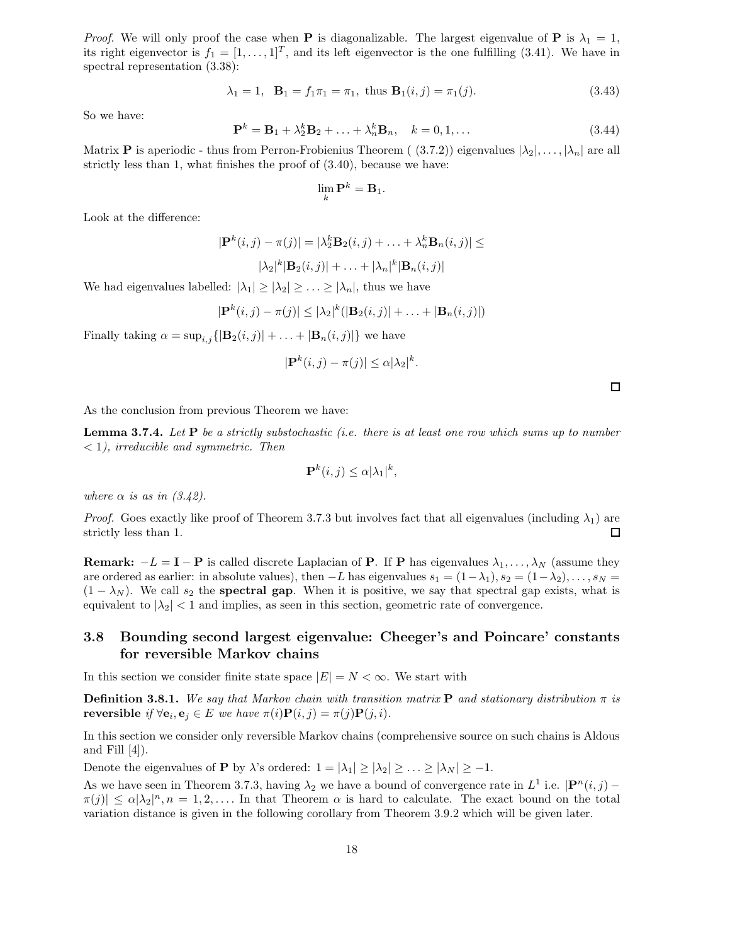*Proof.* We will only proof the case when **P** is diagonalizable. The largest eigenvalue of **P** is  $\lambda_1 = 1$ , its right eigenvector is  $f_1 = [1, \ldots, 1]^T$ , and its left eigenvector is the one fulfilling (3.41). We have in spectral representation (3.38):

$$
\lambda_1 = 1, \quad \mathbf{B}_1 = f_1 \pi_1 = \pi_1, \text{ thus } \mathbf{B}_1(i,j) = \pi_1(j).
$$
\n(3.43)

So we have:

$$
\mathbf{P}^k = \mathbf{B}_1 + \lambda_2^k \mathbf{B}_2 + \ldots + \lambda_n^k \mathbf{B}_n, \quad k = 0, 1, \ldots
$$
 (3.44)

Matrix **P** is aperiodic - thus from Perron-Frobienius Theorem (  $(3.7.2)$ ) eigenvalues  $|\lambda_2|, \ldots, |\lambda_n|$  are all strictly less than 1, what finishes the proof of (3.40), because we have:

$$
\lim_{k} \mathbf{P}^{k} = \mathbf{B}_{1}.
$$

Look at the difference:

$$
|\mathbf{P}^{k}(i,j) - \pi(j)| = |\lambda_2^{k} \mathbf{B}_2(i,j) + \dots + \lambda_n^{k} \mathbf{B}_n(i,j)| \le
$$
  

$$
|\lambda_2|^{k} |\mathbf{B}_2(i,j)| + \dots + |\lambda_n|^{k} |\mathbf{B}_n(i,j)|
$$

We had eigenvalues labelled:  $|\lambda_1| \geq |\lambda_2| \geq \ldots \geq |\lambda_n|$ , thus we have

$$
|\mathbf{P}^{k}(i,j)-\pi(j)|\leq |\lambda_2|^k(|\mathbf{B}_2(i,j)|+\ldots+|\mathbf{B}_n(i,j)|)
$$

Finally taking  $\alpha = \sup_{i,j} {\vert \mathbf{B}_2(i,j) \vert + \ldots + \vert \mathbf{B}_n(i,j) \vert }$  we have

$$
|\mathbf{P}^k(i,j) - \pi(j)| \leq \alpha |\lambda_2|^k.
$$

 $\square$ 

As the conclusion from previous Theorem we have:

**Lemma 3.7.4.** Let  $P$  be a strictly substochastic (i.e. there is at least one row which sums up to number  $<$  1), irreducible and symmetric. Then

$$
\mathbf{P}^k(i,j) \leq \alpha |\lambda_1|^k,
$$

where  $\alpha$  is as in  $(3.42)$ .

*Proof.* Goes exactly like proof of Theorem 3.7.3 but involves fact that all eigenvalues (including  $\lambda_1$ ) are strictly less than 1.  $\Box$ 

**Remark:**  $-L = I - P$  is called discrete Laplacian of P. If P has eigenvalues  $\lambda_1, \ldots, \lambda_N$  (assume they are ordered as earlier: in absolute values), then  $-L$  has eigenvalues  $s_1 = (1 - \lambda_1), s_2 = (1 - \lambda_2), \ldots, s_N =$  $(1 - \lambda_N)$ . We call  $s_2$  the **spectral gap**. When it is positive, we say that spectral gap exists, what is equivalent to  $|\lambda_2| < 1$  and implies, as seen in this section, geometric rate of convergence.

### 3.8 Bounding second largest eigenvalue: Cheeger's and Poincare' constants for reversible Markov chains

In this section we consider finite state space  $|E| = N < \infty$ . We start with

**Definition 3.8.1.** We say that Markov chain with transition matrix **P** and stationary distribution  $\pi$  is reversible if  $\forall$ **e**<sub>i</sub>, **e**<sub>j</sub>  $\in$  *E* we have  $\pi(i)\mathbf{P}(i,j) = \pi(j)\mathbf{P}(j,i)$ .

In this section we consider only reversible Markov chains (comprehensive source on such chains is Aldous and Fill  $[4]$ ).

Denote the eigenvalues of **P** by  $\lambda$ 's ordered:  $1 = |\lambda_1| \ge |\lambda_2| \ge ... \ge |\lambda_N| \ge -1$ .

As we have seen in Theorem 3.7.3, having  $\lambda_2$  we have a bound of convergence rate in  $L^1$  i.e.  $|\mathbf{P}^n(i,j) \pi(j) \leq \alpha |\lambda_2|^n, n = 1, 2, \ldots$  In that Theorem  $\alpha$  is hard to calculate. The exact bound on the total variation distance is given in the following corollary from Theorem 3.9.2 which will be given later.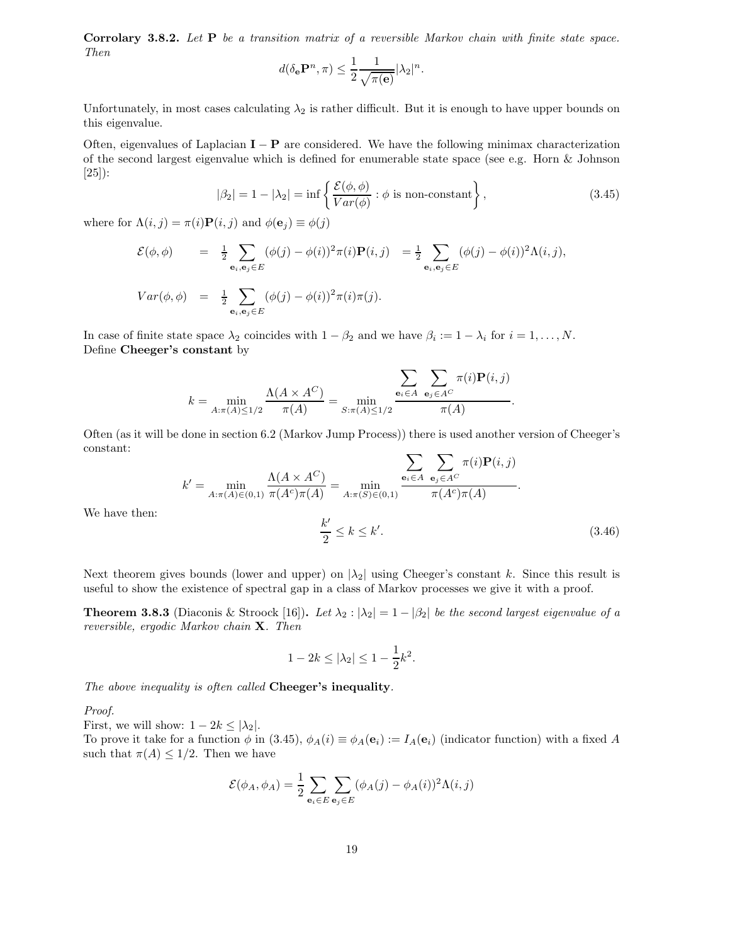Corrolary 3.8.2. Let P be a transition matrix of a reversible Markov chain with finite state space. Then

$$
d(\delta_{\mathbf{e}} \mathbf{P}^n, \pi) \le \frac{1}{2} \frac{1}{\sqrt{\pi(\mathbf{e})}} |\lambda_2|^n.
$$

Unfortunately, in most cases calculating  $\lambda_2$  is rather difficult. But it is enough to have upper bounds on this eigenvalue.

Often, eigenvalues of Laplacian  $I - P$  are considered. We have the following minimax characterization of the second largest eigenvalue which is defined for enumerable state space (see e.g. Horn & Johnson [25]):

$$
|\beta_2| = 1 - |\lambda_2| = \inf \left\{ \frac{\mathcal{E}(\phi, \phi)}{Var(\phi)} : \phi \text{ is non-constant} \right\},\tag{3.45}
$$

where for  $\Lambda(i, j) = \pi(i) \mathbf{P}(i, j)$  and  $\phi(\mathbf{e}_i) \equiv \phi(j)$ 

$$
\mathcal{E}(\phi,\phi) = \frac{1}{2} \sum_{\mathbf{e}_i,\mathbf{e}_j \in E} (\phi(j) - \phi(i))^2 \pi(i) \mathbf{P}(i,j) = \frac{1}{2} \sum_{\mathbf{e}_i,\mathbf{e}_j \in E} (\phi(j) - \phi(i))^2 \Lambda(i,j),
$$

$$
Var(\phi, \phi) = \frac{1}{2} \sum_{\mathbf{e}_i, \mathbf{e}_j \in E} (\phi(j) - \phi(i))^2 \pi(i) \pi(j).
$$

In case of finite state space  $\lambda_2$  coincides with  $1 - \beta_2$  and we have  $\beta_i := 1 - \lambda_i$  for  $i = 1, ..., N$ . Define Cheeger's constant by

$$
k = \min_{A: \pi(A) \le 1/2} \frac{\Lambda(A \times A^C)}{\pi(A)} = \min_{S: \pi(A) \le 1/2} \frac{\sum_{\mathbf{e}_i \in A} \sum_{\mathbf{e}_j \in A^C} \pi(i) \mathbf{P}(i, j)}{\pi(A)}.
$$

Often (as it will be done in section 6.2 (Markov Jump Process)) there is used another version of Cheeger's constant:

$$
k' = \min_{A: \pi(A) \in (0,1)} \frac{\Lambda(A \times A^C)}{\pi(A^c)\pi(A)} = \min_{A: \pi(S) \in (0,1)} \frac{\sum_{\mathbf{e}_i \in A} \sum_{\mathbf{e}_j \in A^C} \pi(i) \mathbf{P}(i,j)}{\pi(A^c)\pi(A)}.
$$
\n
$$
\frac{k'}{2} \le k \le k'.
$$
\n(3.46)

We have then:

Next theorem gives bounds (lower and upper) on  $|\lambda_2|$  using Cheeger's constant k. Since this result is useful to show the existence of spectral gap in a class of Markov processes we give it with a proof.

**Theorem 3.8.3** (Diaconis & Stroock [16]). Let  $\lambda_2 : |\lambda_2| = 1 - |\beta_2|$  be the second largest eigenvalue of a reversible, ergodic Markov chain X. Then

$$
1 - 2k \le |\lambda_2| \le 1 - \frac{1}{2}k^2.
$$

The above inequality is often called Cheeger's inequality.

Proof.

First, we will show:  $1 - 2k \leq |\lambda_2|$ .

To prove it take for a function  $\phi$  in (3.45),  $\phi_A(i) \equiv \phi_A(\mathbf{e}_i) := I_A(\mathbf{e}_i)$  (indicator function) with a fixed A such that  $\pi(A) \leq 1/2$ . Then we have

$$
\mathcal{E}(\phi_A, \phi_A) = \frac{1}{2} \sum_{\mathbf{e}_i \in E} \sum_{\mathbf{e}_j \in E} (\phi_A(j) - \phi_A(i))^2 \Lambda(i, j)
$$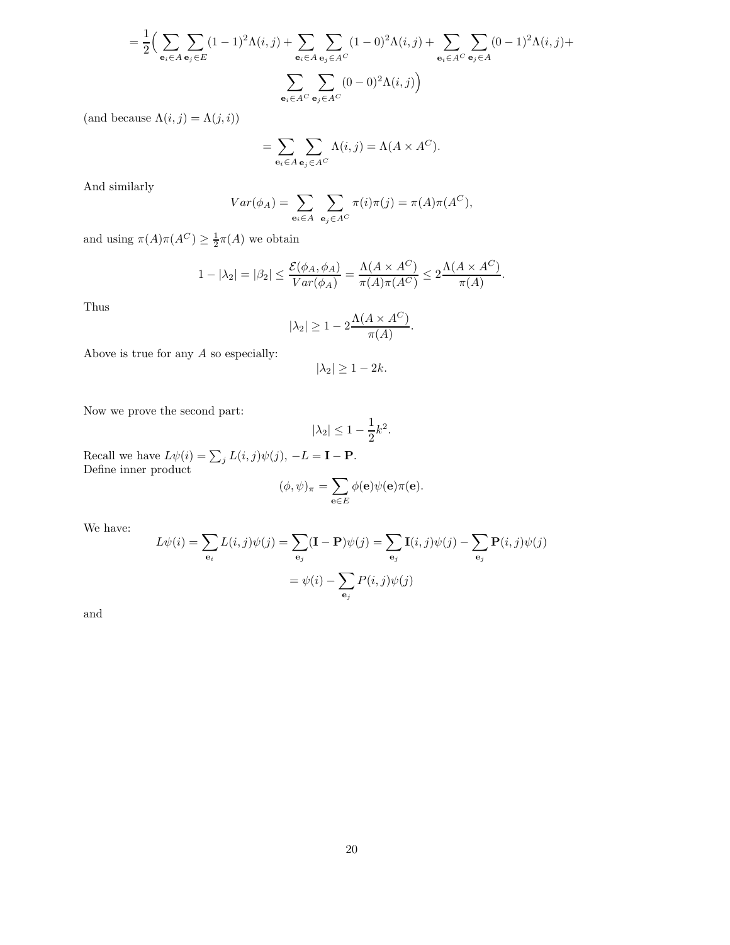$$
= \frac{1}{2} \Big( \sum_{\mathbf{e}_i \in A} \sum_{\mathbf{e}_j \in E} (1-1)^2 \Lambda(i,j) + \sum_{\mathbf{e}_i \in A} \sum_{\mathbf{e}_j \in A^C} (1-0)^2 \Lambda(i,j) + \sum_{\mathbf{e}_i \in A^C} \sum_{\mathbf{e}_j \in A} (0-1)^2 \Lambda(i,j) + \sum_{\mathbf{e}_i \in A^C} \sum_{\mathbf{e}_j \in A^C} (0-0)^2 \Lambda(i,j) \Big)
$$

(and because  $\Lambda(i, j) = \Lambda(j, i)$ )

$$
= \sum_{\mathbf{e}_i \in A} \sum_{\mathbf{e}_j \in A^C} \Lambda(i,j) = \Lambda(A \times A^C).
$$

And similarly

$$
Var(\phi_A) = \sum_{\mathbf{e}_i \in A} \sum_{\mathbf{e}_j \in A^C} \pi(i)\pi(j) = \pi(A)\pi(A^C),
$$

and using  $\pi(A)\pi(A^C) \geq \frac{1}{2}\pi(A)$  we obtain

$$
1 - |\lambda_2| = |\beta_2| \le \frac{\mathcal{E}(\phi_A, \phi_A)}{Var(\phi_A)} = \frac{\Lambda(A \times A^C)}{\pi(A)\pi(A^C)} \le 2\frac{\Lambda(A \times A^C)}{\pi(A)}.
$$

Thus

$$
|\lambda_2| \ge 1 - 2 \frac{\Lambda(A \times A^C)}{\pi(A)}.
$$

Above is true for any  $A$  so especially:

$$
|\lambda_2| \ge 1 - 2k.
$$

Now we prove the second part:

$$
|\lambda_2| \le 1 - \frac{1}{2}k^2.
$$

Recall we have  $L\psi(i) = \sum_j L(i, j)\psi(j), -L = \mathbf{I} - \mathbf{P}.$ Define inner product

$$
(\phi, \psi)_{\pi} = \sum_{\mathbf{e} \in E} \phi(\mathbf{e}) \psi(\mathbf{e}) \pi(\mathbf{e}).
$$

We have:

$$
L\psi(i) = \sum_{\mathbf{e}_i} L(i,j)\psi(j) = \sum_{\mathbf{e}_j} (\mathbf{I} - \mathbf{P})\psi(j) = \sum_{\mathbf{e}_j} \mathbf{I}(i,j)\psi(j) - \sum_{\mathbf{e}_j} \mathbf{P}(i,j)\psi(j)
$$

$$
= \psi(i) - \sum_{\mathbf{e}_j} P(i,j)\psi(j)
$$

and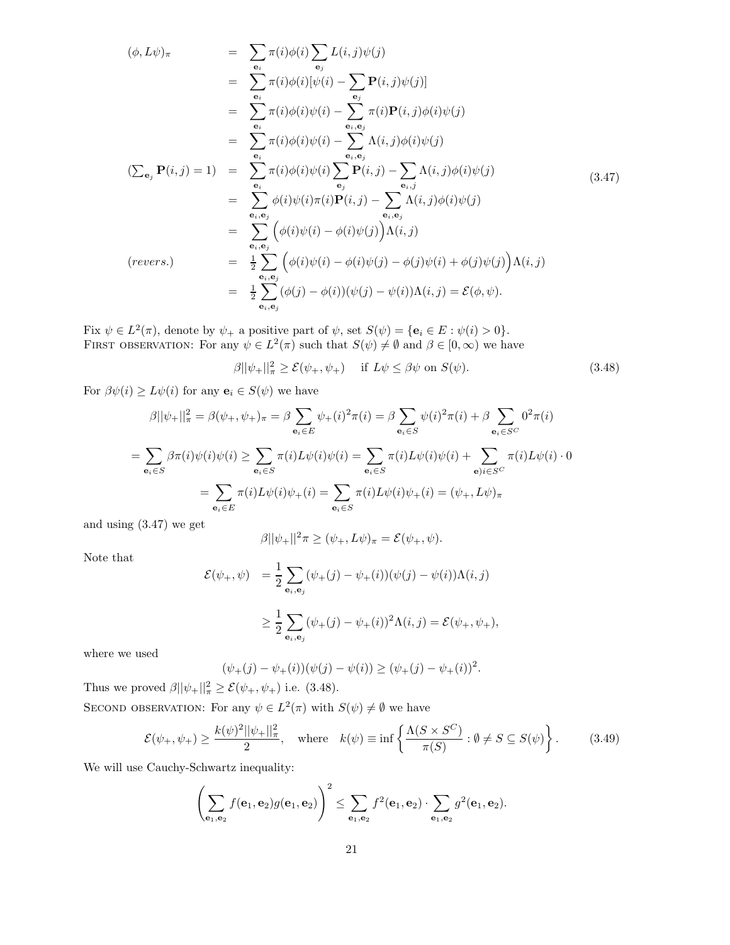$$
(\phi, L\psi)_{\pi} = \sum_{\mathbf{e}_i} \pi(i)\phi(i) \sum_{\mathbf{e}_j} L(i,j)\psi(j)
$$
  
\n
$$
= \sum_{\mathbf{e}_i} \pi(i)\phi(i)[\psi(i) - \sum_{\mathbf{e}_j} \mathbf{P}(i,j)\psi(j)]
$$
  
\n
$$
= \sum_{\mathbf{e}_i} \pi(i)\phi(i)\psi(i) - \sum_{\mathbf{e}_i, \mathbf{e}_j} \pi(i)\mathbf{P}(i,j)\phi(i)\psi(j)
$$
  
\n
$$
= \sum_{\mathbf{e}_i} \pi(i)\phi(i)\psi(i) - \sum_{\mathbf{e}_i, \mathbf{e}_j} \Lambda(i,j)\phi(i)\psi(j)
$$
  
\n
$$
(\sum_{\mathbf{e}_j} \mathbf{P}(i,j) = 1) = \sum_{\mathbf{e}_i} \pi(i)\phi(i)\psi(i) \sum_{\mathbf{e}_j} \mathbf{P}(i,j) - \sum_{\mathbf{e}_i, j} \Lambda(i,j)\phi(i)\psi(j)
$$
  
\n
$$
= \sum_{\mathbf{e}_i, \mathbf{e}_j} \phi(i)\psi(i)\pi(i)\mathbf{P}(i,j) - \sum_{\mathbf{e}_i, \mathbf{e}_j} \Lambda(i,j)\phi(i)\psi(j)
$$
  
\n
$$
= \sum_{\mathbf{e}_i, \mathbf{e}_j} (\phi(i)\psi(i) - \phi(i)\psi(j))\Lambda(i,j)
$$
  
\n
$$
(revers.) = \frac{1}{2} \sum_{\mathbf{e}_i, \mathbf{e}_j} (\phi(j) - \phi(i))(\psi(j) - \phi(j))\psi(i) + \phi(j)\psi(j))\Lambda(i,j)
$$
  
\n
$$
= \frac{1}{2} \sum_{\mathbf{e}_i, \mathbf{e}_j} (\phi(j) - \phi(i))(\psi(j) - \psi(i))\Lambda(i,j) = \mathcal{E}(\phi, \psi).
$$

Fix  $\psi \in L^2(\pi)$ , denote by  $\psi_+$  a positive part of  $\psi$ , set  $S(\psi) = {\bf e}_i \in E : \psi(i) > 0$ . FIRST OBSERVATION: For any  $\psi \in L^2(\pi)$  such that  $S(\psi) \neq \emptyset$  and  $\beta \in [0, \infty)$  we have

 $\beta ||\psi_+||^2_{\pi} \ge \mathcal{E}(\psi_+, \psi_+)$  if  $L\psi \le \beta \psi$  on  $S(\psi)$ . (3.48)

For  $\beta\psi(i) \geq L\psi(i)$  for any  $\mathbf{e}_i \in S(\psi)$  we have

$$
\beta ||\psi_{+}||_{\pi}^{2} = \beta(\psi_{+}, \psi_{+})_{\pi} = \beta \sum_{\mathbf{e}_{i} \in E} \psi_{+}(i)^{2} \pi(i) = \beta \sum_{\mathbf{e}_{i} \in S} \psi(i)^{2} \pi(i) + \beta \sum_{\mathbf{e}_{i} \in S^{C}} 0^{2} \pi(i)
$$

$$
= \sum_{\mathbf{e}_{i} \in S} \beta \pi(i) \psi(i) \psi(i) \ge \sum_{\mathbf{e}_{i} \in S} \pi(i) L \psi(i) \psi(i) = \sum_{\mathbf{e}_{i} \in S} \pi(i) L \psi(i) \psi(i) + \sum_{\mathbf{e}_{i} \in S^{C}} \pi(i) L \psi(i) \cdot 0
$$

$$
= \sum_{\mathbf{e}_{i} \in E} \pi(i) L \psi(i) \psi_{+}(i) = \sum_{\mathbf{e}_{i} \in S} \pi(i) L \psi(i) \psi_{+}(i) = (\psi_{+}, L \psi)_{\pi}
$$

and using (3.47) we get

$$
\beta ||\psi_{+}||^{2} \pi \ge (\psi_{+}, L\psi)_{\pi} = \mathcal{E}(\psi_{+}, \psi).
$$

Note that

$$
\mathcal{E}(\psi_+,\psi) = \frac{1}{2} \sum_{\mathbf{e}_i,\mathbf{e}_j} (\psi_+(j) - \psi_+(i))(\psi(j) - \psi(i))\Lambda(i,j)
$$

$$
\geq \frac{1}{2} \sum_{\mathbf{e}_i,\mathbf{e}_j} (\psi_+(j) - \psi_+(i))^2 \Lambda(i,j) = \mathcal{E}(\psi_+, \psi_+),
$$

where we used

$$
(\psi_+(j) - \psi_+(i))(\psi(j) - \psi(i)) \ge (\psi_+(j) - \psi_+(i))^2.
$$

Thus we proved  $\beta ||\psi_+||^2_{\pi} \geq \mathcal{E}(\psi_+, \psi_+)$  i.e. (3.48).

SECOND OBSERVATION: For any  $\psi \in L^2(\pi)$  with  $S(\psi) \neq \emptyset$  we have

$$
\mathcal{E}(\psi_+,\psi_+) \ge \frac{k(\psi)^2 ||\psi_+||_\pi^2}{2}, \quad \text{where} \quad k(\psi) \equiv \inf \left\{ \frac{\Lambda(S \times S^C)}{\pi(S)} : \emptyset \ne S \subseteq S(\psi) \right\}. \tag{3.49}
$$

We will use Cauchy-Schwartz inequality:

$$
\left(\sum_{\mathbf{e}_1,\mathbf{e}_2} f(\mathbf{e}_1,\mathbf{e}_2) g(\mathbf{e}_1,\mathbf{e}_2)\right)^2 \le \sum_{\mathbf{e}_1,\mathbf{e}_2} f^2(\mathbf{e}_1,\mathbf{e}_2) \cdot \sum_{\mathbf{e}_1,\mathbf{e}_2} g^2(\mathbf{e}_1,\mathbf{e}_2).
$$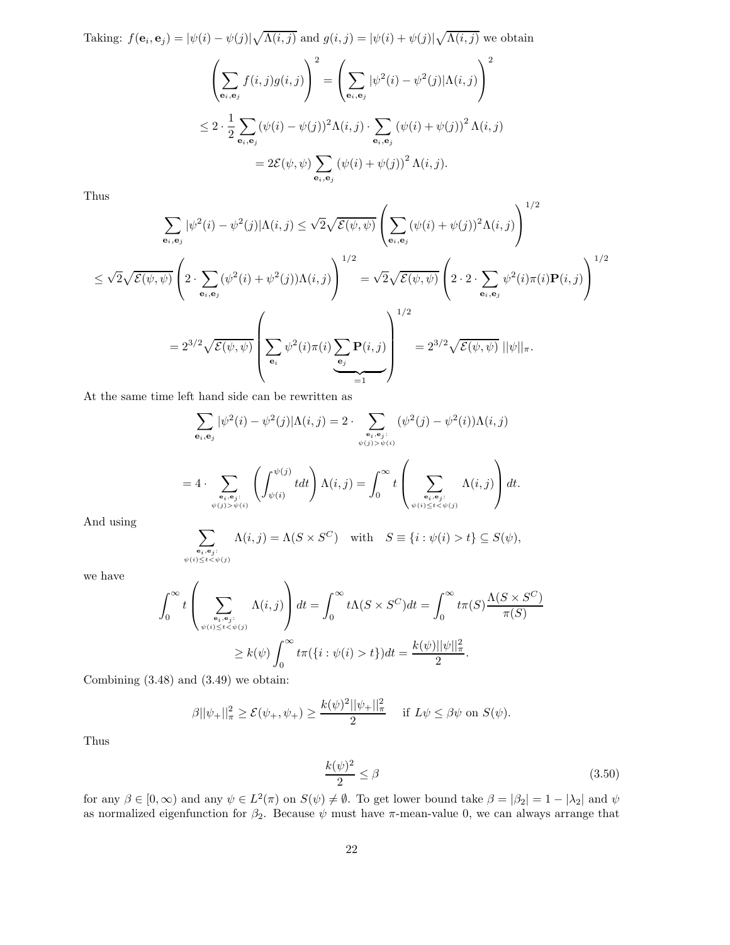Taking: 
$$
f(\mathbf{e}_i, \mathbf{e}_j) = |\psi(i) - \psi(j)| \sqrt{\Lambda(i,j)}
$$
 and  $g(i,j) = |\psi(i) + \psi(j)| \sqrt{\Lambda(i,j)}$  we obtain  
\n
$$
\left(\sum_{\mathbf{e}_i, \mathbf{e}_j} f(i,j)g(i,j)\right)^2 = \left(\sum_{\mathbf{e}_i, \mathbf{e}_j} |\psi^2(i) - \psi^2(j)| \Lambda(i,j)\right)^2
$$
\n
$$
\leq 2 \cdot \frac{1}{2} \sum_{\mathbf{e}_i, \mathbf{e}_j} (\psi(i) - \psi(j))^2 \Lambda(i,j) \cdot \sum_{\mathbf{e}_i, \mathbf{e}_j} (\psi(i) + \psi(j))^2 \Lambda(i,j)
$$
\n
$$
= 2\mathcal{E}(\psi, \psi) \sum_{\mathbf{e}_i, \mathbf{e}_j} (\psi(i) + \psi(j))^2 \Lambda(i,j).
$$

Thus

$$
\sum_{\mathbf{e}_i, \mathbf{e}_j} |\psi^2(i) - \psi^2(j)| \Lambda(i, j) \le \sqrt{2} \sqrt{\mathcal{E}(\psi, \psi)} \left( \sum_{\mathbf{e}_i, \mathbf{e}_j} (\psi(i) + \psi(j))^2 \Lambda(i, j) \right)^{1/2}
$$
  

$$
\le \sqrt{2} \sqrt{\mathcal{E}(\psi, \psi)} \left( 2 \cdot \sum_{\mathbf{e}_i, \mathbf{e}_j} (\psi^2(i) + \psi^2(j)) \Lambda(i, j) \right)^{1/2} = \sqrt{2} \sqrt{\mathcal{E}(\psi, \psi)} \left( 2 \cdot 2 \cdot \sum_{\mathbf{e}_i, \mathbf{e}_j} \psi^2(i) \pi(i) \mathbf{P}(i, j) \right)^{1/2}
$$
  

$$
= 2^{3/2} \sqrt{\mathcal{E}(\psi, \psi)} \left( \sum_{\mathbf{e}_i} \psi^2(i) \pi(i) \sum_{\mathbf{e}_j} \mathbf{P}(i, j) \right)^{1/2} = 2^{3/2} \sqrt{\mathcal{E}(\psi, \psi)} ||\psi||_{\pi}.
$$

At the same time left hand side can be rewritten as

$$
\sum_{\mathbf{e}_i, \mathbf{e}_j} |\psi^2(i) - \psi^2(j)| \Lambda(i,j) = 2 \cdot \sum_{\mathbf{e}_i, \mathbf{e}_j : \psi(j) > \psi(i)} (\psi^2(j) - \psi^2(i)) \Lambda(i,j)
$$
  
= 
$$
4 \cdot \sum_{\mathbf{e}_i, \mathbf{e}_j : \psi(j) > \psi(i)} \left( \int_{\psi(i)}^{\psi(j)} t dt \right) \Lambda(i,j) = \int_0^\infty t \left( \sum_{\mathbf{e}_i, \mathbf{e}_j : \psi(j) = \psi(j) \atop \psi(i) \leq t < \psi(j)} \Lambda(i,j) \right) dt.
$$

And using

$$
\sum_{\substack{\mathbf{e}_i, \mathbf{e}_j:\\ \psi(i) \le t < \psi(j)}} \Lambda(i, j) = \Lambda(S \times S^C) \quad \text{with} \quad S \equiv \{i : \psi(i) > t\} \subseteq S(\psi),
$$

we have

$$
\int_0^\infty t \left( \sum_{\substack{\mathbf{e}_i, \mathbf{e}_j : \\ \psi(i) \le t < \psi(j)}} \Lambda(i,j) \right) dt = \int_0^\infty t \Lambda(S \times S^C) dt = \int_0^\infty t \pi(S) \frac{\Lambda(S \times S^C)}{\pi(S)} \times \mathbb{R} \times S^C \times \mathbb{R} \times S^C \times \mathbb{R} \times S^C \times \mathbb{R} \times S^C \times \mathbb{R} \times S^C \times \mathbb{R} \times S^C \times \mathbb{R} \times S^C \times \mathbb{R} \times S^C \times \mathbb{R} \times S^C \times \mathbb{R} \times S^C \times \mathbb{R} \times S^C \times \mathbb{R} \times S^C \times \mathbb{R} \times S^C \times \mathbb{R} \times S^C \times \mathbb{R} \times S^C \times \mathbb{R} \times S^C \times \mathbb{R} \times S^C \times \mathbb{R} \times S^C \times \mathbb{R} \times S^C \times \mathbb{R} \times S^C \times \mathbb{R} \times S^C \times \mathbb{R} \times S^C \times \mathbb{R} \times S^C \times \mathbb{R} \times S^C \times \mathbb{R} \times S^C \times \mathbb{R} \times S^C \times \mathbb{R} \times S^C \times \mathbb{R} \times S^C \times \mathbb{R} \times S^C \times \mathbb{R} \times S^C \times \mathbb{R} \times S^C \times \mathbb{R} \times S^C \times \mathbb{R} \times S^C \times \mathbb{R} \times S^C \times \mathbb{R} \times S^C \times \mathbb{R} \times S^C \times \mathbb{R} \times S^C \times \mathbb{R} \times S^C \times \mathbb{R} \times S^C \times \mathbb{R} \times S^C \times \mathbb{R} \times S^C \times \mathbb{R} \times S^C \times \mathbb{R} \times S^C \times \mathbb{R} \times S^C \times \mathbb{R} \times S^C \times \mathbb{R} \times S^C \times \mathbb{R} \times S^C \times \mathbb{R} \times S^C \times \mathbb{R} \times S^C \times \mathbb{R} \times S^C \times \mathbb{
$$

Combining (3.48) and (3.49) we obtain:

 $\overline{ }$ 

$$
\beta ||\psi_{+}||_{\pi}^{2} \geq \mathcal{E}(\psi_{+}, \psi_{+}) \geq \frac{k(\psi)^{2} ||\psi_{+}||_{\pi}^{2}}{2} \quad \text{if } L\psi \leq \beta\psi \text{ on } S(\psi).
$$

Thus

$$
\frac{k(\psi)^2}{2} \le \beta \tag{3.50}
$$

for any  $\beta \in [0, \infty)$  and any  $\psi \in L^2(\pi)$  on  $S(\psi) \neq \emptyset$ . To get lower bound take  $\beta = |\beta_2| = 1 - |\lambda_2|$  and  $\psi$ as normalized eigenfunction for  $\beta_2$ . Because  $\psi$  must have  $\pi$ -mean-value 0, we can always arrange that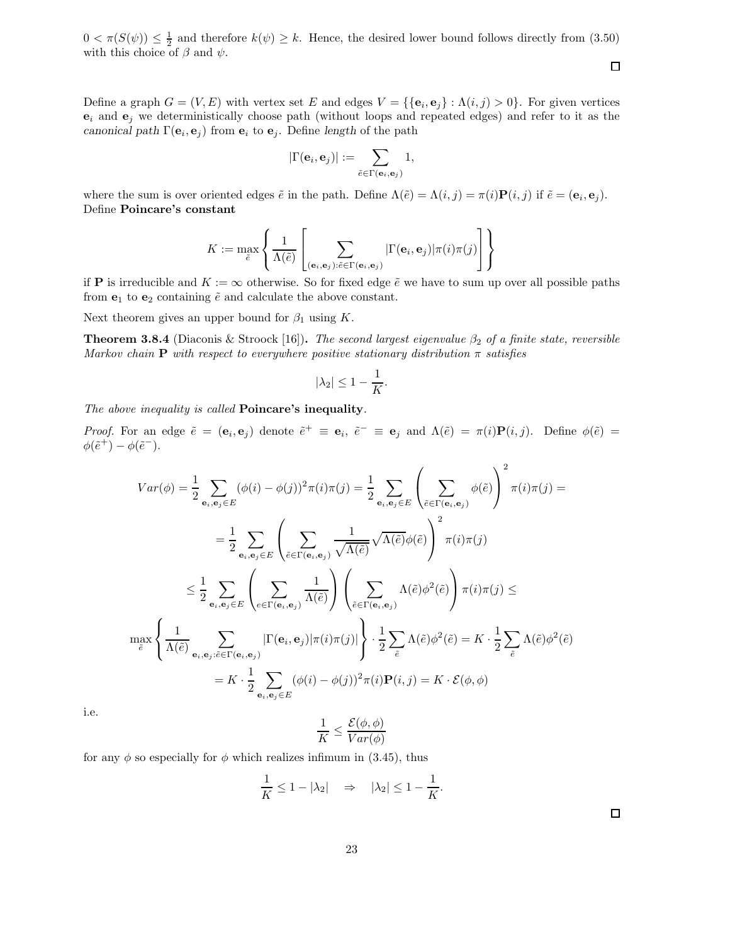$0 < \pi(S(\psi)) \leq \frac{1}{2}$  and therefore  $k(\psi) \geq k$ . Hence, the desired lower bound follows directly from (3.50) with this choice of  $\beta$  and  $\psi$ .

Define a graph  $G = (V, E)$  with vertex set E and edges  $V = \{\{\mathbf{e}_i, \mathbf{e}_j\} : \Lambda(i, j) > 0\}$ . For given vertices  $e_i$  and  $e_j$  we deterministically choose path (without loops and repeated edges) and refer to it as the canonical path  $\Gamma(\mathbf{e}_i, \mathbf{e}_j)$  from  $\mathbf{e}_i$  to  $\mathbf{e}_j$ . Define length of the path

$$
|\Gamma({\bf e}_i,{\bf e}_j)|:=\sum_{\tilde{e}\in \Gamma({\bf e}_i,{\bf e}_j)}1,
$$

where the sum is over oriented edges  $\tilde{e}$  in the path. Define  $\Lambda(\tilde{e}) = \Lambda(i,j) = \pi(i)P(i,j)$  if  $\tilde{e} = (e_i, e_j)$ . Define Poincare's constant

$$
K := \max_{\tilde{e}} \left\{ \frac{1}{\Lambda(\tilde{e})} \left[ \sum_{(\mathbf{e}_i, \mathbf{e}_j): \tilde{e} \in \Gamma(\mathbf{e}_i, \mathbf{e}_j)} |\Gamma(\mathbf{e}_i, \mathbf{e}_j)| \pi(i) \pi(j) \right] \right\}
$$

if **P** is irreducible and  $K := \infty$  otherwise. So for fixed edge  $\tilde{e}$  we have to sum up over all possible paths from  $e_1$  to  $e_2$  containing  $\tilde{e}$  and calculate the above constant.

Next theorem gives an upper bound for  $\beta_1$  using K.

**Theorem 3.8.4** (Diaconis & Stroock [16]). The second largest eigenvalue  $\beta_2$  of a finite state, reversible Markov chain **P** with respect to everywhere positive stationary distribution  $\pi$  satisfies

$$
|\lambda_2| \le 1 - \frac{1}{K}.
$$

The above inequality is called **Poincare's inequality**.

Proof. For an edge  $\tilde{e} = (\mathbf{e}_i, \mathbf{e}_j)$  denote  $\tilde{e}^+ \equiv \mathbf{e}_i$ ,  $\tilde{e}^- \equiv \mathbf{e}_j$  and  $\Lambda(\tilde{e}) = \pi(i)\mathbf{P}(i, j)$ . Define  $\phi(\tilde{e}) =$  $\phi(\tilde{e}^+) - \phi(\tilde{e}^-).$ 

$$
Var(\phi) = \frac{1}{2} \sum_{\mathbf{e}_i, \mathbf{e}_j \in E} (\phi(i) - \phi(j))^2 \pi(i) \pi(j) = \frac{1}{2} \sum_{\mathbf{e}_i, \mathbf{e}_j \in E} \left( \sum_{\tilde{e} \in \Gamma(\mathbf{e}_i, \mathbf{e}_j)} \phi(\tilde{e}) \right)^2 \pi(i) \pi(j) =
$$
\n
$$
= \frac{1}{2} \sum_{\mathbf{e}_i, \mathbf{e}_j \in E} \left( \sum_{\tilde{e} \in \Gamma(\mathbf{e}_i, \mathbf{e}_j)} \frac{1}{\sqrt{\Lambda(\tilde{e})}} \sqrt{\Lambda(\tilde{e})} \phi(\tilde{e}) \right)^2 \pi(i) \pi(j)
$$
\n
$$
\leq \frac{1}{2} \sum_{\mathbf{e}_i, \mathbf{e}_j \in E} \left( \sum_{e \in \Gamma(\mathbf{e}_i, \mathbf{e}_j)} \frac{1}{\Lambda(\tilde{e})} \right) \left( \sum_{\tilde{e} \in \Gamma(\mathbf{e}_i, \mathbf{e}_j)} \Lambda(\tilde{e}) \phi^2(\tilde{e}) \right) \pi(i) \pi(j) \le
$$
\n
$$
\max_{\tilde{e}} \left\{ \frac{1}{\Lambda(\tilde{e})} \sum_{\mathbf{e}_i, \mathbf{e}_j : \tilde{e} \in \Gamma(\mathbf{e}_i, \mathbf{e}_j)} |\Gamma(\mathbf{e}_i, \mathbf{e}_j)| \pi(i) \pi(j)| \right\} \cdot \frac{1}{2} \sum_{\tilde{e}} \Lambda(\tilde{e}) \phi^2(\tilde{e}) = K \cdot \frac{1}{2} \sum_{\tilde{e}} \Lambda(\tilde{e}) \phi^2(\tilde{e})
$$
\n
$$
= K \cdot \frac{1}{2} \sum_{\mathbf{e}_i, \mathbf{e}_j \in E} (\phi(i) - \phi(j))^2 \pi(i) \mathbf{P}(i, j) = K \cdot \mathcal{E}(\phi, \phi)
$$

i.e.

$$
\frac{1}{K} \le \frac{\mathcal{E}(\phi, \phi)}{Var(\phi)}
$$

for any  $\phi$  so especially for  $\phi$  which realizes infimum in (3.45), thus

$$
\frac{1}{K} \le 1 - |\lambda_2| \quad \Rightarrow \quad |\lambda_2| \le 1 - \frac{1}{K}.
$$

 $\Box$ 

 $\Box$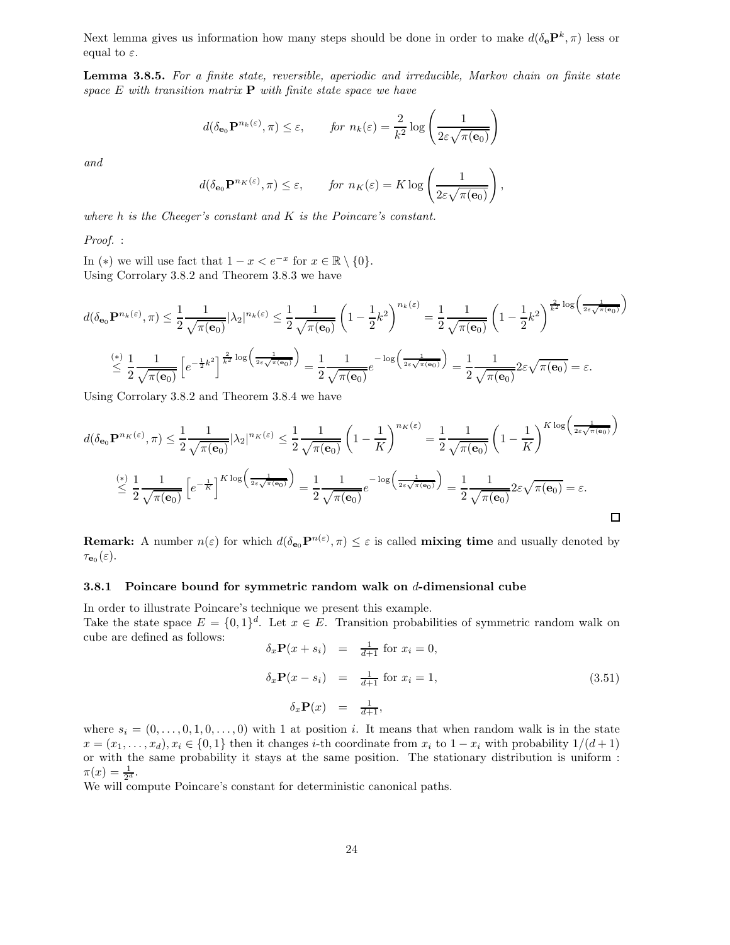Next lemma gives us information how many steps should be done in order to make  $d(\delta_{\mathbf{e}} \mathbf{P}^k, \pi)$  less or equal to  $\varepsilon$ .

Lemma 3.8.5. For a finite state, reversible, aperiodic and irreducible, Markov chain on finite state space  $E$  with transition matrix  $P$  with finite state space we have

$$
d(\delta_{\mathbf{e}_0} \mathbf{P}^{n_k(\varepsilon)}, \pi) \le \varepsilon
$$
, for  $n_k(\varepsilon) = \frac{2}{k^2} \log \left( \frac{1}{2\varepsilon \sqrt{\pi(\mathbf{e}_0)}} \right)$ 

and

$$
d(\delta_{\mathbf{e}_0} \mathbf{P}^{n_K(\varepsilon)}, \pi) \le \varepsilon
$$
, for  $n_K(\varepsilon) = K \log \left( \frac{1}{2\varepsilon \sqrt{\pi(\mathbf{e}_0)}} \right)$ ,

where h is the Cheeger's constant and K is the Poincare's constant.

Proof. :

In (\*) we will use fact that  $1 - x < e^{-x}$  for  $x \in \mathbb{R} \setminus \{0\}$ . Using Corrolary 3.8.2 and Theorem 3.8.3 we have

$$
d(\delta_{\mathbf{e}_0} \mathbf{P}^{n_k(\varepsilon)}, \pi) \leq \frac{1}{2} \frac{1}{\sqrt{\pi(\mathbf{e}_0)}} |\lambda_2|^{n_k(\varepsilon)} \leq \frac{1}{2} \frac{1}{\sqrt{\pi(\mathbf{e}_0)}} \left(1 - \frac{1}{2}k^2\right)^{n_k(\varepsilon)} = \frac{1}{2} \frac{1}{\sqrt{\pi(\mathbf{e}_0)}} \left(1 - \frac{1}{2}k^2\right)^{\frac{2}{k^2} \log\left(\frac{1}{2\varepsilon\sqrt{\pi(\mathbf{e}_0)}}\right)}
$$

$$
\leq \frac{1}{2} \frac{1}{\sqrt{\pi(\mathbf{e}_0)}} \left[e^{-\frac{1}{2}k^2}\right]^{\frac{2}{k^2} \log\left(\frac{1}{2\varepsilon\sqrt{\pi(\mathbf{e}_0)}}\right)} = \frac{1}{2} \frac{1}{\sqrt{\pi(\mathbf{e}_0)}} e^{-\log\left(\frac{1}{2\varepsilon\sqrt{\pi(\mathbf{e}_0)}}\right)} = \frac{1}{2} \frac{1}{\sqrt{\pi(\mathbf{e}_0)}} 2\varepsilon \sqrt{\pi(\mathbf{e}_0)} = \varepsilon.
$$

Using Corrolary 3.8.2 and Theorem 3.8.4 we have

$$
d(\delta_{\mathbf{e}_0} \mathbf{P}^{n_K(\varepsilon)}, \pi) \leq \frac{1}{2} \frac{1}{\sqrt{\pi(\mathbf{e}_0)}} |\lambda_2|^{n_K(\varepsilon)} \leq \frac{1}{2} \frac{1}{\sqrt{\pi(\mathbf{e}_0)}} \left(1 - \frac{1}{K}\right)^{n_K(\varepsilon)} = \frac{1}{2} \frac{1}{\sqrt{\pi(\mathbf{e}_0)}} \left(1 - \frac{1}{K}\right)^{K \log\left(\frac{1}{2\varepsilon\sqrt{\pi(\mathbf{e}_0)}}\right)}
$$

$$
\leq \frac{1}{2} \frac{1}{\sqrt{\pi(\mathbf{e}_0)}} \left[e^{-\frac{1}{K}}\right]^{K \log\left(\frac{1}{2\varepsilon\sqrt{\pi(\mathbf{e}_0)}}\right)} = \frac{1}{2} \frac{1}{\sqrt{\pi(\mathbf{e}_0)}} e^{-\log\left(\frac{1}{2\varepsilon\sqrt{\pi(\mathbf{e}_0)}}\right)} = \frac{1}{2} \frac{1}{\sqrt{\pi(\mathbf{e}_0)}} 2\varepsilon \sqrt{\pi(\mathbf{e}_0)} = \varepsilon.
$$

**Remark:** A number  $n(\varepsilon)$  for which  $d(\delta_{\mathbf{e}_0} \mathbf{P}^{n(\varepsilon)}, \pi) \leq \varepsilon$  is called **mixing time** and usually denoted by  $\tau_{\mathbf{e}_0}(\varepsilon)$ .

#### 3.8.1 Poincare bound for symmetric random walk on  $d$ -dimensional cube

In order to illustrate Poincare's technique we present this example. Take the state space  $E = \{0, 1\}^d$ . Let  $x \in E$ . Transition probabilities of symmetric random walk on cube are defined as follows:

$$
\delta_x \mathbf{P}(x+s_i) = \frac{1}{d+1} \text{ for } x_i = 0,
$$
  
\n
$$
\delta_x \mathbf{P}(x-s_i) = \frac{1}{d+1} \text{ for } x_i = 1,
$$
  
\n
$$
\delta_x \mathbf{P}(x) = \frac{1}{d+1},
$$
\n(3.51)

where  $s_i = (0, \ldots, 0, 1, 0, \ldots, 0)$  with 1 at position i. It means that when random walk is in the state  $x = (x_1, \ldots, x_d), x_i \in \{0, 1\}$  then it changes *i*-th coordinate from  $x_i$  to  $1 - x_i$  with probability  $1/(d+1)$ or with the same probability it stays at the same position. The stationary distribution is uniform :  $\pi(x) = \frac{1}{2^d}.$ 

We will compute Poincare's constant for deterministic canonical paths.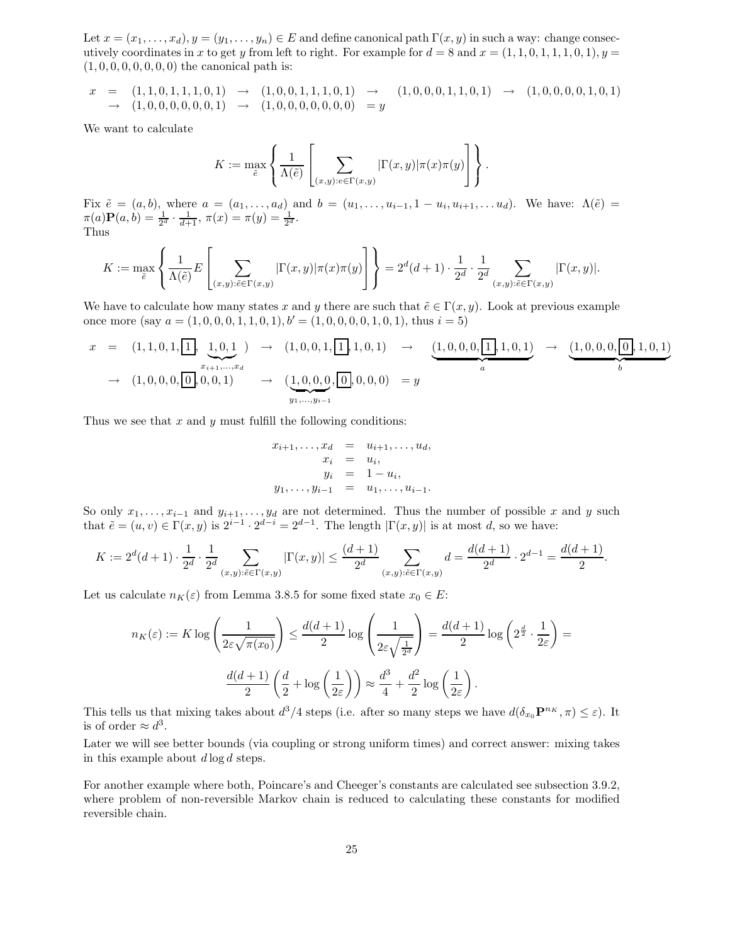Let  $x = (x_1, \ldots, x_d), y = (y_1, \ldots, y_n) \in E$  and define canonical path  $\Gamma(x, y)$  in such a way: change consecutively coordinates in x to get y from left to right. For example for  $d = 8$  and  $x = (1, 1, 0, 1, 1, 1, 0, 1), y =$  $(1, 0, 0, 0, 0, 0, 0, 0)$  the canonical path is:

$$
x = (1, 1, 0, 1, 1, 1, 0, 1) \rightarrow (1, 0, 0, 1, 1, 1, 0, 1) \rightarrow (1, 0, 0, 0, 1, 1, 1, 0, 1) \rightarrow (1, 0, 0, 0, 0, 0, 1) \rightarrow (1, 0, 0, 0, 0, 0, 1) \rightarrow (1, 0, 0, 0, 0, 0, 0, 0) = y
$$

We want to calculate

$$
K := \max_{\tilde{e}} \left\{ \frac{1}{\Lambda(\tilde{e})} \left[ \sum_{(x,y):e \in \Gamma(x,y)} |\Gamma(x,y)| \pi(x) \pi(y) \right] \right\}.
$$

Fix  $\tilde{e} = (a, b)$ , where  $a = (a_1, \ldots, a_d)$  and  $b = (u_1, \ldots, u_{i-1}, 1 - u_i, u_{i+1}, \ldots, u_d)$ . We have:  $\Lambda(\tilde{e}) =$  $\pi(a)P(a,b) = \frac{1}{2^d} \cdot \frac{1}{d+1}, \pi(x) = \pi(y) = \frac{1}{2^d}.$ Thus

$$
K := \max_{\tilde{e}} \left\{ \frac{1}{\Lambda(\tilde{e})} E\left[\sum_{(x,y): \tilde{e} \in \Gamma(x,y)} |\Gamma(x,y)| \pi(x) \pi(y) \right] \right\} = 2^d (d+1) \cdot \frac{1}{2^d} \cdot \frac{1}{2^d} \sum_{(x,y): \tilde{e} \in \Gamma(x,y)} |\Gamma(x,y)|.
$$

We have to calculate how many states x and y there are such that  $\tilde{e} \in \Gamma(x, y)$ . Look at previous example once more (say  $a = (1, 0, 0, 0, 1, 1, 0, 1), b' = (1, 0, 0, 0, 0, 1, 0, 1),$  thus  $i = 5$ )

$$
x = (1, 1, 0, 1, \boxed{1}, \underbrace{1, 0, 1}_{x_{i+1}, \ldots, x_d} ) \rightarrow (1, 0, 0, 1, \boxed{1}, 1, 0, 1) \rightarrow (\underbrace{1, 0, 0, 0, \boxed{1}, 1, 0, 1}_{a}) \rightarrow (\underbrace{1, 0, 0, 0, \boxed{0}, 1, 0, 1}_{b})
$$
  
\n
$$
\rightarrow (1, 0, 0, 0, \boxed{0}, 0, 0, 1) \rightarrow (\underbrace{1, 0, 0, 0, \boxed{0}, 0, 0, 0}_{y_1, \ldots, y_{i-1}}) = y
$$

Thus we see that  $x$  and  $y$  must fulfill the following conditions:

$$
x_{i+1},...,x_d = u_{i+1},...,u_d,
$$
  
\n
$$
x_i = u_i,
$$
  
\n
$$
y_i = 1 - u_i,
$$
  
\n
$$
y_1,...,y_{i-1} = u_1,...,u_{i-1}.
$$

So only  $x_1, \ldots, x_{i-1}$  and  $y_{i+1}, \ldots, y_d$  are not determined. Thus the number of possible x and y such that  $\tilde{e} = (u, v) \in \Gamma(x, y)$  is  $2^{i-1} \cdot 2^{d-i} = 2^{d-1}$ . The length  $|\Gamma(x, y)|$  is at most d, so we have:

$$
K := 2^d (d+1) \cdot \frac{1}{2^d} \cdot \frac{1}{2^d} \sum_{(x,y): \tilde{e} \in \Gamma(x,y)} |\Gamma(x,y)| \le \frac{(d+1)}{2^d} \sum_{(x,y): \tilde{e} \in \Gamma(x,y)} d = \frac{d(d+1)}{2^d} \cdot 2^{d-1} = \frac{d(d+1)}{2}.
$$

Let us calculate  $n_K(\varepsilon)$  from Lemma 3.8.5 for some fixed state  $x_0 \in E$ :

$$
n_K(\varepsilon) := K \log \left( \frac{1}{2\varepsilon \sqrt{\pi(x_0)}} \right) \le \frac{d(d+1)}{2} \log \left( \frac{1}{2\varepsilon \sqrt{\frac{1}{2^d}}} \right) = \frac{d(d+1)}{2} \log \left( 2^{\frac{d}{2}} \cdot \frac{1}{2\varepsilon} \right) = \frac{d(d+1)}{2} \left( \frac{d}{2} + \log \left( \frac{1}{2\varepsilon} \right) \right) \approx \frac{d^3}{4} + \frac{d^2}{2} \log \left( \frac{1}{2\varepsilon} \right).
$$

This tells us that mixing takes about  $d^3/4$  steps (i.e. after so many steps we have  $d(\delta_{x_0} \mathbf{P}^{n_K}, \pi) \leq \varepsilon$ ). It is of order  $\approx d^3$ .

Later we will see better bounds (via coupling or strong uniform times) and correct answer: mixing takes in this example about  $d \log d$  steps.

For another example where both, Poincare's and Cheeger's constants are calculated see subsection 3.9.2, where problem of non-reversible Markov chain is reduced to calculating these constants for modified reversible chain.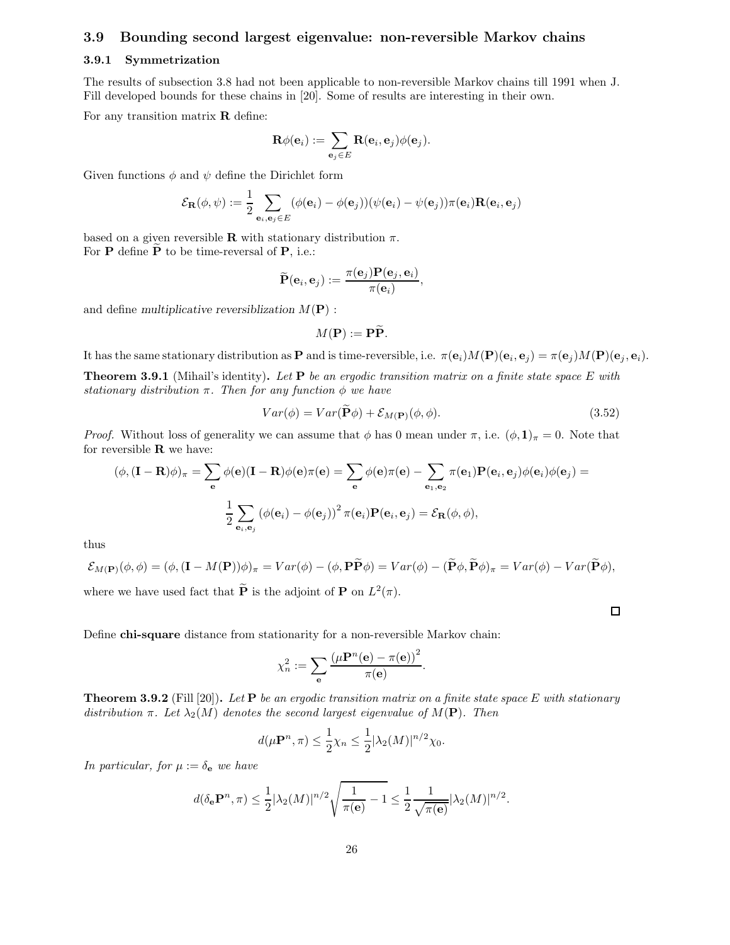#### 3.9 Bounding second largest eigenvalue: non-reversible Markov chains

#### 3.9.1 Symmetrization

The results of subsection 3.8 had not been applicable to non-reversible Markov chains till 1991 when J. Fill developed bounds for these chains in [20]. Some of results are interesting in their own.

For any transition matrix  **define:** 

$$
\mathbf{R}\phi(\mathbf{e}_i):=\sum_{\mathbf{e}_j\in E}\mathbf{R}(\mathbf{e}_i,\mathbf{e}_j)\phi(\mathbf{e}_j).
$$

Given functions  $\phi$  and  $\psi$  define the Dirichlet form

$$
\mathcal{E}_{\mathbf{R}}(\phi, \psi) := \frac{1}{2} \sum_{\mathbf{e}_i, \mathbf{e}_j \in E} (\phi(\mathbf{e}_i) - \phi(\mathbf{e}_j))(\psi(\mathbf{e}_i) - \psi(\mathbf{e}_j))\pi(\mathbf{e}_i)\mathbf{R}(\mathbf{e}_i, \mathbf{e}_j)
$$

based on a given reversible **R** with stationary distribution  $\pi$ . For  $P$  define  $P$  to be time-reversal of  $P$ , i.e.:

$$
\widetilde{\mathbf{P}}(\mathbf{e}_i, \mathbf{e}_j) := \frac{\pi(\mathbf{e}_j) \mathbf{P}(\mathbf{e}_j, \mathbf{e}_i)}{\pi(\mathbf{e}_i)},
$$

and define multiplicative reversiblization  $M(\mathbf{P})$ :

$$
M(\mathbf{P}) := \mathbf{P}\widetilde{\mathbf{P}}.
$$

It has the same stationary distribution as **P** and is time-reversible, i.e.  $\pi(\mathbf{e}_i)M(\mathbf{P})(\mathbf{e}_i, \mathbf{e}_j) = \pi(\mathbf{e}_j)M(\mathbf{P})(\mathbf{e}_j, \mathbf{e}_i)$ .

**Theorem 3.9.1** (Mihail's identity). Let  $P$  be an ergodic transition matrix on a finite state space E with stationary distribution  $\pi$ . Then for any function  $\phi$  we have

$$
Var(\phi) = Var(\mathbf{P}\phi) + \mathcal{E}_{M(\mathbf{P})}(\phi, \phi).
$$
\n(3.52)

*Proof.* Without loss of generality we can assume that  $\phi$  has 0 mean under  $\pi$ , i.e.  $(\phi, 1)_{\pi} = 0$ . Note that for reversible  **we have:** 

$$
(\phi, (\mathbf{I} - \mathbf{R})\phi)_{\pi} = \sum_{\mathbf{e}} \phi(\mathbf{e})(\mathbf{I} - \mathbf{R})\phi(\mathbf{e})\pi(\mathbf{e}) = \sum_{\mathbf{e}} \phi(\mathbf{e})\pi(\mathbf{e}) - \sum_{\mathbf{e}_1, \mathbf{e}_2} \pi(\mathbf{e}_1)\mathbf{P}(\mathbf{e}_i, \mathbf{e}_j)\phi(\mathbf{e}_i)\phi(\mathbf{e}_j) =
$$

$$
\frac{1}{2} \sum_{\mathbf{e}_i, \mathbf{e}_j} (\phi(\mathbf{e}_i) - \phi(\mathbf{e}_j))^2 \pi(\mathbf{e}_i)\mathbf{P}(\mathbf{e}_i, \mathbf{e}_j) = \mathcal{E}_{\mathbf{R}}(\phi, \phi),
$$

thus

$$
\mathcal{E}_{M(\mathbf{P})}(\phi,\phi)=(\phi,(\mathbf{I}-M(\mathbf{P}))\phi)_{\pi}=Var(\phi)-(\phi,\mathbf{P}\widetilde{\mathbf{P}}\phi)=Var(\phi)-(\widetilde{\mathbf{P}}\phi,\widetilde{\mathbf{P}}\phi)_{\pi}=Var(\phi)-Var(\widetilde{\mathbf{P}}\phi),
$$

where we have used fact that  $\tilde{\mathbf{P}}$  is the adjoint of  $\mathbf{P}$  on  $L^2(\pi)$ .

 $\Box$ 

Define chi-square distance from stationarity for a non-reversible Markov chain:

$$
\chi_n^2 := \sum_{\mathbf{e}} \frac{\left(\mu \mathbf{P}^n(\mathbf{e}) - \pi(\mathbf{e})\right)^2}{\pi(\mathbf{e})}.
$$

**Theorem 3.9.2** (Fill [20]). Let **P** be an ergodic transition matrix on a finite state space E with stationary distribution  $\pi$ . Let  $\lambda_2(M)$  denotes the second largest eigenvalue of  $M(\mathbf{P})$ . Then

$$
d(\mu \mathbf{P}^n, \pi) \le \frac{1}{2} \chi_n \le \frac{1}{2} |\lambda_2(M)|^{n/2} \chi_0.
$$

In particular, for  $\mu := \delta_e$  we have

$$
d(\delta_{\mathbf{e}} \mathbf{P}^n, \pi) \leq \frac{1}{2} |\lambda_2(M)|^{n/2} \sqrt{\frac{1}{\pi(\mathbf{e})} - 1} \leq \frac{1}{2} \frac{1}{\sqrt{\pi(\mathbf{e})}} |\lambda_2(M)|^{n/2}.
$$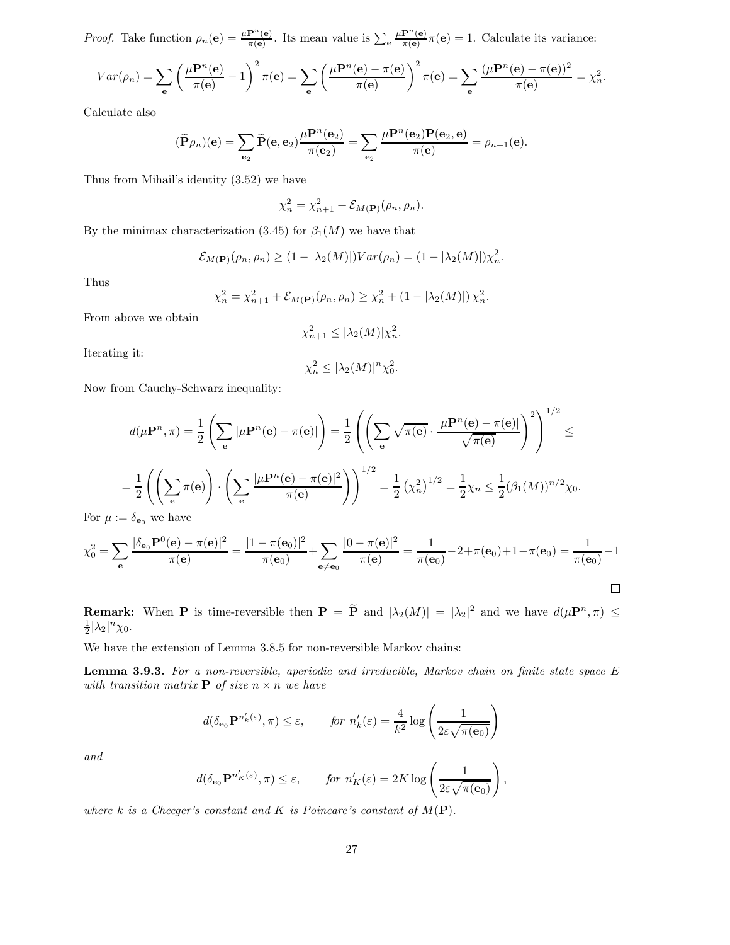*Proof.* Take function  $\rho_n(\mathbf{e}) = \frac{\mu \mathbf{P}^n(\mathbf{e})}{\pi(\mathbf{e})}$ . Its mean value is  $\sum_{\mathbf{e}} \frac{\mu \mathbf{P}^n(\mathbf{e})}{\pi(\mathbf{e})}$  $\frac{\mathbf{F}^{\prime}(\mathbf{e})}{\pi(\mathbf{e})} \pi(\mathbf{e}) = 1$ . Calculate its variance:

$$
Var(\rho_n) = \sum_{\mathbf{e}} \left( \frac{\mu \mathbf{P}^n(\mathbf{e})}{\pi(\mathbf{e})} - 1 \right)^2 \pi(\mathbf{e}) = \sum_{\mathbf{e}} \left( \frac{\mu \mathbf{P}^n(\mathbf{e}) - \pi(\mathbf{e})}{\pi(\mathbf{e})} \right)^2 \pi(\mathbf{e}) = \sum_{\mathbf{e}} \frac{(\mu \mathbf{P}^n(\mathbf{e}) - \pi(\mathbf{e}))^2}{\pi(\mathbf{e})} = \chi_n^2.
$$

Calculate also

$$
(\widetilde{\mathbf{P}}\rho_n)(\mathbf{e}) = \sum_{\mathbf{e}_2} \widetilde{\mathbf{P}}(\mathbf{e}, \mathbf{e}_2) \frac{\mu \mathbf{P}^n(\mathbf{e}_2)}{\pi(\mathbf{e}_2)} = \sum_{\mathbf{e}_2} \frac{\mu \mathbf{P}^n(\mathbf{e}_2) \mathbf{P}(\mathbf{e}_2, \mathbf{e})}{\pi(\mathbf{e})} = \rho_{n+1}(\mathbf{e}).
$$

Thus from Mihail's identity (3.52) we have

$$
\chi_n^2 = \chi_{n+1}^2 + \mathcal{E}_{M(\mathbf{P})}(\rho_n, \rho_n).
$$

By the minimax characterization (3.45) for  $\beta_1(M)$  we have that

$$
\mathcal{E}_{M(\mathbf{P})}(\rho_n, \rho_n) \ge (1 - |\lambda_2(M)|) Var(\rho_n) = (1 - |\lambda_2(M)|) \chi_n^2.
$$

Thus

$$
\chi_n^2 = \chi_{n+1}^2 + \mathcal{E}_{M(\mathbf{P})}(\rho_n, \rho_n) \ge \chi_n^2 + (1 - |\lambda_2(M)|) \chi_n^2.
$$

From above we obtain

$$
\chi_{n+1}^2 \leq |\lambda_2(M)| \chi_n^2.
$$

Iterating it:

$$
\chi_n^2 \le |\lambda_2(M)|^n \chi_0^2
$$

.

Now from Cauchy-Schwarz inequality:

$$
d(\mu \mathbf{P}^n, \pi) = \frac{1}{2} \left( \sum_{\mathbf{e}} |\mu \mathbf{P}^n(\mathbf{e}) - \pi(\mathbf{e})| \right) = \frac{1}{2} \left( \left( \sum_{\mathbf{e}} \sqrt{\pi(\mathbf{e})} \cdot \frac{|\mu \mathbf{P}^n(\mathbf{e}) - \pi(\mathbf{e})|}{\sqrt{\pi(\mathbf{e})}} \right)^2 \right)^{1/2} \le
$$
  
=  $\frac{1}{2} \left( \left( \sum_{\mathbf{e}} \pi(\mathbf{e}) \right) \cdot \left( \sum_{\mathbf{e}} \frac{|\mu \mathbf{P}^n(\mathbf{e}) - \pi(\mathbf{e})|^2}{\pi(\mathbf{e})} \right) \right)^{1/2} = \frac{1}{2} (\chi_n^2)^{1/2} = \frac{1}{2} \chi_n \le \frac{1}{2} (\beta_1(M))^{n/2} \chi_0.$   
=  $\delta_n$  we have

For  $\mu := \delta_{\mathbf{e}_0}$  we have

$$
\chi_0^2 = \sum_{\mathbf{e}} \frac{|\delta_{\mathbf{e}_0} \mathbf{P}^0(\mathbf{e}) - \pi(\mathbf{e})|^2}{\pi(\mathbf{e})} = \frac{|1 - \pi(\mathbf{e}_0)|^2}{\pi(\mathbf{e}_0)} + \sum_{\mathbf{e} \neq \mathbf{e}_0} \frac{|0 - \pi(\mathbf{e})|^2}{\pi(\mathbf{e})} = \frac{1}{\pi(\mathbf{e}_0)} - 2 + \pi(\mathbf{e}_0) + 1 - \pi(\mathbf{e}_0) = \frac{1}{\pi(\mathbf{e}_0)} - 1
$$

**Remark:** When **P** is time-reversible then  $\mathbf{P} = \mathbf{P}$  and  $|\lambda_2(M)| = |\lambda_2|^2$  and we have  $d(\mu \mathbf{P}^n, \pi) \le$  $\frac{1}{2}|\lambda_2|^n\chi_0.$ 

We have the extension of Lemma 3.8.5 for non-reversible Markov chains:

Lemma 3.9.3. For a non-reversible, aperiodic and irreducible, Markov chain on finite state space E with transition matrix **P** of size  $n \times n$  we have

$$
d(\delta_{\mathbf{e}_0} \mathbf{P}^{n'_k(\varepsilon)}, \pi) \le \varepsilon, \qquad \text{for } n'_k(\varepsilon) = \frac{4}{k^2} \log \left( \frac{1}{2\varepsilon \sqrt{\pi(\mathbf{e}_0)}} \right)
$$

and

$$
d(\delta_{\mathbf{e}_0} \mathbf{P}^{n'_K(\varepsilon)}, \pi) \le \varepsilon, \qquad \text{for } n'_K(\varepsilon) = 2K \log \left( \frac{1}{2\varepsilon \sqrt{\pi(\mathbf{e}_0)}} \right),
$$

where k is a Cheeger's constant and K is Poincare's constant of  $M(\mathbf{P})$ .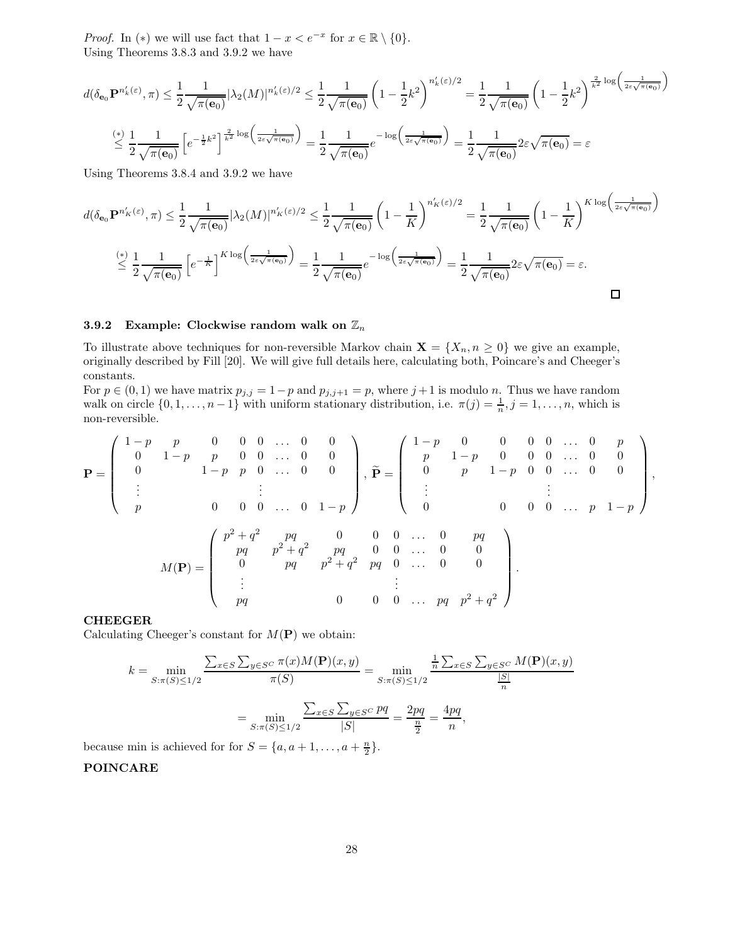*Proof.* In (\*) we will use fact that  $1 - x < e^{-x}$  for  $x \in \mathbb{R} \setminus \{0\}$ . Using Theorems 3.8.3 and 3.9.2 we have

$$
d(\delta_{\mathbf{e}_0} \mathbf{P}^{n'_k(\varepsilon)}, \pi) \leq \frac{1}{2} \frac{1}{\sqrt{\pi(\mathbf{e}_0)}} |\lambda_2(M)|^{n'_k(\varepsilon)/2} \leq \frac{1}{2} \frac{1}{\sqrt{\pi(\mathbf{e}_0)}} \left(1 - \frac{1}{2} k^2\right)^{n'_k(\varepsilon)/2} = \frac{1}{2} \frac{1}{\sqrt{\pi(\mathbf{e}_0)}} \left(1 - \frac{1}{2} k^2\right)^{\frac{2}{k^2} \log\left(\frac{1}{2\varepsilon\sqrt{\pi(\mathbf{e}_0)}}\right)}
$$

$$
\leq \frac{1}{2} \frac{1}{\sqrt{\pi(\mathbf{e}_0)}} \left[e^{-\frac{1}{2} k^2}\right]^{\frac{2}{k^2} \log\left(\frac{1}{2\varepsilon\sqrt{\pi(\mathbf{e}_0)}}\right)} = \frac{1}{2} \frac{1}{\sqrt{\pi(\mathbf{e}_0)}} e^{-\log\left(\frac{1}{2\varepsilon\sqrt{\pi(\mathbf{e}_0)}}\right)} = \frac{1}{2} \frac{1}{\sqrt{\pi(\mathbf{e}_0)}} 2\varepsilon \sqrt{\pi(\mathbf{e}_0)} = \varepsilon
$$

Using Theorems 3.8.4 and 3.9.2 we have

$$
d(\delta_{\mathbf{e}_0} \mathbf{P}^{n'_K(\varepsilon)}, \pi) \leq \frac{1}{2} \frac{1}{\sqrt{\pi(\mathbf{e}_0)}} |\lambda_2(M)|^{n'_K(\varepsilon)/2} \leq \frac{1}{2} \frac{1}{\sqrt{\pi(\mathbf{e}_0)}} \left(1 - \frac{1}{K}\right)^{n'_K(\varepsilon)/2} = \frac{1}{2} \frac{1}{\sqrt{\pi(\mathbf{e}_0)}} \left(1 - \frac{1}{K}\right)^{K \log\left(\frac{1}{2\varepsilon\sqrt{\pi(\mathbf{e}_0)}}\right)}
$$

$$
\leq \frac{1}{2} \frac{1}{\sqrt{\pi(\mathbf{e}_0)}} \left[e^{-\frac{1}{K}}\right]^{K \log\left(\frac{1}{2\varepsilon\sqrt{\pi(\mathbf{e}_0)}}\right)} = \frac{1}{2} \frac{1}{\sqrt{\pi(\mathbf{e}_0)}} e^{-\log\left(\frac{1}{2\varepsilon\sqrt{\pi(\mathbf{e}_0)}}\right)} = \frac{1}{2} \frac{1}{\sqrt{\pi(\mathbf{e}_0)}} 2\varepsilon \sqrt{\pi(\mathbf{e}_0)} = \varepsilon.
$$

## 3.9.2 Example: Clockwise random walk on  $\mathbb{Z}_n$

To illustrate above techniques for non-reversible Markov chain  $X = \{X_n, n \geq 0\}$  we give an example, originally described by Fill [20]. We will give full details here, calculating both, Poincare's and Cheeger's constants.

For  $p \in (0,1)$  we have matrix  $p_{j,j} = 1-p$  and  $p_{j,j+1} = p$ , where  $j+1$  is modulo n. Thus we have random walk on circle  $\{0, 1, \ldots, n-1\}$  with uniform stationary distribution, i.e.  $\pi(j) = \frac{1}{n}, j = 1, \ldots, n$ , which is non-reversible.

P = 1 − p p 0 0 0 . . . 0 0 0 1 − p p 0 0 . . . 0 0 0 1 − p p 0 . . . 0 0 . . . . . . p 0 0 0 . . . 0 1 − p , Pe = 1 − p 0 0 0 0 . . . 0 p p 1 − p 0 0 0 . . . 0 0 0 p 1 − p 0 0 . . . 0 0 . . . . . . 0 0 0 0 . . . p 1 − p , M(P) = p <sup>2</sup> + q <sup>2</sup> pq 0 0 0 . . . 0 pq pq p<sup>2</sup> + q <sup>2</sup> pq 0 0 . . . 0 0 0 pq p<sup>2</sup> + q <sup>2</sup> pq 0 . . . 0 0 . . . . . . pq 0 0 0 . . . pq p<sup>2</sup> + q 2 .

#### CHEEGER

Calculating Cheeger's constant for  $M(\mathbf{P})$  we obtain:

$$
k = \min_{S: \pi(S) \le 1/2} \frac{\sum_{x \in S} \sum_{y \in S^C} \pi(x)M(\mathbf{P})(x, y)}{\pi(S)} = \min_{S: \pi(S) \le 1/2} \frac{\frac{1}{n} \sum_{x \in S} \sum_{y \in S^C} M(\mathbf{P})(x, y)}{\frac{|S|}{n}}
$$

$$
= \min_{S: \pi(S) \le 1/2} \frac{\sum_{x \in S} \sum_{y \in S^C} pq}{|S|} = \frac{2pq}{\frac{n}{2}} = \frac{4pq}{n},
$$

because min is achieved for for  $S = \{a, a+1, \ldots, a+\frac{n}{2}\}.$ 

#### POINCARE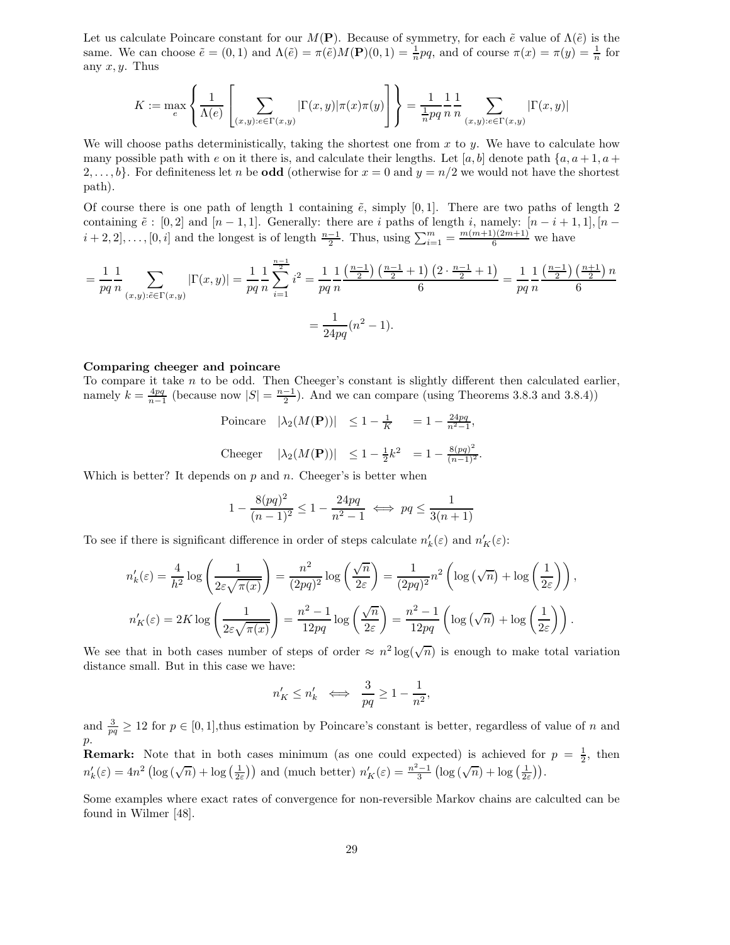Let us calculate Poincare constant for our  $M(\mathbf{P})$ . Because of symmetry, for each  $\tilde{e}$  value of  $\Lambda(\tilde{e})$  is the same. We can choose  $\tilde{e} = (0,1)$  and  $\Lambda(\tilde{e}) = \pi(\tilde{e})M(\mathbf{P})(0,1) = \frac{1}{n}pq$ , and of course  $\pi(x) = \pi(y) = \frac{1}{n}$  for any  $x, y$ . Thus

$$
K := \max_{e} \left\{ \frac{1}{\Lambda(e)} \left[ \sum_{(x,y):e \in \Gamma(x,y)} |\Gamma(x,y)| \pi(x)\pi(y) \right] \right\} = \frac{1}{\frac{1}{n}pq} \frac{1}{n} \frac{1}{n} \sum_{(x,y):e \in \Gamma(x,y)} |\Gamma(x,y)|
$$

We will choose paths deterministically, taking the shortest one from  $x$  to  $y$ . We have to calculate how many possible path with e on it there is, and calculate their lengths. Let [a, b] denote path  $\{a, a+1, a+1, a+1\}$  $2,\ldots,b$ . For definiteness let n be **odd** (otherwise for  $x = 0$  and  $y = n/2$  we would not have the shortest path).

Of course there is one path of length 1 containing  $\tilde{e}$ , simply [0,1]. There are two paths of length 2 containing  $\tilde{e}$  : [0, 2] and [n - 1, 1]. Generally: there are i paths of length i, namely:  $[n-i+1,1], [n-1,1]$  $i+2, 2], \ldots, [0, i]$  and the longest is of length  $\frac{n-1}{2}$ . Thus, using  $\sum_{i=1}^{m} = \frac{m(m+1)(2m+1)}{6}$  we have

$$
= \frac{1}{pq} \frac{1}{n} \sum_{(x,y):\tilde{e} \in \Gamma(x,y)} |\Gamma(x,y)| = \frac{1}{pq} \frac{1}{n} \sum_{i=1}^{\frac{n-1}{2}} i^2 = \frac{1}{pq} \frac{1}{n} \frac{\left(\frac{n-1}{2}\right)\left(\frac{n-1}{2}+1\right)\left(2 \cdot \frac{n-1}{2}+1\right)}{6} = \frac{1}{pq} \frac{1}{n} \frac{\left(\frac{n-1}{2}\right)\left(\frac{n+1}{2}\right)n}{6} = \frac{1}{24pq} (n^2 - 1).
$$

#### Comparing cheeger and poincare

To compare it take  $n$  to be odd. Then Cheeger's constant is slightly different then calculated earlier, namely  $k = \frac{4pq}{n-1}$  (because now  $|S| = \frac{n-1}{2}$ ). And we can compare (using Theorems 3.8.3 and 3.8.4))

> Poincare  $|\lambda_2(M(\mathbf{P}))| \leq 1 - \frac{1}{K} = 1 - \frac{24pq}{n^2-1},$ Cheeger  $|\lambda_2(M(\mathbf{P}))| \leq 1 - \frac{1}{2}k^2 = 1 - \frac{8(pq)^2}{(n-1)^2}.$

Which is better? It depends on  $p$  and  $n$ . Cheeger's is better when

$$
1 - \frac{8(pq)^2}{(n-1)^2} \le 1 - \frac{24pq}{n^2 - 1} \iff pq \le \frac{1}{3(n+1)}
$$

To see if there is significant difference in order of steps calculate  $n'_{k}(\varepsilon)$  and  $n'_{K}(\varepsilon)$ :

$$
n'_{k}(\varepsilon) = \frac{4}{h^{2}} \log \left( \frac{1}{2\varepsilon \sqrt{\pi(x)}} \right) = \frac{n^{2}}{(2pq)^{2}} \log \left( \frac{\sqrt{n}}{2\varepsilon} \right) = \frac{1}{(2pq)^{2}} n^{2} \left( \log \left( \sqrt{n} \right) + \log \left( \frac{1}{2\varepsilon} \right) \right),
$$
  

$$
n'_{K}(\varepsilon) = 2K \log \left( \frac{1}{2\varepsilon \sqrt{\pi(x)}} \right) = \frac{n^{2} - 1}{12pq} \log \left( \frac{\sqrt{n}}{2\varepsilon} \right) = \frac{n^{2} - 1}{12pq} \left( \log \left( \sqrt{n} \right) + \log \left( \frac{1}{2\varepsilon} \right) \right).
$$

We see that in both cases number of steps of order  $\approx n^2 \log(\sqrt{n})$  is enough to make total variation distance small. But in this case we have:

$$
n'_K \le n'_k \iff \frac{3}{pq} \ge 1 - \frac{1}{n^2},
$$

and  $\frac{3}{pq} \geq 12$  for  $p \in [0, 1]$ , thus estimation by Poincare's constant is better, regardless of value of n and p.

**Remark:** Note that in both cases minimum (as one could expected) is achieved for  $p = \frac{1}{2}$ , then  $n'_{k}(\varepsilon) = 4n^2 \left( \log \left( \sqrt{n} \right) + \log \left( \frac{1}{2\varepsilon} \right) \right)$  and (much better)  $n'_{K}(\varepsilon) = \frac{n^2 - 1}{3} \left( \log \left( \sqrt{n} \right) + \log \left( \frac{1}{2\varepsilon} \right) \right)$ .

Some examples where exact rates of convergence for non-reversible Markov chains are calculted can be found in Wilmer [48].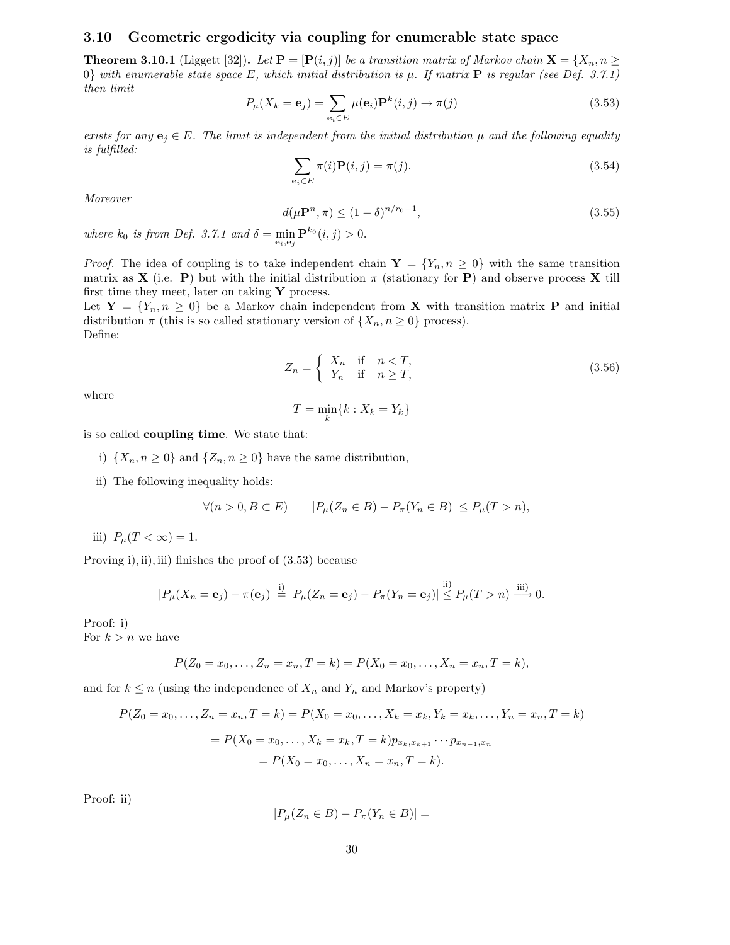#### 3.10 Geometric ergodicity via coupling for enumerable state space

**Theorem 3.10.1** (Liggett [32]). Let  $\mathbf{P} = [\mathbf{P}(i, j)]$  be a transition matrix of Markov chain  $\mathbf{X} = \{X_n, n \geq 1\}$ 0} with enumerable state space E, which initial distribution is  $\mu$ . If matrix **P** is regular (see Def. 3.7.1) then limit

$$
P_{\mu}(X_k = \mathbf{e}_j) = \sum_{\mathbf{e}_i \in E} \mu(\mathbf{e}_i) \mathbf{P}^k(i, j) \to \pi(j)
$$
 (3.53)

exists for any  $e_j \in E$ . The limit is independent from the initial distribution  $\mu$  and the following equality is fulfilled:

$$
\sum_{\mathbf{e}_i \in E} \pi(i) \mathbf{P}(i, j) = \pi(j). \tag{3.54}
$$

Moreover

$$
d(\mu \mathbf{P}^n, \pi) \le (1 - \delta)^{n/r_0 - 1},\tag{3.55}
$$

where  $k_0$  is from Def. 3.7.1 and  $\delta = \min_{\mathbf{e}_i, \mathbf{e}_j} \mathbf{P}^{k_0}(i, j) > 0$ .

*Proof.* The idea of coupling is to take independent chain  $\mathbf{Y} = \{Y_n, n \geq 0\}$  with the same transition matrix as **X** (i.e. **P**) but with the initial distribution  $\pi$  (stationary for **P**) and observe process **X** till first time they meet, later on taking  $\mathbf Y$  process.

Let  $Y = \{Y_n, n \geq 0\}$  be a Markov chain independent from **X** with transition matrix **P** and initial distribution  $\pi$  (this is so called stationary version of  $\{X_n, n \geq 0\}$  process). Define:

$$
Z_n = \begin{cases} X_n & \text{if } n < T, \\ Y_n & \text{if } n \ge T, \end{cases} \tag{3.56}
$$

where

$$
T = \min_{k} \{k : X_k = Y_k\}
$$

is so called coupling time. We state that:

- i)  $\{X_n, n \geq 0\}$  and  $\{Z_n, n \geq 0\}$  have the same distribution,
- ii) The following inequality holds:

$$
\forall (n > 0, B \subset E) \qquad |P_{\mu}(Z_n \in B) - P_{\pi}(Y_n \in B)| \le P_{\mu}(T > n),
$$

iii)  $P_{\mu}(T < \infty) = 1$ .

Proving i), ii), iii) finishes the proof of (3.53) because

$$
|P_{\mu}(X_n=\mathbf{e}_j)-\pi(\mathbf{e}_j)|\stackrel{\mathrm{i})}{=} |P_{\mu}(Z_n=\mathbf{e}_j)-P_{\pi}(Y_n=\mathbf{e}_j)|\stackrel{\mathrm{ii})}{\leq}P_{\mu}(T>n)\stackrel{\mathrm{iii})}{\longrightarrow} 0.
$$

Proof: i)

For  $k > n$  we have

$$
P(Z_0 = x_0, \dots, Z_n = x_n, T = k) = P(X_0 = x_0, \dots, X_n = x_n, T = k),
$$

and for  $k \leq n$  (using the independence of  $X_n$  and  $Y_n$  and Markov's property)

$$
P(Z_0 = x_0, ..., Z_n = x_n, T = k) = P(X_0 = x_0, ..., X_k = x_k, Y_k = x_k, ..., Y_n = x_n, T = k)
$$
  
=  $P(X_0 = x_0, ..., X_k = x_k, T = k) p_{x_k, x_{k+1}} \cdots p_{x_{n-1}, x_n}$   
=  $P(X_0 = x_0, ..., X_n = x_n, T = k).$ 

Proof: ii)

$$
|P_{\mu}(Z_n \in B) - P_{\pi}(Y_n \in B)| =
$$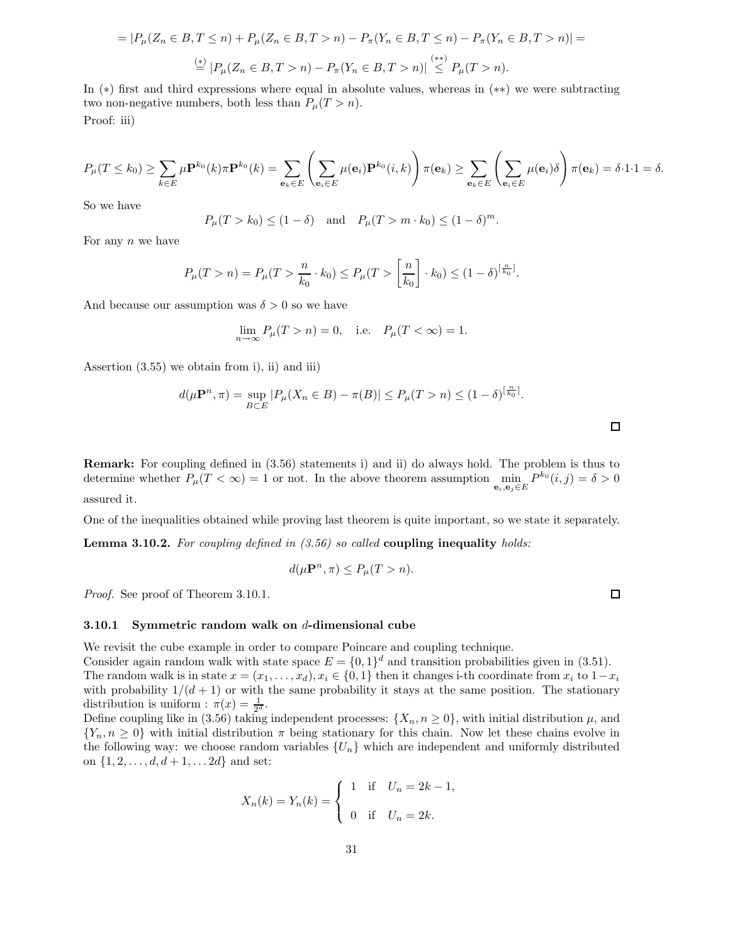$$
= |P_{\mu}(Z_n \in B, T \le n) + P_{\mu}(Z_n \in B, T > n) - P_{\pi}(Y_n \in B, T \le n) - P_{\pi}(Y_n \in B, T > n)| =
$$
  

$$
\stackrel{(*)}{=} |P_{\mu}(Z_n \in B, T > n) - P_{\pi}(Y_n \in B, T > n)| \stackrel{(**)}{\le} P_{\mu}(T > n).
$$

In (∗) first and third expressions where equal in absolute values, whereas in (∗∗) we were subtracting two non-negative numbers, both less than  $P_{\mu}(T > n)$ . Proof: iii)

$$
P_{\mu}(T \leq k_0) \geq \sum_{k \in E} \mu \mathbf{P}^{k_0}(k) \pi \mathbf{P}^{k_0}(k) = \sum_{\mathbf{e}_k \in E} \left( \sum_{\mathbf{e}_i \in E} \mu(\mathbf{e}_i) \mathbf{P}^{k_0}(i,k) \right) \pi(\mathbf{e}_k) \geq \sum_{\mathbf{e}_k \in E} \left( \sum_{\mathbf{e}_i \in E} \mu(\mathbf{e}_i) \delta \right) \pi(\mathbf{e}_k) = \delta \cdot 1 \cdot 1 = \delta.
$$

So we have

$$
P_{\mu}(T > k_0) \le (1 - \delta)
$$
 and  $P_{\mu}(T > m \cdot k_0) \le (1 - \delta)^m$ .

For any  $n$  we have

$$
P_{\mu}(T > n) = P_{\mu}(T > \frac{n}{k_0} \cdot k_0) \le P_{\mu}(T > \left[\frac{n}{k_0}\right] \cdot k_0) \le (1 - \delta)^{\left[\frac{n}{k_0}\right]}.
$$

And because our assumption was  $\delta > 0$  so we have

$$
\lim_{n \to \infty} P_{\mu}(T > n) = 0
$$
, i.e.  $P_{\mu}(T < \infty) = 1$ .

Assertion (3.55) we obtain from i), ii) and iii)

$$
d(\mu \mathbf{P}^n, \pi) = \sup_{B \subset E} |P_{\mu}(X_n \in B) - \pi(B)| \le P_{\mu}(T > n) \le (1 - \delta)^{\left[\frac{n}{k_0}\right]}.
$$

Remark: For coupling defined in (3.56) statements i) and ii) do always hold. The problem is thus to determine whether  $P_{\mu}(T < \infty) = 1$  or not. In the above theorem assumption  $\min_{\mathbf{e}_i, \mathbf{e}_j \in E} P^{k_0}(i, j) = \delta > 0$ assured it.

One of the inequalities obtained while proving last theorem is quite important, so we state it separately.

**Lemma 3.10.2.** For coupling defined in  $(3.56)$  so called **coupling inequality** holds:

$$
d(\mu \mathbf{P}^n, \pi) \le P_{\mu}(T > n).
$$

*Proof.* See proof of Theorem 3.10.1.

#### 3.10.1 Symmetric random walk on  $d$ -dimensional cube

We revisit the cube example in order to compare Poincare and coupling technique.

Consider again random walk with state space  $E = \{0, 1\}^d$  and transition probabilities given in (3.51). The random walk is in state  $x = (x_1, \ldots, x_d), x_i \in \{0, 1\}$  then it changes i-th coordinate from  $x_i$  to  $1-x_i$ with probability  $1/(d+1)$  or with the same probability it stays at the same position. The stationary distribution is uniform :  $\pi(x) = \frac{1}{2^d}$ .

Define coupling like in (3.56) taking independent processes:  $\{X_n, n \geq 0\}$ , with initial distribution  $\mu$ , and  ${Y_n, n \geq 0}$  with initial distribution  $\pi$  being stationary for this chain. Now let these chains evolve in the following way: we choose random variables  $\{U_n\}$  which are independent and uniformly distributed on  $\{1, 2, \ldots, d, d + 1, \ldots 2d\}$  and set:

$$
X_n(k) = Y_n(k) =
$$
\n
$$
\begin{cases}\n1 & \text{if } U_n = 2k - 1, \\
0 & \text{if } U_n = 2k.\n\end{cases}
$$

 $\Box$ 

 $\Box$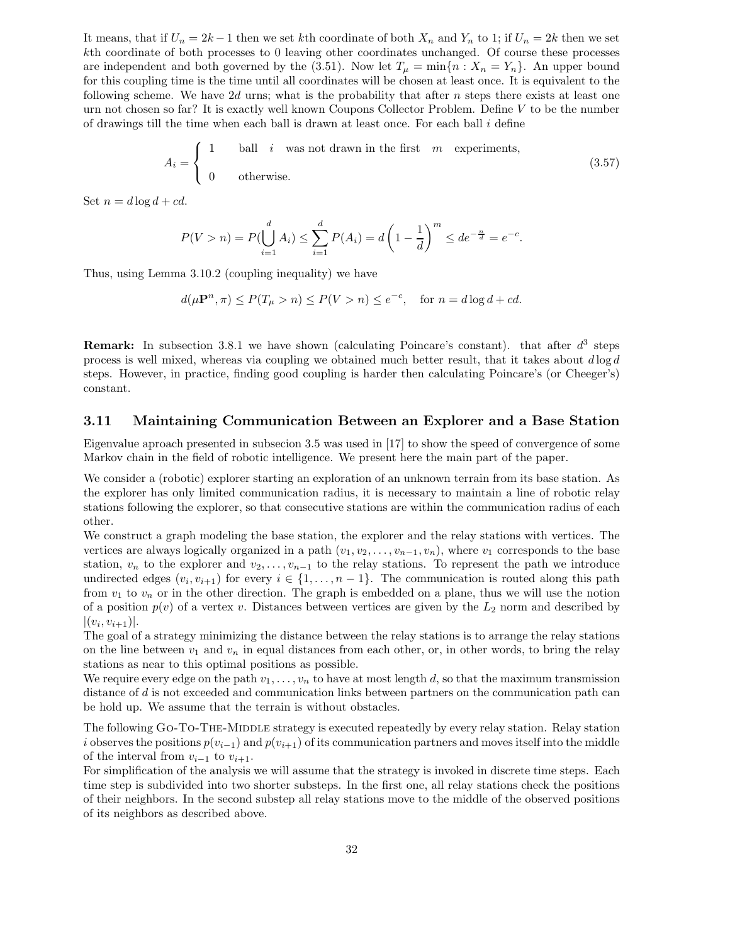It means, that if  $U_n = 2k - 1$  then we set kth coordinate of both  $X_n$  and  $Y_n$  to 1; if  $U_n = 2k$  then we set kth coordinate of both processes to 0 leaving other coordinates unchanged. Of course these processes are independent and both governed by the (3.51). Now let  $T_{\mu} = \min\{n : X_n = Y_n\}$ . An upper bound for this coupling time is the time until all coordinates will be chosen at least once. It is equivalent to the following scheme. We have  $2d$  urns; what is the probability that after n steps there exists at least one urn not chosen so far? It is exactly well known Coupons Collector Problem. Define V to be the number of drawings till the time when each ball is drawn at least once. For each ball i define

$$
A_i = \begin{cases} 1 & \text{ball} \quad i \quad \text{was not drawn in the first} \quad m \quad \text{experiments,} \\ 0 & \text{otherwise.} \end{cases} \tag{3.57}
$$

Set  $n = d \log d + cd$ .

$$
P(V > n) = P(\bigcup_{i=1}^{d} A_i) \le \sum_{i=1}^{d} P(A_i) = d \left(1 - \frac{1}{d}\right)^m \le de^{-\frac{n}{d}} = e^{-c}.
$$

Thus, using Lemma 3.10.2 (coupling inequality) we have

$$
d(\mu \mathbf{P}^n, \pi) \le P(T_{\mu} > n) \le P(V > n) \le e^{-c}, \quad \text{for } n = d \log d + cd.
$$

**Remark:** In subsection 3.8.1 we have shown (calculating Poincare's constant). that after  $d^3$  steps process is well mixed, whereas via coupling we obtained much better result, that it takes about  $d \log d$ steps. However, in practice, finding good coupling is harder then calculating Poincare's (or Cheeger's) constant.

#### 3.11 Maintaining Communication Between an Explorer and a Base Station

Eigenvalue aproach presented in subsecion 3.5 was used in [17] to show the speed of convergence of some Markov chain in the field of robotic intelligence. We present here the main part of the paper.

We consider a (robotic) explorer starting an exploration of an unknown terrain from its base station. As the explorer has only limited communication radius, it is necessary to maintain a line of robotic relay stations following the explorer, so that consecutive stations are within the communication radius of each other.

We construct a graph modeling the base station, the explorer and the relay stations with vertices. The vertices are always logically organized in a path  $(v_1, v_2, \ldots, v_{n-1}, v_n)$ , where  $v_1$  corresponds to the base station,  $v_n$  to the explorer and  $v_2, \ldots, v_{n-1}$  to the relay stations. To represent the path we introduce undirected edges  $(v_i, v_{i+1})$  for every  $i \in \{1, \ldots, n-1\}$ . The communication is routed along this path from  $v_1$  to  $v_n$  or in the other direction. The graph is embedded on a plane, thus we will use the notion of a position  $p(v)$  of a vertex v. Distances between vertices are given by the  $L_2$  norm and described by  $|(v_i, v_{i+1})|.$ 

The goal of a strategy minimizing the distance between the relay stations is to arrange the relay stations on the line between  $v_1$  and  $v_n$  in equal distances from each other, or, in other words, to bring the relay stations as near to this optimal positions as possible.

We require every edge on the path  $v_1, \ldots, v_n$  to have at most length d, so that the maximum transmission distance of d is not exceeded and communication links between partners on the communication path can be hold up. We assume that the terrain is without obstacles.

The following GO-TO-THE-MIDDLE strategy is executed repeatedly by every relay station. Relay station i observes the positions  $p(v_{i-1})$  and  $p(v_{i+1})$  of its communication partners and moves itself into the middle of the interval from  $v_{i-1}$  to  $v_{i+1}$ .

For simplification of the analysis we will assume that the strategy is invoked in discrete time steps. Each time step is subdivided into two shorter substeps. In the first one, all relay stations check the positions of their neighbors. In the second substep all relay stations move to the middle of the observed positions of its neighbors as described above.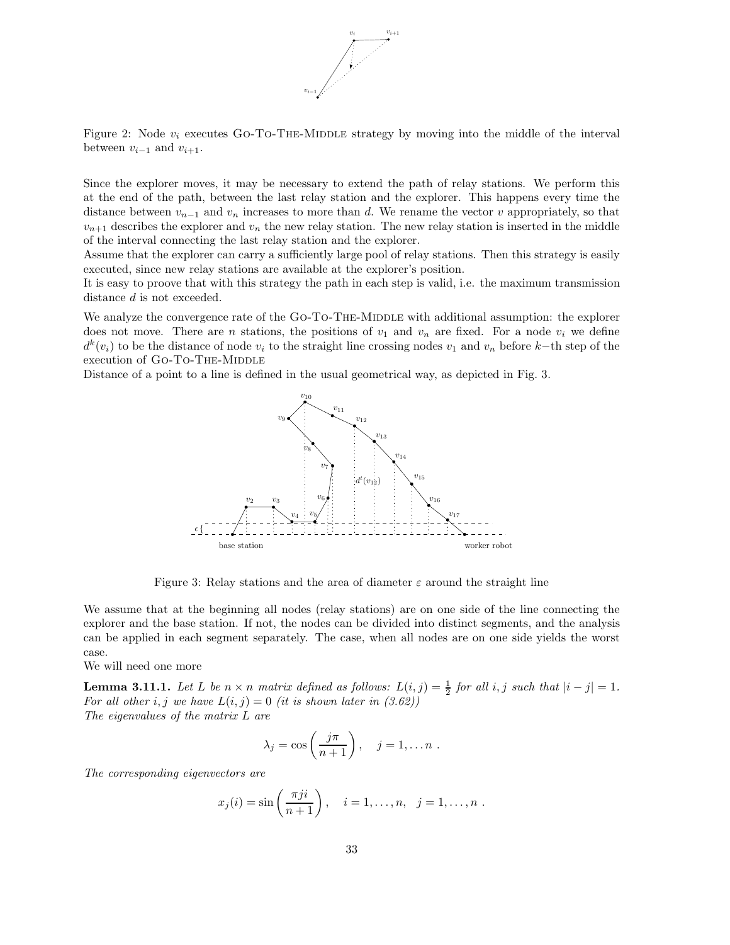

Figure 2: Node  $v_i$  executes Go-To-THE-MIDDLE strategy by moving into the middle of the interval between  $v_{i-1}$  and  $v_{i+1}$ .

Since the explorer moves, it may be necessary to extend the path of relay stations. We perform this at the end of the path, between the last relay station and the explorer. This happens every time the distance between  $v_{n-1}$  and  $v_n$  increases to more than d. We rename the vector v appropriately, so that  $v_{n+1}$  describes the explorer and  $v_n$  the new relay station. The new relay station is inserted in the middle of the interval connecting the last relay station and the explorer.

Assume that the explorer can carry a sufficiently large pool of relay stations. Then this strategy is easily executed, since new relay stations are available at the explorer's position.

It is easy to proove that with this strategy the path in each step is valid, i.e. the maximum transmission distance d is not exceeded.

We analyze the convergence rate of the Go-To-The-MIDDLE with additional assumption: the explorer does not move. There are n stations, the positions of  $v_1$  and  $v_n$  are fixed. For a node  $v_i$  we define  $d^k(v_i)$  to be the distance of node  $v_i$  to the straight line crossing nodes  $v_1$  and  $v_n$  before  $k$ −th step of the execution of GO-TO-THE-MIDDLE

Distance of a point to a line is defined in the usual geometrical way, as depicted in Fig. 3.



Figure 3: Relay stations and the area of diameter  $\varepsilon$  around the straight line

We assume that at the beginning all nodes (relay stations) are on one side of the line connecting the explorer and the base station. If not, the nodes can be divided into distinct segments, and the analysis can be applied in each segment separately. The case, when all nodes are on one side yields the worst case.

We will need one more

**Lemma 3.11.1.** Let L be  $n \times n$  matrix defined as follows:  $L(i, j) = \frac{1}{2}$  for all i, j such that  $|i - j| = 1$ . For all other i, j we have  $L(i, j) = 0$  (it is shown later in (3.62)) The eigenvalues of the matrix L are

$$
\lambda_j = \cos\left(\frac{j\pi}{n+1}\right), \quad j = 1, \dots n.
$$

The corresponding eigenvectors are

$$
x_j(i) = \sin\left(\frac{\pi j i}{n+1}\right), \quad i = 1, ..., n, \ \ j = 1, ..., n.
$$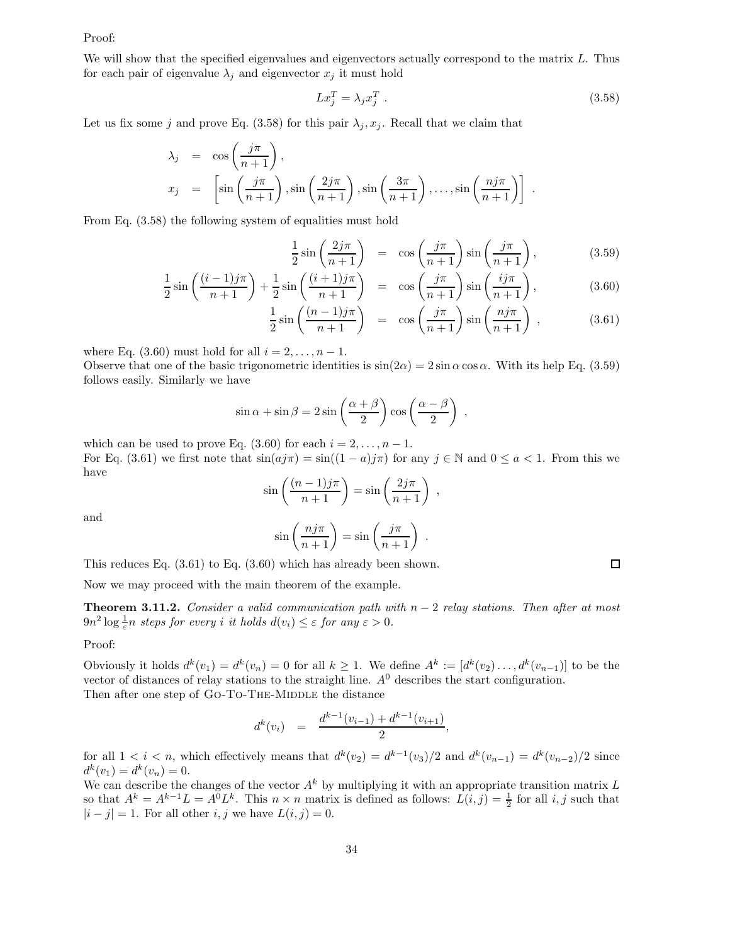## Proof:

We will show that the specified eigenvalues and eigenvectors actually correspond to the matrix  $L$ . Thus for each pair of eigenvalue  $\lambda_j$  and eigenvector  $x_j$  it must hold

$$
Lx_j^T = \lambda_j x_j^T \tag{3.58}
$$

Let us fix some j and prove Eq. (3.58) for this pair  $\lambda_j, x_j$ . Recall that we claim that

1 2

$$
\lambda_j = \cos\left(\frac{j\pi}{n+1}\right),
$$
  
\n
$$
x_j = \left[\sin\left(\frac{j\pi}{n+1}\right), \sin\left(\frac{2j\pi}{n+1}\right), \sin\left(\frac{3\pi}{n+1}\right), \dots, \sin\left(\frac{n j\pi}{n+1}\right)\right].
$$

From Eq. (3.58) the following system of equalities must hold

$$
\sin\left(\frac{2j\pi}{n+1}\right) = \cos\left(\frac{j\pi}{n+1}\right)\sin\left(\frac{j\pi}{n+1}\right),\tag{3.59}
$$

$$
\frac{1}{2}\sin\left(\frac{(i-1)j\pi}{n+1}\right) + \frac{1}{2}\sin\left(\frac{(i+1)j\pi}{n+1}\right) = \cos\left(\frac{j\pi}{n+1}\right)\sin\left(\frac{ij\pi}{n+1}\right),\tag{3.60}
$$

$$
\frac{1}{2}\sin\left(\frac{(n-1)j\pi}{n+1}\right) = \cos\left(\frac{j\pi}{n+1}\right)\sin\left(\frac{n j\pi}{n+1}\right),\tag{3.61}
$$

where Eq.  $(3.60)$  must hold for all  $i = 2, \ldots, n - 1$ .

Observe that one of the basic trigonometric identities is  $\sin(2\alpha) = 2 \sin \alpha \cos \alpha$ . With its help Eq. (3.59) follows easily. Similarly we have

$$
\sin \alpha + \sin \beta = 2 \sin \left( \frac{\alpha + \beta}{2} \right) \cos \left( \frac{\alpha - \beta}{2} \right) ,
$$

which can be used to prove Eq.  $(3.60)$  for each  $i = 2, \ldots, n - 1$ . For Eq. (3.61) we first note that  $sin(aj\pi) = sin((1 - a)j\pi)$  for any  $j \in \mathbb{N}$  and  $0 \le a < 1$ . From this we have

$$
\sin\left(\frac{(n-1)j\pi}{n+1}\right) = \sin\left(\frac{2j\pi}{n+1}\right) ,
$$

and

$$
\sin\left(\frac{n j \pi}{n+1}\right) = \sin\left(\frac{j \pi}{n+1}\right) .
$$

This reduces Eq. (3.61) to Eq. (3.60) which has already been shown.

Now we may proceed with the main theorem of the example.

**Theorem 3.11.2.** Consider a valid communication path with  $n-2$  relay stations. Then after at most  $9n^2 \log \frac{1}{\varepsilon} n$  steps for every i it holds  $d(v_i) \leq \varepsilon$  for any  $\varepsilon > 0$ .

Proof:

Obviously it holds  $d^k(v_1) = d^k(v_n) = 0$  for all  $k \geq 1$ . We define  $A^k := [d^k(v_2) \dots, d^k(v_{n-1})]$  to be the vector of distances of relay stations to the straight line.  $A<sup>0</sup>$  describes the start configuration. Then after one step of GO-TO-THE-MIDDLE the distance

$$
d^k(v_i) = \frac{d^{k-1}(v_{i-1}) + d^{k-1}(v_{i+1})}{2},
$$

for all  $1 < i < n$ , which effectively means that  $d^k(v_2) = d^{k-1}(v_3)/2$  and  $d^k(v_{n-1}) = d^k(v_{n-2})/2$  since  $d^k(v_1) = d^k(v_n) = 0.$ 

We can describe the changes of the vector  $A^k$  by multiplying it with an appropriate transition matrix L so that  $A^k = A^{k-1}L = A^0L^k$ . This  $n \times n$  matrix is defined as follows:  $L(i, j) = \frac{1}{2}$  for all  $i, j$  such that  $|i - j| = 1$ . For all other i, j we have  $L(i, j) = 0$ .

 $\Box$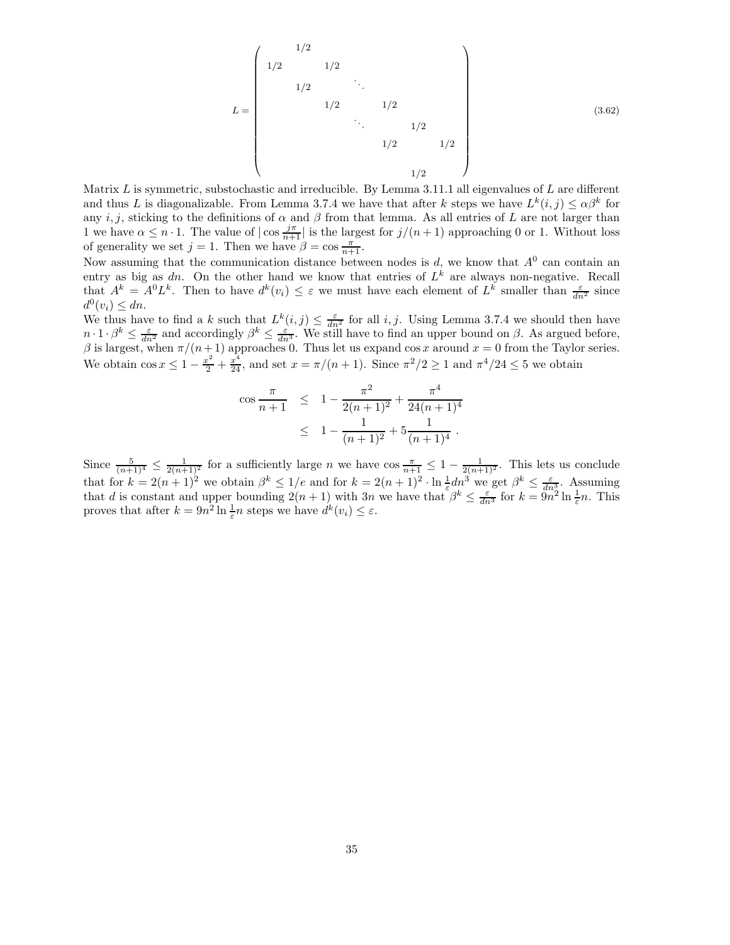L = 0 BBBBBBBBBBBBBBBBB@ 1/2 1/2 1/2 1/2 . . . 1/2 1/2 . . . 1/2 1/2 1/2 1/2 1 CCCCCCCCCCCCCCCCCA (3.62)

Matrix  $L$  is symmetric, substochastic and irreducible. By Lemma 3.11.1 all eigenvalues of  $L$  are different and thus L is diagonalizable. From Lemma 3.7.4 we have that after k steps we have  $L^k(i,j) \leq \alpha \beta^k$  for any i, j, sticking to the definitions of  $\alpha$  and  $\beta$  from that lemma. As all entries of L are not larger than 1 we have  $\alpha \leq n \cdot 1$ . The value of  $|\cos \frac{j\pi}{n+1}|$  is the largest for  $j/(n+1)$  approaching 0 or 1. Without loss of generality we set  $j = 1$ . Then we have  $\beta = \cos \frac{\pi}{n+1}$ .

Now assuming that the communication distance between nodes is  $d$ , we know that  $A^0$  can contain an entry as big as dn. On the other hand we know that entries of  $L^k$  are always non-negative. Recall that  $A^k = A^0 L^k$ . Then to have  $d^k(v_i) \leq \varepsilon$  we must have each element of  $L^k$  smaller than  $\frac{\varepsilon}{dn^2}$  since  $d^0(v_i) \leq dn.$ 

We thus have to find a k such that  $L^k(i,j) \leq \frac{\varepsilon}{dn^2}$  for all  $i, j$ . Using Lemma 3.7.4 we should then have  $n \cdot 1 \cdot \beta^k \leq \frac{\varepsilon}{dn^2}$  and accordingly  $\beta^k \leq \frac{\varepsilon}{dn^3}$ . We still have to find an upper bound on  $\beta$ . As argued before, β is largest, when  $\pi/(n+1)$  approaches 0. Thus let us expand cos x around  $x = 0$  from the Taylor series. We obtain  $\cos x \leq 1 - \frac{x^2}{2} + \frac{x^4}{24}$ , and set  $x = \pi/(n+1)$ . Since  $\pi^2/2 \geq 1$  and  $\pi^4/24 \leq 5$  we obtain

$$
\cos \frac{\pi}{n+1} \leq 1 - \frac{\pi^2}{2(n+1)^2} + \frac{\pi^4}{24(n+1)^4}
$$
  

$$
\leq 1 - \frac{1}{(n+1)^2} + 5\frac{1}{(n+1)^4}.
$$

Since  $\frac{5}{(n+1)^4} \leq \frac{1}{2(n+1)^2}$  for a sufficiently large n we have  $\cos \frac{\pi}{n+1} \leq 1 - \frac{1}{2(n+1)^2}$ . This lets us conclude that for  $k = 2(n+1)^2$  we obtain  $\beta^k \leq 1/e$  and for  $k = 2(n+1)^2 \cdot \ln \frac{1}{\varepsilon} dn^3$  we get  $\beta^k \leq \frac{\varepsilon}{dn_0^3}$ . Assuming that d is constant and upper bounding  $2(n+1)$  with 3n we have that  $\beta^k \leq \frac{\varepsilon}{dn^3}$  for  $k = \frac{\varepsilon}{9n^2} \ln \frac{1}{\varepsilon} n$ . This proves that after  $k = 9n^2 \ln \frac{1}{\varepsilon} n$  steps we have  $d^k(v_i) \leq \varepsilon$ .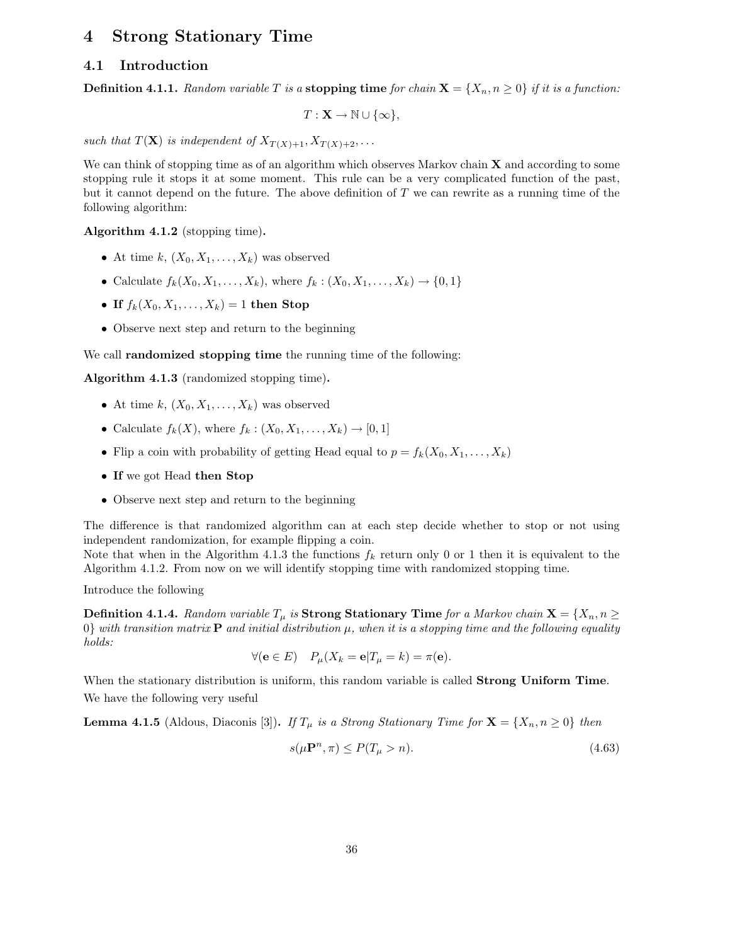# 4 Strong Stationary Time

# 4.1 Introduction

**Definition 4.1.1.** Random variable T is a **stopping time** for chain  $X = \{X_n, n \geq 0\}$  if it is a function:

$$
T:\mathbf{X}\to\mathbb{N}\cup\{\infty\},\
$$

such that  $T(\mathbf{X})$  is independent of  $X_{T(X)+1}, X_{T(X)+2}, \ldots$ 

We can think of stopping time as of an algorithm which observes Markov chain  $X$  and according to some stopping rule it stops it at some moment. This rule can be a very complicated function of the past, but it cannot depend on the future. The above definition of  $T$  we can rewrite as a running time of the following algorithm:

Algorithm 4.1.2 (stopping time).

- At time k,  $(X_0, X_1, \ldots, X_k)$  was observed
- Calculate  $f_k(X_0, X_1, ..., X_k)$ , where  $f_k : (X_0, X_1, ..., X_k) \to \{0, 1\}$
- If  $f_k(X_0, X_1, \ldots, X_k) = 1$  then Stop
- Observe next step and return to the beginning

We call **randomized stopping time** the running time of the following:

Algorithm 4.1.3 (randomized stopping time).

- At time  $k, (X_0, X_1, \ldots, X_k)$  was observed
- Calculate  $f_k(X)$ , where  $f_k: (X_0, X_1, \ldots, X_k) \to [0, 1]$
- Flip a coin with probability of getting Head equal to  $p = f_k(X_0, X_1, \ldots, X_k)$
- If we got Head then Stop
- Observe next step and return to the beginning

The difference is that randomized algorithm can at each step decide whether to stop or not using independent randomization, for example flipping a coin.

Note that when in the Algorithm 4.1.3 the functions  $f_k$  return only 0 or 1 then it is equivalent to the Algorithm 4.1.2. From now on we will identify stopping time with randomized stopping time.

Introduce the following

**Definition 4.1.4.** Random variable  $T_{\mu}$  is **Strong Stationary Time** for a Markov chain  $\mathbf{X} = \{X_n, n \geq 0\}$ 0} with transition matrix **P** and initial distribution  $\mu$ , when it is a stopping time and the following equality holds:

$$
\forall (\mathbf{e} \in E) \quad P_{\mu}(X_k = \mathbf{e} | T_{\mu} = k) = \pi(\mathbf{e}).
$$

When the stationary distribution is uniform, this random variable is called **Strong Uniform Time**. We have the following very useful

**Lemma 4.1.5** (Aldous, Diaconis [3]). If  $T_{\mu}$  is a Strong Stationary Time for  $X = \{X_n, n \geq 0\}$  then

$$
s(\mu \mathbf{P}^n, \pi) \le P(T_\mu > n). \tag{4.63}
$$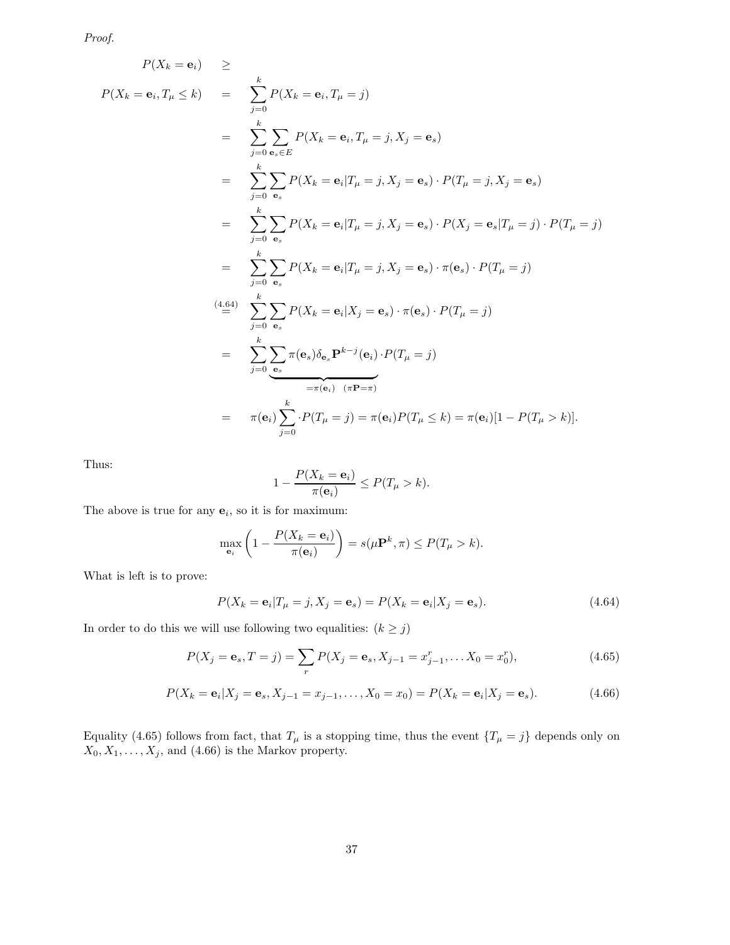Proof.

$$
P(X_k = \mathbf{e}_i, T_\mu \le k) = \sum_{j=0}^k P(X_k = \mathbf{e}_i, T_\mu = j)
$$
  
\n
$$
= \sum_{j=0}^k \sum_{\mathbf{e}_s \in E} P(X_k = \mathbf{e}_i, T_\mu = j, X_j = \mathbf{e}_s)
$$
  
\n
$$
= \sum_{j=0}^k \sum_{\mathbf{e}_s} P(X_k = \mathbf{e}_i | T_\mu = j, X_j = \mathbf{e}_s) \cdot P(T_\mu = j, X_j = \mathbf{e}_s)
$$
  
\n
$$
= \sum_{j=0}^k \sum_{\mathbf{e}_s} P(X_k = \mathbf{e}_i | T_\mu = j, X_j = \mathbf{e}_s) \cdot P(X_j = \mathbf{e}_s | T_\mu = j) \cdot P(T_\mu = j)
$$
  
\n
$$
= \sum_{j=0}^k \sum_{\mathbf{e}_s} P(X_k = \mathbf{e}_i | T_\mu = j, X_j = \mathbf{e}_s) \cdot \pi(\mathbf{e}_s) \cdot P(T_\mu = j)
$$
  
\n
$$
\stackrel{(4.64)}{=} \sum_{j=0}^k \sum_{\mathbf{e}_s} P(X_k = \mathbf{e}_i | X_j = \mathbf{e}_s) \cdot \pi(\mathbf{e}_s) \cdot P(T_\mu = j)
$$
  
\n
$$
= \sum_{j=0}^k \sum_{\mathbf{e}_s} \pi(\mathbf{e}_s) \delta_{\mathbf{e}_s} \mathbf{P}^{k-j}(\mathbf{e}_i) \cdot P(T_\mu = j)
$$
  
\n
$$
= \pi(\mathbf{e}_i) \sum_{j=0}^k \cdot P(T_\mu = j) = \pi(\mathbf{e}_i) P(T_\mu \le k) = \pi(\mathbf{e}_i) [1 - P(T_\mu > k)].
$$

Thus:

$$
1 - \frac{P(X_k = \mathbf{e}_i)}{\pi(\mathbf{e}_i)} \le P(T_\mu > k).
$$

The above is true for any  $e_i$ , so it is for maximum:

$$
\max_{\mathbf{e}_i} \left( 1 - \frac{P(X_k = \mathbf{e}_i)}{\pi(\mathbf{e}_i)} \right) = s(\mu \mathbf{P}^k, \pi) \le P(T_\mu > k).
$$

What is left is to prove:

$$
P(X_k = \mathbf{e}_i | T_\mu = j, X_j = \mathbf{e}_s) = P(X_k = \mathbf{e}_i | X_j = \mathbf{e}_s). \tag{4.64}
$$

In order to do this we will use following two equalities:  $(k\geq j)$ 

$$
P(X_j = \mathbf{e}_s, T = j) = \sum_r P(X_j = \mathbf{e}_s, X_{j-1} = x_{j-1}^r, \dots X_0 = x_0^r),
$$
\n(4.65)

$$
P(X_k = \mathbf{e}_i | X_j = \mathbf{e}_s, X_{j-1} = x_{j-1}, \dots, X_0 = x_0) = P(X_k = \mathbf{e}_i | X_j = \mathbf{e}_s). \tag{4.66}
$$

Equality (4.65) follows from fact, that  $T_{\mu}$  is a stopping time, thus the event  $\{T_{\mu} = j\}$  depends only on  $X_0, X_1, \ldots, X_j$ , and  $(4.66)$  is the Markov property.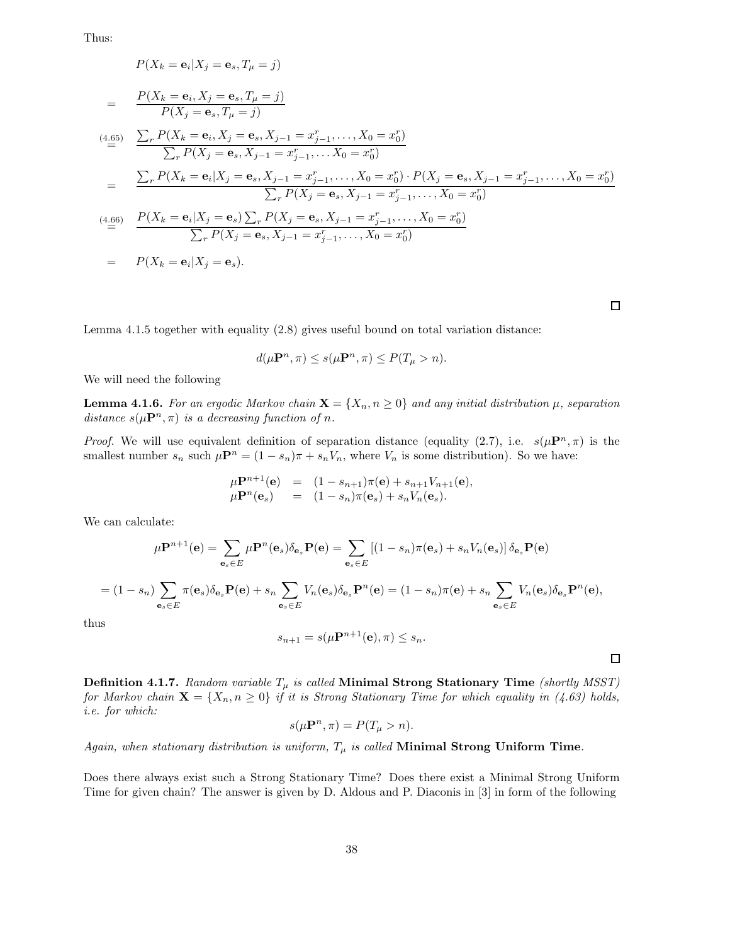Thus:

$$
P(X_k = \mathbf{e}_i | X_j = \mathbf{e}_s, T_\mu = j)
$$
  
= 
$$
\frac{P(X_k = \mathbf{e}_i, X_j = \mathbf{e}_s, T_\mu = j)}{P(X_j = \mathbf{e}_s, T_\mu = j)}
$$
  
(4.65) 
$$
\sum_r P(X_k = \mathbf{e}_i, X_j = \mathbf{e}_s, X_{j-1} = x_{j-1}^r, \dots, X_0 = x_0^r)
$$

$$
\sum_r P(X_k = \mathbf{e}_i | X_j = \mathbf{e}_s, X_{j-1} = x_{j-1}^r, \dots, X_0 = x_0^r)
$$

$$
= \frac{\sum_r P(X_k = \mathbf{e}_i | X_j = \mathbf{e}_s, X_{j-1} = x_{j-1}^r, \dots, X_0 = x_0^r) \cdot P(X_j = \mathbf{e}_s, X_{j-1} = x_{j-1}^r, \dots, X_0 = x_0^r)}{\sum_r P(X_j = \mathbf{e}_s, X_{j-1} = x_{j-1}^r, \dots, X_0 = x_0^r)}
$$
  
(4.66) 
$$
\frac{P(X_k = \mathbf{e}_i | X_j = \mathbf{e}_s) \sum_r P(X_j = \mathbf{e}_s, X_{j-1} = x_{j-1}^r, \dots, X_0 = x_0^r)}{\sum_r P(X_j = \mathbf{e}_s, X_{j-1} = x_{j-1}^r, \dots, X_0 = x_0^r)}
$$

$$
= P(X_k = \mathbf{e}_i | X_j = \mathbf{e}_s).
$$

 $\Box$ 

 $\Box$ 

Lemma 4.1.5 together with equality (2.8) gives useful bound on total variation distance:

$$
d(\mu \mathbf{P}^n, \pi) \leq s(\mu \mathbf{P}^n, \pi) \leq P(T_{\mu} > n).
$$

We will need the following

**Lemma 4.1.6.** For an ergodic Markov chain  $\mathbf{X} = \{X_n, n \geq 0\}$  and any initial distribution  $\mu$ , separation distance  $s(\mu \mathbf{P}^n, \pi)$  is a decreasing function of n.

*Proof.* We will use equivalent definition of separation distance (equality (2.7), i.e.  $s(\mu \mathbf{P}^n, \pi)$  is the smallest number  $s_n$  such  $\mu \mathbf{P}^n = (1 - s_n)\pi + s_n V_n$ , where  $V_n$  is some distribution). So we have:

$$
\mu \mathbf{P}^{n+1}(\mathbf{e}) = (1 - s_{n+1})\pi(\mathbf{e}) + s_{n+1}V_{n+1}(\mathbf{e}), \n\mu \mathbf{P}^{n}(\mathbf{e}_{s}) = (1 - s_{n})\pi(\mathbf{e}_{s}) + s_{n}V_{n}(\mathbf{e}_{s}).
$$

We can calculate:

$$
\mu \mathbf{P}^{n+1}(\mathbf{e}) = \sum_{\mathbf{e}_s \in E} \mu \mathbf{P}^n(\mathbf{e}_s) \delta_{\mathbf{e}_s} \mathbf{P}(\mathbf{e}) = \sum_{\mathbf{e}_s \in E} \left[ (1 - s_n) \pi(\mathbf{e}_s) + s_n V_n(\mathbf{e}_s) \right] \delta_{\mathbf{e}_s} \mathbf{P}(\mathbf{e})
$$
  
=  $(1 - s_n) \sum_{\mathbf{e}_s \in E} \pi(\mathbf{e}_s) \delta_{\mathbf{e}_s} \mathbf{P}(\mathbf{e}) + s_n \sum_{\mathbf{e}_s \in E} V_n(\mathbf{e}_s) \delta_{\mathbf{e}_s} \mathbf{P}^n(\mathbf{e}) = (1 - s_n) \pi(\mathbf{e}) + s_n \sum_{\mathbf{e}_s \in E} V_n(\mathbf{e}_s) \delta_{\mathbf{e}_s} \mathbf{P}^n(\mathbf{e}),$ 

thus

$$
s_{n+1} = s(\mu \mathbf{P}^{n+1}(\mathbf{e}), \pi) \le s_n.
$$

**Definition 4.1.7.** Random variable  $T_{\mu}$  is called Minimal Strong Stationary Time (shortly MSST) for Markov chain  $\mathbf{X} = \{X_n, n \geq 0\}$  if it is Strong Stationary Time for which equality in (4.63) holds, i.e. for which:

$$
s(\mu \mathbf{P}^n, \pi) = P(T_\mu > n).
$$

Again, when stationary distribution is uniform,  $T_{\mu}$  is called Minimal Strong Uniform Time.

Does there always exist such a Strong Stationary Time? Does there exist a Minimal Strong Uniform Time for given chain? The answer is given by D. Aldous and P. Diaconis in [3] in form of the following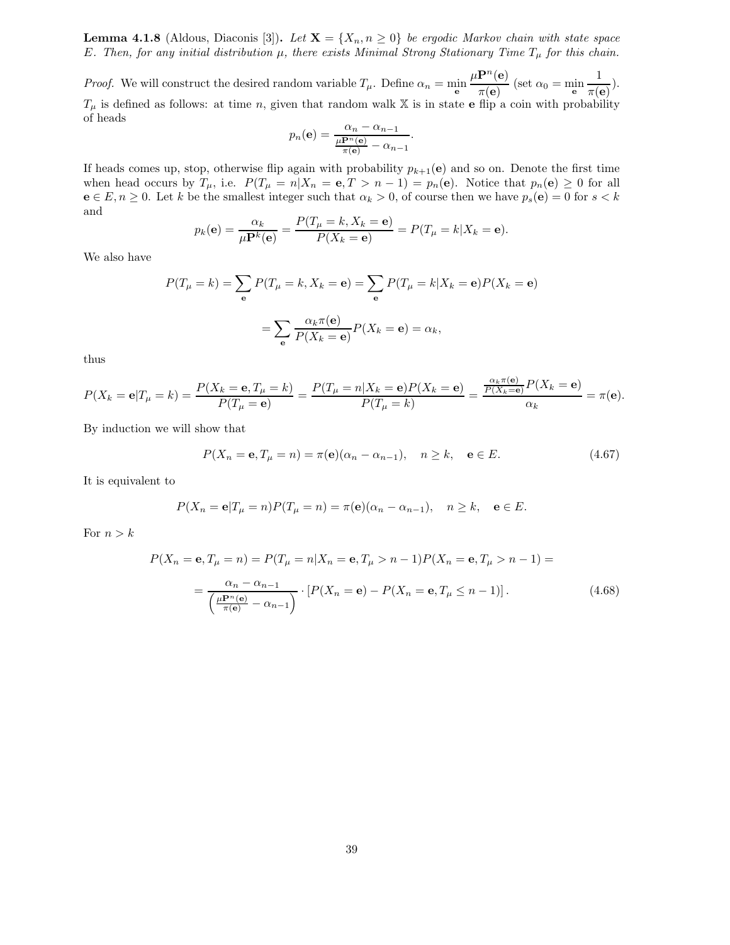**Lemma 4.1.8** (Aldous, Diaconis [3]). Let  $X = \{X_n, n \geq 0\}$  be ergodic Markov chain with state space E. Then, for any initial distribution  $\mu$ , there exists Minimal Strong Stationary Time  $T_{\mu}$  for this chain.

*Proof.* We will construct the desired random variable  $T_{\mu}$ . Define  $\alpha_n = \min_{\mathbf{e}}$  $\mu {\bf P}^n({\bf e})$  $\frac{\mathbf{m}(\mathbf{e})}{\pi(\mathbf{e})}$  (set  $\alpha_0 = \min_{\mathbf{e}}$ 1  $\frac{1}{\pi(e)}$ ).  $T_{\mu}$  is defined as follows: at time n, given that random walk X is in state e flip a coin with probability of heads

$$
p_n(\mathbf{e}) = \frac{\alpha_n - \alpha_{n-1}}{\frac{\mu \mathbf{P}^n(\mathbf{e})}{\pi(\mathbf{e})} - \alpha_{n-1}}.
$$

If heads comes up, stop, otherwise flip again with probability  $p_{k+1}(e)$  and so on. Denote the first time when head occurs by  $T_{\mu}$ , i.e.  $P(T_{\mu} = n | X_n = e, T > n - 1) = p_n(e)$ . Notice that  $p_n(e) \geq 0$  for all  $e \in E, n \ge 0$ . Let k be the smallest integer such that  $\alpha_k > 0$ , of course then we have  $p_s(e) = 0$  for  $s < k$ and

$$
p_k(\mathbf{e}) = \frac{\alpha_k}{\mu \mathbf{P}^k(\mathbf{e})} = \frac{P(T_\mu = k, X_k = \mathbf{e})}{P(X_k = \mathbf{e})} = P(T_\mu = k | X_k = \mathbf{e}).
$$

We also have

$$
P(T_{\mu} = k) = \sum_{\mathbf{e}} P(T_{\mu} = k, X_k = \mathbf{e}) = \sum_{\mathbf{e}} P(T_{\mu} = k | X_k = \mathbf{e}) P(X_k = \mathbf{e})
$$

$$
= \sum_{\mathbf{e}} \frac{\alpha_k \pi(\mathbf{e})}{P(X_k = \mathbf{e})} P(X_k = \mathbf{e}) = \alpha_k,
$$

thus

$$
P(X_k = \mathbf{e}|T_\mu = k) = \frac{P(X_k = \mathbf{e}, T_\mu = k)}{P(T_\mu = \mathbf{e})} = \frac{P(T_\mu = n|X_k = \mathbf{e})P(X_k = \mathbf{e})}{P(T_\mu = k)} = \frac{\frac{\alpha_k \pi(\mathbf{e})}{P(X_k = \mathbf{e})}P(X_k = \mathbf{e})}{\alpha_k} = \pi(\mathbf{e}).
$$

By induction we will show that

$$
P(X_n = \mathbf{e}, T_\mu = n) = \pi(\mathbf{e})(\alpha_n - \alpha_{n-1}), \quad n \ge k, \quad \mathbf{e} \in E. \tag{4.67}
$$

It is equivalent to

$$
P(X_n = \mathbf{e}|T_\mu = n)P(T_\mu = n) = \pi(\mathbf{e})(\alpha_n - \alpha_{n-1}), \quad n \ge k, \quad \mathbf{e} \in E.
$$

For  $n > k$ 

$$
P(X_n = \mathbf{e}, T_\mu = n) = P(T_\mu = n | X_n = \mathbf{e}, T_\mu > n - 1) P(X_n = \mathbf{e}, T_\mu > n - 1) =
$$
  
= 
$$
\frac{\alpha_n - \alpha_{n-1}}{\left(\frac{\mu \mathbf{P}^n(\mathbf{e})}{\pi(\mathbf{e})} - \alpha_{n-1}\right)} \cdot \left[P(X_n = \mathbf{e}) - P(X_n = \mathbf{e}, T_\mu \le n - 1)\right].
$$
 (4.68)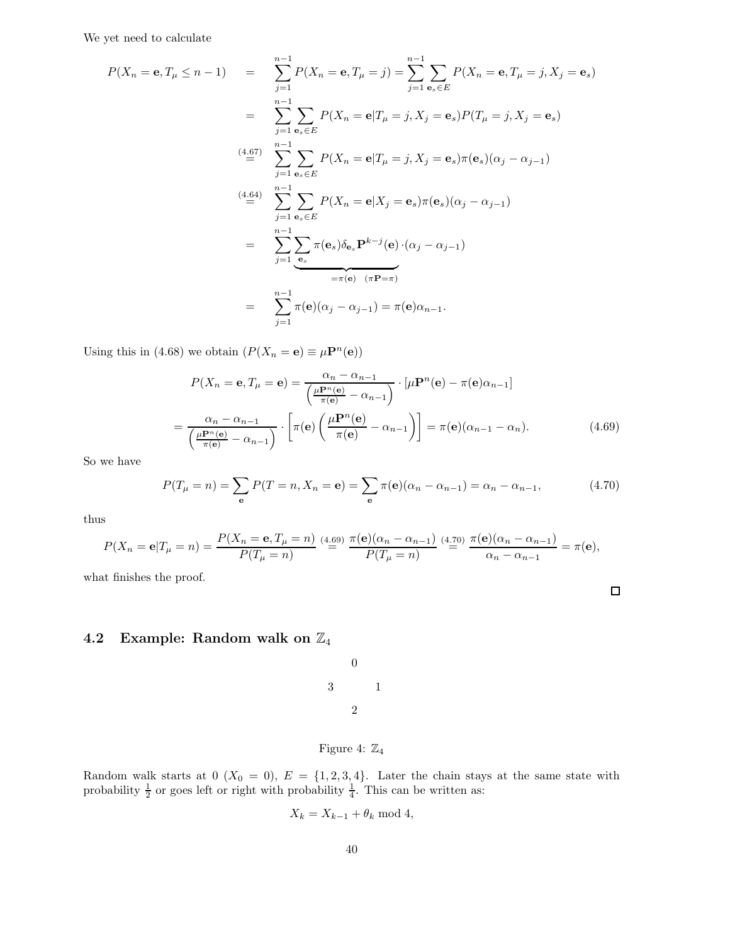We yet need to calculate

$$
P(X_n = \mathbf{e}, T_\mu \le n - 1) = \sum_{j=1}^{n-1} P(X_n = \mathbf{e}, T_\mu = j) = \sum_{j=1}^{n-1} \sum_{\mathbf{e}_s \in E} P(X_n = \mathbf{e}, T_\mu = j, X_j = \mathbf{e}_s)
$$
  
\n
$$
= \sum_{j=1}^{n-1} \sum_{\mathbf{e}_s \in E} P(X_n = \mathbf{e} | T_\mu = j, X_j = \mathbf{e}_s) P(T_\mu = j, X_j = \mathbf{e}_s)
$$
  
\n
$$
\stackrel{(4.67)}{=} \sum_{j=1}^{n-1} \sum_{\mathbf{e}_s \in E} P(X_n = \mathbf{e} | T_\mu = j, X_j = \mathbf{e}_s) \pi(\mathbf{e}_s) (\alpha_j - \alpha_{j-1})
$$
  
\n
$$
\stackrel{(4.64)}{=} \sum_{j=1}^{n-1} \sum_{\mathbf{e}_s \in E} P(X_n = \mathbf{e} | X_j = \mathbf{e}_s) \pi(\mathbf{e}_s) (\alpha_j - \alpha_{j-1})
$$
  
\n
$$
= \sum_{j=1}^{n-1} \sum_{\mathbf{e}_s} \pi(\mathbf{e}_s) \delta_{\mathbf{e}_s} \mathbf{P}^{k-j}(\mathbf{e}) \cdot (\alpha_j - \alpha_{j-1})
$$
  
\n
$$
= \pi(\mathbf{e}) \quad (\pi \mathbf{P} = \pi)
$$
  
\n
$$
= \sum_{j=1}^{n-1} \pi(\mathbf{e}) (\alpha_j - \alpha_{j-1}) = \pi(\mathbf{e}) \alpha_{n-1}.
$$

Using this in (4.68) we obtain  $(P(X_n = e) \equiv \mu \mathbf{P}^n(e))$ 

$$
P(X_n = \mathbf{e}, T_\mu = \mathbf{e}) = \frac{\alpha_n - \alpha_{n-1}}{\left(\frac{\mu \mathbf{P}^n(\mathbf{e})}{\pi(\mathbf{e})} - \alpha_{n-1}\right)} \cdot \left[\mu \mathbf{P}^n(\mathbf{e}) - \pi(\mathbf{e})\alpha_{n-1}\right]
$$

$$
= \frac{\alpha_n - \alpha_{n-1}}{\left(\frac{\mu \mathbf{P}^n(\mathbf{e})}{\pi(\mathbf{e})} - \alpha_{n-1}\right)} \cdot \left[\pi(\mathbf{e})\left(\frac{\mu \mathbf{P}^n(\mathbf{e})}{\pi(\mathbf{e})} - \alpha_{n-1}\right)\right] = \pi(\mathbf{e})(\alpha_{n-1} - \alpha_n). \tag{4.69}
$$

So we have

$$
P(T_{\mu} = n) = \sum_{\mathbf{e}} P(T = n, X_n = \mathbf{e}) = \sum_{\mathbf{e}} \pi(\mathbf{e})(\alpha_n - \alpha_{n-1}) = \alpha_n - \alpha_{n-1},
$$
(4.70)

 $\Box$ 

thus

$$
P(X_n = \mathbf{e}|T_{\mu} = n) = \frac{P(X_n = \mathbf{e}, T_{\mu} = n)}{P(T_{\mu} = n)} \stackrel{(4.69)}{=} \frac{\pi(\mathbf{e})(\alpha_n - \alpha_{n-1})}{P(T_{\mu} = n)} \stackrel{(4.70)}{=} \frac{\pi(\mathbf{e})(\alpha_n - \alpha_{n-1})}{\alpha_n - \alpha_{n-1}} = \pi(\mathbf{e}),
$$

what finishes the proof.

# 4.2 Example: Random walk on  $\mathbb{Z}_4$

|   | $\rm 0$        |   |
|---|----------------|---|
| 3 |                | 1 |
|   | $\overline{2}$ |   |
|   |                |   |

# Figure 4:  $\mathbb{Z}_4$

Random walk starts at  $0$   $(X_0 = 0)$ ,  $E = \{1, 2, 3, 4\}$ . Later the chain stays at the same state with probability  $\frac{1}{2}$  or goes left or right with probability  $\frac{1}{4}$ . This can be written as:

$$
X_k = X_{k-1} + \theta_k \text{ mod } 4,
$$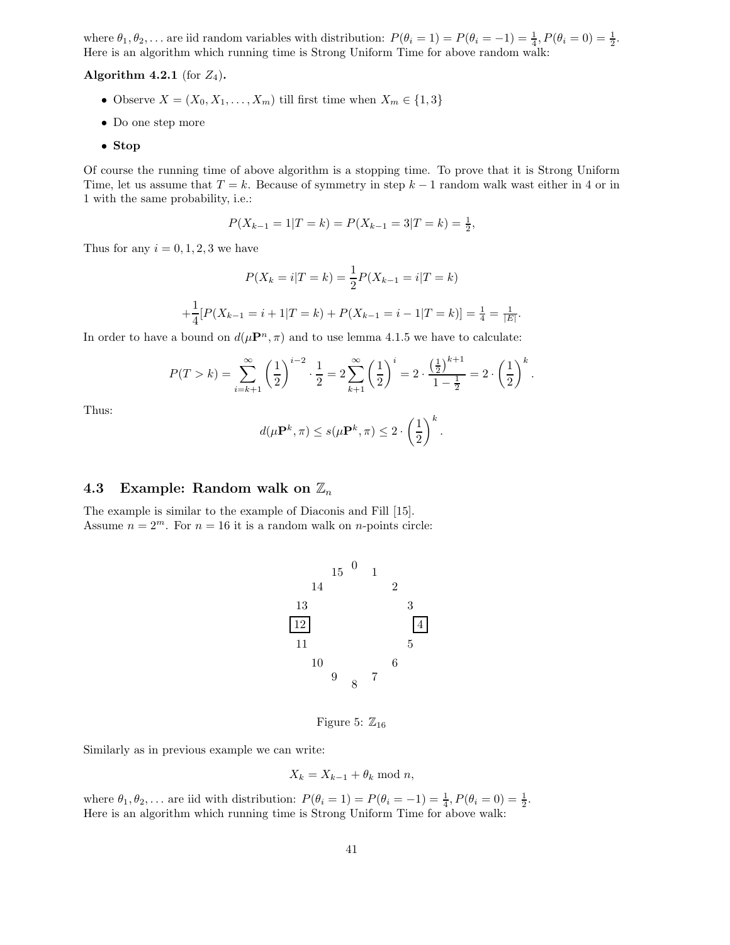where  $\theta_1, \theta_2, \ldots$  are iid random variables with distribution:  $P(\theta_i = 1) = P(\theta_i = -1) = \frac{1}{4}, P(\theta_i = 0) = \frac{1}{2}$ . Here is an algorithm which running time is Strong Uniform Time for above random walk:

### Algorithm 4.2.1 (for  $Z_4$ ).

- Observe  $X = (X_0, X_1, \ldots, X_m)$  till first time when  $X_m \in \{1,3\}$
- Do one step more
- Stop

Of course the running time of above algorithm is a stopping time. To prove that it is Strong Uniform Time, let us assume that  $T = k$ . Because of symmetry in step  $k - 1$  random walk wast either in 4 or in 1 with the same probability, i.e.:

$$
P(X_{k-1} = 1 | T = k) = P(X_{k-1} = 3 | T = k) = \frac{1}{2},
$$

Thus for any  $i = 0, 1, 2, 3$  we have

$$
P(X_k = i | T = k) = \frac{1}{2} P(X_{k-1} = i | T = k)
$$

$$
+ \frac{1}{4} [P(X_{k-1} = i + 1 | T = k) + P(X_{k-1} = i - 1 | T = k)] = \frac{1}{4} = \frac{1}{|E|}.
$$

In order to have a bound on  $d(\mu \mathbf{P}^n, \pi)$  and to use lemma 4.1.5 we have to calculate:

$$
P(T > k) = \sum_{i=k+1}^{\infty} \left(\frac{1}{2}\right)^{i-2} \cdot \frac{1}{2} = 2 \sum_{k=1}^{\infty} \left(\frac{1}{2}\right)^{i} = 2 \cdot \frac{\left(\frac{1}{2}\right)^{k+1}}{1 - \frac{1}{2}} = 2 \cdot \left(\frac{1}{2}\right)^{k}.
$$

Thus:

$$
d(\mu \mathbf{P}^k, \pi) \le s(\mu \mathbf{P}^k, \pi) \le 2 \cdot \left(\frac{1}{2}\right)^k.
$$

# 4.3 Example: Random walk on  $\mathbb{Z}_n$

The example is similar to the example of Diaconis and Fill [15]. Assume  $n = 2^m$ . For  $n = 16$  it is a random walk on *n*-points circle:



Figure 5:  $\mathbb{Z}_{16}$ 

Similarly as in previous example we can write:

$$
X_k = X_{k-1} + \theta_k \bmod n,
$$

where  $\theta_1, \theta_2, \ldots$  are iid with distribution:  $P(\theta_i = 1) = P(\theta_i = -1) = \frac{1}{4}, P(\theta_i = 0) = \frac{1}{2}$ . Here is an algorithm which running time is Strong Uniform Time for above walk: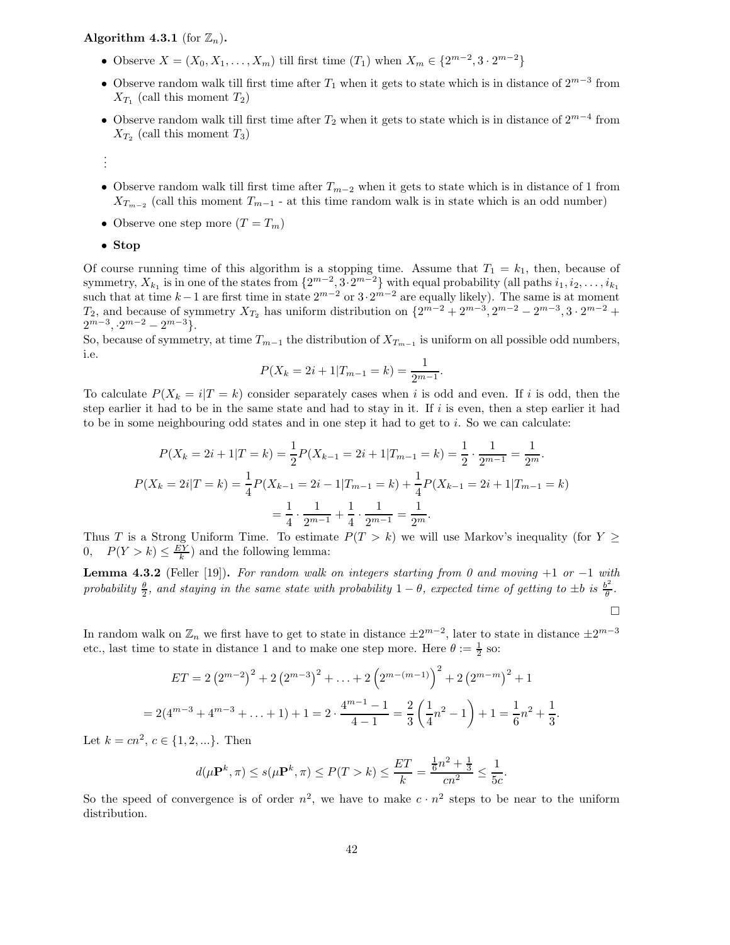## Algorithm 4.3.1 (for  $\mathbb{Z}_n$ ).

- Observe  $X = (X_0, X_1, \dots, X_m)$  till first time  $(T_1)$  when  $X_m \in \{2^{m-2}, 3 \cdot 2^{m-2}\}\$
- Observe random walk till first time after  $T_1$  when it gets to state which is in distance of  $2^{m-3}$  from  $X_{T_1}$  (call this moment  $T_2$ )
- Observe random walk till first time after  $T_2$  when it gets to state which is in distance of  $2^{m-4}$  from  $X_{T_2}$  (call this moment  $T_3$ )
- . . .
- Observe random walk till first time after  $T_{m-2}$  when it gets to state which is in distance of 1 from  $X_{T_{m-2}}$  (call this moment  $T_{m-1}$  - at this time random walk is in state which is an odd number)
- Observe one step more  $(T = T_m)$

#### • Stop

Of course running time of this algorithm is a stopping time. Assume that  $T_1 = k_1$ , then, because of symmetry,  $X_{k_1}$  is in one of the states from  $\{2^{m-2}, 3 \cdot 2^{m-2}\}$  with equal probability (all paths  $i_1, i_2, \ldots, i_{k_1}$ such that at time  $k-1$  are first time in state  $2^{m-2}$  or  $3 \cdot 2^{m-2}$  are equally likely). The same is at moment  $T_2$ , and because of symmetry  $X_{T_2}$  has uniform distribution on  $\{2^{m-2}+2^{m-3}, 2^{m-2}-2^{m-3}, 3\cdot 2^{m-2}+\cdots\}$  $2^{m-3}, 2^{m-2} - 2^{m-3}$ .

So, because of symmetry, at time  $T_{m-1}$  the distribution of  $X_{T_{m-1}}$  is uniform on all possible odd numbers, i.e.

$$
P(X_k = 2i + 1 | T_{m-1} = k) = \frac{1}{2^{m-1}}.
$$

To calculate  $P(X_k = i|T = k)$  consider separately cases when i is odd and even. If i is odd, then the step earlier it had to be in the same state and had to stay in it. If  $i$  is even, then a step earlier it had to be in some neighbouring odd states and in one step it had to get to  $i$ . So we can calculate:

$$
P(X_k = 2i + 1|T = k) = \frac{1}{2}P(X_{k-1} = 2i + 1|T_{m-1} = k) = \frac{1}{2} \cdot \frac{1}{2^{m-1}} = \frac{1}{2^m}.
$$
  

$$
P(X_k = 2i|T = k) = \frac{1}{4}P(X_{k-1} = 2i - 1|T_{m-1} = k) + \frac{1}{4}P(X_{k-1} = 2i + 1|T_{m-1} = k)
$$

$$
= \frac{1}{4} \cdot \frac{1}{2^{m-1}} + \frac{1}{4} \cdot \frac{1}{2^{m-1}} = \frac{1}{2^m}.
$$

Thus T is a Strong Uniform Time. To estimate  $P(T > k)$  we will use Markov's inequality (for  $Y \geq$ 0,  $P(Y > k) \leq \frac{EY}{k}$  and the following lemma:

**Lemma 4.3.2** (Feller [19]). For random walk on integers starting from 0 and moving +1 or -1 with probability  $\frac{\theta}{2}$ , and staying in the same state with probability 1 –  $\theta$ , expected time of getting to  $\pm b$  is  $\frac{b^2}{\theta}$  $\frac{\partial^2}{\partial}$ .  $\Box$ 

In random walk on  $\mathbb{Z}_n$  we first have to get to state in distance  $\pm 2^{m-2}$ , later to state in distance  $\pm 2^{m-3}$ etc., last time to state in distance 1 and to make one step more. Here  $\theta := \frac{1}{2}$  so:

$$
ET = 2(2^{m-2})^2 + 2(2^{m-3})^2 + \dots + 2(2^{m-(m-1)})^2 + 2(2^{m-m})^2 + 1
$$
  
= 2(4<sup>m-3</sup> + 4<sup>m-3</sup> + ... + 1) + 1 = 2 \cdot  $\frac{4^{m-1} - 1}{4 - 1} = \frac{2}{3} \left(\frac{1}{4}n^2 - 1\right) + 1 = \frac{1}{6}n^2 + \frac{1}{3}.$ 

Let  $k = cn^2, c \in \{1, 2, ...\}$ . Then

$$
d(\mu \mathbf{P}^k, \pi) \le s(\mu \mathbf{P}^k, \pi) \le P(T > k) \le \frac{ET}{k} = \frac{\frac{1}{6}n^2 + \frac{1}{3}}{cn^2} \le \frac{1}{5c}.
$$

So the speed of convergence is of order  $n^2$ , we have to make  $c \cdot n^2$  steps to be near to the uniform distribution.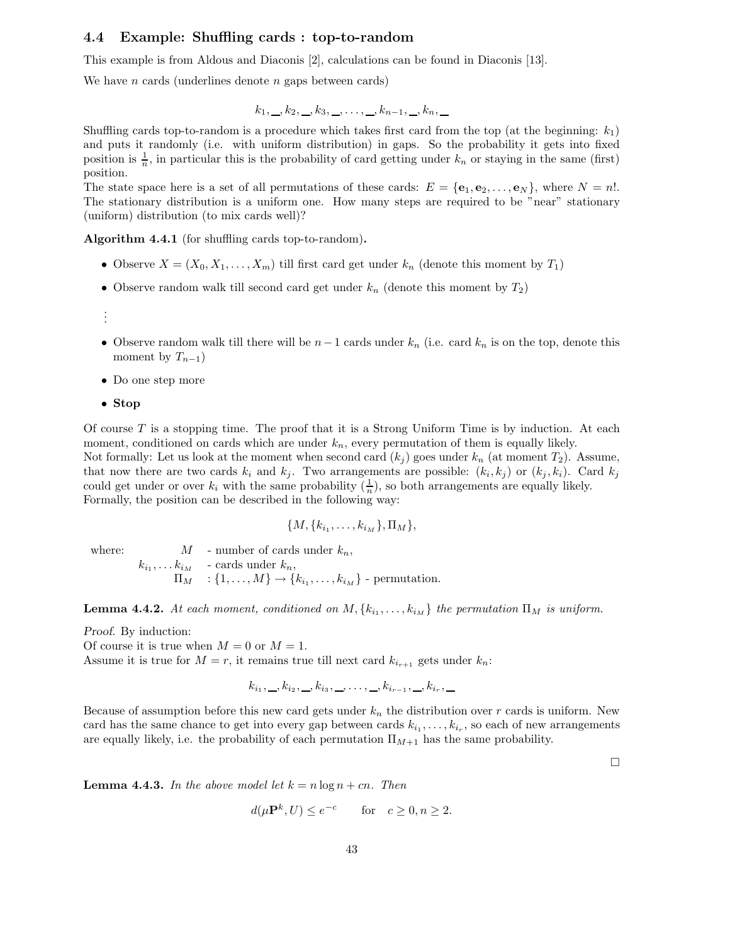## 4.4 Example: Shuffling cards : top-to-random

This example is from Aldous and Diaconis [2], calculations can be found in Diaconis [13].

We have *n* cards (underlines denote *n* gaps between cards)

$$
k_1, \ldots, k_2, \ldots, k_3, \ldots, \ldots, k_{n-1}, \ldots, k_n, \ldots
$$

Shuffling cards top-to-random is a procedure which takes first card from the top (at the beginning:  $k_1$ ) and puts it randomly (i.e. with uniform distribution) in gaps. So the probability it gets into fixed position is  $\frac{1}{n}$ , in particular this is the probability of card getting under  $k_n$  or staying in the same (first) position.

The state space here is a set of all permutations of these cards:  $E = {\bf{e}_1, e_2, \ldots, e_N}$ , where  $N = n!$ . The stationary distribution is a uniform one. How many steps are required to be "near" stationary (uniform) distribution (to mix cards well)?

Algorithm 4.4.1 (for shuffling cards top-to-random).

- Observe  $X = (X_0, X_1, \ldots, X_m)$  till first card get under  $k_n$  (denote this moment by  $T_1$ )
- Observe random walk till second card get under  $k_n$  (denote this moment by  $T_2$ )
- . . .
- Observe random walk till there will be  $n-1$  cards under  $k_n$  (i.e. card  $k_n$  is on the top, denote this moment by  $T_{n-1}$ )
- Do one step more
- Stop

Of course  $T$  is a stopping time. The proof that it is a Strong Uniform Time is by induction. At each moment, conditioned on cards which are under  $k_n$ , every permutation of them is equally likely. Not formally: Let us look at the moment when second card  $(k_j)$  goes under  $k_n$  (at moment  $T_2$ ). Assume, that now there are two cards  $k_i$  and  $k_j$ . Two arrangements are possible:  $(k_i, k_j)$  or  $(k_j, k_i)$ . Card  $k_j$ could get under or over  $k_i$  with the same probability  $(\frac{1}{n})$ , so both arrangements are equally likely. Formally, the position can be described in the following way:

$$
\{M, \{k_{i_1}, \ldots, k_{i_M}\}, \Pi_M\},\
$$

where:  $M$  - number of cards under  $k_n$ ,  $k_{i_1}, \ldots k_{i_M}$  - cards under  $k_n$ ,  $\Pi_M$  :  $\{1, \ldots, M\} \rightarrow \{k_{i_1}, \ldots, k_{i_M}\}$  - permutation.

**Lemma 4.4.2.** At each moment, conditioned on  $M, \{k_{i_1}, \ldots, k_{i_M}\}\$  the permutation  $\Pi_M$  is uniform.

Proof. By induction:

Of course it is true when  $M = 0$  or  $M = 1$ .

Assume it is true for  $M = r$ , it remains true till next card  $k_{i_{r+1}}$  gets under  $k_n$ :

$$
k_{i_1}, \_, k_{i_2}, \_, k_{i_3}, \_, \ldots, \_, k_{i_{r-1}}, \_, k_{i_r}, \_
$$

Because of assumption before this new card gets under  $k_n$  the distribution over r cards is uniform. New card has the same chance to get into every gap between cards  $k_{i_1}, \ldots, k_{i_r}$ , so each of new arrangements are equally likely, i.e. the probability of each permutation  $\Pi_{M+1}$  has the same probability.

 $\Box$ 

**Lemma 4.4.3.** In the above model let  $k = n \log n + cn$ . Then

$$
d(\mu \mathbf{P}^k, U) \le e^{-c} \quad \text{for} \quad c \ge 0, n \ge 2.
$$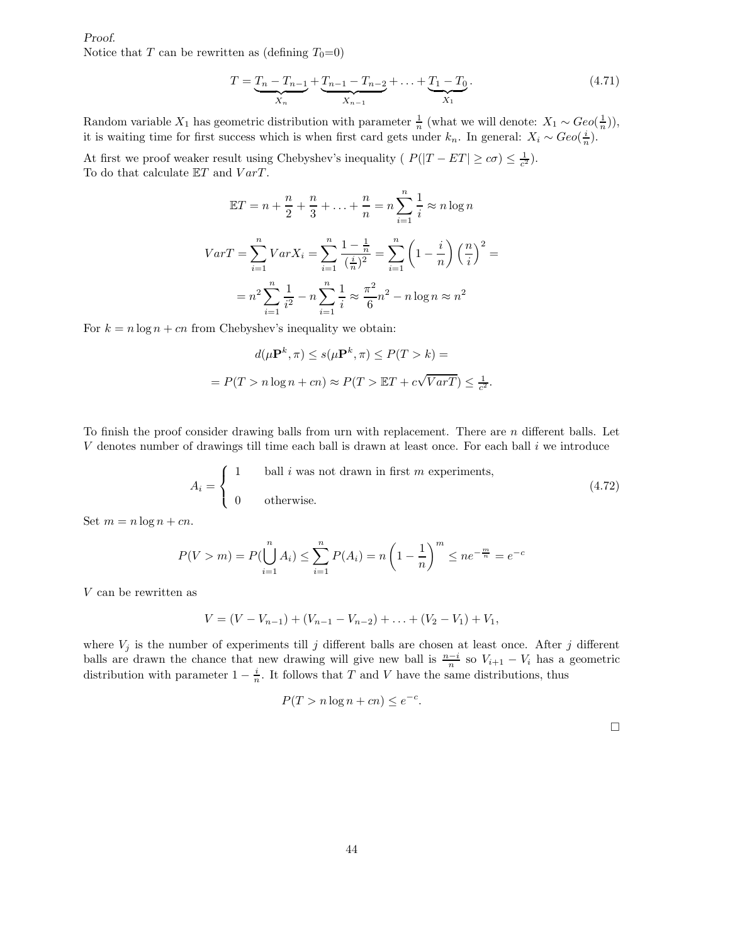Proof. Notice that T can be rewritten as (defining  $T_0=0$ )

$$
T = \underbrace{T_n - T_{n-1}}_{X_n} + \underbrace{T_{n-1} - T_{n-2}}_{X_{n-1}} + \dots + \underbrace{T_1 - T_0}_{X_1}.
$$
\n(4.71)

Random variable  $X_1$  has geometric distribution with parameter  $\frac{1}{n}$  (what we will denote:  $X_1 \sim Geo(\frac{1}{n})$ ), it is waiting time for first success which is when first card gets under  $k_n$ . In general:  $X_i \sim Geo(\frac{i}{n})$ .

At first we proof weaker result using Chebyshev's inequality ( $P(|T - ET| \geq c\sigma) \leq \frac{1}{c^2}$ ). To do that calculate  $ET$  and  $VarT$ .

$$
\mathbb{E}T = n + \frac{n}{2} + \frac{n}{3} + \dots + \frac{n}{n} = n \sum_{i=1}^{n} \frac{1}{i} \approx n \log n
$$
  

$$
VarT = \sum_{i=1}^{n} VarX_i = \sum_{i=1}^{n} \frac{1 - \frac{1}{n}}{(\frac{i}{n})^2} = \sum_{i=1}^{n} \left(1 - \frac{i}{n}\right) \left(\frac{n}{i}\right)^2 =
$$
  

$$
= n^2 \sum_{i=1}^{n} \frac{1}{i^2} - n \sum_{i=1}^{n} \frac{1}{i} \approx \frac{\pi^2}{6} n^2 - n \log n \approx n^2
$$

For  $k = n \log n + cn$  from Chebyshev's inequality we obtain:

$$
d(\mu \mathbf{P}^k, \pi) \le s(\mu \mathbf{P}^k, \pi) \le P(T > k) =
$$
  
=  $P(T > n \log n + cn) \approx P(T > \mathbb{E}T + c\sqrt{VarT}) \le \frac{1}{c^2}.$ 

To finish the proof consider drawing balls from urn with replacement. There are  $n$  different balls. Let V denotes number of drawings till time each ball is drawn at least once. For each ball i we introduce

$$
A_i = \begin{cases} 1 & \text{ball } i \text{ was not drawn in first } m \text{ experiments,} \\ 0 & \text{otherwise.} \end{cases} \tag{4.72}
$$

Set  $m = n \log n + cn$ .

$$
P(V > m) = P(\bigcup_{i=1}^{n} A_i) \le \sum_{i=1}^{n} P(A_i) = n \left(1 - \frac{1}{n}\right)^m \le ne^{-\frac{m}{n}} = e^{-c}
$$

V can be rewritten as

$$
V = (V - V_{n-1}) + (V_{n-1} - V_{n-2}) + \ldots + (V_2 - V_1) + V_1,
$$

where  $V_j$  is the number of experiments till j different balls are chosen at least once. After j different balls are drawn the chance that new drawing will give new ball is  $\frac{n-i}{n}$  so  $V_{i+1} - V_i$  has a geometric distribution with parameter  $1 - \frac{i}{n}$ . It follows that T and V have the same distributions, thus

$$
P(T > n \log n + cn) \le e^{-c}.
$$

 $\Box$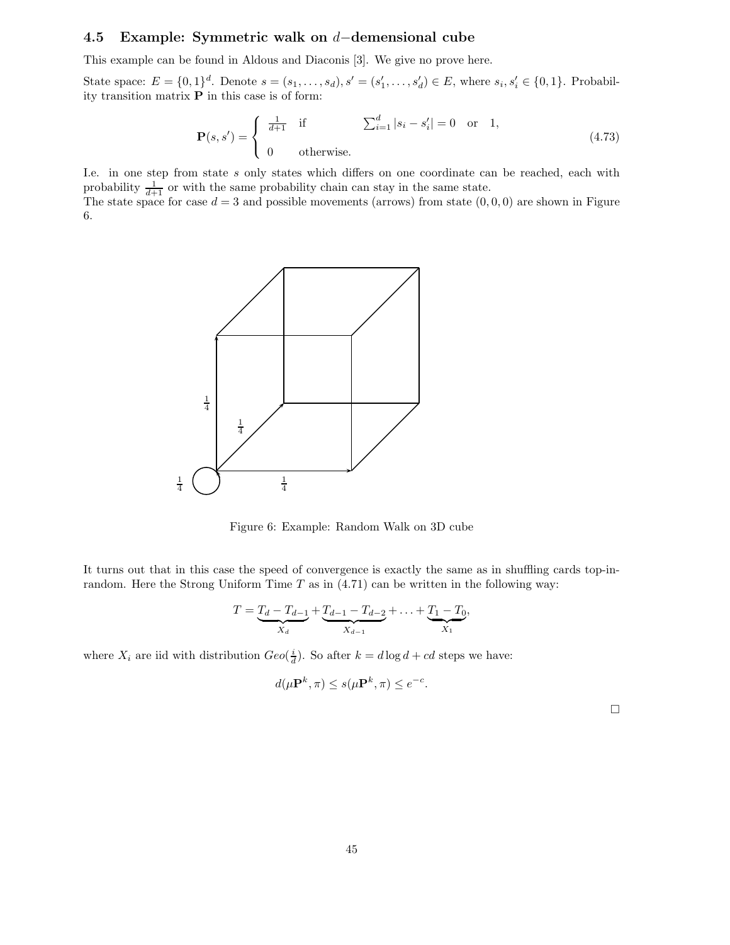# 4.5 Example: Symmetric walk on <sup>d</sup>−demensional cube

This example can be found in Aldous and Diaconis [3]. We give no prove here.

State space:  $E = \{0, 1\}^d$ . Denote  $s = (s_1, ..., s_d), s' = (s'_1, ..., s'_d) \in E$ , where  $s_i, s'_i \in \{0, 1\}$ . Probability transition matrix P in this case is of form:

$$
\mathbf{P}(s, s') = \begin{cases} \frac{1}{d+1} & \text{if} \quad \sum_{i=1}^{d} |s_i - s'_i| = 0 \quad \text{or} \quad 1, \\ 0 & \text{otherwise.} \end{cases} \tag{4.73}
$$

I.e. in one step from state s only states which differs on one coordinate can be reached, each with probability  $\frac{1}{d+1}$  or with the same probability chain can stay in the same state.

The state space for case  $d = 3$  and possible movements (arrows) from state  $(0, 0, 0)$  are shown in Figure 6.



Figure 6: Example: Random Walk on 3D cube

It turns out that in this case the speed of convergence is exactly the same as in shuffling cards top-inrandom. Here the Strong Uniform Time  $T$  as in  $(4.71)$  can be written in the following way:

$$
T = \underbrace{T_d - T_{d-1}}_{X_d} + \underbrace{T_{d-1} - T_{d-2}}_{X_{d-1}} + \dots + \underbrace{T_1 - T_0}_{X_1},
$$

where  $X_i$  are iid with distribution  $Geo(\frac{i}{d})$ . So after  $k = d \log d + cd$  steps we have:

$$
d(\mu \mathbf{P}^k, \pi) \le s(\mu \mathbf{P}^k, \pi) \le e^{-c}.
$$

 $\Box$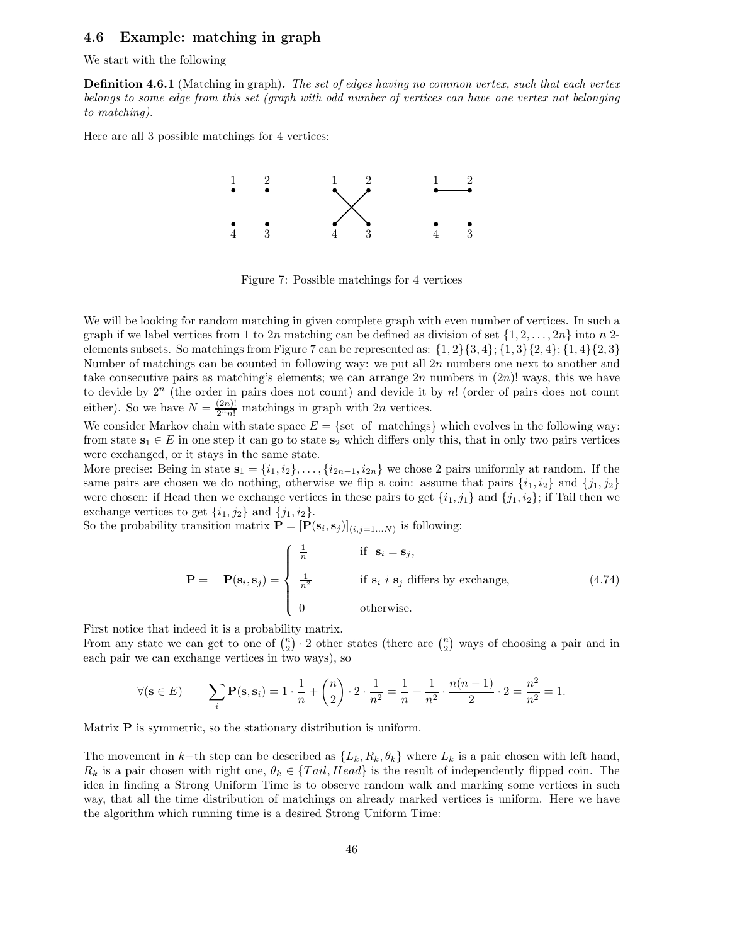## 4.6 Example: matching in graph

We start with the following

**Definition 4.6.1** (Matching in graph). The set of edges having no common vertex, such that each vertex belongs to some edge from this set (graph with odd number of vertices can have one vertex not belonging to matching).

Here are all 3 possible matchings for 4 vertices:



Figure 7: Possible matchings for 4 vertices

We will be looking for random matching in given complete graph with even number of vertices. In such a graph if we label vertices from 1 to 2n matching can be defined as division of set  $\{1, 2, \ldots, 2n\}$  into n 2elements subsets. So matchings from Figure 7 can be represented as:  $\{1, 2\}\{3, 4\}; \{1, 3\}\{2, 4\}; \{1, 4\}\{2, 3\}$ Number of matchings can be counted in following way: we put all  $2n$  numbers one next to another and take consecutive pairs as matching's elements; we can arrange  $2n$  numbers in  $(2n)!$  ways, this we have to devide by  $2^n$  (the order in pairs does not count) and devide it by n! (order of pairs does not count either). So we have  $N = \frac{(2n)!}{2^n n!}$  matchings in graph with 2n vertices.

We consider Markov chain with state space  $E = \{$ set of matchings $\}$  which evolves in the following way: from state  $s_1 \in E$  in one step it can go to state  $s_2$  which differs only this, that in only two pairs vertices were exchanged, or it stays in the same state.

More precise: Being in state  $s_1 = \{i_1, i_2\}, \ldots, \{i_{2n-1}, i_{2n}\}$  we chose 2 pairs uniformly at random. If the same pairs are chosen we do nothing, otherwise we flip a coin: assume that pairs  $\{i_1, i_2\}$  and  $\{j_1, j_2\}$ were chosen: if Head then we exchange vertices in these pairs to get  $\{i_1, j_1\}$  and  $\{j_1, i_2\}$ ; if Tail then we exchange vertices to get  $\{i_1, j_2\}$  and  $\{j_1, i_2\}$ .

So the probability transition matrix  $\mathbf{P} = [\mathbf{P}(\mathbf{s}_i, \mathbf{s}_j)]_{(i,j=1...N)}$  is following:

$$
\mathbf{P} = \mathbf{P}(\mathbf{s}_i, \mathbf{s}_j) = \begin{cases} \frac{1}{n} & \text{if } \mathbf{s}_i = \mathbf{s}_j, \\ \frac{1}{n^2} & \text{if } \mathbf{s}_i \text{ is } j \text{ differs by exchange,} \\ 0 & \text{otherwise.} \end{cases}
$$
(4.74)

First notice that indeed it is a probability matrix.

From any state we can get to one of  $\binom{n}{2} \cdot 2$  other states (there are  $\binom{n}{2}$  ways of choosing a pair and in each pair we can exchange vertices in two ways), so

$$
\forall (\mathbf{s} \in E) \qquad \sum_{i} \mathbf{P}(\mathbf{s}, \mathbf{s}_i) = 1 \cdot \frac{1}{n} + {n \choose 2} \cdot 2 \cdot \frac{1}{n^2} = \frac{1}{n} + \frac{1}{n^2} \cdot \frac{n(n-1)}{2} \cdot 2 = \frac{n^2}{n^2} = 1.
$$

Matrix  $P$  is symmetric, so the stationary distribution is uniform.

The movement in k−th step can be described as  $\{L_k, R_k, \theta_k\}$  where  $L_k$  is a pair chosen with left hand,  $R_k$  is a pair chosen with right one,  $\theta_k \in \{Tail, Head\}$  is the result of independently flipped coin. The idea in finding a Strong Uniform Time is to observe random walk and marking some vertices in such way, that all the time distribution of matchings on already marked vertices is uniform. Here we have the algorithm which running time is a desired Strong Uniform Time: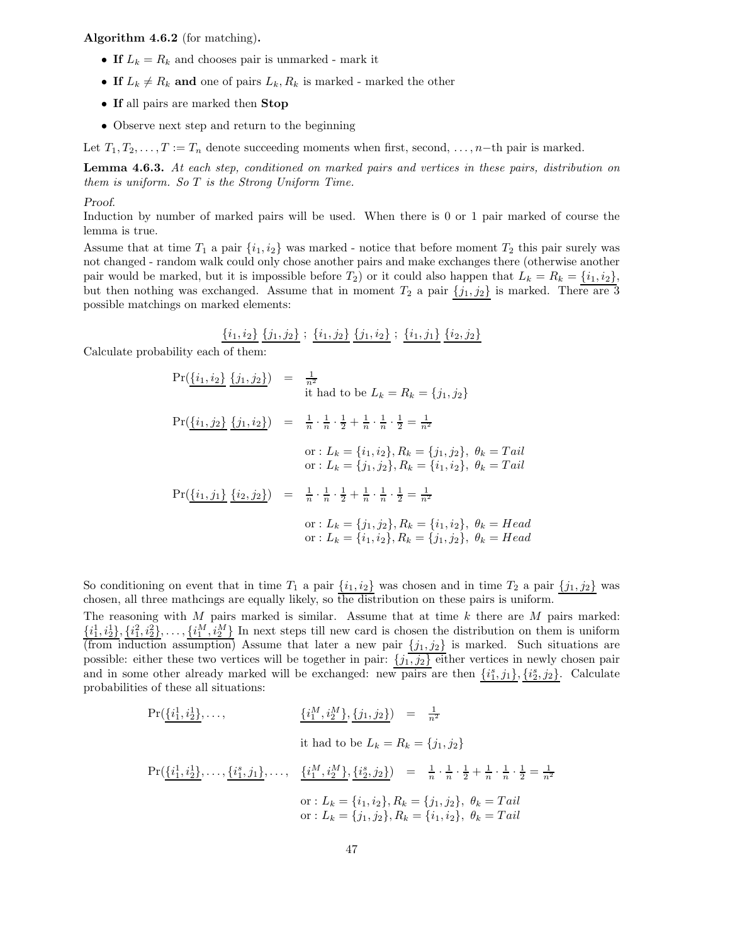Algorithm 4.6.2 (for matching).

- If  $L_k = R_k$  and chooses pair is unmarked mark it
- If  $L_k \neq R_k$  and one of pairs  $L_k, R_k$  is marked marked the other
- If all pairs are marked then Stop
- Observe next step and return to the beginning

Let  $T_1, T_2, \ldots, T := T_n$  denote succeeding moments when first, second,  $\ldots$ , n−th pair is marked.

Lemma 4.6.3. At each step, conditioned on marked pairs and vertices in these pairs, distribution on them is uniform. So T is the Strong Uniform Time.

### Proof.

Induction by number of marked pairs will be used. When there is 0 or 1 pair marked of course the lemma is true.

Assume that at time  $T_1$  a pair  $\{i_1, i_2\}$  was marked - notice that before moment  $T_2$  this pair surely was not changed - random walk could only chose another pairs and make exchanges there (otherwise another pair would be marked, but it is impossible before  $T_2$ ) or it could also happen that  $L_k = R_k = \{i_1, i_2\}$ , but then nothing was exchanged. Assume that in moment  $T_2$  a pair  $\{j_1, j_2\}$  is marked. There are 3 possible matchings on marked elements:

$$
\underline{\{i_1,i_2\}} \underline{\{j_1,j_2\}}; \underline{\{i_1,j_2\}} \underline{\{j_1,i_2\}}; \underline{\{i_1,j_1\}} \underline{\{i_2,j_2\}}
$$

Calculate probability each of them:

$$
\Pr(\{\underline{i_1}, \underline{i_2}\} \{\underline{j_1}, \underline{j_2}\}) = \frac{1}{n^2}
$$
  
it had to be  $L_k = R_k = \{j_1, j_2\}$   

$$
\Pr(\{\underline{i_1}, \underline{j_2}\} \{\underline{j_1}, \underline{i_2}\}) = \frac{1}{n} \cdot \frac{1}{n} \cdot \frac{1}{2} + \frac{1}{n} \cdot \frac{1}{n} \cdot \frac{1}{2} = \frac{1}{n^2}
$$
  
or:  $L_k = \{i_1, i_2\}, R_k = \{j_1, j_2\}, \theta_k = Tail$   
or:  $L_k = \{j_1, j_2\}, R_k = \{i_1, i_2\}, \theta_k = Tail$   

$$
\Pr(\{\underline{i_1}, \underline{j_1}\} \{\underline{i_2}, \underline{j_2}\}) = \frac{1}{n} \cdot \frac{1}{n} \cdot \frac{1}{2} + \frac{1}{n} \cdot \frac{1}{n} \cdot \frac{1}{2} = \frac{1}{n^2}
$$
  
or:  $L_k = \{j_1, j_2\}, R_k = \{i_1, i_2\}, \theta_k = Head$   
or:  $L_k = \{i_1, i_2\}, R_k = \{j_1, j_2\}, \theta_k = Head$ 

So conditioning on event that in time  $T_1$  a pair  $\{i_1, i_2\}$  was chosen and in time  $T_2$  a pair  $\{j_1, j_2\}$  was chosen, all three mathcings are equally likely, so the distribution on these pairs is uniform.

The reasoning with  $M$  pairs marked is similar. Assume that at time  $k$  there are  $M$  pairs marked:  $\{\underline{i}_1^1,\underline{i}_2^1\},\{\underline{i}_1^2,\underline{i}_2^2\},\ldots,\{\underline{i}_1^M,\underline{i}_2^M\}$  In next steps till new card is chosen the distribution on them is uniform (from induction assumption) Assume that later a new pair  $\{j_1, j_2\}$  is marked. Such situations are possible: either these two vertices will be together in pair:  $\{j_1, j_2\}$  either vertices in newly chosen pair and in some other already marked will be exchanged: new pairs are then  $\{\hat{i}_1^s, \hat{j}_1\}, \{\hat{i}_2^s, \hat{j}_2\}$ . Calculate probabilities of these all situations:

$$
\Pr(\{\underline{i_1^1}, \underline{i_2^1}\}, \dots, \qquad \{\underline{i_1^M}, \underline{i_2^M}\}, \{\underline{j_1}, \underline{j_2}\}) = \frac{1}{n^2}
$$
\nit had to be  $L_k = R_k = \{j_1, j_2\}$ 

\n
$$
\Pr(\{\underline{i_1^1}, \underline{i_2^1}\}, \dots, \{\underline{i_1^s}, \underline{j_1}\}, \dots, \{\underline{i_1^M}, \underline{i_2^M}\}, \{\underline{i_2^s}, \underline{j_2}\}) = \frac{1}{n} \cdot \frac{1}{n} \cdot \frac{1}{2} + \frac{1}{n} \cdot \frac{1}{n} \cdot \frac{1}{2} = \frac{1}{n^2}
$$
\nor:  $L_k = \{i_1, i_2\}, R_k = \{j_1, j_2\}, \theta_k = Tail$ 

\nor:  $L_k = \{j_1, j_2\}, R_k = \{i_1, i_2\}, \theta_k = Tail$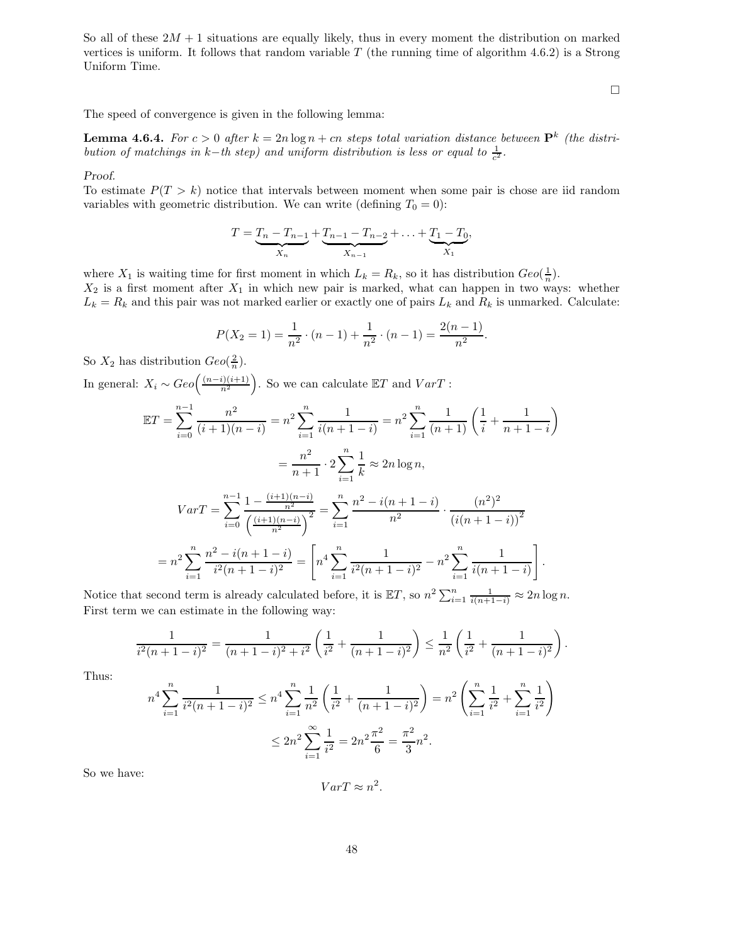So all of these  $2M + 1$  situations are equally likely, thus in every moment the distribution on marked vertices is uniform. It follows that random variable  $T$  (the running time of algorithm 4.6.2) is a Strong Uniform Time.

 $\Box$ 

The speed of convergence is given in the following lemma:

**Lemma 4.6.4.** For  $c > 0$  after  $k = 2n \log n + cn$  steps total variation distance between  $\mathbf{P}^k$  (the distribution of matchings in k-th step) and uniform distribution is less or equal to  $\frac{1}{c^2}$ .

### Proof.

To estimate  $P(T > k)$  notice that intervals between moment when some pair is chose are iid random variables with geometric distribution. We can write (defining  $T_0 = 0$ ):

$$
T = \underbrace{T_n - T_{n-1}}_{X_n} + \underbrace{T_{n-1} - T_{n-2}}_{X_{n-1}} + \dots + \underbrace{T_1 - T_0}_{X_1},
$$

where  $X_1$  is waiting time for first moment in which  $L_k = R_k$ , so it has distribution  $Geo(\frac{1}{n})$ .  $X_2$  is a first moment after  $X_1$  in which new pair is marked, what can happen in two ways: whether  $L_k = R_k$  and this pair was not marked earlier or exactly one of pairs  $L_k$  and  $R_k$  is unmarked. Calculate:

$$
P(X_2 = 1) = \frac{1}{n^2} \cdot (n-1) + \frac{1}{n^2} \cdot (n-1) = \frac{2(n-1)}{n^2}.
$$

So  $X_2$  has distribution  $Geo(\frac{2}{n})$ .

In general:  $X_i \sim Geo\left(\frac{(n-i)(i+1)}{n^2}\right)$ ). So we can calculate  $\mathbb{E}T$  and  $VarT$ :

$$
\mathbb{E}T = \sum_{i=0}^{n-1} \frac{n^2}{(i+1)(n-i)} = n^2 \sum_{i=1}^n \frac{1}{i(n+1-i)} = n^2 \sum_{i=1}^n \frac{1}{(n+1)} \left(\frac{1}{i} + \frac{1}{n+1-i}\right)
$$

$$
= \frac{n^2}{n+1} \cdot 2 \sum_{i=1}^n \frac{1}{k} \approx 2n \log n,
$$

$$
VarT = \sum_{i=0}^{n-1} \frac{1 - \frac{(i+1)(n-i)}{n^2}}{\left(\frac{(i+1)(n-i)}{n^2}\right)^2} = \sum_{i=1}^n \frac{n^2 - i(n+1-i)}{n^2} \cdot \frac{(n^2)^2}{(i(n+1-i))^2}
$$

$$
= n^2 \sum_{i=1}^n \frac{n^2 - i(n+1-i)}{i^2(n+1-i)^2} = \left[n^4 \sum_{i=1}^n \frac{1}{i^2(n+1-i)^2} - n^2 \sum_{i=1}^n \frac{1}{i(n+1-i)}\right].
$$

Notice that second term is already calculated before, it is  $\mathbb{E}T$ , so  $n^2 \sum_{i=1}^n \frac{1}{i(n+1-i)} \approx 2n \log n$ . First term we can estimate in the following way:

$$
\frac{1}{i^2(n+1-i)^2} = \frac{1}{(n+1-i)^2 + i^2} \left( \frac{1}{i^2} + \frac{1}{(n+1-i)^2} \right) \le \frac{1}{n^2} \left( \frac{1}{i^2} + \frac{1}{(n+1-i)^2} \right).
$$

Thus:

$$
n^4 \sum_{i=1}^n \frac{1}{i^2 (n+1-i)^2} \le n^4 \sum_{i=1}^n \frac{1}{n^2} \left( \frac{1}{i^2} + \frac{1}{(n+1-i)^2} \right) = n^2 \left( \sum_{i=1}^n \frac{1}{i^2} + \sum_{i=1}^n \frac{1}{i^2} \right)
$$
  

$$
\le 2n^2 \sum_{i=1}^\infty \frac{1}{i^2} = 2n^2 \frac{\pi^2}{6} = \frac{\pi^2}{3} n^2.
$$

So we have:

 $VarT \approx n^2$ .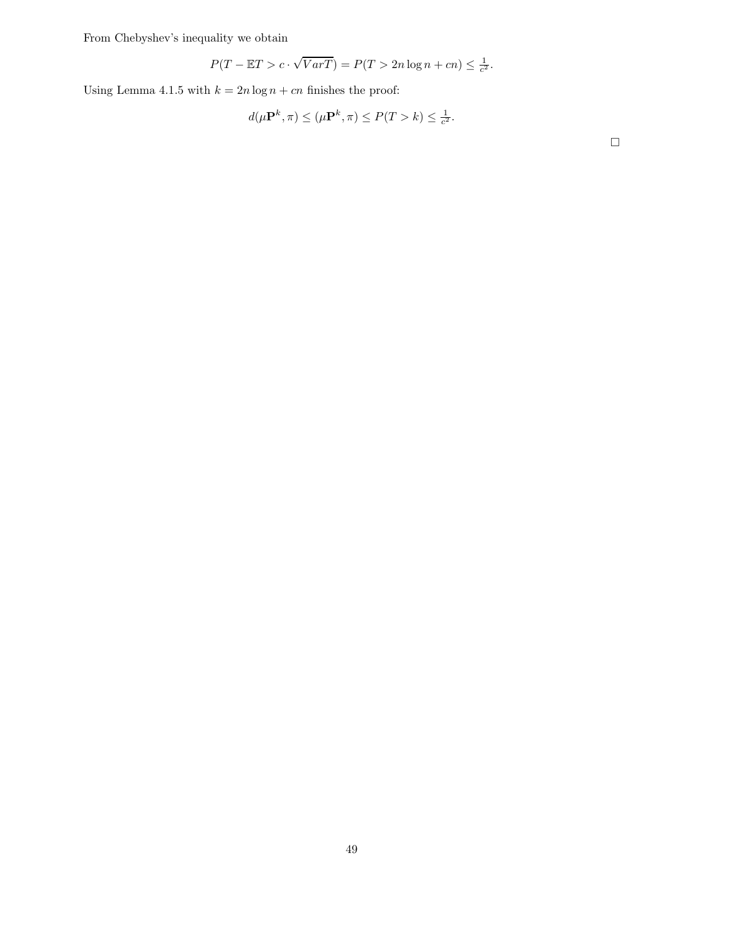From Chebyshev's inequality we obtain

$$
P(T - \mathbb{E}T > c \cdot \sqrt{VarT}) = P(T > 2n \log n + cn) \le \frac{1}{c^2}.
$$

Using Lemma 4.1.5 with  $k = 2n \log n + cn$  finishes the proof:

$$
d(\mu \mathbf{P}^k, \pi) \le (\mu \mathbf{P}^k, \pi) \le P(T > k) \le \frac{1}{c^2}.
$$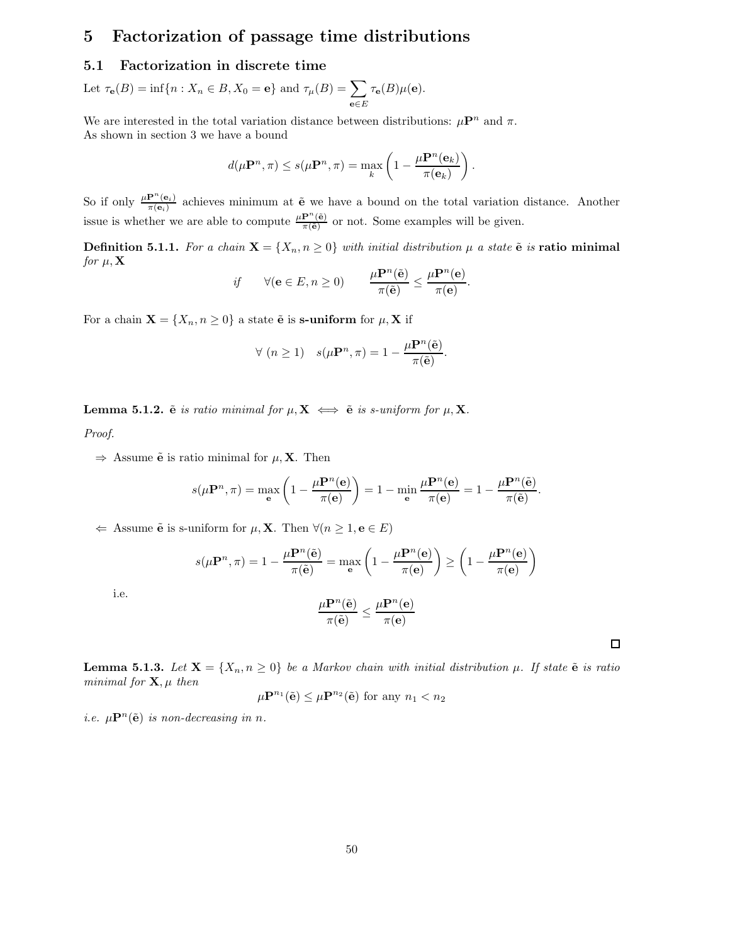# 5 Factorization of passage time distributions

# 5.1 Factorization in discrete time

Let  $\tau_{\mathbf{e}}(B) = \inf\{n : X_n \in B, X_0 = \mathbf{e}\}\$ and  $\tau_{\mu}(B) = \sum$ <sup>e</sup>∈<sup>E</sup>  $\tau_{\bf e}(B)\mu({\bf e}).$ 

We are interested in the total variation distance between distributions:  $\mu \mathbf{P}^n$  and  $\pi$ . As shown in section 3 we have a bound

$$
d(\mu \mathbf{P}^n, \pi) \leq s(\mu \mathbf{P}^n, \pi) = \max_{k} \left(1 - \frac{\mu \mathbf{P}^n(\mathbf{e}_k)}{\pi(\mathbf{e}_k)}\right).
$$

So if only  $\frac{\mu \mathbf{P}^{n}(\mathbf{e}_{i})}{\pi(\mathbf{e}_{i})}$  achieves minimum at  $\tilde{\mathbf{e}}$  we have a bound on the total variation distance. Another issue is whether we are able to compute  $\frac{\mu P^{n}(\tilde{e})}{\pi(\tilde{e})}$  or not. Some examples will be given.

**Definition 5.1.1.** For a chain  $\mathbf{X} = \{X_n, n \geq 0\}$  with initial distribution  $\mu$  a state  $\tilde{\mathbf{e}}$  is ratio minimal for  $\mu$ ,  $X$ 

$$
if \qquad \forall (\mathbf{e} \in E, n \ge 0) \qquad \frac{\mu \mathbf{P}^n(\tilde{\mathbf{e}})}{\pi(\tilde{\mathbf{e}})} \le \frac{\mu \mathbf{P}^n(\mathbf{e})}{\pi(\mathbf{e})}.
$$

For a chain  $\mathbf{X} = \{X_n, n \geq 0\}$  a state  $\tilde{\mathbf{e}}$  is s-uniform for  $\mu$ ,  $\mathbf{X}$  if

$$
\forall (n \ge 1) \quad s(\mu \mathbf{P}^n, \pi) = 1 - \frac{\mu \mathbf{P}^n(\tilde{\mathbf{e}})}{\pi(\tilde{\mathbf{e}})}.
$$

**Lemma 5.1.2.**  $\tilde{e}$  is ratio minimal for  $\mu$ ,  $X \iff \tilde{e}$  is s-uniform for  $\mu$ , X.

Proof.

 $\Rightarrow$  Assume  $\tilde{\mathbf{e}}$  is ratio minimal for  $\mu$ , **X**. Then

$$
s(\mu \mathbf{P}^n, \pi) = \max_{\mathbf{e}} \left( 1 - \frac{\mu \mathbf{P}^n(\mathbf{e})}{\pi(\mathbf{e})} \right) = 1 - \min_{\mathbf{e}} \frac{\mu \mathbf{P}^n(\mathbf{e})}{\pi(\mathbf{e})} = 1 - \frac{\mu \mathbf{P}^n(\tilde{\mathbf{e}})}{\pi(\tilde{\mathbf{e}})}
$$

 $\Leftarrow$  Assume  $\tilde{\mathbf{e}}$  is s-uniform for  $\mu$ , **X**. Then  $\forall (n \geq 1, \mathbf{e} \in E)$ 

 $\mu$ 

$$
s(\mu \mathbf{P}^n, \pi) = 1 - \frac{\mu \mathbf{P}^n(\tilde{\mathbf{e}})}{\pi(\tilde{\mathbf{e}})} = \max_{\mathbf{e}} \left( 1 - \frac{\mu \mathbf{P}^n(\mathbf{e})}{\pi(\mathbf{e})} \right) \ge \left( 1 - \frac{\mu \mathbf{P}^n(\mathbf{e})}{\pi(\mathbf{e})} \right)
$$

i.e.

$$
\frac{\mu \mathbf{P}^n(\tilde{\mathbf{e}})}{\pi(\tilde{\mathbf{e}})} \leq \frac{\mu \mathbf{P}^n(\mathbf{e})}{\pi(\mathbf{e})}
$$

 $\Box$ 

.

**Lemma 5.1.3.** Let  $X = \{X_n, n \geq 0\}$  be a Markov chain with initial distribution  $\mu$ . If state  $\tilde{e}$  is ratio minimal for  $\mathbf{X}, \mu$  then

$$
u\mathbf{P}^{n_1}(\tilde{\mathbf{e}}) \leq \mu \mathbf{P}^{n_2}(\tilde{\mathbf{e}}) \text{ for any } n_1 < n_2
$$

i.e.  $\mu \mathbf{P}^n(\tilde{\mathbf{e}})$  is non-decreasing in n.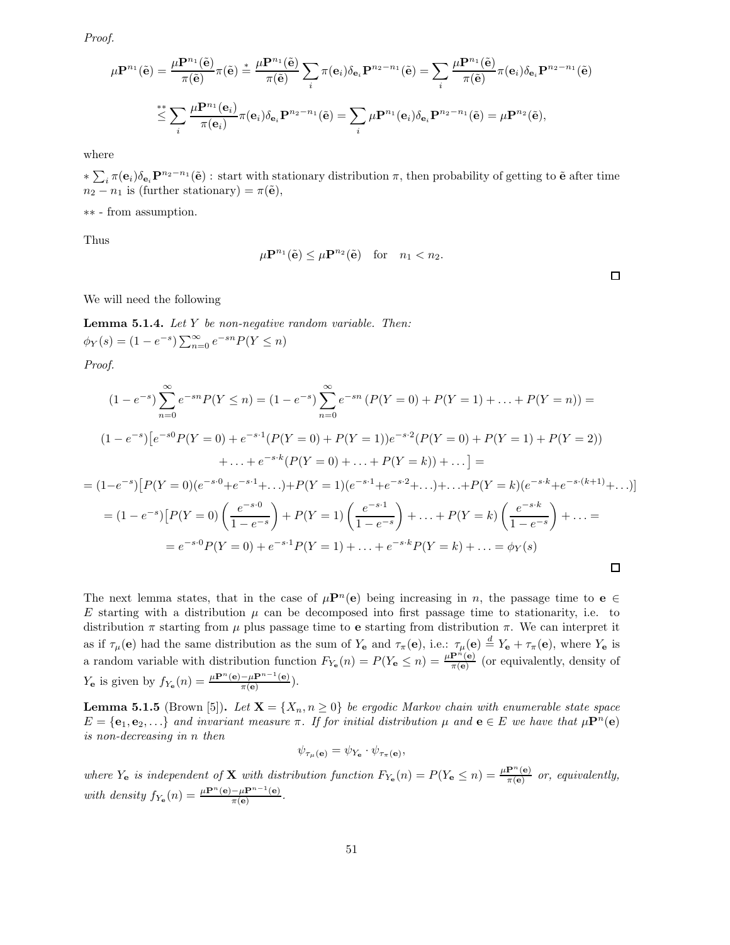Proof.

$$
\mu \mathbf{P}^{n_1}(\tilde{\mathbf{e}}) = \frac{\mu \mathbf{P}^{n_1}(\tilde{\mathbf{e}})}{\pi(\tilde{\mathbf{e}})} \pi(\tilde{\mathbf{e}}) \stackrel{*}{=} \frac{\mu \mathbf{P}^{n_1}(\tilde{\mathbf{e}})}{\pi(\tilde{\mathbf{e}})} \sum_i \pi(\mathbf{e}_i) \delta_{\mathbf{e}_i} \mathbf{P}^{n_2 - n_1}(\tilde{\mathbf{e}}) = \sum_i \frac{\mu \mathbf{P}^{n_1}(\tilde{\mathbf{e}})}{\pi(\tilde{\mathbf{e}})} \pi(\mathbf{e}_i) \delta_{\mathbf{e}_i} \mathbf{P}^{n_2 - n_1}(\tilde{\mathbf{e}})
$$
  

$$
\stackrel{*}{\leq} \sum_i \frac{\mu \mathbf{P}^{n_1}(\mathbf{e}_i)}{\pi(\mathbf{e}_i)} \pi(\mathbf{e}_i) \delta_{\mathbf{e}_i} \mathbf{P}^{n_2 - n_1}(\tilde{\mathbf{e}}) = \sum_i \mu \mathbf{P}^{n_1}(\mathbf{e}_i) \delta_{\mathbf{e}_i} \mathbf{P}^{n_2 - n_1}(\tilde{\mathbf{e}}) = \mu \mathbf{P}^{n_2}(\tilde{\mathbf{e}}),
$$

where

 $*\sum_i \pi(\mathbf{e}_i)\delta_{\mathbf{e}_i}\mathbf{P}^{n_2-n_1}(\tilde{\mathbf{e}})$ : start with stationary distribution  $\pi$ , then probability of getting to  $\tilde{\mathbf{e}}$  after time  $n_2 - n_1$  is (further stationary) =  $\pi(\tilde{e})$ ,

∗∗ - from assumption.

Thus

$$
\mu \mathbf{P}^{n_1}(\tilde{\mathbf{e}}) \le \mu \mathbf{P}^{n_2}(\tilde{\mathbf{e}}) \quad \text{for} \quad n_1 < n_2.
$$

 $\Box$ 

We will need the following

Lemma 5.1.4. Let Y be non-negative random variable. Then:  $\phi_Y(s) = (1 - e^{-s}) \sum_{n=0}^{\infty} e^{-sn} P(Y \le n)$ 

Proof.

$$
(1 - e^{-s}) \sum_{n=0}^{\infty} e^{-sn} P(Y \le n) = (1 - e^{-s}) \sum_{n=0}^{\infty} e^{-sn} (P(Y = 0) + P(Y = 1) + \dots + P(Y = n)) =
$$
  

$$
(1 - e^{-s}) [e^{-s0} P(Y = 0) + e^{-s \cdot 1} (P(Y = 0) + P(Y = 1)) e^{-s \cdot 2} (P(Y = 0) + P(Y = 1) + P(Y = 2))
$$
  

$$
+ \dots + e^{-s \cdot k} (P(Y = 0) + \dots + P(Y = k)) + \dots] =
$$
  

$$
= (1 - e^{-s}) [P(Y = 0) (e^{-s \cdot 0} + e^{-s \cdot 1} + \dots) + P(Y = 1) (e^{-s \cdot 1} + e^{-s \cdot 2} + \dots) + \dots + P(Y = k) (e^{-s \cdot k} + e^{-s \cdot (k+1)} + \dots)]
$$
  

$$
= (1 - e^{-s}) [P(Y = 0) \left(\frac{e^{-s \cdot 0}}{1 - e^{-s}}\right) + P(Y = 1) \left(\frac{e^{-s \cdot 1}}{1 - e^{-s}}\right) + \dots + P(Y = k) \left(\frac{e^{-s \cdot k}}{1 - e^{-s}}\right) + \dots =
$$
  

$$
= e^{-s \cdot 0} P(Y = 0) + e^{-s \cdot 1} P(Y = 1) + \dots + e^{-s \cdot k} P(Y = k) + \dots = \phi_Y(s)
$$

The next lemma states, that in the case of  $\mu \mathbf{P}^n(\mathbf{e})$  being increasing in n, the passage time to  $\mathbf{e} \in \mathbb{C}$ E starting with a distribution  $\mu$  can be decomposed into first passage time to stationarity, i.e. to distribution  $\pi$  starting from  $\mu$  plus passage time to e starting from distribution  $\pi$ . We can interpret it as if  $\tau_\mu$ (e) had the same distribution as the sum of  $Y_e$  and  $\tau_\pi$ (e), i.e.:  $\tau_\mu$ (e)  $\stackrel{d}{=} Y_e + \tau_\pi$ (e), where  $Y_e$  is a random variable with distribution function  $F_{Y_e}(n) = P(Y_e \le n) = \frac{\mu \mathbf{P}^n(e)}{\pi(e)}$  (or equivalently, density of  $Y_e$  is given by  $f_{Y_e}(n) = \frac{\mu \mathbf{P}^n(\mathbf{e}) - \mu \mathbf{P}^{n-1}(\mathbf{e})}{\pi(\mathbf{e})}$  $\frac{-\mu \mathbf{P}(\mathbf{e})}{\pi(\mathbf{e})}$ ).

**Lemma 5.1.5** (Brown [5]). Let  $X = \{X_n, n \geq 0\}$  be ergodic Markov chain with enumerable state space  $E = \{e_1, e_2, \ldots\}$  and invariant measure  $\pi$ . If for initial distribution  $\mu$  and  $e \in E$  we have that  $\mu \mathbf{P}^n(e)$ is non-decreasing in n then

$$
\psi_{\tau_{\mu}(\mathbf{e})} = \psi_{Y_{\mathbf{e}}} \cdot \psi_{\tau_{\pi}(\mathbf{e})},
$$

where  $Y_e$  is independent of **X** with distribution function  $F_{Y_e}(n) = P(Y_e \le n) = \frac{\mu \mathbf{P}^n(e)}{\pi(e)}$  or, equivalently, with density  $f_{Y_e}(n) = \frac{\mu \mathbf{P}^n(\mathbf{e}) - \mu \mathbf{P}^{n-1}(\mathbf{e})}{\pi(\mathbf{e})}$  $\frac{-\mu \mathbf{F}}{\pi(\mathbf{e})}$ .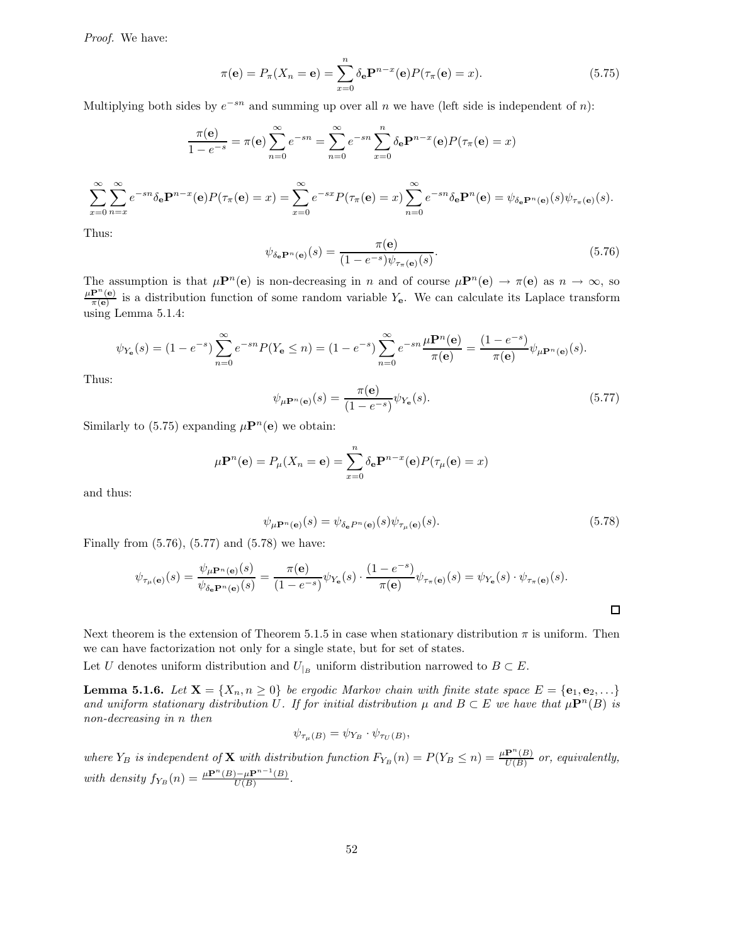Proof. We have:

$$
\pi(\mathbf{e}) = P_{\pi}(X_n = \mathbf{e}) = \sum_{x=0}^{n} \delta_{\mathbf{e}} \mathbf{P}^{n-x}(\mathbf{e}) P(\tau_{\pi}(\mathbf{e}) = x).
$$
 (5.75)

Multiplying both sides by  $e^{-sn}$  and summing up over all n we have (left side is independent of n):

$$
\frac{\pi(\mathbf{e})}{1 - e^{-s}} = \pi(\mathbf{e}) \sum_{n=0}^{\infty} e^{-sn} = \sum_{n=0}^{\infty} e^{-sn} \sum_{x=0}^{n} \delta_{\mathbf{e}} \mathbf{P}^{n-x}(\mathbf{e}) P(\tau_{\pi}(\mathbf{e}) = x)
$$

$$
\sum_{x=0}^{\infty} \sum_{n=x}^{\infty} e^{-sn} \delta_{\mathbf{e}} \mathbf{P}^{n-x}(\mathbf{e}) P(\tau_{\pi}(\mathbf{e}) = x) = \sum_{x=0}^{\infty} e^{-sx} P(\tau_{\pi}(\mathbf{e}) = x) \sum_{n=0}^{\infty} e^{-sn} \delta_{\mathbf{e}} \mathbf{P}^{n}(\mathbf{e}) = \psi_{\delta_{\mathbf{e}}} \mathbf{P}^{n}(\mathbf{e}) (\mathbf{s}) \psi_{\tau_{\pi}(\mathbf{e})}(\mathbf{s}).
$$

Thus:

$$
\psi_{\delta_{\mathbf{e}}}\mathbf{P}^n(\mathbf{e})}(s) = \frac{\pi(\mathbf{e})}{(1 - e^{-s})\psi_{\tau_{\pi}(\mathbf{e})}(s)}.\tag{5.76}
$$

The assumption is that  $\mu \mathbf{P}^n(\mathbf{e})$  is non-decreasing in n and of course  $\mu \mathbf{P}^n(\mathbf{e}) \to \pi(\mathbf{e})$  as  $n \to \infty$ , so  $\mu \mathbf{P}^n(\mathbf{e})$  $\frac{P^{\prime}(\mathbf{e})}{\pi(\mathbf{e})}$  is a distribution function of some random variable  $Y_{\mathbf{e}}$ . We can calculate its Laplace transform using Lemma 5.1.4:

$$
\psi_{Y_{\mathbf{e}}}(s) = (1 - e^{-s}) \sum_{n=0}^{\infty} e^{-sn} P(Y_{\mathbf{e}} \le n) = (1 - e^{-s}) \sum_{n=0}^{\infty} e^{-sn} \frac{\mu \mathbf{P}^n(\mathbf{e})}{\pi(\mathbf{e})} = \frac{(1 - e^{-s})}{\pi(\mathbf{e})} \psi_{\mu \mathbf{P}^n(\mathbf{e})}(s).
$$

Thus:

$$
\psi_{\mu \mathbf{P}^n(\mathbf{e})}(s) = \frac{\pi(\mathbf{e})}{(1 - e^{-s})} \psi_{Y_{\mathbf{e}}}(s).
$$
\n(5.77)

Similarly to (5.75) expanding  $\mu \mathbf{P}^n(\mathbf{e})$  we obtain:

$$
\mu \mathbf{P}^n(\mathbf{e}) = P_\mu(X_n = \mathbf{e}) = \sum_{x=0}^n \delta_\mathbf{e} \mathbf{P}^{n-x}(\mathbf{e}) P(\tau_\mu(\mathbf{e}) = x)
$$

and thus:

$$
\psi_{\mu \mathbf{P}^n(\mathbf{e})}(s) = \psi_{\delta_{\mathbf{e}} P^n(\mathbf{e})}(s) \psi_{\tau_{\mu}(\mathbf{e})}(s).
$$
\n(5.78)

Finally from  $(5.76)$ ,  $(5.77)$  and  $(5.78)$  we have:

$$
\psi_{\tau_{\mu}(\mathbf{e})}(s) = \frac{\psi_{\mu} \mathbf{P}^{n}(\mathbf{e})}(s)}{\psi_{\delta_{\mathbf{e}} \mathbf{P}^{n}(\mathbf{e})}(s)} = \frac{\pi(\mathbf{e})}{(1 - e^{-s})} \psi_{Y_{\mathbf{e}}}(s) \cdot \frac{(1 - e^{-s})}{\pi(\mathbf{e})} \psi_{\tau_{\pi}(\mathbf{e})}(s) = \psi_{Y_{\mathbf{e}}}(s) \cdot \psi_{\tau_{\pi}(\mathbf{e})}(s).
$$

Next theorem is the extension of Theorem 5.1.5 in case when stationary distribution  $\pi$  is uniform. Then we can have factorization not only for a single state, but for set of states.

Let U denotes uniform distribution and  $U_{|B}$  uniform distribution narrowed to  $B \subset E$ .

**Lemma 5.1.6.** Let  $X = \{X_n, n \geq 0\}$  be ergodic Markov chain with finite state space  $E = \{e_1, e_2, ...\}$ and uniform stationary distribution U. If for initial distribution  $\mu$  and  $B \subset E$  we have that  $\mu \mathbf{P}^n(B)$  is non-decreasing in n then

$$
\psi_{\tau_{\mu}(B)} = \psi_{Y_B} \cdot \psi_{\tau_U(B)},
$$

where  $Y_B$  is independent of **X** with distribution function  $F_{Y_B}(n) = P(Y_B \le n) = \frac{\mu \mathbf{P}^n(B)}{U(B)}$  or, equivalently, with density  $f_{Y_B}(n) = \frac{\mu \mathbf{P}^n(B) - \mu \mathbf{P}^{n-1}(B)}{U(B)}$  $\frac{D-\mu \mathbf{F}}{U(B)}$ .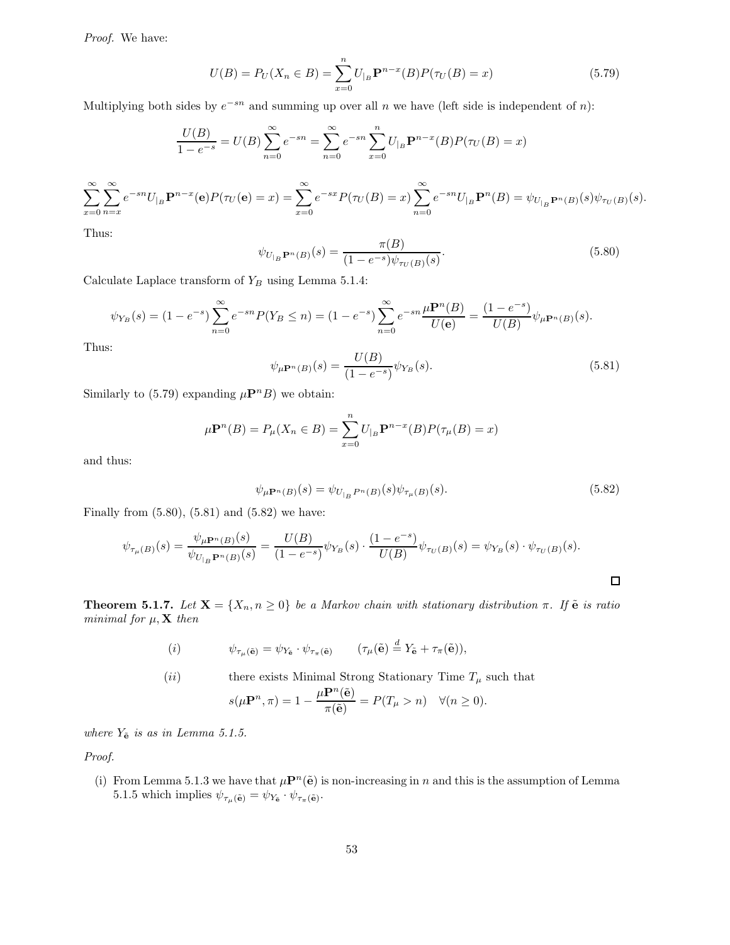Proof. We have:

$$
U(B) = P_U(X_n \in B) = \sum_{x=0}^{n} U_{|B} \mathbf{P}^{n-x}(B) P(\tau_U(B) = x)
$$
\n(5.79)

Multiplying both sides by  $e^{-sn}$  and summing up over all n we have (left side is independent of n):

$$
\frac{U(B)}{1 - e^{-s}} = U(B) \sum_{n=0}^{\infty} e^{-sn} = \sum_{n=0}^{\infty} e^{-sn} \sum_{x=0}^{n} U_{|B} \mathbf{P}^{n-x}(B) P(\tau_U(B) = x)
$$

$$
\sum_{x=0}^{\infty} \sum_{n=x}^{\infty} e^{-sn} U_{|B} \mathbf{P}^{n-x}(\mathbf{e}) P(\tau_U(\mathbf{e}) = x) = \sum_{x=0}^{\infty} e^{-sx} P(\tau_U(B) = x) \sum_{n=0}^{\infty} e^{-sn} U_{|B} \mathbf{P}^n(B) = \psi_{U_{|B}} \mathbf{P}^n(B)(s) \psi_{\tau_U(B)}(s).
$$

Thus:

$$
\psi_{U_{|B}} \mathbf{P}^{n}(B)(s) = \frac{\pi(B)}{(1 - e^{-s})\psi_{\tau_{U}(B)}(s)}.
$$
\n(5.80)

Calculate Laplace transform of  $Y_B$  using Lemma 5.1.4:

$$
\psi_{Y_B}(s) = (1 - e^{-s}) \sum_{n=0}^{\infty} e^{-sn} P(Y_B \le n) = (1 - e^{-s}) \sum_{n=0}^{\infty} e^{-sn} \frac{\mu \mathbf{P}^n(B)}{U(\mathbf{e})} = \frac{(1 - e^{-s})}{U(B)} \psi_{\mu \mathbf{P}^n(B)}(s).
$$

Thus:

$$
\psi_{\mu \mathbf{P}^n(B)}(s) = \frac{U(B)}{(1 - e^{-s})} \psi_{Y_B}(s).
$$
\n(5.81)

Similarly to (5.79) expanding  $\mu \mathbf{P}^n B$ ) we obtain:

$$
\mu \mathbf{P}^n(B) = P_{\mu}(X_n \in B) = \sum_{x=0}^n U_{|B} \mathbf{P}^{n-x}(B) P(\tau_{\mu}(B) = x)
$$

and thus:

$$
\psi_{\mu \mathbf{P}^n(B)}(s) = \psi_{U_{|B} P^n(B)}(s) \psi_{\tau_{\mu}(B)}(s). \tag{5.82}
$$

Finally from  $(5.80)$ ,  $(5.81)$  and  $(5.82)$  we have:

$$
\psi_{\tau_{\mu}(B)}(s) = \frac{\psi_{\mu \mathbf{P}^{n}(B)}(s)}{\psi_{U_{|B}\mathbf{P}^{n}(B)}(s)} = \frac{U(B)}{(1 - e^{-s})} \psi_{Y_{B}}(s) \cdot \frac{(1 - e^{-s})}{U(B)} \psi_{\tau_{U}(B)}(s) = \psi_{Y_{B}}(s) \cdot \psi_{\tau_{U}(B)}(s).
$$

**Theorem 5.1.7.** Let  $X = \{X_n, n \geq 0\}$  be a Markov chain with stationary distribution  $\pi$ . If  $\tilde{e}$  is ratio minimal for  $\mu$ ,  $X$  then

(i) 
$$
\psi_{\tau_{\mu}(\tilde{\mathbf{e}})} = \psi_{Y_{\tilde{\mathbf{e}}}} \cdot \psi_{\tau_{\pi}(\tilde{\mathbf{e}})} \qquad (\tau_{\mu}(\tilde{\mathbf{e}})) \stackrel{d}{=} Y_{\tilde{\mathbf{e}}} + \tau_{\pi}(\tilde{\mathbf{e}})),
$$

(*ii*) there exists Minimal Strong Stationary Time 
$$
T_{\mu}
$$
 such that

$$
s(\mu \mathbf{P}^n, \pi) = 1 - \frac{\mu \mathbf{P}^n(\mathbf{e})}{\pi(\tilde{\mathbf{e}})} = P(T_\mu > n) \quad \forall (n \ge 0).
$$

where  $Y_{\tilde{\mathbf{e}}}$  is as in Lemma 5.1.5.

Proof.

(i) From Lemma 5.1.3 we have that  $\mu \mathbf{P}^n(\tilde{\mathbf{e}})$  is non-increasing in n and this is the assumption of Lemma 5.1.5 which implies  $\psi_{\tau_{\mu}(\tilde{\mathbf{e}})} = \psi_{Y_{\tilde{\mathbf{e}}}} \cdot \psi_{\tau_{\pi}(\tilde{\mathbf{e}})}$ .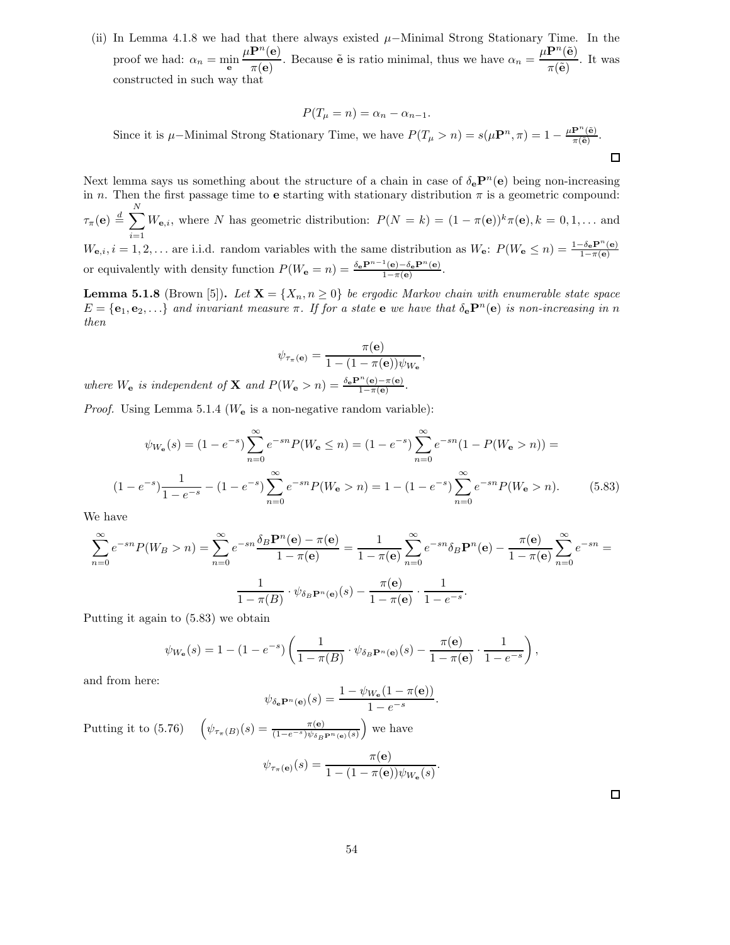(ii) In Lemma 4.1.8 we had that there always existed  $\mu$ –Minimal Strong Stationary Time. In the proof we had:  $\alpha_n = \min_{\mathbf{e}}$  $\mu {\bf P}^n({\bf e})$  $\frac{\mathbf{P}^n(\mathbf{e})}{\pi(\mathbf{e})}$ . Because  $\tilde{\mathbf{e}}$  is ratio minimal, thus we have  $\alpha_n = \frac{\mu \mathbf{P}^n(\tilde{\mathbf{e}})}{\pi(\tilde{\mathbf{e}})}$  $rac{(-\epsilon)}{\pi(\tilde{\mathbf{e}})}$ . It was constructed in such way that

$$
P(T_{\mu} = n) = \alpha_n - \alpha_{n-1}.
$$

Since it is  $\mu$ –Minimal Strong Stationary Time, we have  $P(T_{\mu} > n) = s(\mu \mathbf{P}^n, \pi) = 1 - \frac{\mu \mathbf{P}^n(\tilde{\mathbf{e}})}{\pi(\tilde{\mathbf{e}})}$  $\frac{\mathbf{r}^{\mathbf{r}}(\mathbf{e})}{\pi(\tilde{\mathbf{e}})}$ .  $\Box$ 

Next lemma says us something about the structure of a chain in case of  $\delta_{\mathbf{e}} \mathbf{P}^n(\mathbf{e})$  being non-increasing in n. Then the first passage time to **e** starting with stationary distribution  $\pi$  is a geometric compound:  $\tau_{\pi}({\bf e})\stackrel{d}{=}\sum^{N}$  $\sum_{i=1} W_{\mathbf{e},i}$ , where N has geometric distribution:  $P(N = k) = (1 - \pi(\mathbf{e}))^k \pi(\mathbf{e}), k = 0, 1, \dots$  and  $W_{\mathbf{e},i}, i = 1, 2, \ldots$  are i.i.d. random variables with the same distribution as  $W_{\mathbf{e}}$ :  $P(W_{\mathbf{e}} \leq n) = \frac{1-\delta_{\mathbf{e}}\mathbf{P}^{n}(\mathbf{e})}{1-\pi(\mathbf{e})}$ or equivalently with density function  $P(W_{\mathbf{e}} = n) = \frac{\delta_{\mathbf{e}} \mathbf{P}^{n-1}(\mathbf{e}) - \delta_{\mathbf{e}} \mathbf{P}^{n}(\mathbf{e})}{1 - \pi(\mathbf{e})}$  $\frac{(\mathbf{e}) - \sigma_{\mathbf{e}} \mathbf{r} \cdot (\mathbf{e})}{1 - \pi(\mathbf{e})}$ .

**Lemma 5.1.8** (Brown [5]). Let  $X = \{X_n, n \geq 0\}$  be ergodic Markov chain with enumerable state space  $E = {\bf{e}_1, e_2, \ldots}$  and invariant measure  $\pi$ . If for a state  $\bf{e}$  we have that  $\delta_{\bf{e}} P^n(\bf{e})$  is non-increasing in n then

$$
\psi_{\tau_{\pi}(\mathbf{e})} = \frac{\pi(\mathbf{e})}{1 - (1 - \pi(\mathbf{e}))\psi_{W_{\mathbf{e}}}},
$$

where  $W_{\mathbf{e}}$  is independent of **X** and  $P(W_{\mathbf{e}} > n) = \frac{\delta_{\mathbf{e}} \mathbf{P}^n(\mathbf{e}) - \pi(\mathbf{e})}{1 - \pi(\mathbf{e})}$ .

*Proof.* Using Lemma 5.1.4 ( $W_e$  is a non-negative random variable):

$$
\psi_{W_{\mathbf{e}}}(s) = (1 - e^{-s}) \sum_{n=0}^{\infty} e^{-sn} P(W_{\mathbf{e}} \le n) = (1 - e^{-s}) \sum_{n=0}^{\infty} e^{-sn} (1 - P(W_{\mathbf{e}} > n)) =
$$
  

$$
(1 - e^{-s}) \frac{1}{1 - e^{-s}} - (1 - e^{-s}) \sum_{n=0}^{\infty} e^{-sn} P(W_{\mathbf{e}} > n) = 1 - (1 - e^{-s}) \sum_{n=0}^{\infty} e^{-sn} P(W_{\mathbf{e}} > n).
$$
 (5.83)

We have

$$
\sum_{n=0}^{\infty} e^{-sn} P(W_B > n) = \sum_{n=0}^{\infty} e^{-sn} \frac{\delta_B \mathbf{P}^n(\mathbf{e}) - \pi(\mathbf{e})}{1 - \pi(\mathbf{e})} = \frac{1}{1 - \pi(\mathbf{e})} \sum_{n=0}^{\infty} e^{-sn} \delta_B \mathbf{P}^n(\mathbf{e}) - \frac{\pi(\mathbf{e})}{1 - \pi(\mathbf{e})} \sum_{n=0}^{\infty} e^{-sn} = \frac{1}{1 - \pi(B)} \cdot \psi_{\delta_B \mathbf{P}^n(\mathbf{e})}(s) - \frac{\pi(\mathbf{e})}{1 - \pi(\mathbf{e})} \cdot \frac{1}{1 - e^{-s}}.
$$

Putting it again to (5.83) we obtain

$$
\psi_{W_{\mathbf{e}}}(s) = 1 - (1 - e^{-s}) \left( \frac{1}{1 - \pi(B)} \cdot \psi_{\delta_B \mathbf{P}^n(\mathbf{e})}(s) - \frac{\pi(\mathbf{e})}{1 - \pi(\mathbf{e})} \cdot \frac{1}{1 - e^{-s}} \right),
$$

and from here:

$$
\psi_{\delta_{\mathbf{e}}}\mathbf{P}^n(\mathbf{e})}(s) = \frac{1 - \psi_{W_{\mathbf{e}}}(1 - \pi(\mathbf{e}))}{1 - e^{-s}}.
$$

Putting it to (5.76)  $\left(\psi_{\tau_{\pi}(B)}(s) = \frac{\pi(\mathbf{e})}{(1-e^{-s})\psi_{\delta_B \mathbf{P}^n(\mathbf{e})}(s)}\right)$  we have  $\psi_{\tau_{\pi}(\mathbf{e})}(s) = \frac{\pi(\mathbf{e})}{1 - (1 - \pi(\mathbf{e}))}$  $\frac{n(e)}{1-(1-\pi(e))\psi_{W_e}(s)}$ .

 $\Box$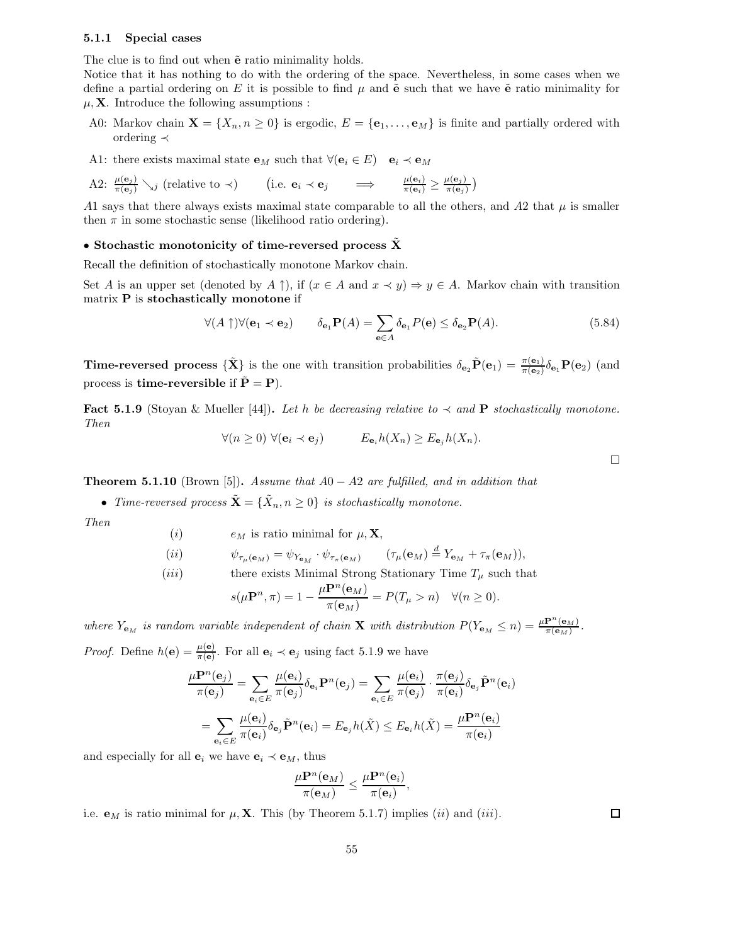### 5.1.1 Special cases

The clue is to find out when  $\tilde{e}$  ratio minimality holds.

Notice that it has nothing to do with the ordering of the space. Nevertheless, in some cases when we define a partial ordering on E it is possible to find  $\mu$  and  $\tilde{e}$  such that we have  $\tilde{e}$  ratio minimality for  $\mu$ , **X**. Introduce the following assumptions :

- A0: Markov chain  $\mathbf{X} = \{X_n, n \geq 0\}$  is ergodic,  $E = \{\mathbf{e}_1, \dots, \mathbf{e}_M\}$  is finite and partially ordered with ordering ≺
- A1: there exists maximal state  $\mathbf{e}_M$  such that  $\forall (\mathbf{e}_i \in E) \quad \mathbf{e}_i \prec \mathbf{e}_M$

A2: 
$$
\frac{\mu(\mathbf{e}_j)}{\pi(\mathbf{e}_j)} \searrow_j
$$
 (relative to  $\prec$ ) (i.e.  $\mathbf{e}_i \prec \mathbf{e}_j$   $\Longrightarrow$   $\frac{\mu(\mathbf{e}_i)}{\pi(\mathbf{e}_i)} \ge \frac{\mu(\mathbf{e}_j)}{\pi(\mathbf{e}_j)}$ )

A1 says that there always exists maximal state comparable to all the others, and A2 that  $\mu$  is smaller then  $\pi$  in some stochastic sense (likelihood ratio ordering).

### • Stochastic monotonicity of time-reversed process  $\bar{X}$

Recall the definition of stochastically monotone Markov chain.

Set A is an upper set (denoted by A  $\uparrow$ ), if  $(x \in A \text{ and } x \prec y) \Rightarrow y \in A$ . Markov chain with transition matrix P is stochastically monotone if

$$
\forall (A \uparrow) \forall (\mathbf{e}_1 \prec \mathbf{e}_2) \qquad \delta_{\mathbf{e}_1} \mathbf{P}(A) = \sum_{\mathbf{e} \in A} \delta_{\mathbf{e}_1} P(\mathbf{e}) \le \delta_{\mathbf{e}_2} \mathbf{P}(A). \tag{5.84}
$$

**Time-reversed process**  ${\{\tilde{\mathbf{X}}\}}$  is the one with transition probabilities  $\delta_{\mathbf{e}_2} \tilde{\mathbf{P}}(\mathbf{e}_1) = \frac{\pi(\mathbf{e}_1)}{\pi(\mathbf{e}_2)} \delta_{\mathbf{e}_1} \mathbf{P}(\mathbf{e}_2)$  (and process is **time-reversible** if  $\tilde{\mathbf{P}} = \mathbf{P}$ ).

Fact 5.1.9 (Stoyan & Mueller [44]). Let h be decreasing relative to  $\prec$  and P stochastically monotone. Then

$$
\forall (n \ge 0) \ \forall (\mathbf{e}_i \prec \mathbf{e}_j) \qquad E_{\mathbf{e}_i} h(X_n) \ge E_{\mathbf{e}_j} h(X_n).
$$

**Theorem 5.1.10** (Brown [5]). Assume that  $A0 - A2$  are fulfilled, and in addition that

• Time-reversed process  $\tilde{\mathbf{X}} = {\tilde{X}_n, n \geq 0}$  is stochastically monotone.

Then

(*i*)  $e_M$  is ratio minimal for  $\mu$ , **X**,

$$
(ii) \t\psi_{\tau_{\mu}(\mathbf{e}_M)} = \psi_{Y_{\mathbf{e}_M}} \cdot \psi_{\tau_{\pi}(\mathbf{e}_M)} \t (\tau_{\mu}(\mathbf{e}_M) \stackrel{d}{=} Y_{\mathbf{e}_M} + \tau_{\pi}(\mathbf{e}_M)),
$$

(iii) there exists Minimal Strong Stationary Time 
$$
T_{\mu}
$$
 such that

$$
s(\mu \mathbf{P}^n, \pi) = 1 - \frac{\mu \mathbf{P}^n(\mathbf{e}_M)}{\pi(\mathbf{e}_M)} = P(T_\mu > n) \quad \forall (n \ge 0).
$$

where  $Y_{\mathbf{e}_M}$  is random variable independent of chain **X** with distribution  $P(Y_{\mathbf{e}_M} \leq n) = \frac{\mu \mathbf{P}^n(\mathbf{e}_M)}{\pi(\mathbf{e}_M)}$ .

*Proof.* Define  $h(\mathbf{e}) = \frac{\mu(\mathbf{e})}{\pi(\mathbf{e})}$ . For all  $\mathbf{e}_i \prec \mathbf{e}_j$  using fact 5.1.9 we have

$$
\frac{\mu \mathbf{P}^{n}(\mathbf{e}_{j})}{\pi(\mathbf{e}_{j})} = \sum_{\mathbf{e}_{i} \in E} \frac{\mu(\mathbf{e}_{i})}{\pi(\mathbf{e}_{j})} \delta_{\mathbf{e}_{i}} \mathbf{P}^{n}(\mathbf{e}_{j}) = \sum_{\mathbf{e}_{i} \in E} \frac{\mu(\mathbf{e}_{i})}{\pi(\mathbf{e}_{j})} \cdot \frac{\pi(\mathbf{e}_{j})}{\pi(\mathbf{e}_{i})} \delta_{\mathbf{e}_{j}} \tilde{\mathbf{P}}^{n}(\mathbf{e}_{i})
$$

$$
= \sum_{\mathbf{e}_{i} \in E} \frac{\mu(\mathbf{e}_{i})}{\pi(\mathbf{e}_{i})} \delta_{\mathbf{e}_{j}} \tilde{\mathbf{P}}^{n}(\mathbf{e}_{i}) = E_{\mathbf{e}_{j}} h(\tilde{X}) \leq E_{\mathbf{e}_{i}} h(\tilde{X}) = \frac{\mu \mathbf{P}^{n}(\mathbf{e}_{i})}{\pi(\mathbf{e}_{i})}
$$

and especially for all  $\mathbf{e}_i$  we have  $\mathbf{e}_i \prec \mathbf{e}_M$ , thus

$$
\frac{\mu \mathbf{P}^n(\mathbf{e}_M)}{\pi(\mathbf{e}_M)} \leq \frac{\mu \mathbf{P}^n(\mathbf{e}_i)}{\pi(\mathbf{e}_i)},
$$

i.e.  $\mathbf{e}_M$  is ratio minimal for  $\mu$ , **X**. This (by Theorem 5.1.7) implies (ii) and (iii).

 $\Box$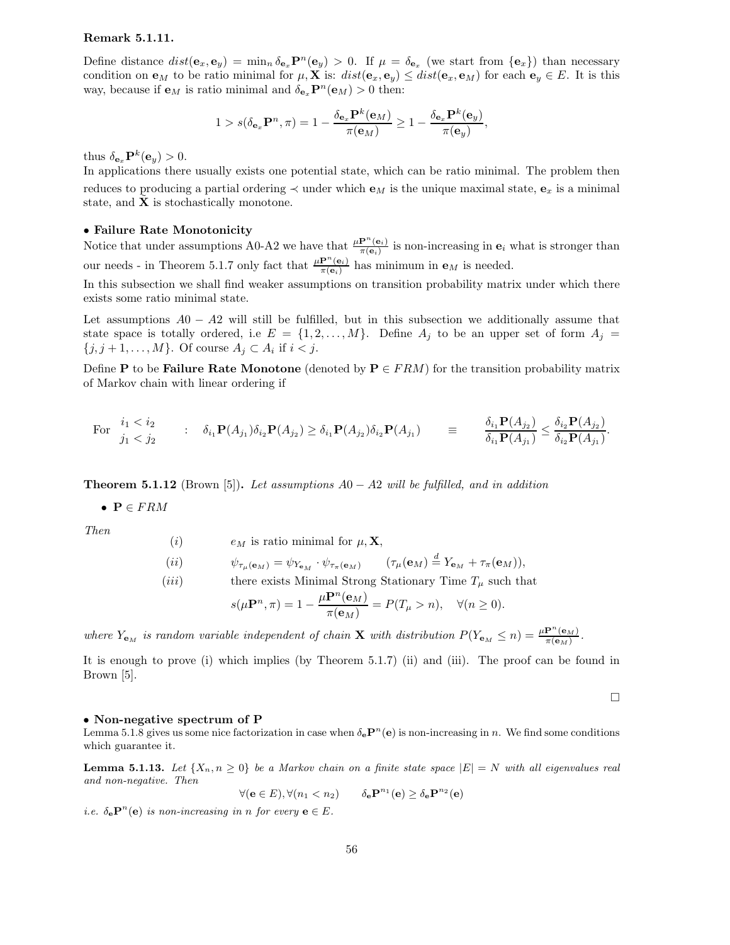### Remark 5.1.11.

Define distance  $dist(\mathbf{e}_x, \mathbf{e}_y) = \min_n \delta_{\mathbf{e}_x} \mathbf{P}^n(\mathbf{e}_y) > 0$ . If  $\mu = \delta_{\mathbf{e}_x}$  (we start from  $\{\mathbf{e}_x\}$ ) than necessary condition on  $\mathbf{e}_M$  to be ratio minimal for  $\mu$ , X is:  $dist(\mathbf{e}_x, \mathbf{e}_y) \leq dist(\mathbf{e}_x, \mathbf{e}_M)$  for each  $\mathbf{e}_y \in E$ . It is this way, because if  $\mathbf{e}_M$  is ratio minimal and  $\delta_{\mathbf{e}_x} \mathbf{P}^n(\mathbf{e}_M) > 0$  then:

$$
1 > s(\delta_{\mathbf{e}_x} \mathbf{P}^n, \pi) = 1 - \frac{\delta_{\mathbf{e}_x} \mathbf{P}^k(\mathbf{e}_M)}{\pi(\mathbf{e}_M)} \ge 1 - \frac{\delta_{\mathbf{e}_x} \mathbf{P}^k(\mathbf{e}_y)}{\pi(\mathbf{e}_y)},
$$

thus  $\delta_{\mathbf{e}_x} \mathbf{P}^k(\mathbf{e}_y) > 0.$ 

In applications there usually exists one potential state, which can be ratio minimal. The problem then reduces to producing a partial ordering  $\prec$  under which  $\mathbf{e}_M$  is the unique maximal state,  $\mathbf{e}_x$  is a minimal state, and  $X$  is stochastically monotone.

### • Failure Rate Monotonicity

Notice that under assumptions A0-A2 we have that  $\frac{\mu \mathbf{P}^{n}(\mathbf{e}_i)}{\pi(\mathbf{e}_i)}$  is non-increasing in  $\mathbf{e}_i$  what is stronger than our needs - in Theorem 5.1.7 only fact that  $\frac{\mu \mathbf{P}^n(\mathbf{e}_i)}{\pi(\mathbf{e}_i)}$  $\frac{\mathbf{P}(\mathbf{e}_i)}{\pi(\mathbf{e}_i)}$  has minimum in  $\mathbf{e}_M$  is needed.

In this subsection we shall find weaker assumptions on transition probability matrix under which there exists some ratio minimal state.

Let assumptions  $A0 - A2$  will still be fulfilled, but in this subsection we additionally assume that state space is totally ordered, i.e  $E = \{1, 2, ..., M\}$ . Define  $A_j$  to be an upper set of form  $A_j =$  $\{j, j+1, \ldots, M\}$ . Of course  $A_j \subset A_i$  if  $i < j$ .

Define P to be Failure Rate Monotone (denoted by  $P \in FRM$ ) for the transition probability matrix of Markov chain with linear ordering if

For 
$$
\begin{array}{ccc}\ni_1 < i_2 \\
j_1 < j_2\n\end{array}
$$
 :  $\delta_{i_1} \mathbf{P}(A_{j_1}) \delta_{i_2} \mathbf{P}(A_{j_2}) \ge \delta_{i_1} \mathbf{P}(A_{j_2}) \delta_{i_2} \mathbf{P}(A_{j_1})$  = 
$$
\frac{\delta_{i_1} \mathbf{P}(A_{j_2})}{\delta_{i_1} \mathbf{P}(A_{j_1})} \le \frac{\delta_{i_2} \mathbf{P}(A_{j_2})}{\delta_{i_2} \mathbf{P}(A_{j_1})}.
$$

**Theorem 5.1.12** (Brown [5]). Let assumptions  $A0 - A2$  will be fulfilled, and in addition

•  $P \in FRM$ 

Then

(*i*)  $e_M$  is ratio minimal for  $\mu$ , **X**,

$$
(ii) \t\psi_{\tau_{\mu}(\mathbf{e}_M)} = \psi_{Y_{\mathbf{e}_M}} \cdot \psi_{\tau_{\pi}(\mathbf{e}_M)} \t (\tau_{\mu}(\mathbf{e}_M) \stackrel{d}{=} Y_{\mathbf{e}_M} + \tau_{\pi}(\mathbf{e}_M)),
$$

(*iii*) there exists Minimal Strong Stationary Time  $T_{\mu}$  such that

$$
s(\mu \mathbf{P}^n, \pi) = 1 - \frac{\mu \mathbf{P}^n(\mathbf{e}_M)}{\pi(\mathbf{e}_M)} = P(T_\mu > n), \quad \forall (n \ge 0).
$$

where  $Y_{\mathbf{e}_M}$  is random variable independent of chain **X** with distribution  $P(Y_{\mathbf{e}_M} \leq n) = \frac{\mu \mathbf{P}^n(\mathbf{e}_M)}{\pi(\mathbf{e}_M)}$ .

It is enough to prove (i) which implies (by Theorem 5.1.7) (ii) and (iii). The proof can be found in Brown [5].

 $\Box$ 

#### • Non-negative spectrum of P

Lemma 5.1.8 gives us some nice factorization in case when  $\delta_e \mathbf{P}^n(e)$  is non-increasing in n. We find some conditions which guarantee it.

**Lemma 5.1.13.** Let  $\{X_n, n \geq 0\}$  be a Markov chain on a finite state space  $|E| = N$  with all eigenvalues real and non-negative. Then

$$
\forall (\mathbf{e} \in E), \forall (n_1 < n_2) \qquad \delta_\mathbf{e} \mathbf{P}^{n_1}(\mathbf{e}) \ge \delta_\mathbf{e} \mathbf{P}^{n_2}(\mathbf{e})
$$

*i.e.*  $\delta_e \mathbf{P}^n(e)$  *is non-increasing in n for every*  $e \in E$ *.*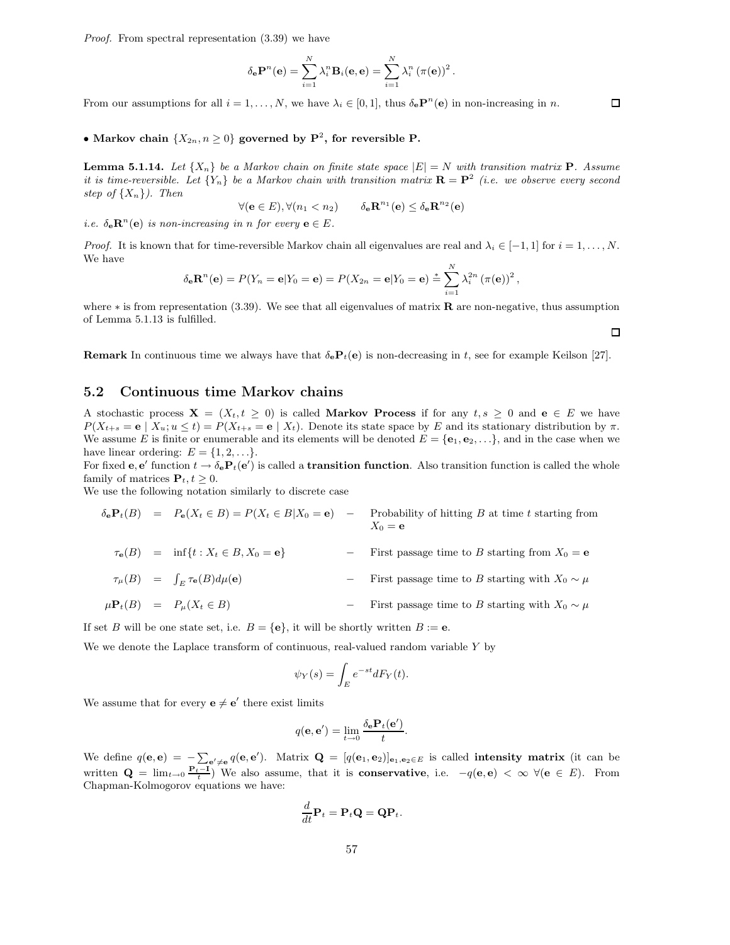Proof. From spectral representation (3.39) we have

$$
\delta_{\mathbf{e}} \mathbf{P}^{n}(\mathbf{e}) = \sum_{i=1}^{N} \lambda_{i}^{n} \mathbf{B}_{i}(\mathbf{e}, \mathbf{e}) = \sum_{i=1}^{N} \lambda_{i}^{n} (\pi(\mathbf{e}))^{2}.
$$

From our assumptions for all  $i = 1, ..., N$ , we have  $\lambda_i \in [0, 1]$ , thus  $\delta_e \mathbf{P}^n(e)$  in non-increasing in n.

# • Markov chain  $\{X_{2n}, n \geq 0\}$  governed by  $\mathbf{P}^2$ , for reversible P.

**Lemma 5.1.14.** Let  $\{X_n\}$  be a Markov chain on finite state space  $|E| = N$  with transition matrix **P**. Assume it is time-reversible. Let  $\{Y_n\}$  be a Markov chain with transition matrix  $\mathbf{R} = \mathbf{P}^2$  (i.e. we observe every second step of  $\{X_n\}$ ). Then

$$
\forall (\mathbf{e} \in E), \forall (n_1 < n_2) \qquad \delta_\mathbf{e} \mathbf{R}^{n_1}(\mathbf{e}) \leq \delta_\mathbf{e} \mathbf{R}^{n_2}(\mathbf{e})
$$

*i.e.*  $\delta_e \mathbf{R}^n(e)$  is non-increasing in n for every  $e \in E$ .

*Proof.* It is known that for time-reversible Markov chain all eigenvalues are real and  $\lambda_i \in [-1,1]$  for  $i = 1, \ldots, N$ . We have

$$
\delta_{\mathbf{e}} \mathbf{R}^{n}(\mathbf{e}) = P(Y_n = \mathbf{e}|Y_0 = \mathbf{e}) = P(X_{2n} = \mathbf{e}|Y_0 = \mathbf{e}) \stackrel{*}{=} \sum_{i=1}^{N} \lambda_i^{2n} (\pi(\mathbf{e}))^2,
$$

where  $*$  is from representation (3.39). We see that all eigenvalues of matrix **R** are non-negative, thus assumption of Lemma 5.1.13 is fulfilled.

**Remark** In continuous time we always have that  $\delta_e P_t(e)$  is non-decreasing in t, see for example Keilson [27].

### 5.2 Continuous time Markov chains

A stochastic process  $X = (X_t, t \ge 0)$  is called Markov Process if for any  $t, s \ge 0$  and  $e \in E$  we have  $P(X_{t+s} = e \mid X_u; u \le t) = P(X_{t+s} = e \mid X_t)$ . Denote its state space by E and its stationary distribution by  $\pi$ . We assume E is finite or enumerable and its elements will be denoted  $E = \{e_1, e_2, \ldots\}$ , and in the case when we have linear ordering:  $E = \{1, 2, \ldots\}.$ 

For fixed **e**, **e**' function  $t \to \delta_e \mathbf{P}_t(\mathbf{e}')$  is called a **transition function**. Also transition function is called the whole family of matrices  $\mathbf{P}_t, t \geq 0$ .

We use the following notation similarly to discrete case

$$
\delta_{\mathbf{e}} \mathbf{P}_t(B) = P_{\mathbf{e}}(X_t \in B) = P(X_t \in B | X_0 = \mathbf{e}) - \text{Probability of hitting } B \text{ at time } t \text{ starting from } X_0 = \mathbf{e}
$$

$$
\tau_{\mathbf{e}}(B) = \inf\{t : X_t \in B, X_0 = \mathbf{e}\}
$$
 - First passage time to *B* starting from  $X_0 = \mathbf{e}$ 

$$
\tau_{\mu}(B) = \int_{E} \tau_{\mathbf{e}}(B) d\mu(\mathbf{e})
$$
 - First passage time to *B* starting with  $X_0 \sim \mu$ 

$$
\mu \mathbf{P}_t(B) = P_\mu(X_t \in B) \qquad \qquad - \text{First passage time to } B \text{ starting with } X_0 \sim \mu
$$

If set B will be one state set, i.e.  $B = \{e\}$ , it will be shortly written  $B := e$ .

We we denote the Laplace transform of continuous, real-valued random variable Y by

$$
\psi_Y(s) = \int_E e^{-st} dF_Y(t).
$$

We assume that for every  $\mathbf{e} \neq \mathbf{e}'$  there exist limits

$$
q(\mathbf{e}, \mathbf{e}') = \lim_{t \to 0} \frac{\delta_{\mathbf{e}} \mathbf{P}_t(\mathbf{e}')}{t}.
$$

We define  $q(\mathbf{e}, \mathbf{e}) = -\sum_{\mathbf{e'}\neq\mathbf{e}} q(\mathbf{e}, \mathbf{e'})$ . Matrix  $\mathbf{Q} = [q(\mathbf{e}_1, \mathbf{e}_2)]_{\mathbf{e}_1, \mathbf{e}_2 \in E}$  is called intensity matrix (it can be written  $\mathbf{Q} = \lim_{t \to 0} \frac{\mathbf{P}_{t}-\mathbf{I}}{t}$  We also assume, that it is **conservative**, i.e.  $-q(\mathbf{e}, \mathbf{e}) < \infty$   $\forall (\mathbf{e} \in E)$ . From Chapman-Kolmogorov equations we have:

$$
\frac{d}{dt}\mathbf{P}_t = \mathbf{P}_t \mathbf{Q} = \mathbf{Q} \mathbf{P}_t.
$$

 $\Box$ 

 $\Box$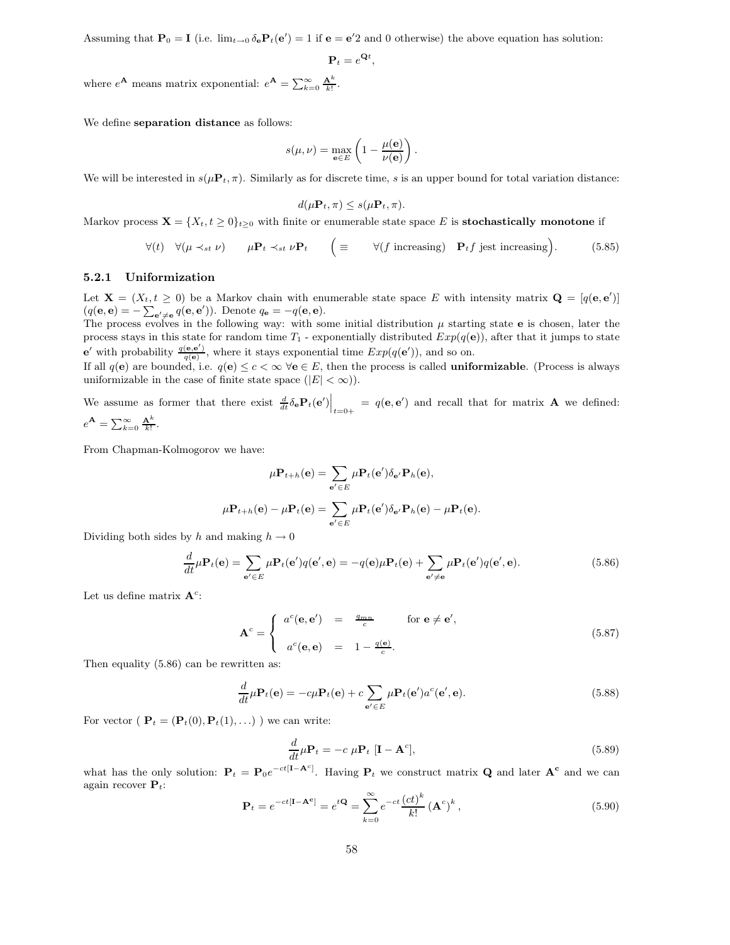Assuming that  $\mathbf{P}_0 = \mathbf{I}$  (i.e.  $\lim_{t\to 0} \delta_e \mathbf{P}_t(e') = 1$  if  $\mathbf{e} = \mathbf{e}'2$  and 0 otherwise) the above equation has solution:

$$
\mathbf{P}_t = e^{\mathbf{Q}t},
$$

where  $e^{\mathbf{A}}$  means matrix exponential:  $e^{\mathbf{A}} = \sum_{k=0}^{\infty} \frac{\mathbf{A}^k}{k!}$ .

We define separation distance as follows:

$$
s(\mu, \nu) = \max_{\mathbf{e} \in E} \left( 1 - \frac{\mu(\mathbf{e})}{\nu(\mathbf{e})} \right).
$$

We will be interested in  $s(\mu \mathbf{P}_t, \pi)$ . Similarly as for discrete time, s is an upper bound for total variation distance:

$$
d(\mu \mathbf{P}_t, \pi) \leq s(\mu \mathbf{P}_t, \pi).
$$

Markov process  $\mathbf{X} = \{X_t, t \geq 0\}_{t \geq 0}$  with finite or enumerable state space E is **stochastically monotone** if

$$
\forall (t) \quad \forall (\mu \prec_{st} \nu) \qquad \mu \mathbf{P}_t \prec_{st} \nu \mathbf{P}_t \qquad \left( \equiv \qquad \forall (f \text{ increasing}) \quad \mathbf{P}_t f \text{ jest increasing} \right). \tag{5.85}
$$

### 5.2.1 Uniformization

Let  $\mathbf{X} = (X_t, t \geq 0)$  be a Markov chain with enumerable state space E with intensity matrix  $\mathbf{Q} = [q(\mathbf{e}, \mathbf{e}')]$  $(q(\mathbf{e}, \mathbf{e}) = -\sum_{\mathbf{e'} \neq \mathbf{e}} q(\mathbf{e}, \mathbf{e}')).$  Denote  $q_{\mathbf{e}} = -q(\mathbf{e}, \mathbf{e}).$ 

The process evolves in the following way: with some initial distribution  $\mu$  starting state e is chosen, later the process stays in this state for random time  $T_1$  - exponentially distributed  $Exp(q(e))$ , after that it jumps to state  $e'$  with probability  $\frac{q(e,e')}{q(e)}$ , where it stays exponential time  $Exp(q(e'))$ , and so on.

If all  $q(e)$  are bounded, i.e.  $q(e) \le c < \infty$   $\forall e \in E$ , then the process is called **uniformizable**. (Process is always uniformizable in the case of finite state space  $(|E| < \infty)$ ).

We assume as former that there exist  $\frac{d}{dt}\delta_{\mathbf{e}}\mathbf{P}_t(\mathbf{e}')\Big|_{t=0+} = q(\mathbf{e}, \mathbf{e}')$  and recall that for matrix **A** we defined:  $e^{\mathbf{A}} = \sum_{k=0}^{\infty} \frac{\mathbf{A}^k}{k!}.$ 

From Chapman-Kolmogorov we have:

$$
\mu \mathbf{P}_{t+h}(\mathbf{e}) = \sum_{\mathbf{e}' \in E} \mu \mathbf{P}_t(\mathbf{e}') \delta_{\mathbf{e}'} \mathbf{P}_h(\mathbf{e}),
$$

$$
\mu \mathbf{P}_{t+h}(\mathbf{e}) - \mu \mathbf{P}_t(\mathbf{e}) = \sum_{\mathbf{e}' \in E} \mu \mathbf{P}_t(\mathbf{e}') \delta_{\mathbf{e}'} \mathbf{P}_h(\mathbf{e}) - \mu \mathbf{P}_t(\mathbf{e}).
$$

Dividing both sides by h and making  $h \to 0$ 

$$
\frac{d}{dt}\mu \mathbf{P}_t(\mathbf{e}) = \sum_{\mathbf{e}' \in E} \mu \mathbf{P}_t(\mathbf{e}')q(\mathbf{e}', \mathbf{e}) = -q(\mathbf{e})\mu \mathbf{P}_t(\mathbf{e}) + \sum_{\mathbf{e}' \neq \mathbf{e}} \mu \mathbf{P}_t(\mathbf{e}')q(\mathbf{e}', \mathbf{e}).
$$
\n(5.86)

Let us define matrix  $A^c$ :

$$
\mathbf{A}^c = \begin{cases} a^c(\mathbf{e}, \mathbf{e}') &= \frac{q_{mn}}{c} \quad \text{for } \mathbf{e} \neq \mathbf{e}',\\ a^c(\mathbf{e}, \mathbf{e}) &= 1 - \frac{q(\mathbf{e})}{c}. \end{cases} \tag{5.87}
$$

Then equality (5.86) can be rewritten as:

$$
\frac{d}{dt}\mu \mathbf{P}_t(\mathbf{e}) = -c\mu \mathbf{P}_t(\mathbf{e}) + c \sum_{\mathbf{e'} \in E} \mu \mathbf{P}_t(\mathbf{e'}) a^c(\mathbf{e'}, \mathbf{e}). \tag{5.88}
$$

For vector (  $\mathbf{P}_t = (\mathbf{P}_t(0), \mathbf{P}_t(1), \ldots)$  ) we can write:

$$
\frac{d}{dt}\mu \mathbf{P}_t = -c \mu \mathbf{P}_t \left[ \mathbf{I} - \mathbf{A}^c \right],\tag{5.89}
$$

what has the only solution:  $P_t = P_0 e^{-ct[I - A^c]}$ . Having  $P_t$  we construct matrix Q and later  $A^c$  and we can again recover  $P_t$ :

$$
\mathbf{P}_t = e^{-ct[\mathbf{I} - \mathbf{A}^c]} = e^{t\mathbf{Q}} = \sum_{k=0}^{\infty} e^{-ct} \frac{(ct)^k}{k!} (\mathbf{A}^c)^k,
$$
\n(5.90)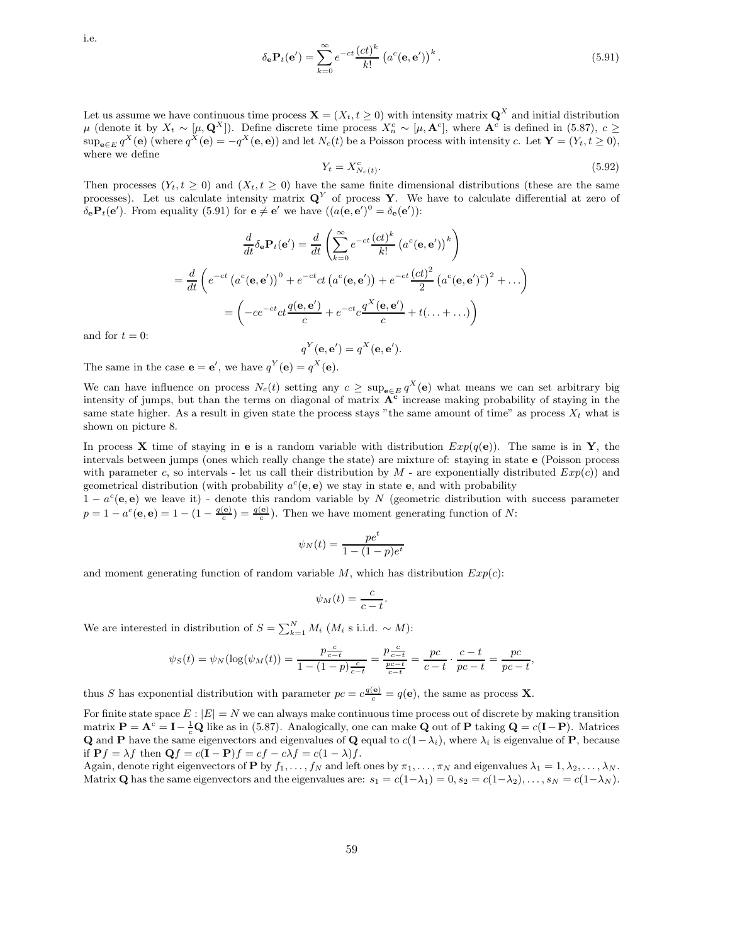i.e.

$$
\delta_{\mathbf{e}} \mathbf{P}_t(\mathbf{e}') = \sum_{k=0}^{\infty} e^{-ct} \frac{(ct)^k}{k!} \left( a^c(\mathbf{e}, \mathbf{e}') \right)^k.
$$
 (5.91)

Let us assume we have continuous time process  $\mathbf{X} = (X_t, t \geq 0)$  with intensity matrix  $\mathbf{Q}^X$  and initial distribution  $\mu$  (denote it by  $X_t \sim [\mu, \mathbf{Q}^X]$ ). Define discrete time process  $X_n^c \sim [\mu, \mathbf{A}^c]$ , where  $\mathbf{A}^c$  is defined in (5.87),  $c \geq$  $\sup_{\mathbf{e}\in E} q^X(\mathbf{e})$  (where  $q^X(\mathbf{e}) = -q^X(\mathbf{e}, \mathbf{e})$ ) and let  $N_c(t)$  be a Poisson process with intensity c. Let  $\mathbf{Y} = (Y_t, t \ge 0)$ , where we define

$$
Y_t = X_{N_c(t)}^c.
$$
\n
$$
(5.92)
$$

Then processes  $(Y_t, t \geq 0)$  and  $(X_t, t \geq 0)$  have the same finite dimensional distributions (these are the same processes). Let us calculate intensity matrix  $\mathbf{Q}^Y$  of process Y. We have to calculate differential at zero of  $\delta_{\mathbf{e}} \mathbf{P}_t(\mathbf{e}').$  From equality (5.91) for  $\mathbf{e} \neq \mathbf{e}'$  we have  $((a(\mathbf{e}, \mathbf{e}')^0 = \delta_{\mathbf{e}}(\mathbf{e}')).$ 

$$
\frac{d}{dt}\delta_{\mathbf{e}}\mathbf{P}_t(\mathbf{e}') = \frac{d}{dt}\left(\sum_{k=0}^{\infty} e^{-ct} \frac{(ct)^k}{k!} \left(a^c(\mathbf{e}, \mathbf{e}')\right)^k\right)
$$

$$
= \frac{d}{dt}\left(e^{-ct}\left(a^c(\mathbf{e}, \mathbf{e}')\right)^0 + e^{-ct}ct\left(a^c(\mathbf{e}, \mathbf{e}')\right) + e^{-ct}\frac{(ct)^2}{2}\left(a^c(\mathbf{e}, \mathbf{e}')^c\right)^2 + \dots\right)
$$

$$
= \left(-ce^{-ct}ct\frac{q(\mathbf{e}, \mathbf{e}')}{c} + e^{-ct}c\frac{q^X(\mathbf{e}, \mathbf{e}')}{c} + t(\dots + \dots)\right)
$$

and for  $t = 0$ :

$$
q^Y(\mathbf{e}, \mathbf{e}') = q^X(\mathbf{e}, \mathbf{e}').
$$

The same in the case  $\mathbf{e} = \mathbf{e}'$ , we have  $q^Y(\mathbf{e}) = q^X(\mathbf{e})$ .

We can have influence on process  $N_c(t)$  setting any  $c \ge \sup_{e \in E} q^X(e)$  what means we can set arbitrary big intensity of jumps, but than the terms on diagonal of matrix  $A<sup>c</sup>$  increase making probability of staying in the same state higher. As a result in given state the process stays "the same amount of time" as process  $X_t$  what is shown on picture 8.

In process **X** time of staying in **e** is a random variable with distribution  $Exp(q(e))$ . The same is in **Y**, the intervals between jumps (ones which really change the state) are mixture of: staying in state e (Poisson process with parameter c, so intervals - let us call their distribution by  $M$  - are exponentially distributed  $Exp(c)$ ) and geometrical distribution (with probability  $a^c$ (e, e) we stay in state e, and with probability

 $1 - a^c(\mathbf{e}, \mathbf{e})$  we leave it) - denote this random variable by N (geometric distribution with success parameter  $p = 1 - a^c(\mathbf{e}, \mathbf{e}) = 1 - (1 - \frac{q(\mathbf{e})}{c}) = \frac{q(\mathbf{e})}{c})$ . Then we have moment generating function of N:

$$
\psi_N(t) = \frac{pe^t}{1 - (1 - p)e^t}
$$

and moment generating function of random variable  $M$ , which has distribution  $Exp(c)$ :

$$
\psi_M(t) = \frac{c}{c - t}.
$$

We are interested in distribution of  $S = \sum_{k=1}^{N} M_i$  ( $M_i$  s i.i.d. ~ M):

$$
\psi_S(t) = \psi_N(\log(\psi_M(t))) = \frac{p\frac{c}{c-t}}{1 - (1-p)\frac{c}{c-t}} = \frac{p\frac{c}{c-t}}{\frac{p c-t}{c-t}} = \frac{pc}{c-t} \cdot \frac{c-t}{pc-t} = \frac{pc}{pc-t},
$$

thus S has exponential distribution with parameter  $pc = c \frac{q(e)}{c} = q(e)$ , the same as process **X**.

For finite state space  $E : |E| = N$  we can always make continuous time process out of discrete by making transition matrix  $P = A^c = I - \frac{1}{c} Q$  like as in (5.87). Analogically, one can make Q out of P taking  $Q = c(I - P)$ . Matrices Q and P have the same eigenvectors and eigenvalues of Q equal to  $c(1-\lambda_i)$ , where  $\lambda_i$  is eigenvalue of P, because if  $Pf = \lambda f$  then  $Qf = c(I - P)f = cf - c\lambda f = c(1 - \lambda)f$ .

Again, denote right eigenvectors of **P** by  $f_1, \ldots, f_N$  and left ones by  $\pi_1, \ldots, \pi_N$  and eigenvalues  $\lambda_1 = 1, \lambda_2, \ldots, \lambda_N$ . Matrix Q has the same eigenvectors and the eigenvalues are:  $s_1 = c(1-\lambda_1) = 0$ ,  $s_2 = c(1-\lambda_2)$ , ...,  $s_N = c(1-\lambda_N)$ .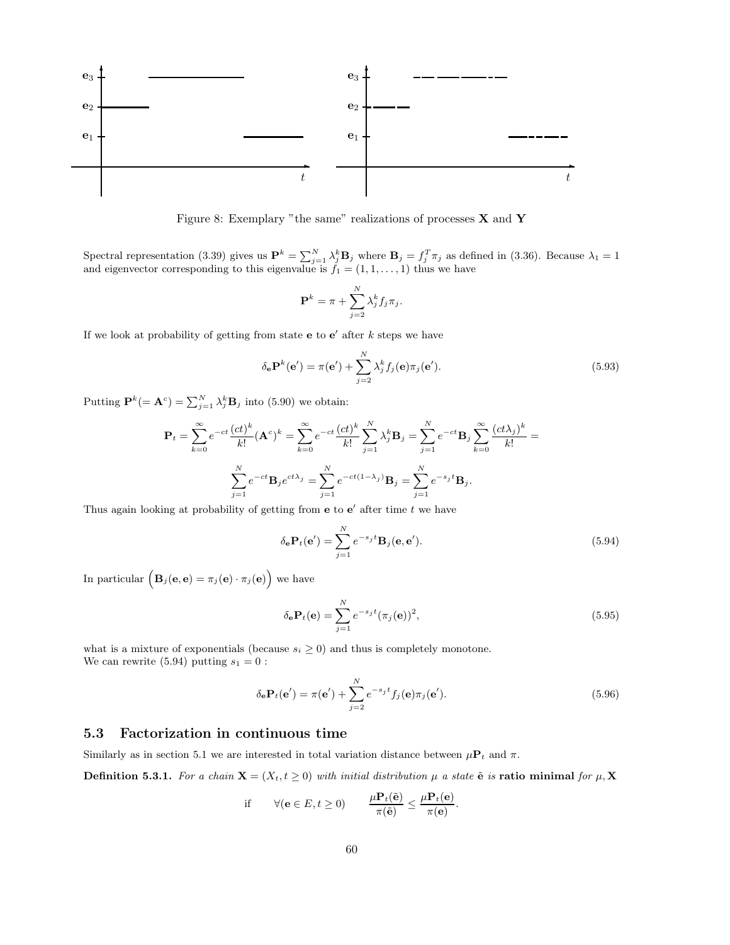

Figure 8: Exemplary "the same" realizations of processes X and Y

Spectral representation (3.39) gives us  $\mathbf{P}^k = \sum_{j=1}^N \lambda_j^k \mathbf{B}_j$  where  $\mathbf{B}_j = f_j^T \pi_j$  as defined in (3.36). Because  $\lambda_1 = 1$ and eigenvector corresponding to this eigenvalue is  $f_1 = (1, 1, \ldots, 1)$  thus we have

$$
\mathbf{P}^{k} = \pi + \sum_{j=2}^{N} \lambda_j^{k} f_j \pi_j.
$$

If we look at probability of getting from state  $e$  to  $e'$  after k steps we have

$$
\delta_{\mathbf{e}} \mathbf{P}^{k}(\mathbf{e}') = \pi(\mathbf{e}') + \sum_{j=2}^{N} \lambda_{j}^{k} f_{j}(\mathbf{e}) \pi_{j}(\mathbf{e}'). \qquad (5.93)
$$

Putting  $\mathbf{P}^k (= \mathbf{A}^c) = \sum_{j=1}^N \lambda_j^k \mathbf{B}_j$  into (5.90) we obtain:

$$
\mathbf{P}_{t} = \sum_{k=0}^{\infty} e^{-ct} \frac{(ct)^{k}}{k!} (\mathbf{A}^{c})^{k} = \sum_{k=0}^{\infty} e^{-ct} \frac{(ct)^{k}}{k!} \sum_{j=1}^{N} \lambda_{j}^{k} \mathbf{B}_{j} = \sum_{j=1}^{N} e^{-ct} \mathbf{B}_{j} \sum_{k=0}^{\infty} \frac{(ct\lambda_{j})^{k}}{k!} =
$$

$$
\sum_{j=1}^{N} e^{-ct} \mathbf{B}_{j} e^{ct\lambda_{j}} = \sum_{j=1}^{N} e^{-ct(1-\lambda_{j})} \mathbf{B}_{j} = \sum_{j=1}^{N} e^{-sj} \mathbf{B}_{j}.
$$

Thus again looking at probability of getting from  $e$  to  $e'$  after time t we have

$$
\delta_{\mathbf{e}} \mathbf{P}_t(\mathbf{e}') = \sum_{j=1}^N e^{-s_j t} \mathbf{B}_j(\mathbf{e}, \mathbf{e}'). \tag{5.94}
$$

In particular  $(B_j(\mathbf{e}, \mathbf{e}) = \pi_j(\mathbf{e}) \cdot \pi_j(\mathbf{e})\big)$  we have

$$
\delta_{\mathbf{e}} \mathbf{P}_t(\mathbf{e}) = \sum_{j=1}^N e^{-s_j t} (\pi_j(\mathbf{e}))^2,
$$
\n(5.95)

what is a mixture of exponentials (because  $s_i \geq 0$ ) and thus is completely monotone. We can rewrite (5.94) putting  $s_1 = 0$ :

$$
\delta_{\mathbf{e}} \mathbf{P}_t(\mathbf{e}') = \pi(\mathbf{e}') + \sum_{j=2}^N e^{-s_j t} f_j(\mathbf{e}) \pi_j(\mathbf{e}'). \tag{5.96}
$$

## 5.3 Factorization in continuous time

Similarly as in section 5.1 we are interested in total variation distance between  $\mu P_t$  and  $\pi$ .

**Definition 5.3.1.** For a chain  $\mathbf{X} = (X_t, t \geq 0)$  with initial distribution  $\mu$  a state  $\tilde{\mathbf{e}}$  is ratio minimal for  $\mu$ ,  $\mathbf{X}$ 

if 
$$
\forall (\mathbf{e} \in E, t \ge 0)
$$
  $\frac{\mu \mathbf{P}_t(\tilde{\mathbf{e}})}{\pi(\tilde{\mathbf{e}})} \le \frac{\mu \mathbf{P}_t(\mathbf{e})}{\pi(\mathbf{e})}.$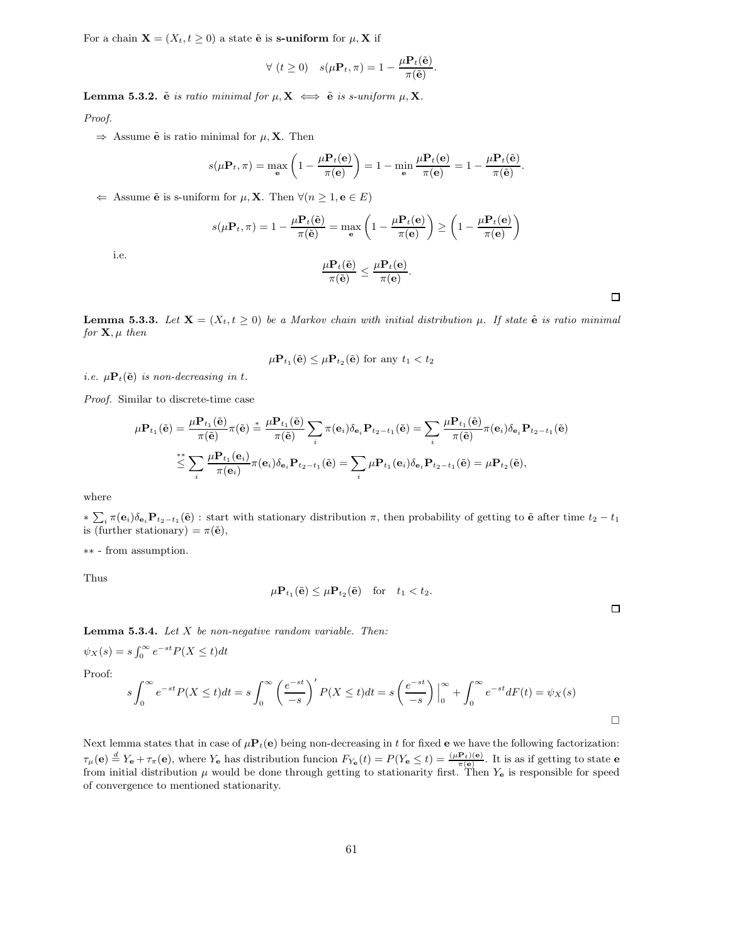For a chain  $\mathbf{X} = (X_t, t \geq 0)$  a state  $\tilde{\mathbf{e}}$  is s-uniform for  $\mu$ ,  $\mathbf{X}$  if

$$
\forall (t \geq 0) \quad s(\mu \mathbf{P}_t, \pi) = 1 - \frac{\mu \mathbf{P}_t(\tilde{\mathbf{e}})}{\pi(\tilde{\mathbf{e}})}.
$$

Lemma 5.3.2.  $\tilde{e}$  is ratio minimal for  $\mu$ ,  $X \iff \tilde{e}$  is s-uniform  $\mu$ , X.

Proof.

 $\Rightarrow$  Assume  $\tilde{\mathbf{e}}$  is ratio minimal for  $\mu$ , **X**. Then

$$
s(\mu \mathbf{P}_t, \pi) = \max_{\mathbf{e}} \left( 1 - \frac{\mu \mathbf{P}_t(\mathbf{e})}{\pi(\mathbf{e})} \right) = 1 - \min_{\mathbf{e}} \frac{\mu \mathbf{P}_t(\mathbf{e})}{\pi(\mathbf{e})} = 1 - \frac{\mu \mathbf{P}_t(\tilde{\mathbf{e}})}{\pi(\tilde{\mathbf{e}})}.
$$

 $\Leftarrow$  Assume  $\tilde{\mathbf{e}}$  is s-uniform for  $\mu$ , **X**. Then  $\forall (n \geq 1, \mathbf{e} \in E)$ 

$$
s(\mu \mathbf{P}_t, \pi) = 1 - \frac{\mu \mathbf{P}_t(\tilde{\mathbf{e}})}{\pi(\tilde{\mathbf{e}})} = \max_{\mathbf{e}} \left( 1 - \frac{\mu \mathbf{P}_t(\mathbf{e})}{\pi(\mathbf{e})} \right) \ge \left( 1 - \frac{\mu \mathbf{P}_t(\mathbf{e})}{\pi(\mathbf{e})} \right)
$$

$$
\mu \mathbf{P}_t(\tilde{\mathbf{e}}) \le \mu \mathbf{P}_t(\mathbf{e})
$$

i.e.

$$
\frac{\mu \mathbf{P}_t(\tilde{\mathbf{e}})}{\pi(\tilde{\mathbf{e}})} \leq \frac{\mu \mathbf{P}_t(\mathbf{e})}{\pi(\mathbf{e})}.
$$

 $\Box$ 

 $\Box$ 

**Lemma 5.3.3.** Let  $X = (X_t, t \geq 0)$  be a Markov chain with initial distribution  $\mu$ . If state  $\tilde{e}$  is ratio minimal for  $X, \mu$  then

$$
\mu \mathbf{P}_{t_1}(\tilde{\mathbf{e}}) \leq \mu \mathbf{P}_{t_2}(\tilde{\mathbf{e}}) \text{ for any } t_1 < t_2
$$

i.e.  $\mu \mathbf{P}_t(\tilde{\mathbf{e}})$  is non-decreasing in t.

Proof. Similar to discrete-time case

$$
\mu \mathbf{P}_{t_1}(\tilde{\mathbf{e}}) = \frac{\mu \mathbf{P}_{t_1}(\tilde{\mathbf{e}})}{\pi(\tilde{\mathbf{e}})} \pi(\tilde{\mathbf{e}}) \stackrel{*}{=} \frac{\mu \mathbf{P}_{t_1}(\tilde{\mathbf{e}})}{\pi(\tilde{\mathbf{e}})} \sum_i \pi(\mathbf{e}_i) \delta_{\mathbf{e}_i} \mathbf{P}_{t_2 - t_1}(\tilde{\mathbf{e}}) = \sum_i \frac{\mu \mathbf{P}_{t_1}(\tilde{\mathbf{e}})}{\pi(\tilde{\mathbf{e}})} \pi(\mathbf{e}_i) \delta_{\mathbf{e}_i} \mathbf{P}_{t_2 - t_1}(\tilde{\mathbf{e}})
$$

$$
\stackrel{*}{\leq} \sum_i \frac{\mu \mathbf{P}_{t_1}(\mathbf{e}_i)}{\pi(\mathbf{e}_i)} \pi(\mathbf{e}_i) \delta_{\mathbf{e}_i} \mathbf{P}_{t_2 - t_1}(\tilde{\mathbf{e}}) = \sum_i \mu \mathbf{P}_{t_1}(\mathbf{e}_i) \delta_{\mathbf{e}_i} \mathbf{P}_{t_2 - t_1}(\tilde{\mathbf{e}}) = \mu \mathbf{P}_{t_2}(\tilde{\mathbf{e}}),
$$

where

 $*\sum_i \pi(\mathbf{e}_i)\delta_{\mathbf{e}_i}\mathbf{P}_{t_2-t_1}(\tilde{\mathbf{e}}):$  start with stationary distribution  $\pi$ , then probability of getting to  $\tilde{\mathbf{e}}$  after time  $t_2-t_1$ is (further stationary) =  $\pi(\tilde{\mathbf{e}})$ ,

∗∗ - from assumption.

Thus

$$
\mu \mathbf{P}_{t_1}(\tilde{\mathbf{e}}) \leq \mu \mathbf{P}_{t_2}(\tilde{\mathbf{e}}) \quad \text{for} \quad t_1 < t_2.
$$

**Lemma 5.3.4.** Let  $X$  be non-negative random variable. Then:

 $\psi_X(s) = s \int_0^\infty e^{-st} P(X \le t) dt$ 

Proof:

$$
s\int_0^\infty e^{-st}P(X \le t)dt = s\int_0^\infty \left(\frac{e^{-st}}{-s}\right)'P(X \le t)dt = s\left(\frac{e^{-st}}{-s}\right)\Big|_0^\infty + \int_0^\infty e^{-st}dF(t) = \psi_X(s)
$$

Next lemma states that in case of  $\mu \mathbf{P}_t(\mathbf{e})$  being non-decreasing in t for fixed  $\mathbf{e}$  we have the following factorization:  $\tau_{\mu}(\mathbf{e}) \stackrel{d}{=} Y_{\mathbf{e}} + \tau_{\pi}(\mathbf{e}),$  where  $Y_{\mathbf{e}}$  has distribution funcion  $F_{Y_{\mathbf{e}}}(t) = P(Y_{\mathbf{e}} \le t) = \frac{(\mu \mathbf{P}_t)(\mathbf{e})}{\pi(\mathbf{e})}$ . It is as if getting to state  $\mathbf{e}$ from initial distribution  $\mu$  would be done through getting to stationarity first. Then  $Y_e$  is responsible for speed of convergence to mentioned stationarity.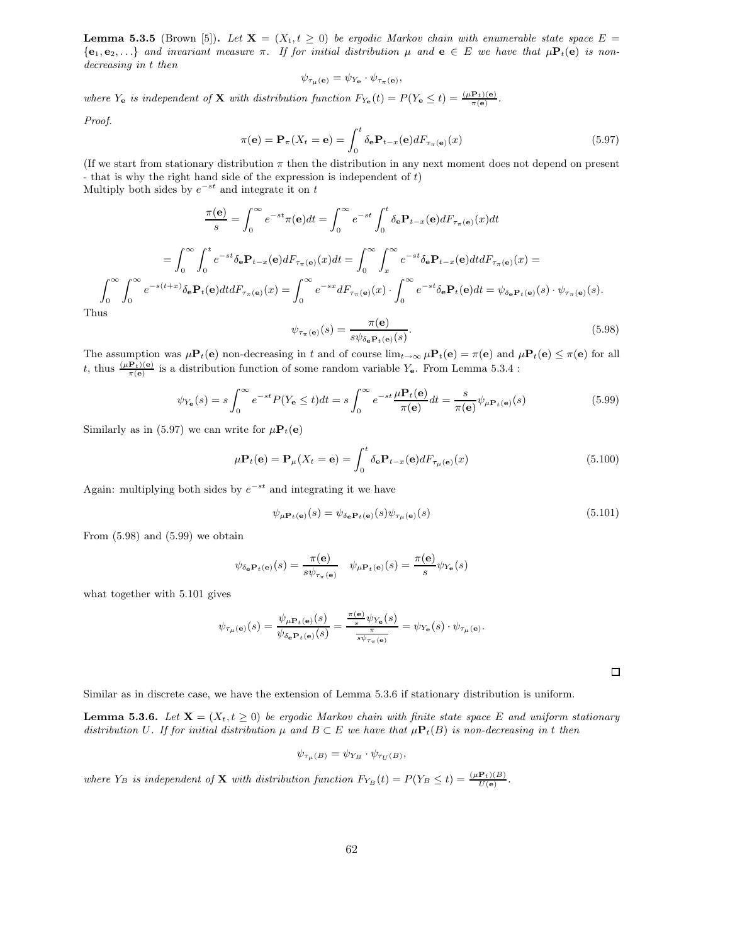**Lemma 5.3.5** (Brown [5]). Let  $X = (X_t, t \ge 0)$  be ergodic Markov chain with enumerable state space  $E =$  ${e_1, e_2, \ldots}$  and invariant measure  $\pi$ . If for initial distribution  $\mu$  and  $\mathbf{e} \in E$  we have that  $\mu \mathbf{P}_t(\mathbf{e})$  is nondecreasing in t then

$$
\psi_{\tau_{\mu}(\mathbf{e})} = \psi_{Y_{\mathbf{e}}} \cdot \psi_{\tau_{\pi}(\mathbf{e})},
$$

where  $Y_e$  is independent of **X** with distribution function  $F_{Y_e}(t) = P(Y_e \le t) = \frac{(\mu P_t)(e)}{\pi(e)}$ .

Proof.

$$
\pi(\mathbf{e}) = \mathbf{P}_{\pi}(X_t = \mathbf{e}) = \int_0^t \delta_{\mathbf{e}} \mathbf{P}_{t-x}(\mathbf{e}) dF_{\tau_{\pi}(\mathbf{e})}(x)
$$
(5.97)

(If we start from stationary distribution  $\pi$  then the distribution in any next moment does not depend on present - that is why the right hand side of the expression is independent of  $t$ ) Multiply both sides by  $e^{-st}$  and integrate it on t

$$
\frac{\pi(\mathbf{e})}{s} = \int_0^\infty e^{-st} \pi(\mathbf{e}) dt = \int_0^\infty e^{-st} \int_0^t \delta_\mathbf{e} \mathbf{P}_{t-x}(\mathbf{e}) dF_{\tau_\pi(\mathbf{e})}(x) dt
$$

$$
= \int_0^\infty \int_0^t e^{-st} \delta_\mathbf{e} \mathbf{P}_{t-x}(\mathbf{e}) dF_{\tau_\pi(\mathbf{e})}(x) dt = \int_0^\infty \int_x^\infty e^{-st} \delta_\mathbf{e} \mathbf{P}_{t-x}(\mathbf{e}) dt dF_{\tau_\pi(\mathbf{e})}(x) =
$$

$$
\int_0^\infty \int_0^\infty e^{-s(t+x)} \delta_\mathbf{e} \mathbf{P}_t(\mathbf{e}) dt dF_{\tau_\pi(\mathbf{e})}(x) = \int_0^\infty e^{-sx} dF_{\tau_\pi(\mathbf{e})}(x) \cdot \int_0^\infty e^{-st} \delta_\mathbf{e} \mathbf{P}_t(\mathbf{e}) dt = \psi_{\delta_\mathbf{e} \mathbf{P}_t(\mathbf{e})}(s) \cdot \psi_{\tau_\pi(\mathbf{e})}(s).
$$
Thus

$$
\psi_{\tau_{\pi}(\mathbf{e})}(s) = \frac{\pi(\mathbf{e})}{s\psi_{\delta_{\mathbf{e}}\mathbf{P}_t(\mathbf{e})}(s)}.\tag{5.98}
$$

The assumption was  $\mu P_t(e)$  non-decreasing in t and of course  $\lim_{t\to\infty}\mu P_t(e) = \pi(e)$  and  $\mu P_t(e) \leq \pi(e)$  for all t, thus  $\frac{(\mu P_t)(e)}{\pi(e)}$  is a distribution function of some random variable  $Y_e$ . From Lemma 5.3.4 :

$$
\psi_{Y_{\mathbf{e}}}(s) = s \int_0^\infty e^{-st} P(Y_{\mathbf{e}} \le t) dt = s \int_0^\infty e^{-st} \frac{\mu \mathbf{P}_t(\mathbf{e})}{\pi(\mathbf{e})} dt = \frac{s}{\pi(\mathbf{e})} \psi_{\mu \mathbf{P}_t(\mathbf{e})}(s)
$$
(5.99)

Similarly as in (5.97) we can write for  $\mu \mathbf{P}_t(\mathbf{e})$ 

$$
\mu \mathbf{P}_t(\mathbf{e}) = \mathbf{P}_{\mu}(X_t = \mathbf{e}) = \int_0^t \delta_{\mathbf{e}} \mathbf{P}_{t-x}(\mathbf{e}) dF_{\tau_{\mu}(\mathbf{e})}(x)
$$
(5.100)

Again: multiplying both sides by  $e^{-st}$  and integrating it we have

$$
\psi_{\mu \mathbf{P}_t(\mathbf{e})}(s) = \psi_{\delta_{\mathbf{e}} \mathbf{P}_t(\mathbf{e})}(s) \psi_{\tau_{\mu}(\mathbf{e})}(s)
$$
\n(5.101)

From  $(5.98)$  and  $(5.99)$  we obtain

$$
\psi_{\delta_{\mathbf{e}} \mathbf{P}_t(\mathbf{e})}(s) = \frac{\pi(\mathbf{e})}{s \psi_{\tau_{\pi}(\mathbf{e})}} \quad \psi_{\mu \mathbf{P}_t(\mathbf{e})}(s) = \frac{\pi(\mathbf{e})}{s} \psi_{Y_{\mathbf{e}}}(s)
$$

what together with 5.101 gives

$$
\psi_{\tau_{\mu}(\mathbf{e})}(s) = \frac{\psi_{\mu \mathbf{P}_t(\mathbf{e})}(s)}{\psi_{\delta_{\mathbf{e}} \mathbf{P}_t(\mathbf{e})}(s)} = \frac{\frac{\pi(\mathbf{e})}{s} \psi_{Y_{\mathbf{e}}}(s)}{\frac{\pi}{s \psi_{\tau_{\pi}(\mathbf{e})}}} = \psi_{Y_{\mathbf{e}}}(s) \cdot \psi_{\tau_{\mu}(\mathbf{e})}.
$$

 $\Box$ 

Similar as in discrete case, we have the extension of Lemma 5.3.6 if stationary distribution is uniform.

**Lemma 5.3.6.** Let  $X = (X_t, t \geq 0)$  be ergodic Markov chain with finite state space E and uniform stationary distribution U. If for initial distribution  $\mu$  and  $B \subset E$  we have that  $\mu \mathbf{P}_t(B)$  is non-decreasing in t then

$$
\psi_{\tau_{\mu}(B)} = \psi_{Y_B} \cdot \psi_{\tau_U(B)},
$$

where  $Y_B$  is independent of **X** with distribution function  $F_{Y_B}(t) = P(Y_B \le t) = \frac{(\mu \mathbf{P}_t)(B)}{U(\mathbf{e})}$ .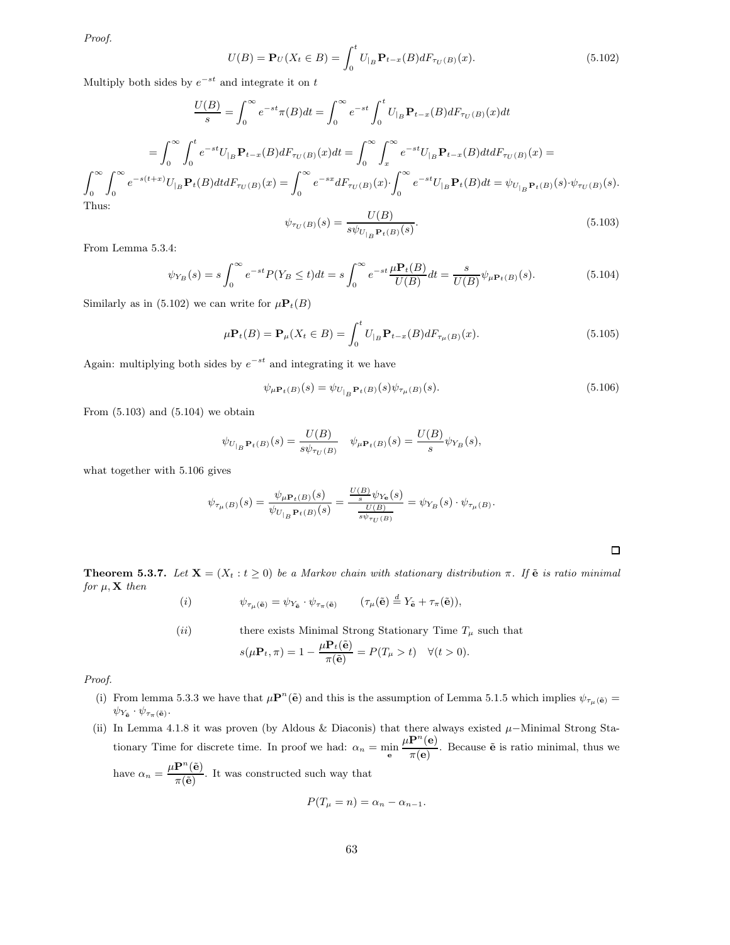Proof.

$$
U(B) = \mathbf{P}_U(X_t \in B) = \int_0^t U_{|B} \mathbf{P}_{t-x}(B) dF_{\tau_U(B)}(x).
$$
 (5.102)

Multiply both sides by  $e^{-st}$  and integrate it on t

$$
\frac{U(B)}{s} = \int_0^\infty e^{-st} \pi(B) dt = \int_0^\infty e^{-st} \int_0^t U_{|B} \mathbf{P}_{t-x}(B) dF_{\tau_U(B)}(x) dt
$$

$$
= \int_0^\infty \int_0^t e^{-st} U_{|B} \mathbf{P}_{t-x}(B) dF_{\tau_U(B)}(x) dt = \int_0^\infty \int_x^\infty e^{-st} U_{|B} \mathbf{P}_{t-x}(B) dt dF_{\tau_U(B)}(x) =
$$

$$
\int_0^\infty \int_0^\infty e^{-s(t+x)} U_{|B} \mathbf{P}_t(B) dt dF_{\tau_U(B)}(x) = \int_0^\infty e^{-sx} dF_{\tau_U(B)}(x) \cdot \int_0^\infty e^{-st} U_{|B} \mathbf{P}_t(B) dt = \psi_{U_{|B}} \mathbf{P}_t(B) \cdot \psi_{\tau_U(B)}(s).
$$
Thus:

$$
\psi_{\tau_U(B)}(s) = \frac{U(B)}{s\psi_{U_{|B}} \mathbf{P}_t(B)}.
$$
\n(5.103)

From Lemma 5.3.4:

$$
\psi_{Y_B}(s) = s \int_0^\infty e^{-st} P(Y_B \le t) dt = s \int_0^\infty e^{-st} \frac{\mu \mathbf{P}_t(B)}{U(B)} dt = \frac{s}{U(B)} \psi_{\mu \mathbf{P}_t(B)}(s).
$$
(5.104)

Similarly as in (5.102) we can write for  $\mu \mathbf{P}_t(B)$ 

$$
\mu \mathbf{P}_t(B) = \mathbf{P}_{\mu}(X_t \in B) = \int_0^t U_{|B} \mathbf{P}_{t-x}(B) dF_{\tau_{\mu}(B)}(x).
$$
\n(5.105)

Again: multiplying both sides by  $e^{-st}$  and integrating it we have

$$
\psi_{\mu \mathbf{P}_t(B)}(s) = \psi_{U_{|B} \mathbf{P}_t(B)}(s) \psi_{\tau_{\mu}(B)}(s).
$$
\n(5.106)

From  $(5.103)$  and  $(5.104)$  we obtain

$$
\psi_{U_{|B}} \mathbf{P}_{t}(B)(s) = \frac{U(B)}{s\psi_{\tau_U(B)}} \quad \psi_{\mu \mathbf{P}_{t}(B)}(s) = \frac{U(B)}{s} \psi_{Y_B}(s),
$$

what together with 5.106 gives

$$
\psi_{\tau_{\mu}(B)}(s) = \frac{\psi_{\mu \mathbf{P}_t(B)}(s)}{\psi_{U_{|B} \mathbf{P}_t(B)}(s)} = \frac{\frac{U(B)}{s} \psi_{Y_{\mathbf{B}}}(s)}{\frac{U(B)}{s \psi_{\tau_U(B)}}} = \psi_{Y_B}(s) \cdot \psi_{\tau_{\mu}(B)}.
$$

**Theorem 5.3.7.** Let  $X = (X_t : t \ge 0)$  be a Markov chain with stationary distribution π. If  $\tilde{e}$  is ratio minimal for  $\mu$ , **X** then

$$
(i) \t\t \psi_{\tau_{\mu}(\tilde{\mathbf{e}})} = \psi_{Y_{\tilde{\mathbf{e}}}} \cdot \psi_{\tau_{\pi}(\tilde{\mathbf{e}})} \t\t (\tau_{\mu}(\tilde{\mathbf{e}}) \stackrel{d}{=} Y_{\tilde{\mathbf{e}}} + \tau_{\pi}(\tilde{\mathbf{e}})),
$$

(*ii*) there exists Minimal Strong Stationary Time 
$$
T_{\mu}
$$
 such that  
\n
$$
s(\mu \mathbf{P}_t, \pi) = 1 - \frac{\mu \mathbf{P}_t(\tilde{\mathbf{e}})}{\pi(\tilde{\mathbf{e}})} = P(T_{\mu} > t) \quad \forall (t > 0).
$$

Proof.

- (i) From lemma 5.3.3 we have that  $\mu \mathbf{P}^n(\tilde{\mathbf{e}})$  and this is the assumption of Lemma 5.1.5 which implies  $\psi_{\tau_\mu(\tilde{\mathbf{e}})} =$  $\psi_{Y_{\tilde{\mathbf{e}}}}\cdot \psi_{\tau_{\pi}(\tilde{\mathbf{e}})}.$
- (ii) In Lemma 4.1.8 it was proven (by Aldous & Diaconis) that there always existed  $\mu$ −Minimal Strong Stationary Time for discrete time. In proof we had:  $\alpha_n = \min_{\mathbf{e}}$  $\mu \mathbf{P}^n(\mathbf{e})$  $\frac{\mathbf{r}(\mathbf{c})}{\pi(\mathbf{e})}$ . Because  $\tilde{\mathbf{e}}$  is ratio minimal, thus we have  $\alpha_n = \frac{\mu \mathbf{P}^n(\tilde{\mathbf{e}})}{\sqrt{n}}$  $\frac{1}{\pi(\tilde{e})}$ . It was constructed such way that

$$
P(T_{\mu} = n) = \alpha_n - \alpha_{n-1}.
$$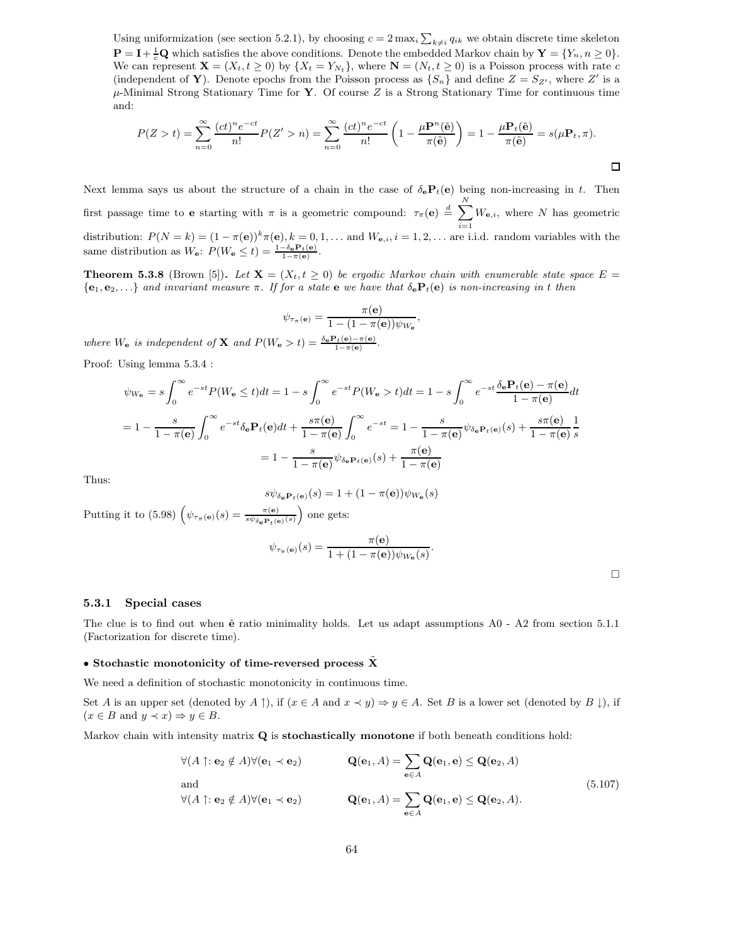Using uniformization (see section 5.2.1), by choosing  $c = 2 \max_i \sum_{k \neq i} q_{ik}$  we obtain discrete time skeleton  $\mathbf{P} = \mathbf{I} + \frac{1}{c} \mathbf{Q}$  which satisfies the above conditions. Denote the embedded Markov chain by  $\mathbf{Y} = \{Y_n, n \geq 0\}.$ We can represent  $\mathbf{X} = (X_t, t \geq 0)$  by  $\{X_t = Y_{N_t}\}$ , where  $\mathbf{N} = (N_t, t \geq 0)$  is a Poisson process with rate c (independent of Y). Denote epochs from the Poisson process as  $\{S_n\}$  and define  $Z = S_{Z'}$ , where  $Z'$  is a  $\mu$ -Minimal Strong Stationary Time for Y. Of course Z is a Strong Stationary Time for continuous time and:

$$
P(Z > t) = \sum_{n=0}^{\infty} \frac{(ct)^n e^{-ct}}{n!} P(Z' > n) = \sum_{n=0}^{\infty} \frac{(ct)^n e^{-ct}}{n!} \left(1 - \frac{\mu \mathbf{P}^n(\tilde{\mathbf{e}})}{\pi(\tilde{\mathbf{e}})}\right) = 1 - \frac{\mu \mathbf{P}_t(\tilde{\mathbf{e}})}{\pi(\tilde{\mathbf{e}})} = s(\mu \mathbf{P}_t, \pi).
$$

Next lemma says us about the structure of a chain in the case of  $\delta_e P_t(e)$  being non-increasing in t. Then first passage time to **e** starting with  $\pi$  is a geometric compound:  $\tau_{\pi}(\mathbf{e}) \stackrel{d}{=} \sum_{k=1}^{N} W_{\mathbf{e},i}$ , where N has geometric distribution:  $P(N = k) = (1 - \pi(e))^k \pi(e)$ ,  $k = 0, 1, \ldots$  and  $W_{e,i}$ ,  $i = 1, 2, \ldots$  are i.i.d. random variables with the same distribution as  $W_{\mathbf{e}}$ :  $P(W_{\mathbf{e}} \le t) = \frac{1 - \delta_{\mathbf{e}} \mathbf{P}_t(\mathbf{e})}{1 - \pi(\mathbf{e})}$ .

**Theorem 5.3.8** (Brown [5]). Let  $X = (X_t, t \geq 0)$  be ergodic Markov chain with enumerable state space  $E =$  ${e_1, e_2, \ldots}$  and invariant measure  $\pi$ . If for a state e we have that  $\delta_e P_t(e)$  is non-increasing in t then

$$
\psi_{\tau_{\pi}(\mathbf{e})} = \frac{\pi(\mathbf{e})}{1 - (1 - \pi(\mathbf{e}))\psi_{W_{\mathbf{e}}}},
$$

where  $W_{\bf e}$  is independent of **X** and  $P(W_{\bf e} > t) = \frac{\delta_{\bf e} \mathbf{P}_t(\bf e) - \pi(\bf e)}{1 - \pi(\bf e)}$ .

Proof: Using lemma 5.3.4 :

$$
\psi_{W_{\mathbf{e}}} = s \int_0^{\infty} e^{-st} P(W_{\mathbf{e}} \le t) dt = 1 - s \int_0^{\infty} e^{-st} P(W_{\mathbf{e}} > t) dt = 1 - s \int_0^{\infty} e^{-st} \frac{\delta_{\mathbf{e}} \mathbf{P}_t(\mathbf{e}) - \pi(\mathbf{e})}{1 - \pi(\mathbf{e})} dt
$$

$$
= 1 - \frac{s}{1 - \pi(\mathbf{e})} \int_0^{\infty} e^{-st} \delta_{\mathbf{e}} \mathbf{P}_t(\mathbf{e}) dt + \frac{s \pi(\mathbf{e})}{1 - \pi(\mathbf{e})} \int_0^{\infty} e^{-st} = 1 - \frac{s}{1 - \pi(\mathbf{e})} \psi_{\delta_{\mathbf{e}} \mathbf{P}_t(\mathbf{e})}(s) + \frac{s \pi(\mathbf{e})}{1 - \pi(\mathbf{e})} \frac{1}{s}
$$

$$
= 1 - \frac{s}{1 - \pi(\mathbf{e})} \psi_{\delta_{\mathbf{e}} \mathbf{P}_t(\mathbf{e})}(s) + \frac{\pi(\mathbf{e})}{1 - \pi(\mathbf{e})}
$$

Thus:

$$
s\psi_{\delta_{\mathbf{e}}\mathbf{P}_t(\mathbf{e})}(s) = 1 + (1 - \pi(\mathbf{e}))\psi_{W_{\mathbf{e}}}(s)
$$

Putting it to (5.98)  $(\psi_{\tau_{\pi}(\mathbf{e})}(s) = \frac{\pi(\mathbf{e})}{s\psi_{\delta_{\mathbf{e}}\mathbf{P}_t(\mathbf{e})}(s)})$  one gets:

$$
\psi_{\tau_{\pi}(\mathbf{e})}(s) = \frac{\pi(\mathbf{e})}{1 + (1 - \pi(\mathbf{e}))\psi_{W_{\mathbf{e}}}(s)}.
$$

 $\Box$ 

#### 5.3.1 Special cases

The clue is to find out when  $\tilde{e}$  ratio minimality holds. Let us adapt assumptions A0 - A2 from section 5.1.1 (Factorization for discrete time).

### • Stochastic monotonicity of time-reversed process  $\tilde{\mathbf{X}}$

We need a definition of stochastic monotonicity in continuous time.

Set A is an upper set (denoted by A  $\uparrow$ ), if  $(x \in A \text{ and } x \prec y) \Rightarrow y \in A$ . Set B is a lower set (denoted by B  $\downarrow$ ), if  $(x \in B \text{ and } y \prec x) \Rightarrow y \in B.$ 

Markov chain with intensity matrix Q is stochastically monotone if both beneath conditions hold:

$$
\forall (A \uparrow : \mathbf{e}_2 \notin A) \forall (\mathbf{e}_1 \prec \mathbf{e}_2) \qquad \mathbf{Q}(\mathbf{e}_1, A) = \sum_{\mathbf{e} \in A} \mathbf{Q}(\mathbf{e}_1, \mathbf{e}) \le \mathbf{Q}(\mathbf{e}_2, A)
$$
  
and  

$$
\forall (A \uparrow : \mathbf{e}_2 \notin A) \forall (\mathbf{e}_1 \prec \mathbf{e}_2) \qquad \mathbf{Q}(\mathbf{e}_1, A) = \sum_{\mathbf{e} \in A} \mathbf{Q}(\mathbf{e}_1, \mathbf{e}) \le \mathbf{Q}(\mathbf{e}_2, A).
$$
 (5.107)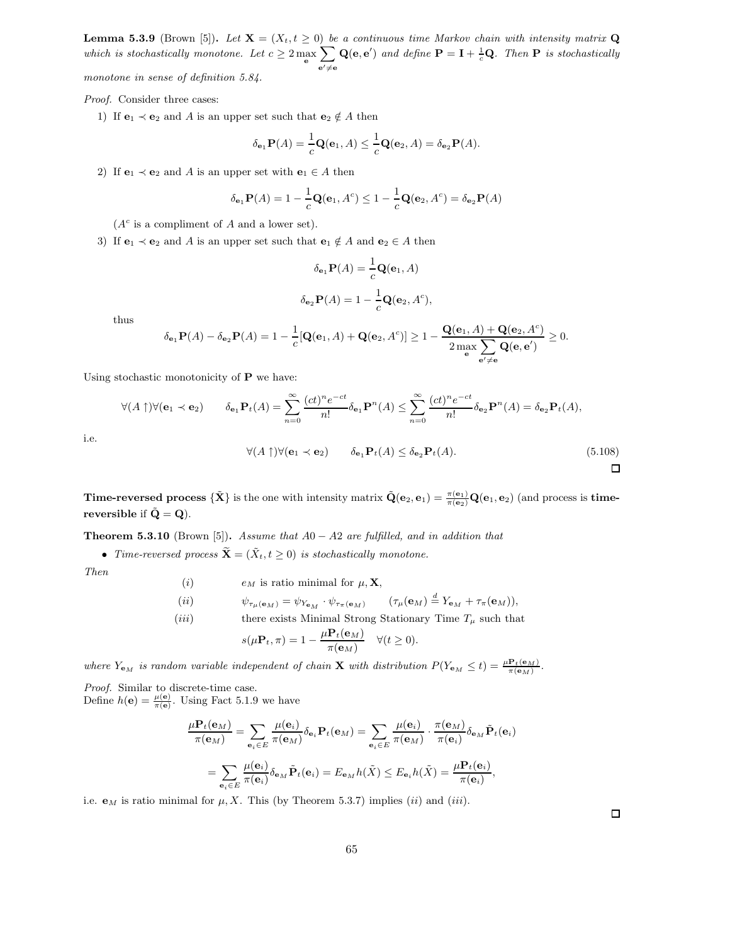**Lemma 5.3.9** (Brown [5]). Let  $\mathbf{X} = (X_t, t \geq 0)$  be a continuous time Markov chain with intensity matrix Q which is stochastically monotone. Let  $c \geq 2 \max_{\mathbf{e}}$  $\sum$  $e' \neq e$  $\mathbf{Q}(\mathbf{e}, \mathbf{e}')$  and define  $\mathbf{P} = \mathbf{I} + \frac{1}{c} \mathbf{Q}$ . Then  $\mathbf{P}$  is stochastically monotone in sense of definition 5.84.

Proof. Consider three cases:

1) If  $e_1 \prec e_2$  and A is an upper set such that  $e_2 \notin A$  then

$$
\delta_{\mathbf{e}_1} \mathbf{P}(A) = \frac{1}{c} \mathbf{Q}(\mathbf{e}_1, A) \le \frac{1}{c} \mathbf{Q}(\mathbf{e}_2, A) = \delta_{\mathbf{e}_2} \mathbf{P}(A).
$$

2) If  $e_1 \prec e_2$  and A is an upper set with  $e_1 \in A$  then

$$
\delta_{\mathbf{e}_1} \mathbf{P}(A) = 1 - \frac{1}{c} \mathbf{Q}(\mathbf{e}_1, A^c) \le 1 - \frac{1}{c} \mathbf{Q}(\mathbf{e}_2, A^c) = \delta_{\mathbf{e}_2} \mathbf{P}(A)
$$

 $(A<sup>c</sup>$  is a compliment of A and a lower set).

3) If  $e_1 \prec e_2$  and A is an upper set such that  $e_1 \notin A$  and  $e_2 \in A$  then

$$
\delta_{\mathbf{e}_1} \mathbf{P}(A) = \frac{1}{c} \mathbf{Q}(\mathbf{e}_1, A)
$$

$$
\delta_{\mathbf{e}_2} \mathbf{P}(A) = 1 - \frac{1}{c} \mathbf{Q}(\mathbf{e}_2, A^c),
$$

thus

$$
\delta_{\mathbf{e}_1} \mathbf{P}(A) - \delta_{\mathbf{e}_2} \mathbf{P}(A) = 1 - \frac{1}{c} [\mathbf{Q}(\mathbf{e}_1, A) + \mathbf{Q}(\mathbf{e}_2, A^c)] \ge 1 - \frac{\mathbf{Q}(\mathbf{e}_1, A) + \mathbf{Q}(\mathbf{e}_2, A^c)}{2 \max_{\mathbf{e}} \sum_{\mathbf{e}' \neq \mathbf{e}} \mathbf{Q}(\mathbf{e}, \mathbf{e}')} \ge 0.
$$

Using stochastic monotonicity of  $P$  we have:

$$
\forall (A \uparrow) \forall (\mathbf{e}_1 \prec \mathbf{e}_2) \qquad \delta_{\mathbf{e}_1} \mathbf{P}_t(A) = \sum_{n=0}^{\infty} \frac{(ct)^n e^{-ct}}{n!} \delta_{\mathbf{e}_1} \mathbf{P}^n(A) \le \sum_{n=0}^{\infty} \frac{(ct)^n e^{-ct}}{n!} \delta_{\mathbf{e}_2} \mathbf{P}^n(A) = \delta_{\mathbf{e}_2} \mathbf{P}_t(A),
$$
  

$$
\forall (A \uparrow) \forall (\mathbf{e}_1 \prec \mathbf{e}_2) \qquad \delta_{\mathbf{e}_1} \mathbf{P}_t(A) \le \delta_{\mathbf{e}_2} \mathbf{P}_t(A).
$$
(5.108)

i.e.

**Time-reversed process**  ${\{\tilde{\mathbf{X}}\}}$  is the one with intensity matrix  $\tilde{\mathbf{Q}}(\mathbf{e}_2, \mathbf{e}_1) = \frac{\pi(\mathbf{e}_1)}{\pi(\mathbf{e}_2)} \mathbf{Q}(\mathbf{e}_1, \mathbf{e}_2)$  (and process is **time**reversible if  $\tilde{Q} = Q$ .

**Theorem 5.3.10** (Brown [5]). Assume that  $A0 - A2$  are fulfilled, and in addition that

• Time-reversed process  $\widetilde{\mathbf{X}} = (\widetilde{X}_t, t \geq 0)$  is stochastically monotone.

Then

\n- (i) 
$$
e_M
$$
 is ratio minimal for  $\mu$ , **X**,
\n- (ii)  $\psi_{\tau_\mu(\mathbf{e}_M)} = \psi_{Y_{\mathbf{e}_M}} \cdot \psi_{\tau_\pi(\mathbf{e}_M)}$   $(\tau_\mu(\mathbf{e}_M) \stackrel{d}{=} Y_{\mathbf{e}_M} + \tau_\pi(\mathbf{e}_M)),$
\n- (iii) there exists Minimal Strong Stationary Time  $T_\mu$  such that  $s(\mu \mathbf{P}_t, \pi) = 1 - \frac{\mu \mathbf{P}_t(\mathbf{e}_M)}{\pi(\mathbf{e}_M)}$   $\forall (t \geq 0).$
\n

where  $Y_{\mathbf{e}_M}$  is random variable independent of chain **X** with distribution  $P(Y_{\mathbf{e}_M} \leq t) = \frac{\mu \mathbf{P}_t(\mathbf{e}_M)}{\pi(\mathbf{e}_M)}$ .

Proof. Similar to discrete-time case. Define  $h(\mathbf{e}) = \frac{\mu(\mathbf{e})}{\pi(\mathbf{e})}$ . Using Fact 5.1.9 we have

$$
\frac{\mu \mathbf{P}_t(\mathbf{e}_M)}{\pi(\mathbf{e}_M)} = \sum_{\mathbf{e}_i \in E} \frac{\mu(\mathbf{e}_i)}{\pi(\mathbf{e}_M)} \delta_{\mathbf{e}_i} \mathbf{P}_t(\mathbf{e}_M) = \sum_{\mathbf{e}_i \in E} \frac{\mu(\mathbf{e}_i)}{\pi(\mathbf{e}_M)} \cdot \frac{\pi(\mathbf{e}_M)}{\pi(\mathbf{e}_i)} \delta_{\mathbf{e}_M} \tilde{\mathbf{P}}_t(\mathbf{e}_i)
$$

$$
= \sum_{\mathbf{e}_i \in E} \frac{\mu(\mathbf{e}_i)}{\pi(\mathbf{e}_i)} \delta_{\mathbf{e}_M} \tilde{\mathbf{P}}_t(\mathbf{e}_i) = E_{\mathbf{e}_M} h(\tilde{X}) \le E_{\mathbf{e}_i} h(\tilde{X}) = \frac{\mu \mathbf{P}_t(\mathbf{e}_i)}{\pi(\mathbf{e}_i)},
$$

i.e.  $\mathbf{e}_M$  is ratio minimal for  $\mu$ , X. This (by Theorem 5.3.7) implies (ii) and (iii).

 $\Box$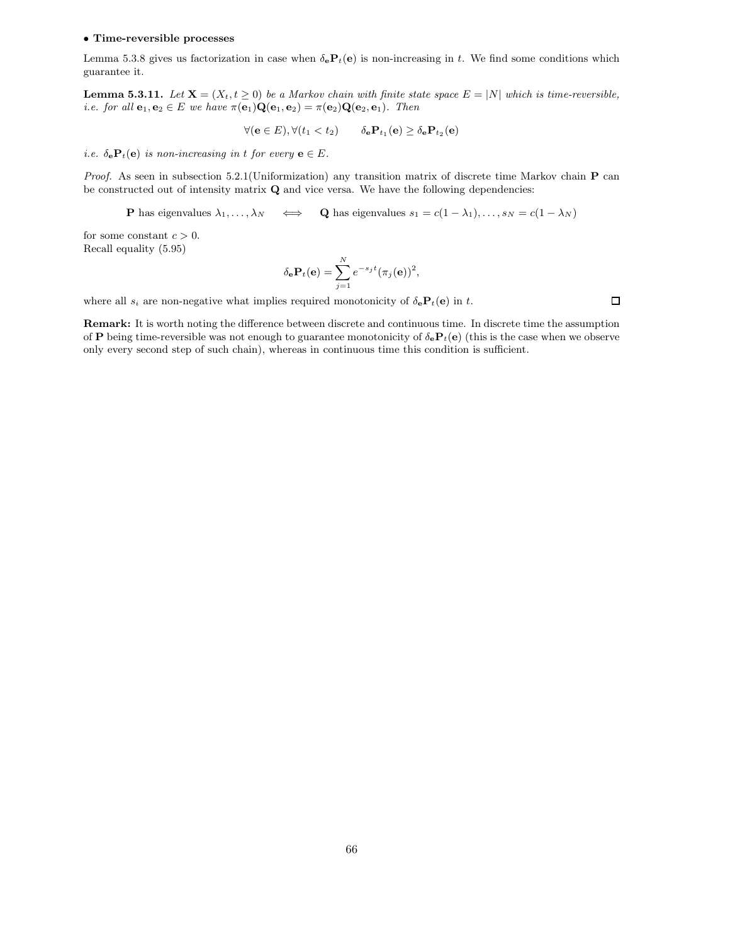#### • Time-reversible processes

Lemma 5.3.8 gives us factorization in case when  $\delta_e \mathbf{P}_t(\mathbf{e})$  is non-increasing in t. We find some conditions which guarantee it.

**Lemma 5.3.11.** Let  $X = (X_t, t \geq 0)$  be a Markov chain with finite state space  $E = |N|$  which is time-reversible, i.e. for all  $\mathbf{e}_1, \mathbf{e}_2 \in E$  we have  $\pi(\mathbf{e}_1) \mathbf{Q}(\mathbf{e}_1, \mathbf{e}_2) = \pi(\mathbf{e}_2) \mathbf{Q}(\mathbf{e}_2, \mathbf{e}_1)$ . Then

$$
\forall (\mathbf{e} \in E), \forall (t_1 < t_2) \qquad \delta_\mathbf{e} \mathbf{P}_{t_1}(\mathbf{e}) \ge \delta_\mathbf{e} \mathbf{P}_{t_2}(\mathbf{e})
$$

i.e.  $\delta_{\mathbf{e}} \mathbf{P}_t(\mathbf{e})$  is non-increasing in t for every  $\mathbf{e} \in E$ .

Proof. As seen in subsection 5.2.1(Uniformization) any transition matrix of discrete time Markov chain P can be constructed out of intensity matrix  ${\bf Q}$  and vice versa. We have the following dependencies:

**P** has eigenvalues  $\lambda_1, \ldots, \lambda_N \iff \mathbf{Q}$  has eigenvalues  $s_1 = c(1 - \lambda_1), \ldots, s_N = c(1 - \lambda_N)$ 

for some constant  $c > 0$ . Recall equality (5.95)

$$
\delta_{\mathbf{e}} \mathbf{P}_t(\mathbf{e}) = \sum_{j=1}^N e^{-s_j t} (\pi_j(\mathbf{e}))^2,
$$

where all  $s_i$  are non-negative what implies required monotonicity of  $\delta_e \mathbf{P}_t(\mathbf{e})$  in t.

 $\Box$ 

Remark: It is worth noting the difference between discrete and continuous time. In discrete time the assumption of P being time-reversible was not enough to guarantee monotonicity of  $\delta_e P_t(e)$  (this is the case when we observe only every second step of such chain), whereas in continuous time this condition is sufficient.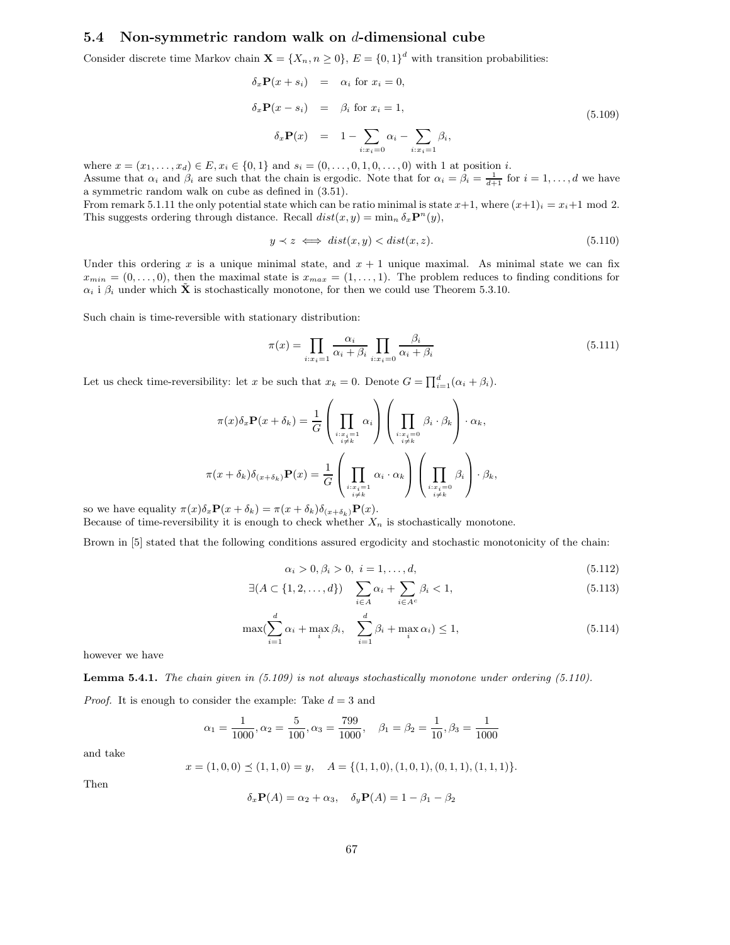## 5.4 Non-symmetric random walk on d-dimensional cube

Consider discrete time Markov chain  $\mathbf{X} = \{X_n, n \geq 0\}$ ,  $E = \{0, 1\}^d$  with transition probabilities:

$$
\delta_x \mathbf{P}(x + s_i) = \alpha_i \text{ for } x_i = 0,
$$
  
\n
$$
\delta_x \mathbf{P}(x - s_i) = \beta_i \text{ for } x_i = 1,
$$
  
\n
$$
\delta_x \mathbf{P}(x) = 1 - \sum_{i: x_i = 0} \alpha_i - \sum_{i: x_i = 1} \beta_i,
$$
\n(5.109)

where  $x = (x_1, \ldots, x_d) \in E, x_i \in \{0, 1\}$  and  $s_i = (0, \ldots, 0, 1, 0, \ldots, 0)$  with 1 at position *i*.

Assume that  $\alpha_i$  and  $\beta_i$  are such that the chain is ergodic. Note that for  $\alpha_i = \beta_i = \frac{1}{d+1}$  for  $i = 1, \ldots, d$  we have a symmetric random walk on cube as defined in (3.51).

From remark 5.1.11 the only potential state which can be ratio minimal is state  $x+1$ , where  $(x+1)_i = x_i+1$  mod 2. This suggests ordering through distance. Recall  $dist(x, y) = \min_n \delta_x \mathbf{P}^n(y)$ ,

$$
y \prec z \iff dist(x, y) < dist(x, z). \tag{5.110}
$$

Under this ordering x is a unique minimal state, and  $x + 1$  unique maximal. As minimal state we can fix  $x_{min} = (0, \ldots, 0)$ , then the maximal state is  $x_{max} = (1, \ldots, 1)$ . The problem reduces to finding conditions for  $\alpha_i$  i  $\beta_i$  under which  $\tilde{\mathbf{X}}$  is stochastically monotone, for then we could use Theorem 5.3.10.

Such chain is time-reversible with stationary distribution:

$$
\pi(x) = \prod_{i:x_i=1} \frac{\alpha_i}{\alpha_i + \beta_i} \prod_{i:x_i=0} \frac{\beta_i}{\alpha_i + \beta_i}
$$
\n(5.111)

Let us check time-reversibility: let x be such that  $x_k = 0$ . Denote  $G = \prod_{i=1}^d (\alpha_i + \beta_i)$ .

$$
\pi(x)\delta_x \mathbf{P}(x+\delta_k) = \frac{1}{G} \left( \prod_{\substack{i:x_i=1 \ i\neq k}} \alpha_i \right) \left( \prod_{\substack{i:x_i=0 \ i\neq k}} \beta_i \cdot \beta_k \right) \cdot \alpha_k,
$$

$$
\pi(x+\delta_k)\delta_{(x+\delta_k)} \mathbf{P}(x) = \frac{1}{G} \left( \prod_{\substack{i:x_i=1 \ i\neq k}} \alpha_i \cdot \alpha_k \right) \left( \prod_{\substack{i:x_i=0 \ i\neq k}} \beta_i \right) \cdot \beta_k,
$$

so we have equality  $\pi(x)\delta_x \mathbf{P}(x+\delta_k) = \pi(x+\delta_k)\delta_{(x+\delta_k)} \mathbf{P}(x)$ . Because of time-reversibility it is enough to check whether  $X_n$  is stochastically monotone.

Brown in [5] stated that the following conditions assured ergodicity and stochastic monotonicity of the chain:

$$
\alpha_i > 0, \beta_i > 0, \ i = 1, \dots, d,\tag{5.112}
$$

$$
\exists (A \subset \{1, 2, \dots, d\}) \quad \sum_{i \in A} \alpha_i + \sum_{i \in A^c} \beta_i < 1,\tag{5.113}
$$

$$
\max(\sum_{i=1}^{d} \alpha_i + \max_i \beta_i, \quad \sum_{i=1}^{d} \beta_i + \max_i \alpha_i) \le 1,
$$
\n(5.114)

however we have

**Lemma 5.4.1.** The chain given in  $(5.109)$  is not always stochastically monotone under ordering  $(5.110)$ .

*Proof.* It is enough to consider the example: Take  $d = 3$  and

$$
\alpha_1 = \frac{1}{1000}, \alpha_2 = \frac{5}{100}, \alpha_3 = \frac{799}{1000}, \quad \beta_1 = \beta_2 = \frac{1}{10}, \beta_3 = \frac{1}{1000}
$$

and take

$$
x = (1, 0, 0) \le (1, 1, 0) = y, \quad A = \{(1, 1, 0), (1, 0, 1), (0, 1, 1), (1, 1, 1)\}.
$$

Then

$$
\delta_x \mathbf{P}(A) = \alpha_2 + \alpha_3, \quad \delta_y \mathbf{P}(A) = 1 - \beta_1 - \beta_2
$$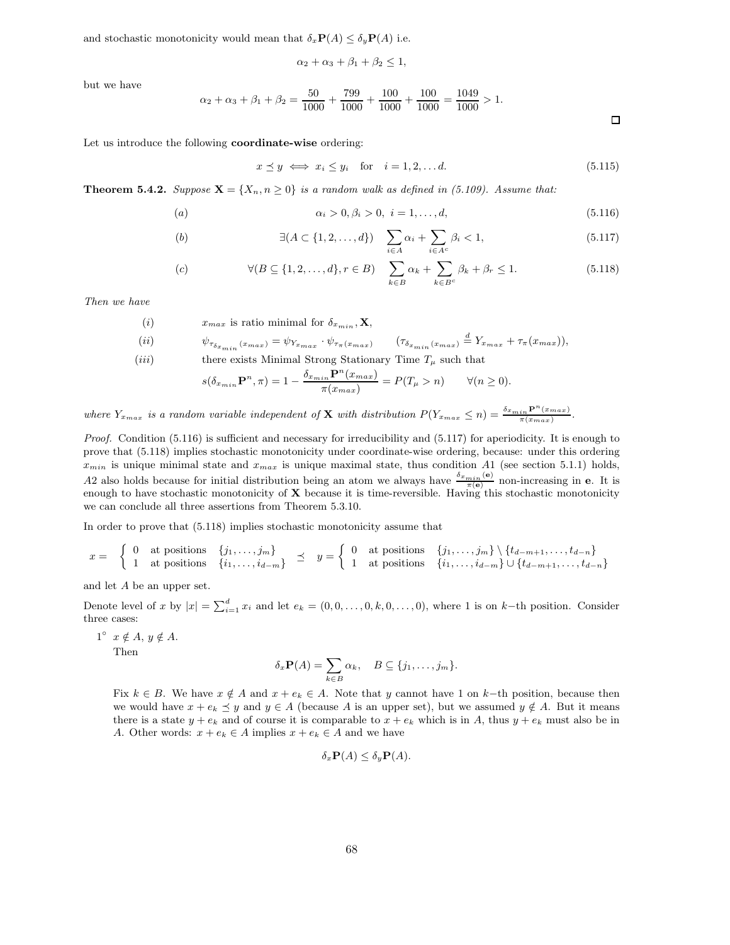and stochastic monotonicity would mean that  $\delta_x \mathbf{P}(A) \leq \delta_y \mathbf{P}(A)$  i.e.

$$
\alpha_2+\alpha_3+\beta_1+\beta_2\leq 1,
$$

but we have

$$
\alpha_2 + \alpha_3 + \beta_1 + \beta_2 = \frac{50}{1000} + \frac{799}{1000} + \frac{100}{1000} + \frac{100}{1000} = \frac{1049}{1000} > 1.
$$

Let us introduce the following coordinate-wise ordering:

$$
x \preceq y \iff x_i \le y_i \quad \text{for} \quad i = 1, 2, \dots d. \tag{5.115}
$$

**Theorem 5.4.2.** Suppose  $X = \{X_n, n \geq 0\}$  is a random walk as defined in (5.109). Assume that:

(a) 
$$
\alpha_i > 0, \beta_i > 0, \ i = 1, ..., d,
$$
 (5.116)

(b) 
$$
\exists (A \subset \{1, 2, ..., d\}) \quad \sum_{i \in A} \alpha_i + \sum_{i \in A^c} \beta_i < 1,\tag{5.117}
$$

$$
\forall (B \subseteq \{1, 2, \dots, d\}, r \in B) \quad \sum_{k \in B} \alpha_k + \sum_{k \in B^c} \beta_k + \beta_r \le 1. \tag{5.118}
$$

Then we have

(i) 
$$
x_{max}
$$
 is ratio minimal for  $\delta_{x_{min}}, \mathbf{X}$ ,  
\n(ii)  $\psi_{\tau_{\delta_{x_{min}}}(x_{max})} = \psi_{Y_{x_{max}}} \cdot \psi_{\tau_{\pi}(x_{max})}$   $(\tau_{\delta_{x_{min}}}(x_{max}) \stackrel{d}{=} Y_{x_{max}} + \tau_{\pi}(x_{max}))$ ,

(*iii*) there exists Minimal Strong Stationary Time 
$$
T_{\mu}
$$
 such that

$$
s(\delta_{x_{min}} \mathbf{P}^n, \pi) = 1 - \frac{\delta_{x_{min}} \mathbf{P}^n(x_{max})}{\pi(x_{max})} = P(T_\mu > n) \qquad \forall (n \ge 0).
$$

where  $Y_{x_{max}}$  is a random variable independent of **X** with distribution  $P(Y_{x_{max}} \leq n) = \frac{\delta_{x_{min}} P^n(x_{max})}{\pi(x_{max})}$ .

Proof. Condition (5.116) is sufficient and necessary for irreducibility and (5.117) for aperiodicity. It is enough to prove that (5.118) implies stochastic monotonicity under coordinate-wise ordering, because: under this ordering  $x_{min}$  is unique minimal state and  $x_{max}$  is unique maximal state, thus condition A1 (see section 5.1.1) holds, A2 also holds because for initial distribution being an atom we always have  $\frac{\delta_{x_{min}}(e)}{\pi(e)}$  non-increasing in e. It is enough to have stochastic monotonicity of  $X$  because it is time-reversible. Having this stochastic monotonicity we can conclude all three assertions from Theorem 5.3.10.

In order to prove that (5.118) implies stochastic monotonicity assume that

$$
x = \begin{cases} 0 & \text{at positions} \\ 1 & \text{at positions} \end{cases} \begin{cases} j_1, \ldots, j_m \\ i_1, \ldots, i_{d-m} \end{cases} \preceq y = \begin{cases} 0 & \text{at positions} \\ 1 & \text{at positions} \end{cases} \begin{cases} j_1, \ldots, j_m \end{cases} \setminus \{t_{d-m+1}, \ldots, t_{d-n}\} \\ \begin{cases} i_1, \ldots, i_{d-m+1}, \ldots, i_{d-n} \end{cases}
$$

and let A be an upper set.

Denote level of x by  $|x| = \sum_{i=1}^d x_i$  and let  $e_k = (0, 0, \ldots, 0, k, 0, \ldots, 0)$ , where 1 is on k-th position. Consider three cases:

 $1^{\circ}$   $x \notin A$ ,  $y \notin A$ .

Then

$$
\delta_x \mathbf{P}(A) = \sum_{k \in B} \alpha_k, \quad B \subseteq \{j_1, \ldots, j_m\}.
$$

Fix  $k \in B$ . We have  $x \notin A$  and  $x + e_k \in A$ . Note that y cannot have 1 on k–th position, because then we would have  $x + e_k \preceq y$  and  $y \in A$  (because A is an upper set), but we assumed  $y \notin A$ . But it means there is a state  $y + e_k$  and of course it is comparable to  $x + e_k$  which is in A, thus  $y + e_k$  must also be in A. Other words:  $x + e_k \in A$  implies  $x + e_k \in A$  and we have

$$
\delta_x \mathbf{P}(A) \le \delta_y \mathbf{P}(A).
$$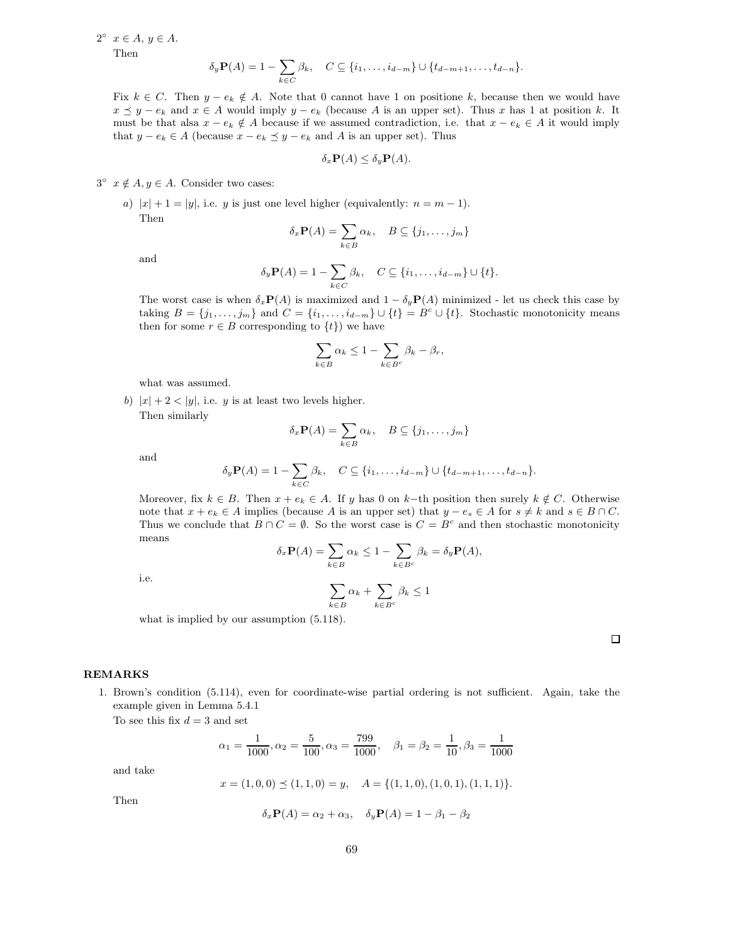$2^{\circ}$   $x \in A, y \in A.$ 

Then

$$
\delta_y \mathbf{P}(A) = 1 - \sum_{k \in C} \beta_k, \quad C \subseteq \{i_1, \dots, i_{d-m}\} \cup \{t_{d-m+1}, \dots, t_{d-n}\}.
$$

Fix  $k \in C$ . Then  $y - e_k \notin A$ . Note that 0 cannot have 1 on positione k, because then we would have  $x \leq y - e_k$  and  $x \in A$  would imply  $y - e_k$  (because A is an upper set). Thus x has 1 at position k. It must be that alsa  $x - e_k \notin A$  because if we assumed contradiction, i.e. that  $x - e_k \in A$  it would imply that  $y - e_k \in A$  (because  $x - e_k \preceq y - e_k$  and A is an upper set). Thus

$$
\delta_x \mathbf{P}(A) \le \delta_y \mathbf{P}(A).
$$

 $3^{\circ}$   $x \notin A, y \in A$ . Consider two cases:

a)  $|x| + 1 = |y|$ , i.e. y is just one level higher (equivalently:  $n = m - 1$ ). Then

$$
\delta_x \mathbf{P}(A) = \sum_{k \in B} \alpha_k, \quad B \subseteq \{j_1, \dots, j_m\}
$$

and

$$
\delta_y \mathbf{P}(A) = 1 - \sum_{k \in C} \beta_k, \quad C \subseteq \{i_1, \dots, i_{d-m}\} \cup \{t\}.
$$

The worst case is when  $\delta_x \mathbf{P}(A)$  is maximized and  $1 - \delta_y \mathbf{P}(A)$  minimized - let us check this case by taking  $B = \{j_1, \ldots, j_m\}$  and  $C = \{i_1, \ldots, i_{d-m}\} \cup \{t\} = B^c \cup \{t\}$ . Stochastic monotonicity means then for some  $r \in B$  corresponding to  $\{t\}$  we have

$$
\sum_{k \in B} \alpha_k \le 1 - \sum_{k \in B^c} \beta_k - \beta_r,
$$

what was assumed.

b)  $|x| + 2 < |y|$ , i.e. y is at least two levels higher.

Then similarly

$$
\delta_x \mathbf{P}(A) = \sum_{k \in B} \alpha_k, \quad B \subseteq \{j_1, \dots, j_m\}
$$

and

$$
\delta_y \mathbf{P}(A) = 1 - \sum_{k \in C} \beta_k, \quad C \subseteq \{i_1, \dots, i_{d-m}\} \cup \{t_{d-m+1}, \dots, t_{d-n}\}.
$$

Moreover, fix  $k \in B$ . Then  $x + e_k \in A$ . If y has 0 on k-th position then surely  $k \notin C$ . Otherwise note that  $x + e_k \in A$  implies (because A is an upper set) that  $y - e_s \in A$  for  $s \neq k$  and  $s \in B \cap C$ . Thus we conclude that  $B \cap C = \emptyset$ . So the worst case is  $C = B^c$  and then stochastic monotonicity means

i.e.

$$
\delta_x \mathbf{P}(A) = \sum_{k \in B} \alpha_k \le 1 - \sum_{k \in B^c} \beta_k = \delta_y \mathbf{P}(A),
$$

$$
\sum_{k \in B} \alpha_k + \sum_{k \in B^c} \beta_k \le 1
$$

what is implied by our assumption (5.118).

| ${\rm REMARKS}$ |  |
|-----------------|--|
|-----------------|--|

1. Brown's condition (5.114), even for coordinate-wise partial ordering is not sufficient. Again, take the example given in Lemma 5.4.1

To see this fix  $d = 3$  and set

$$
\alpha_1 = \frac{1}{1000}, \alpha_2 = \frac{5}{100}, \alpha_3 = \frac{799}{1000}, \quad \beta_1 = \beta_2 = \frac{1}{10}, \beta_3 = \frac{1}{1000}
$$

and take

$$
x = (1, 0, 0) \le (1, 1, 0) = y, \quad A = \{(1, 1, 0), (1, 0, 1), (1, 1, 1)\}.
$$

Then

$$
\delta_x \mathbf{P}(A) = \alpha_2 + \alpha_3, \quad \delta_y \mathbf{P}(A) = 1 - \beta_1 - \beta_2
$$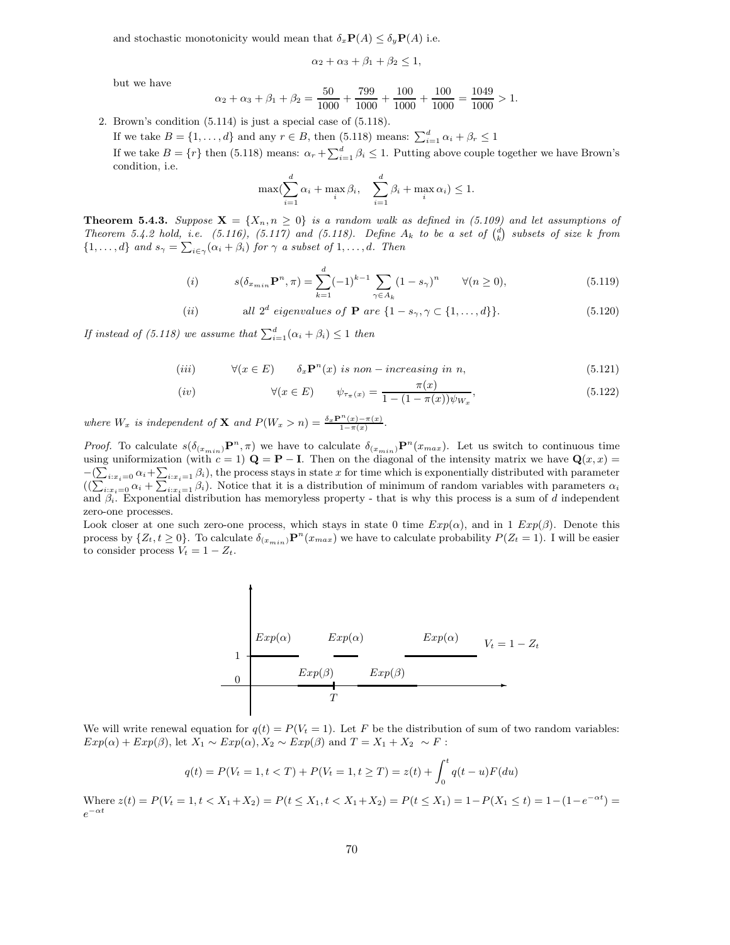and stochastic monotonicity would mean that  $\delta_x \mathbf{P}(A) \leq \delta_y \mathbf{P}(A)$  i.e.

$$
\alpha_2+\alpha_3+\beta_1+\beta_2\leq 1,
$$

but we have

$$
\alpha_2 + \alpha_3 + \beta_1 + \beta_2 = \frac{50}{1000} + \frac{799}{1000} + \frac{100}{1000} + \frac{100}{1000} = \frac{1049}{1000} > 1.
$$

2. Brown's condition (5.114) is just a special case of (5.118).

If we take  $B = \{1, ..., d\}$  and any  $r \in B$ , then (5.118) means:  $\sum_{i=1}^{d} \alpha_i + \beta_r \le 1$ If we take  $B = \{r\}$  then (5.118) means:  $\alpha_r + \sum_{i=1}^d \beta_i \leq 1$ . Putting above couple together we have Brown's condition, i.e.

$$
\max(\sum_{i=1}^d \alpha_i + \max_i \beta_i, \quad \sum_{i=1}^d \beta_i + \max_i \alpha_i) \le 1.
$$

**Theorem 5.4.3.** Suppose  $X = \{X_n, n \geq 0\}$  is a random walk as defined in (5.109) and let assumptions of Theorem 5.4.2 hold, i.e. (5.116), (5.117) and (5.118). Define  $A_k$  to be a set of  $\begin{pmatrix} d \\ k \end{pmatrix}$  subsets of size k from  $\{1,\ldots,d\}$  and  $s_\gamma = \sum_{i\in\gamma} (\alpha_i + \beta_i)$  for  $\gamma$  a subset of  $1,\ldots,d$ . Then

(i) 
$$
s(\delta_{x_{min}} \mathbf{P}^n, \pi) = \sum_{k=1}^d (-1)^{k-1} \sum_{\gamma \in A_k} (1 - s_{\gamma})^n \qquad \forall (n \ge 0),
$$
 (5.119)

(*ii*) all 2<sup>*d*</sup> eigenvalues of **P** are  $\{1 - s_{\gamma}, \gamma \subset \{1, ..., d\}\}.$  (5.120)

If instead of (5.118) we assume that  $\sum_{i=1}^{d} (\alpha_i + \beta_i) \leq 1$  then

$$
(iii) \t\forall (x \in E) \t\delta_x \mathbf{P}^n(x) \t{ is non-increasing in n,}
$$
\t(5.121)

$$
(iv) \t\t\t \forall (x \in E) \t\t \psi_{\tau_{\pi}(x)} = \frac{\pi(x)}{1 - (1 - \pi(x))\psi_{W_x}}, \t\t (5.122)
$$

where  $W_x$  is independent of **X** and  $P(W_x > n) = \frac{\delta_x \mathbf{P}^n(x) - \pi(x)}{1 - \pi(x)}$ .

*Proof.* To calculate  $s(\delta_{(x_{min})}P^n, \pi)$  we have to calculate  $\delta_{(x_{min})}P^n(x_{max})$ . Let us switch to continuous time using uniformization (with  $c = 1$ )  $\mathbf{Q} = \mathbf{P} - \mathbf{I}$ . Then on the diagonal of the intensity matrix we have  $\mathbf{Q}(x, x) =$  $-\left(\sum_{i:x_i=0}\alpha_i+\sum_{i:x_i=1}\beta_i\right)$ , the process stays in state x for time which is exponentially distributed with parameter  $((\sum_{i:x_i=0} a_i + \sum_{i:x_i=1} a_i)$ . Notice that it is a distribution of minimum of random variables with parameters  $\alpha_i$ and  $\beta_i$ . Exponential distribution has memoryless property - that is why this process is a sum of d independent zero-one processes.

Look closer at one such zero-one process, which stays in state 0 time  $Exp(\alpha)$ , and in 1  $Exp(\beta)$ . Denote this process by  $\{Z_t, t \geq 0\}$ . To calculate  $\delta_{(x_{min})} \mathbf{P}^n(x_{max})$  we have to calculate probability  $P(Z_t = 1)$ . I will be easier to consider process  $V_t = 1 - Z_t$ .



We will write renewal equation for  $q(t) = P(V_t = 1)$ . Let F be the distribution of sum of two random variables:  $Exp(\alpha) + Exp(\beta)$ , let  $X_1 \sim Exp(\alpha)$ ,  $X_2 \sim Exp(\beta)$  and  $T = X_1 + X_2 \sim F$ :

$$
q(t) = P(V_t = 1, t < T) + P(V_t = 1, t \ge T) = z(t) + \int_0^t q(t - u) F(du)
$$

Where  $z(t) = P(V_t = 1, t < X_1 + X_2) = P(t \le X_1, t < X_1 + X_2) = P(t \le X_1) = 1 - P(X_1 \le t) = 1 - (1 - e^{-\alpha t}) =$  $e^{-\alpha t}$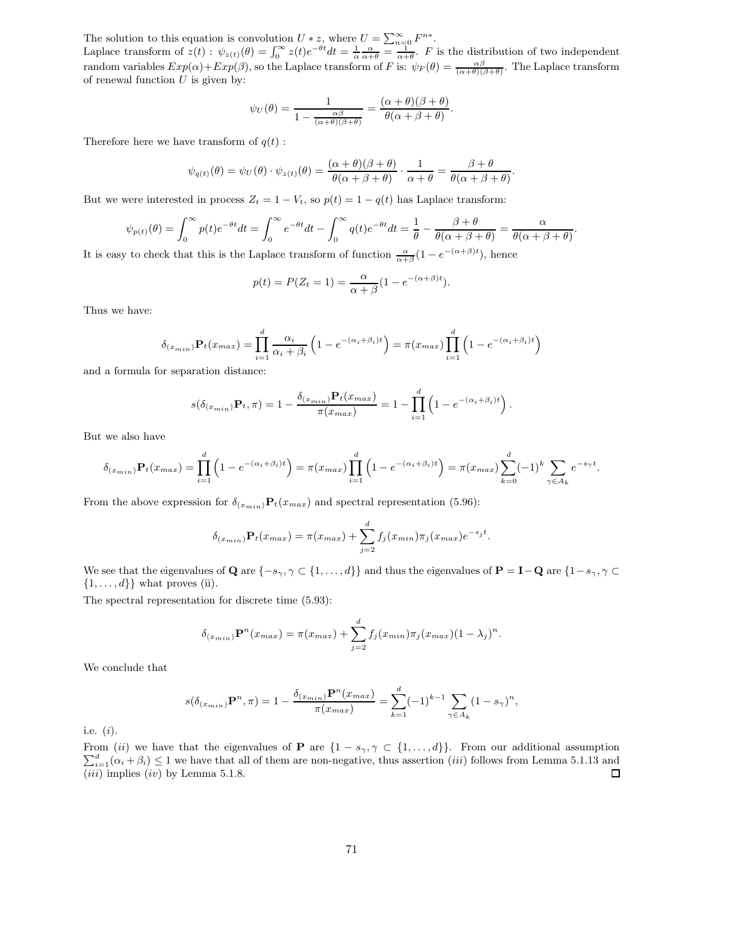The solution to this equation is convolution  $U * z$ , where  $U = \sum_{n=0}^{\infty} F^{n*}$ .

Laplace transform of  $z(t)$ :  $\psi_{z(t)}(\theta) = \int_0^\infty z(t)e^{-\theta t}dt = \frac{1}{\alpha} \frac{\alpha}{\alpha + \theta} = \frac{1}{\alpha + \theta}$ . F is the distribution of two independent random variables  $Exp(\alpha) + Exp(\beta)$ , so the Laplace transform of F is:  $\psi_F(\theta) = \frac{\alpha\beta}{(\alpha+\theta)(\beta+\theta)}$ . The Laplace transform of renewal function  $\overline{U}$  is given by:

$$
\psi_U(\theta) = \frac{1}{1 - \frac{\alpha \beta}{(\alpha + \theta)(\beta + \theta)}} = \frac{(\alpha + \theta)(\beta + \theta)}{\theta(\alpha + \beta + \theta)}.
$$

Therefore here we have transform of  $q(t)$ :

$$
\psi_{q(t)}(\theta) = \psi_U(\theta) \cdot \psi_{z(t)}(\theta) = \frac{(\alpha + \theta)(\beta + \theta)}{\theta(\alpha + \beta + \theta)} \cdot \frac{1}{\alpha + \theta} = \frac{\beta + \theta}{\theta(\alpha + \beta + \theta)}.
$$

But we were interested in process  $Z_t = 1 - V_t$ , so  $p(t) = 1 - q(t)$  has Laplace transform:

$$
\psi_{p(t)}(\theta) = \int_0^{\infty} p(t)e^{-\theta t}dt = \int_0^{\infty} e^{-\theta t}dt - \int_0^{\infty} q(t)e^{-\theta t}dt = \frac{1}{\theta} - \frac{\beta + \theta}{\theta(\alpha + \beta + \theta)} = \frac{\alpha}{\theta(\alpha + \beta + \theta)}
$$

.

It is easy to check that this is the Laplace transform of function  $\frac{\alpha}{\alpha+\beta}(1-e^{-(\alpha+\beta)t})$ , hence

$$
p(t) = P(Z_t = 1) = \frac{\alpha}{\alpha + \beta} (1 - e^{-(\alpha + \beta)t}).
$$

Thus we have:

$$
\delta_{(x_{min})} \mathbf{P}_t(x_{max}) = \prod_{i=1}^d \frac{\alpha_i}{\alpha_i + \beta_i} \left( 1 - e^{-(\alpha_i + \beta_i)t} \right) = \pi(x_{max}) \prod_{i=1}^d \left( 1 - e^{-(\alpha_i + \beta_i)t} \right)
$$

and a formula for separation distance:

$$
s(\delta_{(x_{min})} \mathbf{P}_t, \pi) = 1 - \frac{\delta_{(x_{min})} \mathbf{P}_t(x_{max})}{\pi(x_{max})} = 1 - \prod_{i=1}^d \left( 1 - e^{-(\alpha_i + \beta_i)t} \right).
$$

But we also have

$$
\delta_{(x_{min})} \mathbf{P}_t(x_{max}) = \prod_{i=1}^d \left( 1 - e^{-(\alpha_i + \beta_i)t} \right) = \pi(x_{max}) \prod_{i=1}^d \left( 1 - e^{-(\alpha_i + \beta_i)t} \right) = \pi(x_{max}) \sum_{k=0}^d (-1)^k \sum_{\gamma \in A_k} e^{-s_{\gamma}t}.
$$

From the above expression for  $\delta_{(x_{min})}\mathbf{P}_t(x_{max})$  and spectral representation (5.96):

$$
\delta_{(x_{min})} \mathbf{P}_t(x_{max}) = \pi(x_{max}) + \sum_{j=2}^d f_j(x_{min}) \pi_j(x_{max}) e^{-s_j t}.
$$

We see that the eigenvalues of Q are  $\{-s_\gamma, \gamma \in \{1, ..., d\}\}\$  and thus the eigenvalues of  $\mathbf{P} = \mathbf{I} - \mathbf{Q}$  are  $\{1 - s_\gamma, \gamma \in \{1, ..., d\}\}\$  $\{1, \ldots, d\}$  what proves (ii).

The spectral representation for discrete time (5.93):

$$
\delta_{(x_{min})} \mathbf{P}^n(x_{max}) = \pi(x_{max}) + \sum_{j=2}^d f_j(x_{min}) \pi_j(x_{max}) (1 - \lambda_j)^n.
$$

We conclude that

$$
s(\delta_{(x_{min})}\mathbf{P}^n, \pi) = 1 - \frac{\delta_{(x_{min})}\mathbf{P}^n(x_{max})}{\pi(x_{max})} = \sum_{k=1}^d (-1)^{k-1} \sum_{\gamma \in A_k} (1 - s_{\gamma})^n,
$$

i.e. (i).

From (ii) we have that the eigenvalues of **P** are  $\{1 - s_{\gamma}, \gamma \subset \{1, ..., d\}\}\)$ . From our additional assumption  $\sum_{i=1}^{d} (\alpha_i + \beta_i) \leq 1$  we have that all of them are non-negative, thus assertion (iii) follows from Lemma 5.1.  $(iii)$  implies  $(iv)$  by Lemma 5.1.8.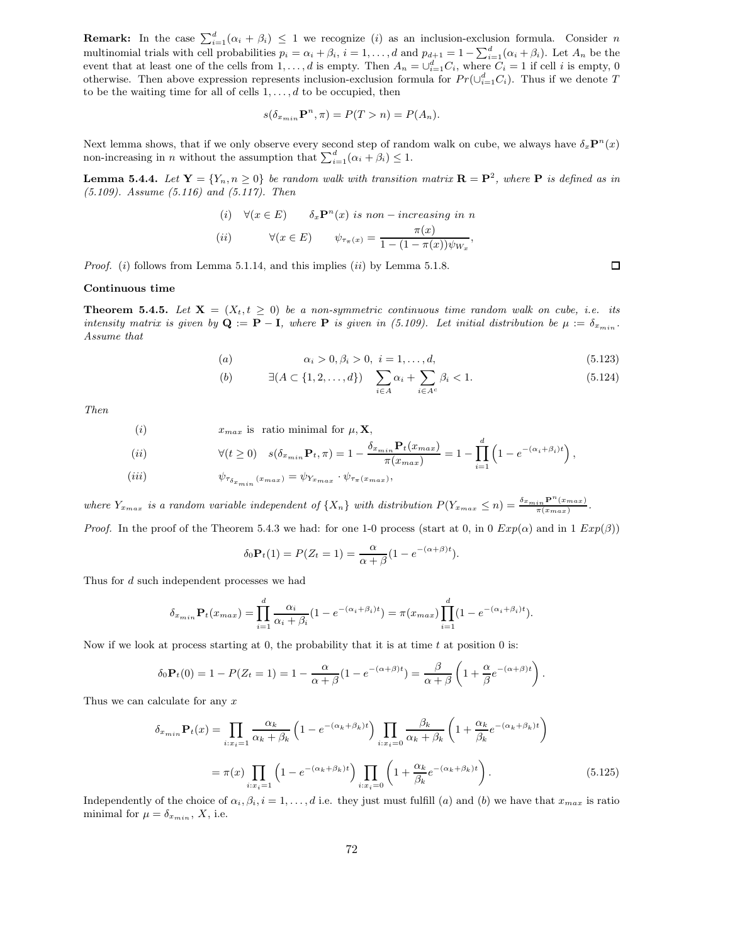**Remark:** In the case  $\sum_{i=1}^{d} (\alpha_i + \beta_i) \leq 1$  we recognize (i) as an inclusion-exclusion formula. Consider n multinomial trials with cell probabilities  $p_i = \alpha_i + \beta_i$ ,  $i = 1, ..., d$  and  $p_{d+1} = 1 - \sum_{i=1}^{d} (\alpha_i + \beta_i)$ . Let  $A_n$  be the event that at least one of the cells from  $1, \ldots, d$  is empty. Then  $A_n = \bigcup_{i=1}^d C_i$ , where  $C_i = 1$  if cell i is empty, 0 otherwise. Then above expression represents inclusion-exclusion formula for  $Pr(\cup_{i=1}^d C_i)$ . Thus if we denote T to be the waiting time for all of cells  $1, \ldots, d$  to be occupied, then

$$
s(\delta_{x_{min}} \mathbf{P}^n, \pi) = P(T > n) = P(A_n).
$$

Next lemma shows, that if we only observe every second step of random walk on cube, we always have  $\delta_x \mathbf{P}^n(x)$ non-increasing in *n* without the assumption that  $\sum_{i=1}^{d} (\alpha_i + \beta_i) \leq 1$ .

**Lemma 5.4.4.** Let  $Y = \{Y_n, n \ge 0\}$  be random walk with transition matrix  $\mathbf{R} = \mathbf{P}^2$ , where  $\mathbf{P}$  is defined as in (5.109). Assume (5.116) and (5.117). Then

(i) 
$$
\forall (x \in E)
$$
  $\delta_x \mathbf{P}^n(x)$  is non–increasing in n  
\n(ii)  $\forall (x \in E)$   $\psi_{\tau_{\pi}(x)} = \frac{\pi(x)}{1 - (1 - \pi(x))\psi_{W_x}},$ 

*Proof.* (i) follows from Lemma 5.1.14, and this implies  $(ii)$  by Lemma 5.1.8.

#### Continuous time

**Theorem 5.4.5.** Let  $X = (X_t, t \geq 0)$  be a non-symmetric continuous time random walk on cube, i.e. its intensity matrix is given by  $\mathbf{Q} := \mathbf{P} - \mathbf{I}$ , where  $\mathbf{P}$  is given in (5.109). Let initial distribution be  $\mu := \delta_{x_{min}}$ . Assume that

(a) 
$$
\alpha_i > 0, \beta_i > 0, \ i = 1, ..., d,
$$
 (5.123)

(b) 
$$
\exists (A \subset \{1, 2, ..., d\})
$$
  $\sum_{i \in A} \alpha_i + \sum_{i \in A^c} \beta_i < 1.$  (5.124)

Then

(i) 
$$
x_{max}
$$
 is ratio minimal for  $\mu$ , **X**,  
\n(ii)  $\forall (t \ge 0)$   $s(\delta_{x_{min}} \mathbf{P}_{t}, \pi) = 1 - \frac{\delta_{x_{min}} \mathbf{P}_{t}(x_{max})}{\pi(x_{max})} = 1 - \prod_{i=1}^{d} \left(1 - e^{-(\alpha_i + \beta_i)t}\right),$   
\n(iii)  $\psi_{\tau_{\delta_{x_{min}}}(x_{max})} = \psi_{Y_{x_{max}}} \cdot \psi_{\tau_{\pi}(x_{max})},$ 

where  $Y_{x_{max}}$  is a random variable independent of  $\{X_n\}$  with distribution  $P(Y_{x_{max}} \leq n) = \frac{\delta_{x_{min}} P^n(x_{max})}{\pi(x_{max})}$ .

*Proof.* In the proof of the Theorem 5.4.3 we had: for one 1-0 process (start at 0, in  $0 E x p(\alpha)$  and in  $1 E x p(\beta)$ )

$$
\delta_0 \mathbf{P}_t(1) = P(Z_t = 1) = \frac{\alpha}{\alpha + \beta} (1 - e^{-(\alpha + \beta)t}).
$$

Thus for d such independent processes we had

$$
\delta_{x_{min}} \mathbf{P}_t(x_{max}) = \prod_{i=1}^d \frac{\alpha_i}{\alpha_i + \beta_i} (1 - e^{-(\alpha_i + \beta_i)t}) = \pi(x_{max}) \prod_{i=1}^d (1 - e^{-(\alpha_i + \beta_i)t}).
$$

Now if we look at process starting at 0, the probability that it is at time  $t$  at position 0 is:

$$
\delta_0 \mathbf{P}_t(0) = 1 - P(Z_t = 1) = 1 - \frac{\alpha}{\alpha + \beta} (1 - e^{-(\alpha + \beta)t}) = \frac{\beta}{\alpha + \beta} \left( 1 + \frac{\alpha}{\beta} e^{-(\alpha + \beta)t} \right).
$$

Thus we can calculate for any  $x$ 

$$
\delta_{x_{min}} \mathbf{P}_t(x) = \prod_{i:x_i=1} \frac{\alpha_k}{\alpha_k + \beta_k} \left( 1 - e^{-(\alpha_k + \beta_k)t} \right) \prod_{i:x_i=0} \frac{\beta_k}{\alpha_k + \beta_k} \left( 1 + \frac{\alpha_k}{\beta_k} e^{-(\alpha_k + \beta_k)t} \right)
$$

$$
= \pi(x) \prod_{i:x_i=1} \left( 1 - e^{-(\alpha_k + \beta_k)t} \right) \prod_{i:x_i=0} \left( 1 + \frac{\alpha_k}{\beta_k} e^{-(\alpha_k + \beta_k)t} \right). \tag{5.125}
$$

Independently of the choice of  $\alpha_i, \beta_i, i = 1, \ldots, d$  i.e. they just must fulfill (a) and (b) we have that  $x_{max}$  is ratio minimal for  $\mu = \delta_{x_{min}}$ , X, i.e.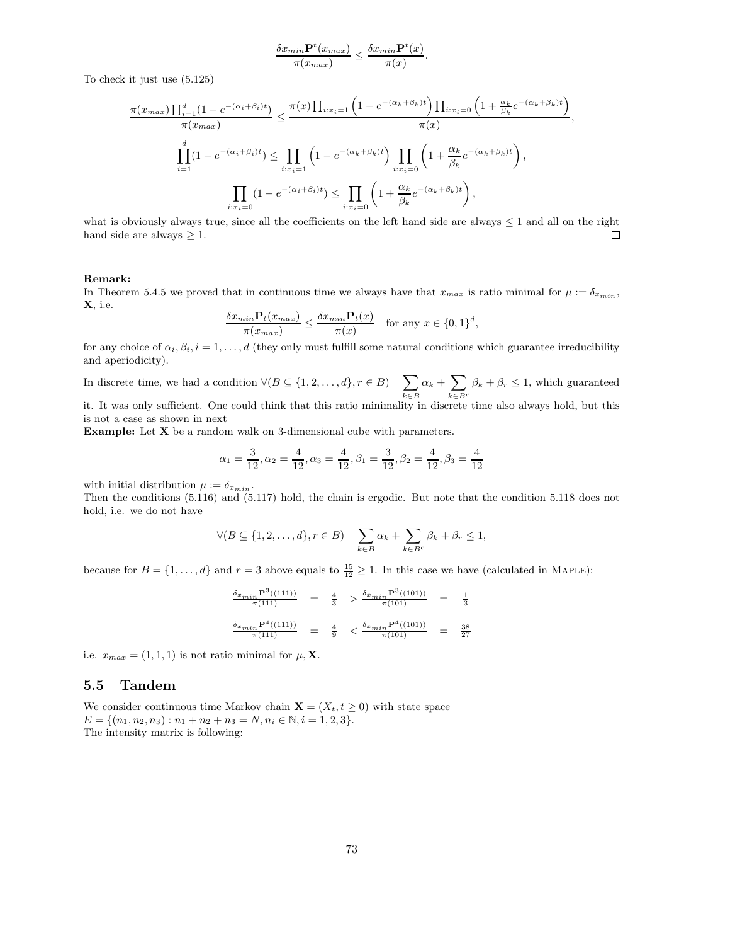$$
\frac{\delta x_{min} \mathbf{P}^t(x_{max})}{\pi(x_{max})} \le \frac{\delta x_{min} \mathbf{P}^t(x)}{\pi(x)}.
$$

To check it just use (5.125)

$$
\frac{\pi(x_{max})\prod_{i=1}^{d}(1-e^{-(\alpha_i+\beta_i)t})}{\pi(x_{max})} \leq \frac{\pi(x)\prod_{i:x_i=1}\left(1-e^{-(\alpha_k+\beta_k)t}\right)\prod_{i:x_i=0}\left(1+\frac{\alpha_k}{\beta_k}e^{-(\alpha_k+\beta_k)t}\right)}{\pi(x)},
$$
\n
$$
\prod_{i=1}^{d}(1-e^{-(\alpha_i+\beta_i)t}) \leq \prod_{i:x_i=1}\left(1-e^{-(\alpha_k+\beta_k)t}\right)\prod_{i:x_i=0}\left(1+\frac{\alpha_k}{\beta_k}e^{-(\alpha_k+\beta_k)t}\right),
$$
\n
$$
\prod_{i:x_i=0}\left(1-e^{-(\alpha_i+\beta_i)t}\right) \leq \prod_{i:x_i=0}\left(1+\frac{\alpha_k}{\beta_k}e^{-(\alpha_k+\beta_k)t}\right),
$$

what is obviously always true, since all the coefficients on the left hand side are always  $\leq 1$  and all on the right hand side are always  $> 1$ . hand side are always  $\geq 1$ .

#### Remark:

In Theorem 5.4.5 we proved that in continuous time we always have that  $x_{max}$  is ratio minimal for  $\mu := \delta_{x_{min}}$ , X, i.e.

$$
\frac{\delta x_{min} \mathbf{P}_t(x_{max})}{\pi(x_{max})} \le \frac{\delta x_{min} \mathbf{P}_t(x)}{\pi(x)} \quad \text{for any } x \in \{0, 1\}^d,
$$

for any choice of  $\alpha_i, \beta_i, i = 1, \ldots, d$  (they only must fulfill some natural conditions which guarantee irreducibility and aperiodicity).

In discrete time, we had a condition  $\forall (B \subseteq \{1, 2, ..., d\}, r \in B)$   $\sum$ k∈B  $\alpha_k + \sum$  $k \in B^c$  $\beta_k + \beta_r \leq 1$ , which guaranteed

it. It was only sufficient. One could think that this ratio minimality in discrete time also always hold, but this is not a case as shown in next

Example: Let X be a random walk on 3-dimensional cube with parameters.

$$
\alpha_1 = \frac{3}{12}, \alpha_2 = \frac{4}{12}, \alpha_3 = \frac{4}{12}, \beta_1 = \frac{3}{12}, \beta_2 = \frac{4}{12}, \beta_3 = \frac{4}{12}
$$

with initial distribution  $\mu := \delta_{x_{min}}$ .

Then the conditions (5.116) and (5.117) hold, the chain is ergodic. But note that the condition 5.118 does not hold, i.e. we do not have

$$
\forall (B \subseteq \{1, 2, \dots, d\}, r \in B) \quad \sum_{k \in B} \alpha_k + \sum_{k \in B^c} \beta_k + \beta_r \le 1,
$$

because for  $B = \{1, ..., d\}$  and  $r = 3$  above equals to  $\frac{15}{12} \ge 1$ . In this case we have (calculated in MAPLE):

$$
\begin{array}{rclcrcl} \frac{\delta_{x_{min}}\mathbf{P}^3((111))}{\pi(111)} & = & \frac{4}{3} & > \frac{\delta_{x_{min}}\mathbf{P}^3((101))}{\pi(101)} & = & \frac{1}{3} \\ & & & & & \\ \frac{\delta_{x_{min}}\mathbf{P}^4((111))}{\pi(111)} & = & \frac{4}{9} & < \frac{\delta_{x_{min}}\mathbf{P}^4((101))}{\pi(101)} & = & \frac{38}{27} \end{array}
$$

i.e.  $x_{max} = (1, 1, 1)$  is not ratio minimal for  $\mu$ , **X**.

## 5.5 Tandem

We consider continuous time Markov chain  $\mathbf{X} = (X_t, t \geq 0)$  with state space  $E = \{(n_1, n_2, n_3) : n_1 + n_2 + n_3 = N, n_i \in \mathbb{N}, i = 1, 2, 3\}.$ The intensity matrix is following: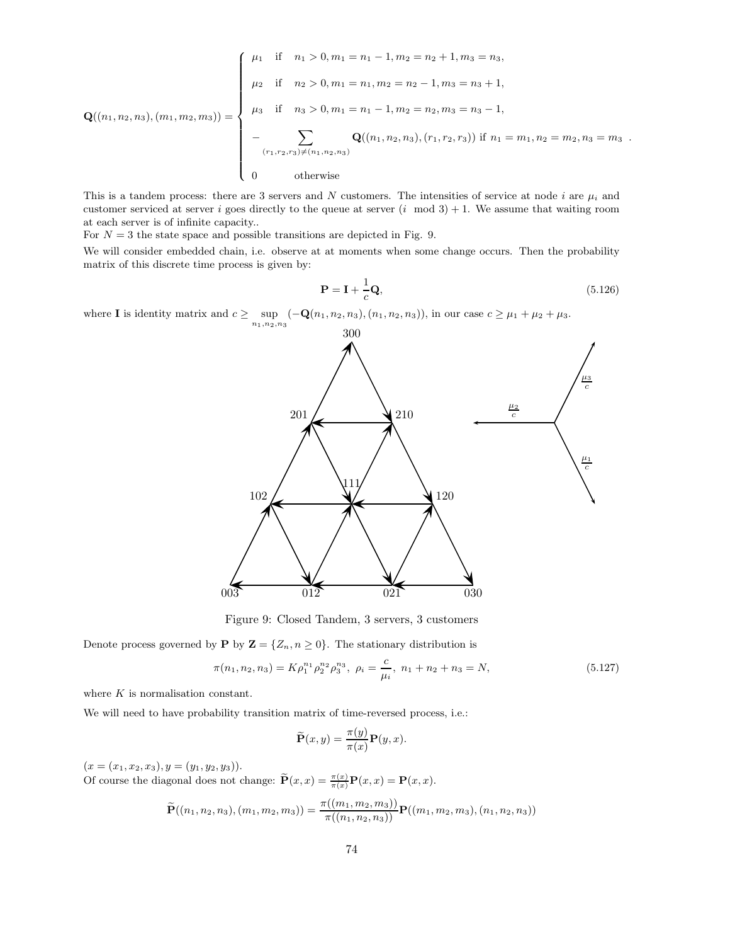$$
\mathbf{Q}((n_1, n_2, n_3), (m_1, m_2, m_3)) = \begin{cases} \mu_1 & \text{if } n_1 > 0, m_1 = n_1 - 1, m_2 = n_2 + 1, m_3 = n_3, \\ \mu_2 & \text{if } n_2 > 0, m_1 = n_1, m_2 = n_2 - 1, m_3 = n_3 + 1, \\ \mu_3 & \text{if } n_3 > 0, m_1 = n_1 - 1, m_2 = n_2, m_3 = n_3 - 1, \\ - \sum_{(r_1, r_2, r_3) \neq (n_1, n_2, n_3)} \mathbf{Q}((n_1, n_2, n_3), (r_1, r_2, r_3)) & \text{if } n_1 = m_1, n_2 = m_2, n_3 = m_3 \\ 0 & \text{otherwise} \end{cases}
$$

This is a tandem process: there are 3 servers and N customers. The intensities of service at node i are  $\mu_i$  and customer serviced at server i goes directly to the queue at server  $(i \mod 3) + 1$ . We assume that waiting room at each server is of infinite capacity..

For  $N = 3$  the state space and possible transitions are depicted in Fig. 9.

We will consider embedded chain, i.e. observe at at moments when some change occurs. Then the probability matrix of this discrete time process is given by:

$$
\mathbf{P} = \mathbf{I} + \frac{1}{c}\mathbf{Q},\tag{5.126}
$$

where **I** is identity matrix and  $c \ge \sup_{n_1, n_2, n_3} (-\mathbf{Q}(n_1, n_2, n_3), (n_1, n_2, n_3))$ , in our case  $c \ge \mu_1 + \mu_2 + \mu_3$ .



Figure 9: Closed Tandem, 3 servers, 3 customers

Denote process governed by **P** by  $\mathbf{Z} = \{Z_n, n \geq 0\}$ . The stationary distribution is

$$
\pi(n_1, n_2, n_3) = K \rho_1^{n_1} \rho_2^{n_2} \rho_3^{n_3}, \ \rho_i = \frac{c}{\mu_i}, \ n_1 + n_2 + n_3 = N,
$$
\n(5.127)

where  $K$  is normalisation constant.

We will need to have probability transition matrix of time-reversed process, i.e.:

$$
\widetilde{\mathbf{P}}(x,y) = \frac{\pi(y)}{\pi(x)} \mathbf{P}(y,x).
$$

 $(x = (x_1, x_2, x_3), y = (y_1, y_2, y_3)).$ 

Of course the diagonal does not change:  $\widetilde{\mathbf{P}}(x,x) = \frac{\pi(x)}{\pi(x)} \mathbf{P}(x,x) = \mathbf{P}(x,x)$ .

$$
\widetilde{\mathbf{P}}((n_1, n_2, n_3), (m_1, m_2, m_3)) = \frac{\pi((m_1, m_2, m_3))}{\pi((n_1, n_2, n_3))} \mathbf{P}((m_1, m_2, m_3), (n_1, n_2, n_3))
$$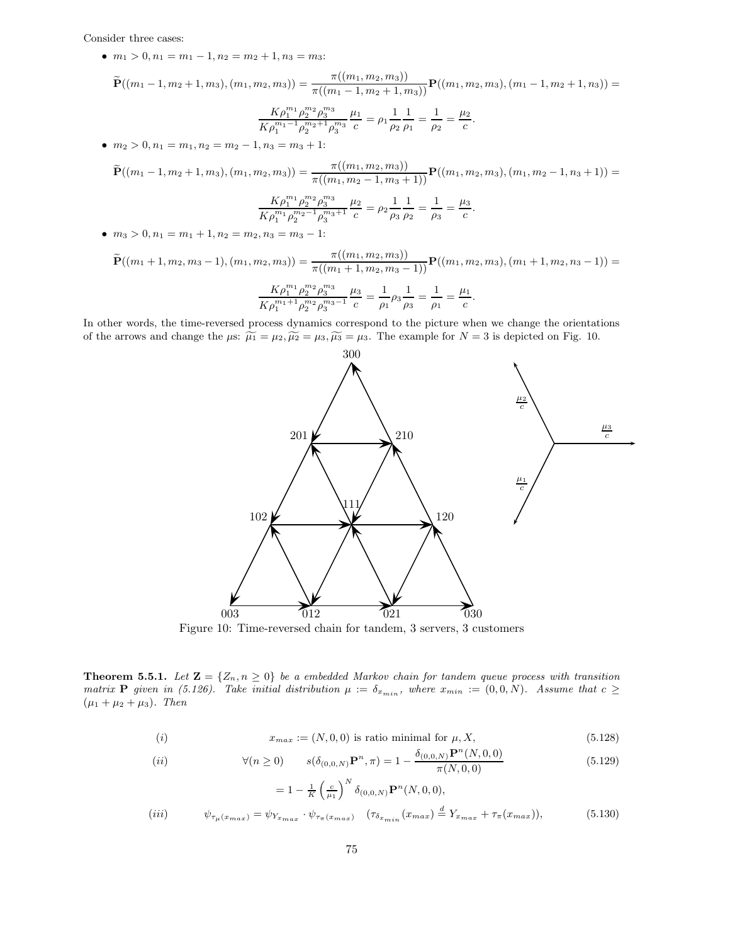Consider three cases:

•  $m_1 > 0, n_1 = m_1 - 1, n_2 = m_2 + 1, n_3 = m_3$ :

$$
\widetilde{\mathbf{P}}((m_1-1,m_2+1,m_3),(m_1,m_2,m_3))=\frac{\pi((m_1,m_2,m_3))}{\pi((m_1-1,m_2+1,m_3))}\mathbf{P}((m_1,m_2,m_3),(m_1-1,m_2+1,n_3))=
$$

$$
\frac{K\rho_1^{m_1}\rho_2^{m_2}\rho_3^{m_3}}{K\rho_1^{m_1-1}\rho_2^{m_2+1}\rho_3^{m_3}}\frac{\mu_1}{c} = \rho_1\frac{1}{\rho_2}\frac{1}{\rho_1} = \frac{1}{\rho_2} = \frac{\mu_2}{c}.
$$

•  $m_2 > 0, n_1 = m_1, n_2 = m_2 - 1, n_3 = m_3 + 1$ :

$$
\widetilde{\mathbf{P}}((m_1-1,m_2+1,m_3),(m_1,m_2,m_3)) = \frac{\pi((m_1,m_2,m_3))}{\pi((m_1,m_2-1,m_3+1))} \mathbf{P}((m_1,m_2,m_3),(m_1,m_2-1,n_3+1)) =
$$
\n
$$
\frac{K\rho_1^{m_1}\rho_2^{m_2}\rho_3^{m_3}}{K\rho_1^{m_1}\rho_2^{m_2-1}\rho_3^{m_3+1}} \frac{\mu_2}{c} = \rho_2 \frac{1}{\rho_3} \frac{1}{\rho_2} = \frac{1}{\rho_3} = \frac{\mu_3}{c}.
$$

•  $m_3 > 0, n_1 = m_1 + 1, n_2 = m_2, n_3 = m_3 - 1$ :

$$
\widetilde{\mathbf{P}}((m_1+1,m_2,m_3-1),(m_1,m_2,m_3))=\frac{\pi((m_1,m_2,m_3))}{\pi((m_1+1,m_2,m_3-1))}\mathbf{P}((m_1,m_2,m_3),(m_1+1,m_2,n_3-1))=
$$

$$
\frac{K\rho_1^{m_1}\rho_2^{m_2}\rho_3^{m_3}}{K\rho_1^{m_1+1}\rho_2^{m_2}\rho_3^{m_3-1}}\frac{\mu_3}{c}=\frac{1}{\rho_1}\rho_3\frac{1}{\rho_3}=\frac{1}{\rho_1}=\frac{\mu_1}{c}
$$

In other words, the time-reversed process dynamics correspond to the picture when we change the orientations of the arrows and change the  $\mu$ s:  $\widetilde{\mu_1} = \mu_2, \widetilde{\mu_2} = \mu_3, \widetilde{\mu_3} = \mu_3$ . The example for  $N = 3$  is depicted on Fig. 10.



.

Figure 10: Time-reversed chain for tandem, 3 servers, 3 customers

**Theorem 5.5.1.** Let  $\mathbf{Z} = \{Z_n, n \geq 0\}$  be a embedded Markov chain for tandem queue process with transition matrix **P** given in (5.126). Take initial distribution  $\mu := \delta_{x_{min}}$ , where  $x_{min} := (0, 0, N)$ . Assume that  $c \geq$  $(\mu_1 + \mu_2 + \mu_3)$ . Then

$$
(i) \t x_{max} := (N, 0, 0) \t is ratio minimal for  $\mu, X,$  (5.128)
$$

(*ii*) 
$$
\forall (n \ge 0) \qquad s(\delta_{(0,0,N)} \mathbf{P}^n, \pi) = 1 - \frac{\delta_{(0,0,N)} \mathbf{P}^n(N,0,0)}{\pi(N,0,0)}
$$
(5.129)

$$
= 1 - \frac{1}{K} \left(\frac{c}{\mu_1}\right)^N \delta_{(0,0,N)} \mathbf{P}^n(N,0,0),
$$
  
(iii) 
$$
\psi_{\tau_\mu(x_{max})} = \psi_{Y_{x_{max}}} \cdot \psi_{\tau_\pi(x_{max})} \quad (\tau_{\delta_{x_{min}}}(x_{max}) \stackrel{d}{=} Y_{x_{max}} + \tau_\pi(x_{max})), \tag{5.130}
$$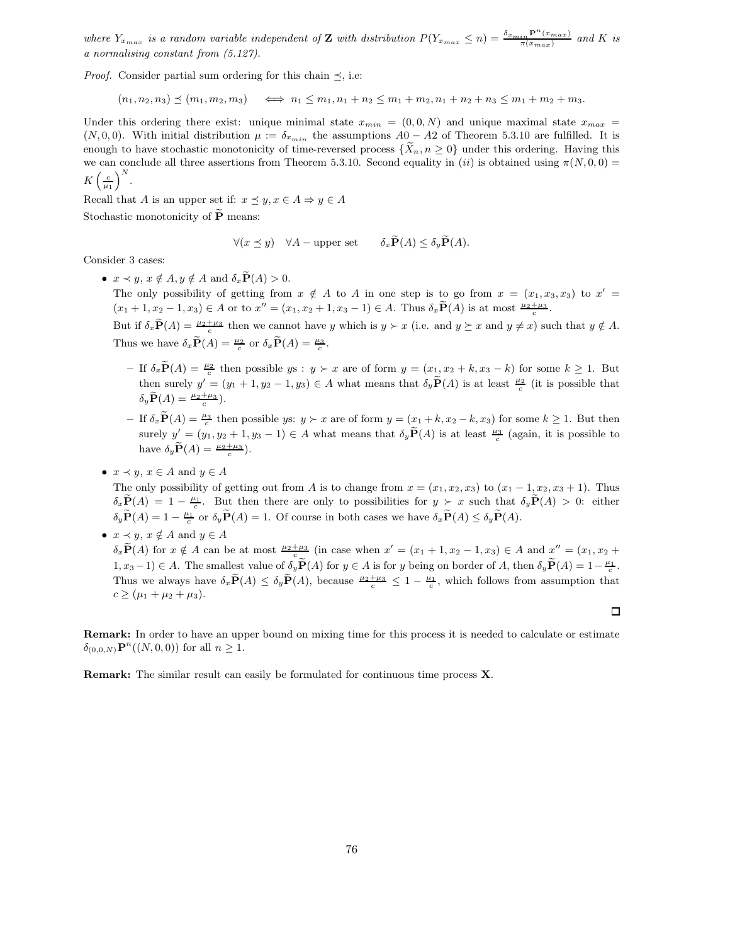where  $Y_{x_{max}}$  is a random variable independent of Z with distribution  $P(Y_{x_{max}} \leq n) = \frac{\delta_{x_{min}} P^n(x_{max})}{\pi(x_{max})}$  and K is a normalising constant from (5.127).

*Proof.* Consider partial sum ordering for this chain  $\preceq$ , i.e:

$$
(n_1, n_2, n_3) \preceq (m_1, m_2, m_3) \iff n_1 \leq m_1, n_1 + n_2 \leq m_1 + m_2, n_1 + n_2 + n_3 \leq m_1 + m_2 + m_3.
$$

Under this ordering there exist: unique minimal state  $x_{min} = (0, 0, N)$  and unique maximal state  $x_{max}$  $(N, 0, 0)$ . With initial distribution  $\mu := \delta_{x_{min}}$  the assumptions  $A_0 - A_2$  of Theorem 5.3.10 are fulfilled. It is enough to have stochastic monotonicity of time-reversed process  $\{X_n, n \geq 0\}$  under this ordering. Having this we can conclude all three assertions from Theorem 5.3.10. Second equality in (ii) is obtained using  $\pi(N, 0, 0)$  =  $K\left(\frac{c}{\mu_1}\right)$  $\big)^N$ .

Recall that A is an upper set if:  $x \preceq y, x \in A \Rightarrow y \in A$ Stochastic monotonicity of  $\widetilde{P}$  means:

$$
\forall (x \preceq y) \quad \forall A - \text{upper set} \qquad \delta_x \widetilde{\mathbf{P}}(A) \le \delta_y \widetilde{\mathbf{P}}(A).
$$

Consider 3 cases:

•  $x \prec y$ ,  $x \notin A$ ,  $y \notin A$  and  $\delta_x \widetilde{P}(A) > 0$ .

The only possibility of getting from  $x \notin A$  to A in one step is to go from  $x = (x_1, x_3, x_3)$  to  $x' =$  $(x_1+1, x_2-1, x_3) \in A$  or to  $x'' = (x_1, x_2+1, x_3-1) \in A$ . Thus  $\delta_x \widetilde{P}(A)$  is at most  $\frac{\mu_2 + \mu_3}{c}$ .

But if  $\delta_x \widetilde{P}(A) = \frac{\mu_2 + \mu_3}{c}$  then we cannot have y which is  $y \succ x$  (i.e. and  $y \succeq x$  and  $y \neq x$ ) such that  $y \notin A$ . Thus we have  $\delta_x \widetilde{\mathbf{P}}(A) = \frac{\mu_2}{c}$  or  $\delta_x \widetilde{\mathbf{P}}(A) = \frac{\mu_3}{c}$ .

- $-$  If  $\delta_x \widetilde{P}(A) = \frac{\mu_2}{c}$  then possible  $y s : y \succ x$  are of form  $y = (x_1, x_2 + k, x_3 k)$  for some  $k \ge 1$ . But then surely  $y' = (y_1 + 1, y_2 - 1, y_3) \in A$  what means that  $\delta_y \widetilde{P}(A)$  is at least  $\frac{\mu_2}{c}$  (it is possible that  $\delta_y \widetilde{\mathbf{P}}(A) = \frac{\mu_2 + \mu_3}{c}$ .
- $-$  If  $\delta_x \widetilde{P}(A) = \frac{\mu_3}{c}$  then possible ys:  $y \succ x$  are of form  $y = (x_1 + k, x_2 k, x_3)$  for some  $k \ge 1$ . But then surely  $y' = (y_1, y_2 + 1, y_3 - 1) \in A$  what means that  $\delta_y \widetilde{P}(A)$  is at least  $\frac{\mu_3}{c}$  (again, it is possible to have  $\delta_y \widetilde{\mathbf{P}}(A) = \frac{\mu_2 + \mu_3}{c}$ .
- $x \prec y$ ,  $x \in A$  and  $y \in A$

The only possibility of getting out from A is to change from  $x = (x_1, x_2, x_3)$  to  $(x_1 - 1, x_2, x_3 + 1)$ . Thus  $\delta_x \widetilde{P}(A) = 1 - \frac{\mu_1}{c}$ . But then there are only to possibilities for  $y \succeq x$  such that  $\delta_y \widetilde{P}(A) > 0$ : either  $\delta_y \widetilde{P}(A) = 1 - \frac{\mu_1}{c}$  or  $\delta_y \widetilde{P}(A) = 1$ . Of course in both cases we have  $\delta_x \widetilde{P}(A) \leq \delta_y \widetilde{P}(A)$ .

•  $x \prec y$ ,  $x \notin A$  and  $y \in A$  $\delta_x \widetilde{\mathbf{P}}(A)$  for  $x \notin A$  can be at most  $\frac{\mu_2 + \mu_3}{c}$  (in case when  $x' = (x_1 + 1, x_2 - 1, x_3) \in A$  and  $x'' = (x_1, x_2 +$  $(1, x_3 - 1) \in A$ . The smallest value of  $\delta_y \widetilde{P}(A)$  for  $y \in A$  is for y being on border of A, then  $\delta_y \widetilde{P}(A) = 1 - \frac{\mu_1}{c}$ . Thus we always have  $\delta_x \tilde{\mathbf{P}}(A) \leq \delta_y \tilde{\mathbf{P}}(A)$ , because  $\frac{\mu_2 + \mu_3}{c} \leq 1 - \frac{\mu_1}{c}$ , which follows from assumption that  $c \geq (\mu_1 + \mu_2 + \mu_3).$ 

Remark: In order to have an upper bound on mixing time for this process it is needed to calculate or estimate  $\delta_{(0,0,N)} \mathbf{P}^n((N,0,0))$  for all  $n \geq 1$ .

Remark: The similar result can easily be formulated for continuous time process X.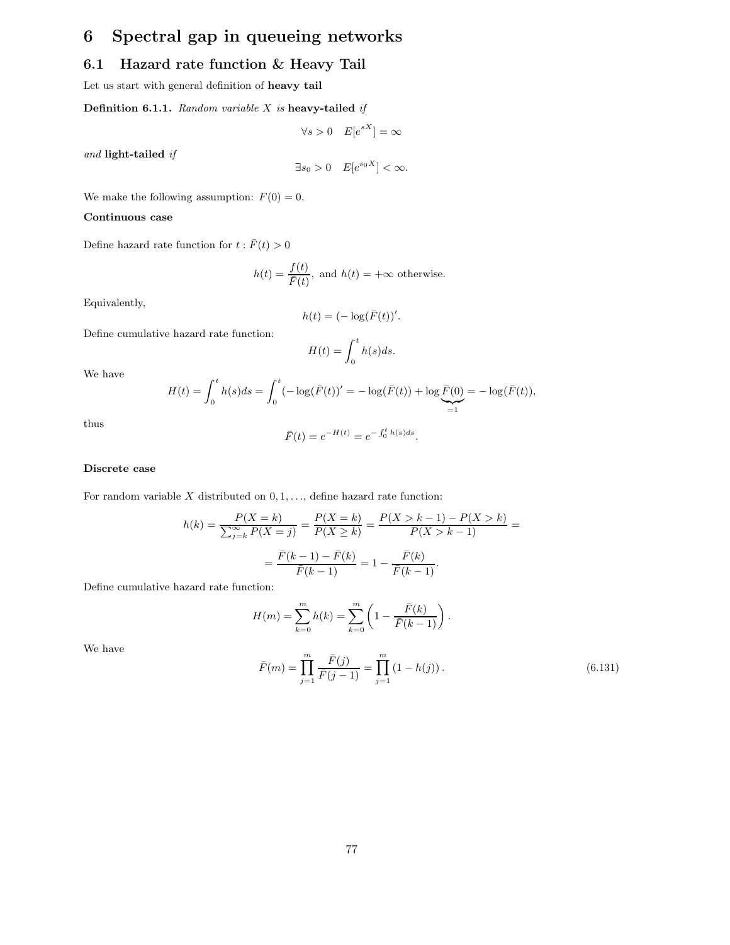# 6 Spectral gap in queueing networks

## 6.1 Hazard rate function & Heavy Tail

Let us start with general definition of heavy tail

Definition 6.1.1. Random variable  $X$  is heavy-tailed if

$$
\forall s > 0 \quad E[e^{sX}] = \infty
$$

and light-tailed if

$$
\exists s_0 > 0 \quad E[e^{s_0 X}] < \infty.
$$

We make the following assumption:  $F(0) = 0$ .

## Continuous case

Define hazard rate function for  $t : \overline{F}(t) > 0$ 

$$
h(t) = \frac{f(t)}{\bar{F}(t)}
$$
, and  $h(t) = +\infty$  otherwise.

Equivalently,

$$
h(t) = (-\log(\bar{F}(t))'.
$$

Define cumulative hazard rate function:

$$
H(t) = \int_0^t h(s)ds.
$$

We have

$$
H(t) = \int_0^t h(s)ds = \int_0^t (-\log(\bar{F}(t))' = -\log(\bar{F}(t)) + \log \underbrace{\bar{F}(0)}_{=1} = -\log(\bar{F}(t)),
$$

thus

$$
\bar{F}(t) = e^{-H(t)} = e^{-\int_0^t h(s)ds}.
$$

### Discrete case

For random variable  $X$  distributed on  $0, 1, \ldots$ , define hazard rate function:

$$
h(k) = \frac{P(X = k)}{\sum_{j=k}^{\infty} P(X = j)} = \frac{P(X = k)}{P(X \ge k)} = \frac{P(X > k - 1) - P(X > k)}{P(X > k - 1)} =
$$

$$
= \frac{\bar{F}(k - 1) - \bar{F}(k)}{\bar{F}(k - 1)} = 1 - \frac{\bar{F}(k)}{\bar{F}(k - 1)}.
$$

Define cumulative hazard rate function:

$$
H(m) = \sum_{k=0}^{m} h(k) = \sum_{k=0}^{m} \left( 1 - \frac{\bar{F}(k)}{\bar{F}(k-1)} \right).
$$
  

$$
\bar{F}(m) = \prod_{j=1}^{m} \frac{\bar{F}(j)}{\bar{F}(j-1)} = \prod_{j=1}^{m} (1 - h(j)).
$$
 (6.131)

We have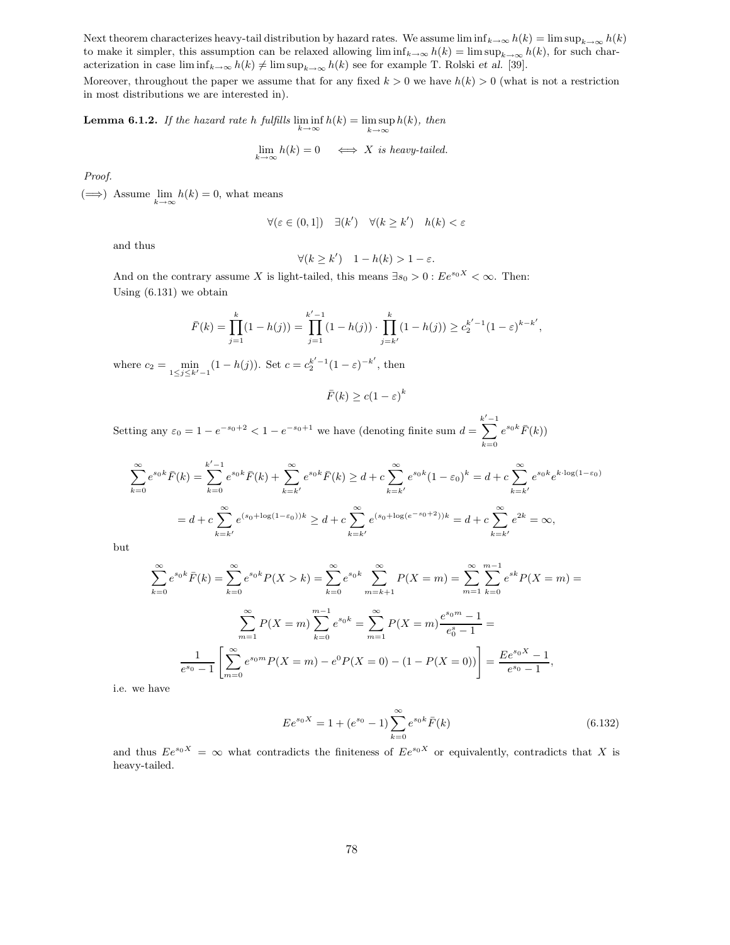Next theorem characterizes heavy-tail distribution by hazard rates. We assume  $\liminf_{k\to\infty} h(k) = \limsup_{k\to\infty} h(k)$ to make it simpler, this assumption can be relaxed allowing  $\liminf_{k\to\infty} h(k) = \limsup_{k\to\infty} h(k)$ , for such characterization in case  $\liminf_{k\to\infty} h(k) \neq \limsup_{k\to\infty} h(k)$  see for example T. Rolski et al. [39].

Moreover, throughout the paper we assume that for any fixed  $k > 0$  we have  $h(k) > 0$  (what is not a restriction in most distributions we are interested in).

**Lemma 6.1.2.** If the hazard rate h fulfills  $\liminf_{k \to \infty} h(k) = \limsup_{k \to \infty}$  $k\rightarrow\infty$  $h(k)$ , then

$$
\lim_{k \to \infty} h(k) = 0 \iff X \text{ is heavy-tailed.}
$$

Proof.

 $(\Longrightarrow)$  Assume  $\lim_{k\to\infty} h(k) = 0$ , what means

$$
\forall (\varepsilon \in (0,1]) \quad \exists (k') \quad \forall (k \ge k') \quad h(k) < \varepsilon
$$

and thus

$$
\forall (k \ge k') \quad 1 - h(k) > 1 - \varepsilon.
$$

And on the contrary assume X is light-tailed, this means  $\exists s_0 > 0 : E e^{s_0 X} < \infty$ . Then: Using (6.131) we obtain

$$
\bar{F}(k) = \prod_{j=1}^{k} (1 - h(j)) = \prod_{j=1}^{k'-1} (1 - h(j)) \cdot \prod_{j=k'}^{k} (1 - h(j)) \ge c_2^{k'-1} (1 - \varepsilon)^{k-k'},
$$

where  $c_2 = \min_{1 \le j \le k'-1} (1 - h(j))$ . Set  $c = c_2^{k'-1} (1 - \varepsilon)^{-k'}$ , then

$$
\bar{F}(k) \ge c(1 - \varepsilon)^k
$$

Setting any  $\varepsilon_0 = 1 - e^{-s_0+2} < 1 - e^{-s_0+1}$  we have (denoting finite sum  $d = \sum_{k=1}^{k'=1}$  $k=0$  $e^{s_0 k} \bar{F}(k)$ 

$$
\sum_{k=0}^{\infty} e^{s_0 k} \bar{F}(k) = \sum_{k=0}^{k'-1} e^{s_0 k} \bar{F}(k) + \sum_{k=k'}^{\infty} e^{s_0 k} \bar{F}(k) \ge d + c \sum_{k=k'}^{\infty} e^{s_0 k} (1 - \varepsilon_0)^k = d + c \sum_{k=k'}^{\infty} e^{s_0 k} e^{k \cdot \log(1 - \varepsilon_0)}
$$
  
=  $d + c \sum_{k=k'}^{\infty} e^{(s_0 + \log(1 - \varepsilon_0))k} \ge d + c \sum_{k=k'}^{\infty} e^{(s_0 + \log(e^{-s_0 + 2}))k} = d + c \sum_{k=k'}^{\infty} e^{2k} = \infty$ ,

but

$$
\sum_{k=0}^{\infty} e^{s_0 k} \bar{F}(k) = \sum_{k=0}^{\infty} e^{s_0 k} P(X > k) = \sum_{k=0}^{\infty} e^{s_0 k} \sum_{m=k+1}^{\infty} P(X = m) = \sum_{m=1}^{\infty} \sum_{k=0}^{m-1} e^{s_k} P(X = m) =
$$

$$
\sum_{m=1}^{\infty} P(X = m) \sum_{k=0}^{m-1} e^{s_0 k} = \sum_{m=1}^{\infty} P(X = m) \frac{e^{s_0 m} - 1}{e_0^s - 1} =
$$

$$
\frac{1}{e^{s_0} - 1} \left[ \sum_{m=0}^{\infty} e^{s_0 m} P(X = m) - e^0 P(X = 0) - (1 - P(X = 0)) \right] = \frac{E e^{s_0 X} - 1}{e^{s_0} - 1},
$$

i.e. we have

$$
E e^{s_0 X} = 1 + (e^{s_0} - 1) \sum_{k=0}^{\infty} e^{s_0 k} \bar{F}(k)
$$
 (6.132)

and thus  $Ee^{s_0X} = \infty$  what contradicts the finiteness of  $Ee^{s_0X}$  or equivalently, contradicts that X is heavy-tailed.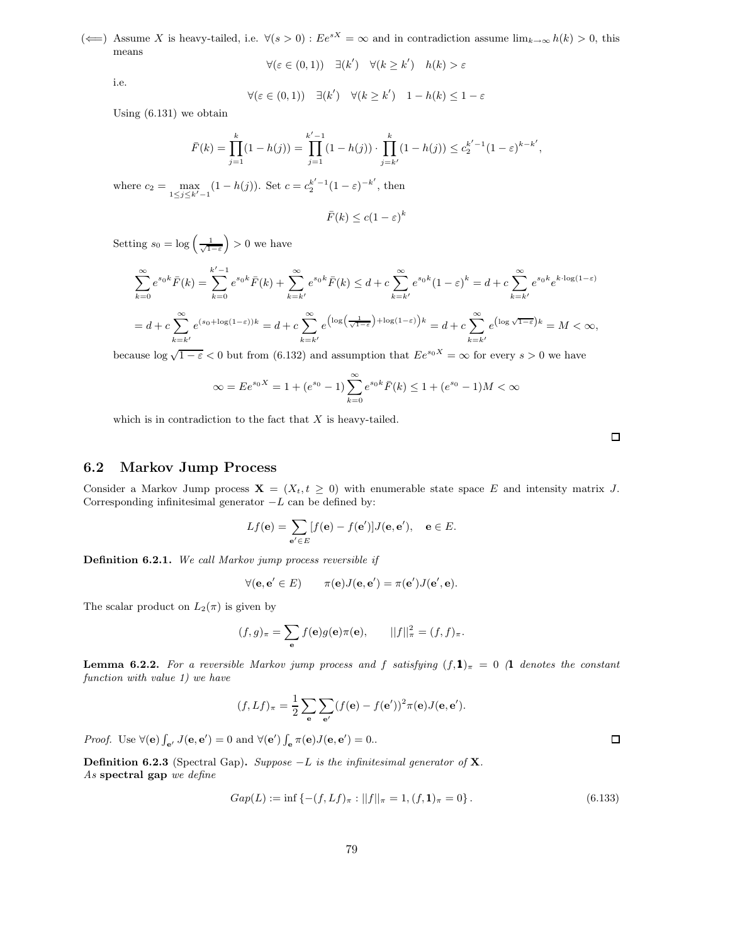(←) Assume X is heavy-tailed, i.e.  $\forall (s > 0) : Ee^{sX} = \infty$  and in contradiction assume  $\lim_{k\to\infty} h(k) > 0$ , this means

$$
\forall (\varepsilon \in (0,1)) \quad \exists (k') \quad \forall (k \ge k') \quad h(k) > \varepsilon
$$

i.e.

$$
\forall (\varepsilon \in (0,1)) \quad \exists (k') \quad \forall (k \ge k') \quad 1 - h(k) \le 1 - \varepsilon
$$

Using (6.131) we obtain

$$
\bar{F}(k) = \prod_{j=1}^{k} (1 - h(j)) = \prod_{j=1}^{k'-1} (1 - h(j)) \cdot \prod_{j=k'}^{k} (1 - h(j)) \le c_2^{k'-1} (1 - \varepsilon)^{k-k'},
$$

where  $c_2 = \max_{1 \le j \le k'-1} (1 - h(j))$ . Set  $c = c_2^{k'-1} (1 - \varepsilon)^{-k'}$ , then

$$
\bar{F}(k) \le c(1 - \varepsilon)^k
$$

Setting  $s_0 = \log \left( \frac{1}{\sqrt{1-\varepsilon}} \right)$  $\big) > 0$  we have

$$
\sum_{k=0}^{\infty} e^{s_0 k} \bar{F}(k) = \sum_{k=0}^{k'-1} e^{s_0 k} \bar{F}(k) + \sum_{k=k'}^{\infty} e^{s_0 k} \bar{F}(k) \le d + c \sum_{k=k'}^{\infty} e^{s_0 k} (1 - \varepsilon)^k = d + c \sum_{k=k'}^{\infty} e^{s_0 k} e^{k \cdot \log(1 - \varepsilon)}
$$
  
=  $d + c \sum_{k=k'}^{\infty} e^{(s_0 + \log(1 - \varepsilon))k} = d + c \sum_{k=k'}^{\infty} e^{\left(\log\left(\frac{1}{\sqrt{1 - \varepsilon}}\right) + \log(1 - \varepsilon)\right)k} = d + c \sum_{k=k'}^{\infty} e^{\left(\log\sqrt{1 - \varepsilon}\right)k} = M < \infty$ ,

because  $\log \sqrt{1-\varepsilon}$  < 0 but from (6.132) and assumption that  $Ee^{s_0X} = \infty$  for every  $s > 0$  we have

$$
\infty = E e^{s_0 X} = 1 + (e^{s_0} - 1) \sum_{k=0}^{\infty} e^{s_0 k} \bar{F}(k) \le 1 + (e^{s_0} - 1)M < \infty
$$

which is in contradiction to the fact that  $X$  is heavy-tailed.

 $\Box$ 

## 6.2 Markov Jump Process

Consider a Markov Jump process  $\mathbf{X} = (X_t, t \geq 0)$  with enumerable state space E and intensity matrix J. Corresponding infinitesimal generator  $-L$  can be defined by:

$$
Lf(\mathbf{e}) = \sum_{\mathbf{e}' \in E} [f(\mathbf{e}) - f(\mathbf{e}')] J(\mathbf{e}, \mathbf{e}'), \quad \mathbf{e} \in E.
$$

Definition 6.2.1. We call Markov jump process reversible if

$$
\forall (\mathbf{e}, \mathbf{e}' \in E) \qquad \pi(\mathbf{e})J(\mathbf{e}, \mathbf{e}') = \pi(\mathbf{e}')J(\mathbf{e}', \mathbf{e}).
$$

The scalar product on  $L_2(\pi)$  is given by

$$
(f,g)_{\pi} = \sum_{\mathbf{e}} f(\mathbf{e})g(\mathbf{e})\pi(\mathbf{e}), \qquad ||f||_{\pi}^{2} = (f,f)_{\pi}.
$$

**Lemma 6.2.2.** For a reversible Markov jump process and f satisfying  $(f,1)_{\pi} = 0$  (1 denotes the constant function with value 1) we have

$$
(f, Lf)_{\pi} = \frac{1}{2} \sum_{\mathbf{e}} \sum_{\mathbf{e}'} (f(\mathbf{e}) - f(\mathbf{e}'))^2 \pi(\mathbf{e}) J(\mathbf{e}, \mathbf{e}').
$$

*Proof.* Use  $\forall$ (**e**)  $\int_{\mathbf{e}'} J(\mathbf{e}, \mathbf{e}') = 0$  and  $\forall$ (**e**')  $\int_{\mathbf{e}} \pi(\mathbf{e}) J(\mathbf{e}, \mathbf{e}') = 0$ .

**Definition 6.2.3** (Spectral Gap). Suppose  $-L$  is the infinitesimal generator of **X**. As spectral gap we define

$$
Gap(L) := \inf \left\{ -(f, Lf)_{\pi} : ||f||_{\pi} = 1, (f, \mathbf{1})_{\pi} = 0 \right\}.
$$
\n(6.133)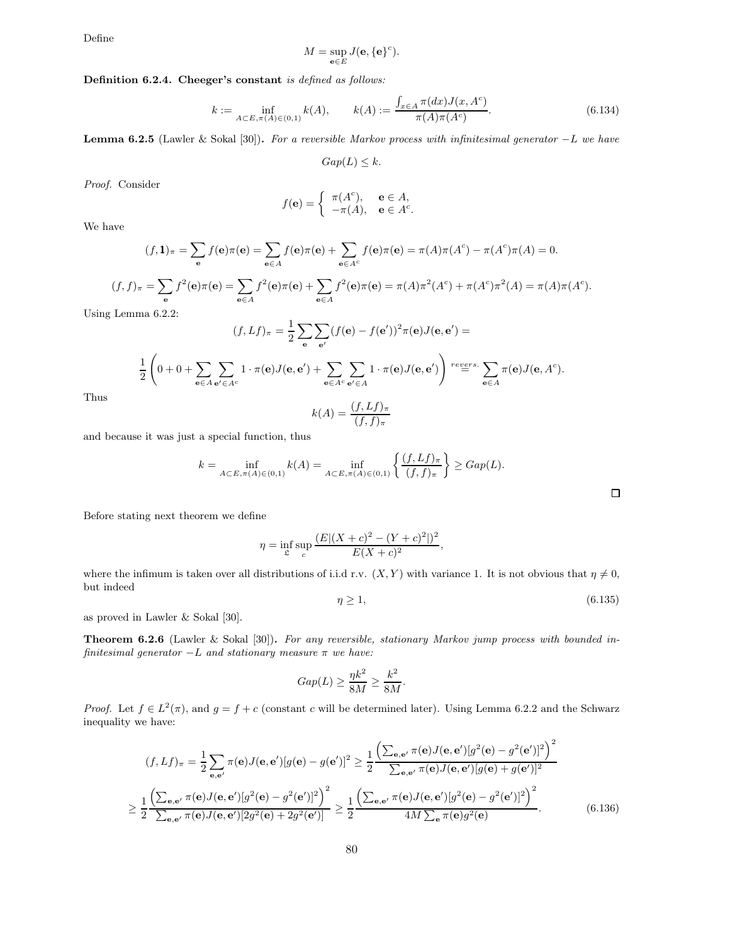Define

$$
M=\sup_{\mathbf{e}\in E}J(\mathbf{e},\{\mathbf{e}\}^c).
$$

## Definition 6.2.4. Cheeger's constant is defined as follows:

$$
k := \inf_{A \subset E, \pi(A) \in (0,1)} k(A), \qquad k(A) := \frac{\int_{x \in A} \pi(dx) J(x, A^c)}{\pi(A) \pi(A^c)}.
$$
 (6.134)

**Lemma 6.2.5** (Lawler & Sokal [30]). For a reversible Markov process with infinitesimal generator  $-L$  we have

$$
Gap(L) \leq k.
$$

Proof. Consider

$$
f(\mathbf{e}) = \begin{cases} \pi(A^c), & \mathbf{e} \in A, \\ -\pi(A), & \mathbf{e} \in A^c. \end{cases}
$$

We have

$$
(f,1)_{\pi} = \sum_{\mathbf{e}} f(\mathbf{e}) \pi(\mathbf{e}) = \sum_{\mathbf{e} \in A} f(\mathbf{e}) \pi(\mathbf{e}) + \sum_{\mathbf{e} \in A^c} f(\mathbf{e}) \pi(\mathbf{e}) = \pi(A) \pi(A^c) - \pi(A^c) \pi(A) = 0.
$$

$$
(f,f)_{\pi} = \sum_{\mathbf{e}} f^{2}(\mathbf{e})\pi(\mathbf{e}) = \sum_{\mathbf{e}\in A} f^{2}(\mathbf{e})\pi(\mathbf{e}) + \sum_{\mathbf{e}\in A} f^{2}(\mathbf{e})\pi(\mathbf{e}) = \pi(A)\pi^{2}(A^{c}) + \pi(A^{c})\pi^{2}(A) = \pi(A)\pi(A^{c}).
$$

 $\overline{1}$ 

Using Lemma 6.2.2:

$$
(f, Lf)_{\pi} = \frac{1}{2} \sum_{\mathbf{e}} \sum_{\mathbf{e}'} (f(\mathbf{e}) - f(\mathbf{e}'))^2 \pi(\mathbf{e}) J(\mathbf{e}, \mathbf{e}') =
$$
  

$$
\frac{1}{2} \left( 0 + 0 + \sum_{\mathbf{e} \in A} \sum_{\mathbf{e}' \in A^c} 1 \cdot \pi(\mathbf{e}) J(\mathbf{e}, \mathbf{e}') + \sum_{\mathbf{e} \in A^c} \sum_{\mathbf{e}' \in A} 1 \cdot \pi(\mathbf{e}) J(\mathbf{e}, \mathbf{e}') \right)^{regrs} \sum_{\mathbf{e} \in A} \pi(\mathbf{e}) J(\mathbf{e}, A^c).
$$

Thus

$$
k(A) = \frac{(f, Lf)_{\pi}}{(f, f)_{\pi}}
$$

and because it was just a special function, thus

$$
k = \inf_{A \subset E, \pi(A) \in (0,1)} k(A) = \inf_{A \subset E, \pi(A) \in (0,1)} \left\{ \frac{(f, Lf)_{\pi}}{(f, f)_{\pi}} \right\} \geq Gap(L).
$$

Before stating next theorem we define

$$
\eta = \inf_{\mathfrak{L}} \sup_c \frac{(E|(X+c)^2 - (Y+c)^2|)^2}{E(X+c)^2},
$$

where the infimum is taken over all distributions of i.i.d r.v.  $(X, Y)$  with variance 1. It is not obvious that  $\eta \neq 0$ , but indeed

$$
\eta \ge 1,\tag{6.135}
$$

as proved in Lawler & Sokal [30].

Theorem 6.2.6 (Lawler & Sokal [30]). For any reversible, stationary Markov jump process with bounded infinitesimal generator  $-L$  and stationary measure  $\pi$  we have:

$$
Gap(L) \ge \frac{\eta k^2}{8M} \ge \frac{k^2}{8M}.
$$

*Proof.* Let  $f \in L^2(\pi)$ , and  $g = f + c$  (constant c will be determined later). Using Lemma 6.2.2 and the Schwarz inequality we have:

$$
(f, Lf)_{\pi} = \frac{1}{2} \sum_{\mathbf{e}, \mathbf{e}'} \pi(\mathbf{e}) J(\mathbf{e}, \mathbf{e'}) [g(\mathbf{e}) - g(\mathbf{e'})]^2 \ge \frac{1}{2} \frac{\left(\sum_{\mathbf{e}, \mathbf{e}'} \pi(\mathbf{e}) J(\mathbf{e}, \mathbf{e'}) [g^2(\mathbf{e}) - g^2(\mathbf{e'})]^2\right)^2}{\sum_{\mathbf{e}, \mathbf{e}'} \pi(\mathbf{e}) J(\mathbf{e}, \mathbf{e'}) [g(\mathbf{e}) + g(\mathbf{e'})]^2}
$$
  

$$
\ge \frac{1}{2} \frac{\left(\sum_{\mathbf{e}, \mathbf{e'}} \pi(\mathbf{e}) J(\mathbf{e}, \mathbf{e'}) [g^2(\mathbf{e}) - g^2(\mathbf{e'})]^2\right)^2}{\sum_{\mathbf{e}, \mathbf{e}'} \pi(\mathbf{e}) J(\mathbf{e}, \mathbf{e'}) [g^2(\mathbf{e}) - g^2(\mathbf{e'})]^2} \ge \frac{1}{2} \frac{\left(\sum_{\mathbf{e}, \mathbf{e'}} \pi(\mathbf{e}) J(\mathbf{e}, \mathbf{e'}) [g^2(\mathbf{e}) - g^2(\mathbf{e'})]^2\right)^2}{4M \sum_{\mathbf{e}} \pi(\mathbf{e}) g^2(\mathbf{e})}.
$$
(6.136)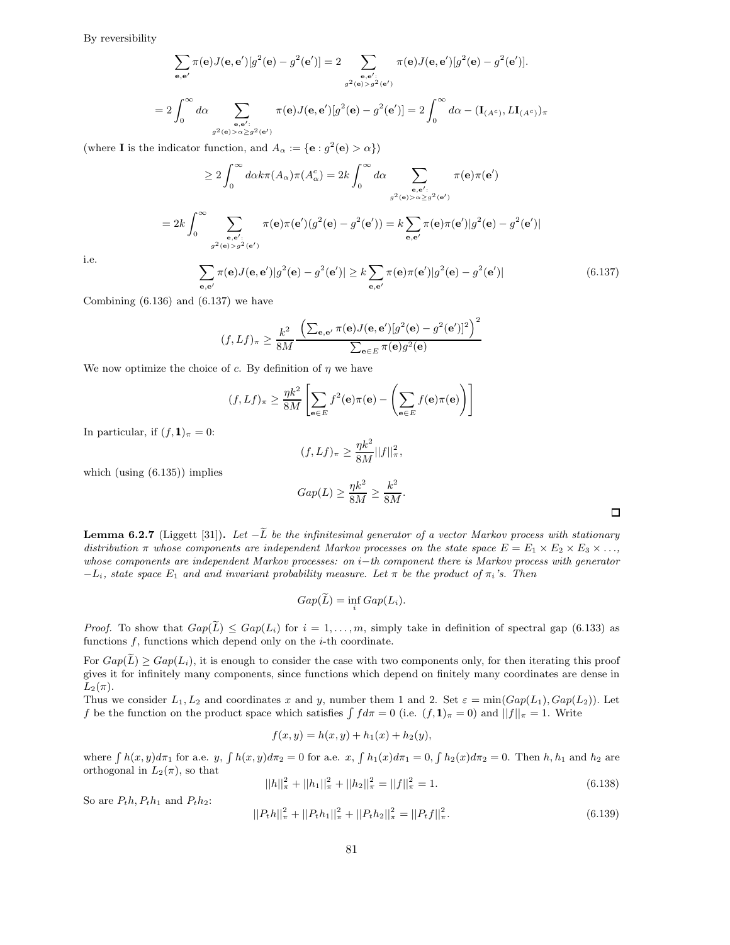By reversibility

$$
\sum_{\mathbf{e},\mathbf{e}'} \pi(\mathbf{e})J(\mathbf{e},\mathbf{e'})[g^2(\mathbf{e}) - g^2(\mathbf{e'})] = 2 \sum_{\mathbf{e},\mathbf{e'};\atop g^2(\mathbf{e}) > g^2(\mathbf{e'})} \pi(\mathbf{e})J(\mathbf{e},\mathbf{e'})[g^2(\mathbf{e}) - g^2(\mathbf{e'})].
$$
  

$$
= 2 \int_0^\infty d\alpha \sum_{\mathbf{e},\mathbf{e'}:\atop g^2(\mathbf{e}) > \alpha \ge g^2(\mathbf{e'})} \pi(\mathbf{e})J(\mathbf{e},\mathbf{e'})[g^2(\mathbf{e}) - g^2(\mathbf{e'})] = 2 \int_0^\infty d\alpha - (\mathbf{I}_{(A^c)},L\mathbf{I}_{(A^c)})\pi
$$

(where **I** is the indicator function, and  $A_{\alpha} := \{ \mathbf{e} : g^2(\mathbf{e}) > \alpha \}$ )

$$
\geq 2 \int_0^\infty d\alpha k \pi(A_\alpha) \pi(A_\alpha^c) = 2k \int_0^\infty d\alpha \sum_{\substack{\mathbf{e}, \mathbf{e}': \\ g^2(\mathbf{e}) > \alpha \geq g^2(\mathbf{e}')}} \pi(\mathbf{e}) \pi(\mathbf{e}')
$$

$$
= 2k \int_0^\infty \sum_{\substack{\mathbf{e}, \mathbf{e}': \\ g^2(\mathbf{e}) > g^2(\mathbf{e}')}} \pi(\mathbf{e}) \pi(\mathbf{e}')(g^2(\mathbf{e}) - g^2(\mathbf{e}')) = k \sum_{\mathbf{e}, \mathbf{e}'} \pi(\mathbf{e}) \pi(\mathbf{e}') |g^2(\mathbf{e}) - g^2(\mathbf{e}')|
$$

$$
\sum \pi(\mathbf{e}) J(\mathbf{e}, \mathbf{e}') |g^2(\mathbf{e}) - g^2(\mathbf{e}')| \geq k \sum \pi(\mathbf{e}) \pi(\mathbf{e}') |g^2(\mathbf{e}) - g^2(\mathbf{e}')|
$$
(6.137)

i.e.

e,e′  $)|g$  $(e) - g$  $)| \geq k$ e,e′  $)|g$  $(e) - g$ 

Combining  $(6.136)$  and  $(6.137)$  we have

$$
(f, Lf)_{\pi} \ge \frac{k^2}{8M} \frac{\left(\sum_{\mathbf{e}, \mathbf{e}'} \pi(\mathbf{e}) J(\mathbf{e}, \mathbf{e}')[g^2(\mathbf{e}) - g^2(\mathbf{e}')]^2\right)^2}{\sum_{\mathbf{e} \in E} \pi(\mathbf{e}) g^2(\mathbf{e})}
$$

We now optimize the choice of c. By definition of  $\eta$  we have

$$
(f, Lf)_{\pi} \ge \frac{\eta k^2}{8M} \left[ \sum_{\mathbf{e} \in E} f^2(\mathbf{e}) \pi(\mathbf{e}) - \left( \sum_{\mathbf{e} \in E} f(\mathbf{e}) \pi(\mathbf{e}) \right) \right]
$$

In particular, if  $(f,1)_\pi = 0$ :

$$
(f, Lf)_{\pi} \ge \frac{\eta k^2}{8M} ||f||_{\pi}^2,
$$

which (using (6.135)) implies

$$
Gap(L) \ge \frac{\eta k^2}{8M} \ge \frac{k^2}{8M}.
$$

**Lemma 6.2.7** (Liggett [31]). Let  $-\tilde{L}$  be the infinitesimal generator of a vector Markov process with stationary distribution  $\pi$  whose components are independent Markov processes on the state space  $E = E_1 \times E_2 \times E_3 \times \ldots$ whose components are independent Markov processes: on i−th component there is Markov process with generator  $-L_i$ , state space  $E_1$  and and invariant probability measure. Let  $\pi$  be the product of  $\pi_i$ 's. Then

$$
Gap(\tilde{L}) = \inf_i Gap(L_i).
$$

*Proof.* To show that  $Gap(\tilde{L}) \le Gap(L_i)$  for  $i=1,\ldots,m$ , simply take in definition of spectral gap (6.133) as functions  $f$ , functions which depend only on the  $i$ -th coordinate.

For  $Gap(\tilde{L}) \geq Gap(L_i)$ , it is enough to consider the case with two components only, for then iterating this proof gives it for infinitely many components, since functions which depend on finitely many coordinates are dense in  $L_2(\pi)$ .

Thus we consider  $L_1, L_2$  and coordinates x and y, number them 1 and 2. Set  $\varepsilon = \min(Gap(L_1), Gap(L_2))$ . Let f be the function on the product space which satisfies  $\int fd\pi = 0$  (i.e.  $(f, 1)_\pi = 0$ ) and  $||f||_\pi = 1$ . Write

$$
f(x, y) = h(x, y) + h_1(x) + h_2(y),
$$

where  $\int h(x, y)d\pi_1$  for a.e. y,  $\int h(x, y)d\pi_2 = 0$  for a.e. x,  $\int h_1(x)d\pi_1 = 0$ ,  $\int h_2(x)d\pi_2 = 0$ . Then  $h, h_1$  and  $h_2$  are orthogonal in  $L_2(\pi)$ , so that

$$
||h||_{\pi}^{2} + ||h_{1}||_{\pi}^{2} + ||h_{2}||_{\pi}^{2} = ||f||_{\pi}^{2} = 1.
$$
\n(6.138)

So are  $P_t h$ ,  $P_t h_1$  and  $P_t h_2$ :

$$
||P_t h||_{\pi}^2 + ||P_t h_1||_{\pi}^2 + ||P_t h_2||_{\pi}^2 = ||P_t f||_{\pi}^2.
$$
\n(6.139)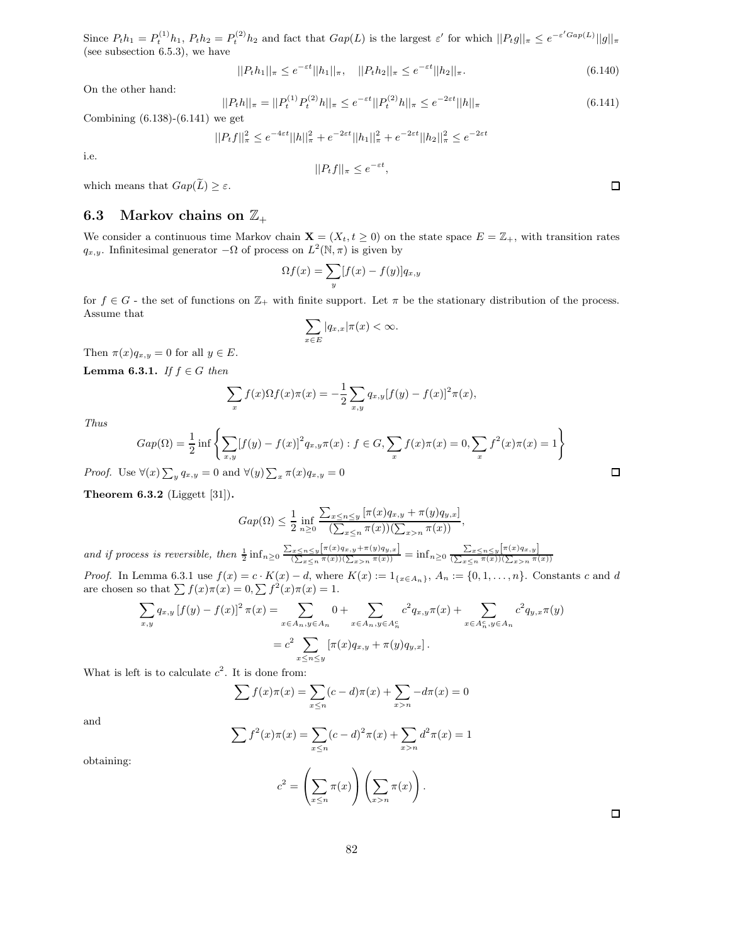Since  $P_t h_1 = P_t^{(1)} h_1$ ,  $P_t h_2 = P_t^{(2)} h_2$  and fact that  $Gap(L)$  is the largest  $\varepsilon'$  for which  $||P_t g||_{\pi} \leq e^{-\varepsilon' Gap(L)}||g||_{\pi}$ (see subsection 6.5.3), we have

$$
||P_t h_1||_{\pi} \le e^{-\varepsilon t} ||h_1||_{\pi}, \quad ||P_t h_2||_{\pi} \le e^{-\varepsilon t} ||h_2||_{\pi}.
$$
\n(6.140)

On the other hand:

$$
||P_t h||_{\pi} = ||P_t^{(1)} P_t^{(2)} h||_{\pi} \le e^{-\varepsilon t} ||P_t^{(2)} h||_{\pi} \le e^{-2\varepsilon t} ||h||_{\pi}
$$
\n(6.141)

Combining (6.138)-(6.141) we get

 $||P_t f||^2_{\pi} \leq e^{-4\varepsilon t} ||h||^2_{\pi} + e^{-2\varepsilon t} ||h_1||^2_{\pi} + e^{-2\varepsilon t} ||h_2||^2_{\pi} \leq e^{-2\varepsilon t}$ 

i.e.

$$
||P_t f||_{\pi} \le e^{-\varepsilon t},
$$

which means that  $Gap(\widetilde{L}) \geq \varepsilon$ .

## 6.3 Markov chains on  $\mathbb{Z}_+$

We consider a continuous time Markov chain  $\mathbf{X} = (X_t, t \geq 0)$  on the state space  $E = \mathbb{Z}_+$ , with transition rates  $q_{x,y}$ . Infinitesimal generator  $-\Omega$  of process on  $L^2(\mathbb{N}, \pi)$  is given by

$$
\Omega f(x) = \sum_{y} [f(x) - f(y)] q_{x,y}
$$

for  $f \in G$  - the set of functions on  $\mathbb{Z}_+$  with finite support. Let  $\pi$  be the stationary distribution of the process. Assume that

$$
\sum_{x \in E} |q_{x,x}|\pi(x) < \infty.
$$

Then  $\pi(x)q_{x,y} = 0$  for all  $y \in E$ .

Lemma 6.3.1. If  $f \in G$  then

$$
\sum_{x} f(x) \Omega f(x) \pi(x) = -\frac{1}{2} \sum_{x,y} q_{x,y} [f(y) - f(x)]^{2} \pi(x),
$$

Thus

$$
Gap(\Omega) = \frac{1}{2} \inf \left\{ \sum_{x,y} [f(y) - f(x)]^2 q_{x,y} \pi(x) : f \in G, \sum_x f(x) \pi(x) = 0, \sum_x f^2(x) \pi(x) = 1 \right\}
$$

*Proof.* Use  $\forall (x) \sum_{y} q_{x,y} = 0$  and  $\forall (y) \sum_{x} \pi(x) q_{x,y} = 0$ 

Theorem 6.3.2 (Liggett [31]).

$$
Gap(\Omega) \le \frac{1}{2} \inf_{n \ge 0} \frac{\sum_{x \le n \le y} [\pi(x) q_{x,y} + \pi(y) q_{y,x}]}{(\sum_{x \le n} \pi(x))(\sum_{x > n} \pi(x))},
$$

and if process is reversible, then  $\frac{1}{2} \inf_{n \geq 0} \frac{\sum_{x \leq n \leq y} [\pi(x)q_{x,y} + \pi(y)q_{y,x}]}{(\sum_{x \leq n} \pi(x))(\sum_{x > n} \pi(x))} = \inf_{n \geq 0} \frac{\sum_{x \leq n \leq y} [\pi(x)q_{x,y}]}{(\sum_{x \leq n} \pi(x))(\sum_{x > n} \pi(x))}$ 

*Proof.* In Lemma 6.3.1 use  $f(x) = c \cdot K(x) - d$ , where  $K(x) := 1_{\{x \in A_n\}}$ ,  $A_n := \{0, 1, \ldots, n\}$ . Constants c and d are chosen so that  $\sum f(x)\pi(x) = 0, \sum f^2(x)\pi(x) = 1.$ 

$$
\sum_{x,y} q_{x,y} [f(y) - f(x)]^2 \pi(x) = \sum_{x \in A_n, y \in A_n} 0 + \sum_{x \in A_n, y \in A_n^c} c^2 q_{x,y} \pi(x) + \sum_{x \in A_n^c, y \in A_n} c^2 q_{y,x} \pi(y)
$$
  
= 
$$
c^2 \sum_{x \le n \le y} [\pi(x) q_{x,y} + \pi(y) q_{y,x}].
$$

What is left is to calculate  $c^2$ . It is done from:

$$
\sum f(x)\pi(x) = \sum_{x \le n} (c - d)\pi(x) + \sum_{x > n} -d\pi(x) = 0
$$

and

$$
\sum f^{2}(x)\pi(x) = \sum_{x \leq n} (c - d)^{2}\pi(x) + \sum_{x > n} d^{2}\pi(x) = 1
$$

 $\pi(x)$ 1  $(\Sigma)$  $x\!>\!n$ 

 $\pi(x)$ ! .

 $c^2 =$  $\sqrt{ }$  $\sum$  $x \leq n$ 

obtaining:

82

 $\Box$ 

 $\Box$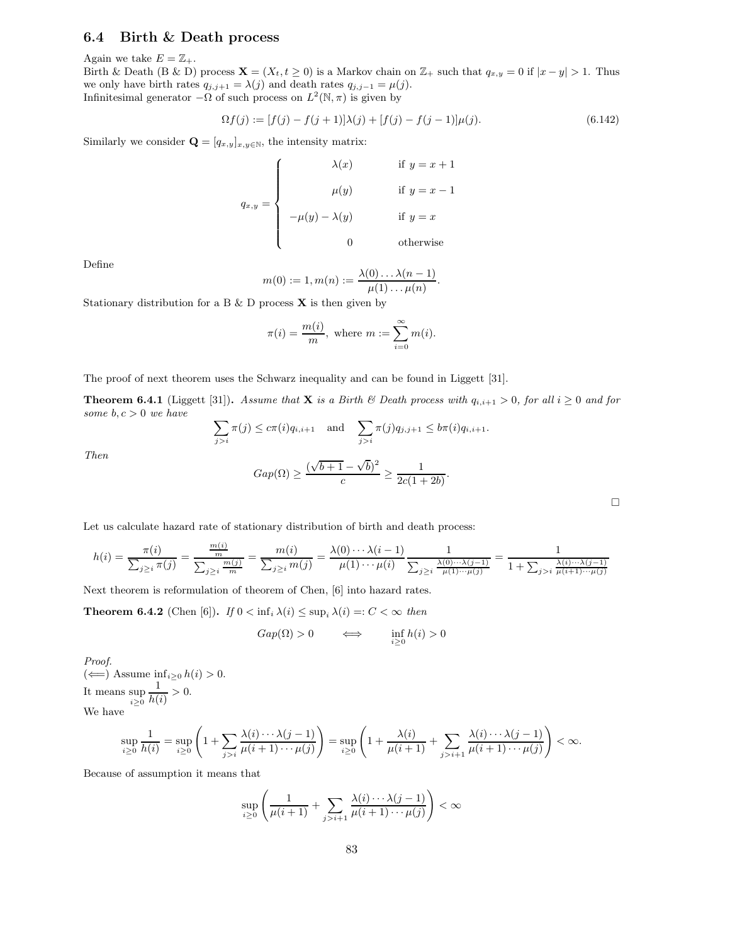## 6.4 Birth & Death process

Again we take  $E = \mathbb{Z}_+$ .

Birth & Death (B & D) process  $\mathbf{X} = (X_t, t \geq 0)$  is a Markov chain on  $\mathbb{Z}_+$  such that  $q_{x,y} = 0$  if  $|x - y| > 1$ . Thus we only have birth rates  $q_{j,j+1} = \lambda(j)$  and death rates  $q_{j,j-1} = \mu(j)$ . Infinitesimal generator  $-\Omega$  of such process on  $L^2(\mathbb{N}, \pi)$  is given by

$$
\Omega f(j) := [f(j) - f(j+1)]\lambda(j) + [f(j) - f(j-1)]\mu(j). \tag{6.142}
$$

Similarly we consider  $\mathbf{Q} = [q_{x,y}]_{x,y \in \mathbb{N}}$ , the intensity matrix:

$$
q_{x,y} = \begin{cases} \lambda(x) & \text{if } y = x + 1 \\ \mu(y) & \text{if } y = x - 1 \\ -\mu(y) - \lambda(y) & \text{if } y = x \\ 0 & \text{otherwise} \end{cases}
$$

Define

Then

$$
m(0) := 1, m(n) := \frac{\lambda(0) \dots \lambda(n-1)}{\mu(1) \dots \mu(n)}.
$$

Stationary distribution for a B  $\&$  D process **X** is then given by

$$
\pi(i) = \frac{m(i)}{m}, \text{ where } m := \sum_{i=0}^{\infty} m(i).
$$

The proof of next theorem uses the Schwarz inequality and can be found in Liggett [31].

**Theorem 6.4.1** (Liggett [31]). Assume that **X** is a Birth  $\&$  Death process with  $q_{i,i+1} > 0$ , for all  $i \geq 0$  and for some  $b, c > 0$  we have

$$
\sum_{j>i} \pi(j) \le c\pi(i)q_{i,i+1} \text{ and } \sum_{j>i} \pi(j)q_{j,j+1} \le b\pi(i)q_{i,i+1}.
$$

$$
Gap(\Omega) \ge \frac{(\sqrt{b+1} - \sqrt{b})^2}{c} \ge \frac{1}{2c(1+2b)}.
$$

Let us calculate hazard rate of stationary distribution of birth and death process:

$$
h(i) = \frac{\pi(i)}{\sum_{j\geq i} \pi(j)} = \frac{\frac{m(i)}{m}}{\sum_{j\geq i} \frac{m(j)}{m}} = \frac{m(i)}{\sum_{j\geq i} m(j)} = \frac{\lambda(0) \cdots \lambda(i-1)}{\mu(1) \cdots \mu(i)} \frac{1}{\sum_{j\geq i} \frac{\lambda(0) \cdots \lambda(j-1)}{\mu(1) \cdots \mu(j)}} = \frac{1}{1 + \sum_{j>i} \frac{\lambda(i) \cdots \lambda(j-1)}{\mu(i+1) \cdots \mu(j)}}
$$

Next theorem is reformulation of theorem of Chen, [6] into hazard rates.

**Theorem 6.4.2** (Chen [6]). If  $0 < \inf_i \lambda(i) \leq \sup_i \lambda(i) =: C < \infty$  then

$$
Gap(\Omega) > 0 \qquad \Longleftrightarrow \qquad \inf_{i \ge 0} h(i) > 0
$$

Proof. (←) Assume  $\inf_{i≥0} h(i) > 0$ . It means sup  $i \geq 0$ 1  $\frac{1}{h(i)} > 0.$ We have

$$
\sup_{i\geq 0} \frac{1}{h(i)} = \sup_{i\geq 0} \left( 1 + \sum_{j>i} \frac{\lambda(i) \cdots \lambda(j-1)}{\mu(i+1) \cdots \mu(j)} \right) = \sup_{i\geq 0} \left( 1 + \frac{\lambda(i)}{\mu(i+1)} + \sum_{j>i+1} \frac{\lambda(i) \cdots \lambda(j-1)}{\mu(i+1) \cdots \mu(j)} \right) < \infty.
$$

Because of assumption it means that

$$
\sup_{i\geq 0}\left(\frac{1}{\mu(i+1)}+\sum_{j>i+1}\frac{\lambda(i)\cdots\lambda(j-1)}{\mu(i+1)\cdots\mu(j)}\right)<\infty
$$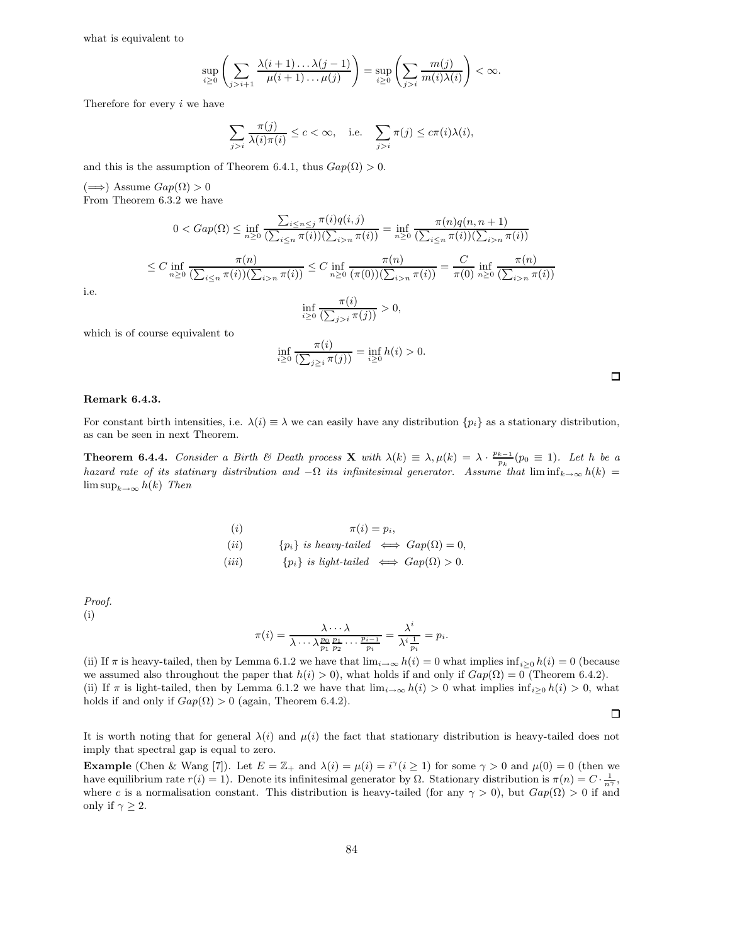what is equivalent to

$$
\sup_{i\geq 0}\left(\sum_{j>i+1}\frac{\lambda(i+1)\dots\lambda(j-1)}{\mu(i+1)\dots\mu(j)}\right)=\sup_{i\geq 0}\left(\sum_{j>i}\frac{m(j)}{m(i)\lambda(i)}\right)<\infty.
$$

Therefore for every i we have

$$
\sum_{j>i} \frac{\pi(j)}{\lambda(i)\pi(i)} \le c < \infty, \quad \text{i.e.} \quad \sum_{j>i} \pi(j) \le c\pi(i)\lambda(i),
$$

and this is the assumption of Theorem 6.4.1, thus  $Gap(\Omega) > 0$ .

 $(\implies)$  Assume  $Gap(Ω) > 0$ From Theorem 6.3.2 we have

$$
0 < Gap(\Omega) \le \inf_{n\ge0} \frac{\sum_{i\le n\le j} \pi(i)q(i,j)}{\left(\sum_{i\le n} \pi(i)\right)\left(\sum_{i>n} \pi(i)\right)} = \inf_{n\ge0} \frac{\pi(n)q(n,n+1)}{\left(\sum_{i\le n} \pi(i)\right)\left(\sum_{i>n} \pi(i)\right)}
$$
\n
$$
\le C \inf_{n\ge0} \frac{\pi(n)}{\left(\sum_{i\le n} \pi(i)\right)\left(\sum_{i>n} \pi(i)\right)} \le C \inf_{n\ge0} \frac{\pi(n)}{\left(\pi(0)\right)\left(\sum_{i>n} \pi(i)\right)} = \frac{C}{\pi(0)} \inf_{n\ge0} \frac{\pi(n)}{\left(\sum_{i>n} \pi(i)\right)}
$$
\n
$$
\le C \frac{\pi(n)}{\pi(n)}
$$

i.e.

$$
\inf_{i\geq 0} \frac{\pi(i)}{\left(\sum_{j>i} \pi(j)\right)} > 0,
$$

which is of course equivalent to

$$
\inf_{i\geq 0} \frac{\pi(i)}{\left(\sum_{j\geq i} \pi(j)\right)} = \inf_{i\geq 0} h(i) > 0.
$$

#### Remark 6.4.3.

For constant birth intensities, i.e.  $\lambda(i) \equiv \lambda$  we can easily have any distribution  $\{p_i\}$  as a stationary distribution, as can be seen in next Theorem.

**Theorem 6.4.4.** Consider a Birth & Death process **X** with  $\lambda(k) \equiv \lambda, \mu(k) = \lambda \cdot \frac{p_{k-1}}{p_k}(p_0 \equiv 1)$ . Let h be a hazard rate of its statinary distribution and  $-\Omega$  its infinitesimal generator. Assume that lim inf $_{k\to\infty}$  h(k) =  $\limsup_{k\to\infty} h(k)$  Then

(i) 
$$
\pi(i) = p_i,
$$
  
\n(ii) { $p_i$ } is heavy-tailed  $\iff$  Gap( $\Omega$ ) = 0,  
\n(iii) { $p_i$ } is light-tailed  $\iff$  Gap( $\Omega$ ) > 0.

Proof.

(i)

$$
\pi(i) = \frac{\lambda \cdots \lambda}{\lambda \cdots \lambda \frac{p_0}{p_1} \frac{p_1}{p_2} \cdots \frac{p_{i-1}}{p_i}} = \frac{\lambda^i}{\lambda^i \frac{1}{p_i}} = p_i.
$$

(ii) If  $\pi$  is heavy-tailed, then by Lemma 6.1.2 we have that  $\lim_{i\to\infty} h(i) = 0$  what implies  $\inf_{i\geq 0} h(i) = 0$  (because we assumed also throughout the paper that  $h(i) > 0$ , what holds if and only if  $Gap(\Omega) = 0$  (Theorem 6.4.2). (ii) If  $\pi$  is light-tailed, then by Lemma 6.1.2 we have that  $\lim_{i\to\infty} h(i) > 0$  what implies  $\inf_{i\geq 0} h(i) > 0$ , what holds if and only if  $Gap(\Omega) > 0$  (again, Theorem 6.4.2).

 $\Box$ 

It is worth noting that for general  $\lambda(i)$  and  $\mu(i)$  the fact that stationary distribution is heavy-tailed does not imply that spectral gap is equal to zero.

**Example** (Chen & Wang [7]). Let  $E = \mathbb{Z}_+$  and  $\lambda(i) = \mu(i) = i^{\gamma}(i \ge 1)$  for some  $\gamma > 0$  and  $\mu(0) = 0$  (then we have equilibrium rate  $r(i) = 1$ ). Denote its infinitesimal generator by  $\Omega$ . Stationary distribution is  $\pi(n) = C \cdot \frac{1}{n^{\gamma}}$ , where c is a normalisation constant. This distribution is heavy-tailed (for any  $\gamma > 0$ ), but  $Gap(\Omega) > 0$  if and only if  $\gamma \geq 2$ .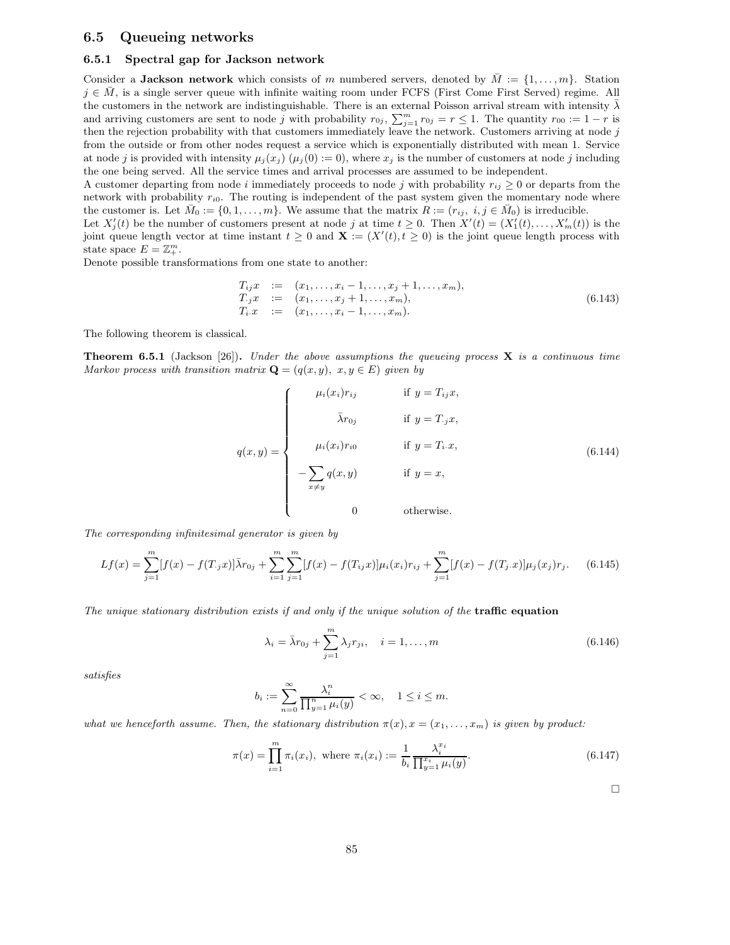## 6.5 Queueing networks

### 6.5.1 Spectral gap for Jackson network

Consider a Jackson network which consists of m numbered servers, denoted by  $\overline{M} := \{1, \ldots, m\}$ . Station  $j \in \overline{M}$ , is a single server queue with infinite waiting room under FCFS (First Come First Served) regime. All the customers in the network are indistinguishable. There is an external Poisson arrival stream with intensity  $\bar{\lambda}$ and arriving customers are sent to node j with probability  $r_{0j}$ ,  $\sum_{j=1}^{m} r_{0j} = r \le 1$ . The quantity  $r_{00} := 1 - r$  is then the rejection probability with that customers immediately leave the network. Customers arriving at node j from the outside or from other nodes request a service which is exponentially distributed with mean 1. Service at node j is provided with intensity  $\mu_i(x_i)$  ( $\mu_i(0) := 0$ ), where  $x_i$  is the number of customers at node j including the one being served. All the service times and arrival processes are assumed to be independent.

A customer departing from node i immediately proceeds to node j with probability  $r_{ij} \geq 0$  or departs from the network with probability  $r_{i0}$ . The routing is independent of the past system given the momentary node where the customer is. Let  $\bar{M}_0 := \{0, 1, \ldots, m\}$ . We assume that the matrix  $R := (r_{ij}, i, j \in \bar{M}_0)$  is irreducible.

Let  $X'_j(t)$  be the number of customers present at node j at time  $t \geq 0$ . Then  $X'(t) = (X'_1(t), \ldots, X'_m(t))$  is the joint queue length vector at time instant  $t \geq 0$  and  $\mathbf{X} := (X'(t), t \geq 0)$  is the joint queue length process with state space  $E = \mathbb{Z}_+^m$ .

Denote possible transformations from one state to another:

$$
T_{ij}x := (x_1,...,x_i-1,...,x_j+1,...,x_m),
$$
  
\n
$$
T_{.j}x := (x_1,...,x_j+1,...,x_m),
$$
  
\n
$$
T_{i}.x := (x_1,...,x_i-1,...,x_m).
$$
\n(6.143)

The following theorem is classical.

**Theorem 6.5.1** (Jackson [26]). Under the above assumptions the queueing process  $\bf{X}$  is a continuous time Markov process with transition matrix  $\mathbf{Q} = (q(x, y), x, y \in E)$  given by

$$
q(x,y) = \begin{cases} \mu_i(x_i)r_{ij} & \text{if } y = T_{ij}x, \\ \bar{\lambda}r_{0j} & \text{if } y = T_{\cdot j}x, \\ \mu_i(x_i)r_{i0} & \text{if } y = T_i.x, \\ -\sum_{x \neq y} q(x,y) & \text{if } y = x, \\ 0 & \text{otherwise.} \end{cases} \tag{6.144}
$$

The corresponding infinitesimal generator is given by

$$
Lf(x) = \sum_{j=1}^{m} [f(x) - f(T_j x)] \bar{\lambda} r_{0j} + \sum_{i=1}^{m} \sum_{j=1}^{m} [f(x) - f(T_{ij} x)] \mu_i(x_i) r_{ij} + \sum_{j=1}^{m} [f(x) - f(T_j x)] \mu_j(x_j) r_j.
$$
 (6.145)

The unique stationary distribution exists if and only if the unique solution of the traffic equation

$$
\lambda_i = \bar{\lambda}r_{0j} + \sum_{j=1}^m \lambda_j r_{ji}, \quad i = 1, \dots, m
$$
\n(6.146)

satisfies

$$
b_i := \sum_{n=0}^{\infty} \frac{\lambda_i^n}{\prod_{y=1}^n \mu_i(y)} < \infty, \quad 1 \le i \le m.
$$

what we henceforth assume. Then, the stationary distribution  $\pi(x), x = (x_1, \ldots, x_m)$  is given by product:

$$
\pi(x) = \prod_{i=1}^{m} \pi_i(x_i), \text{ where } \pi_i(x_i) := \frac{1}{b_i} \frac{\lambda_i^{x_i}}{\prod_{y=1}^{x_i} \mu_i(y)}.
$$
\n(6.147)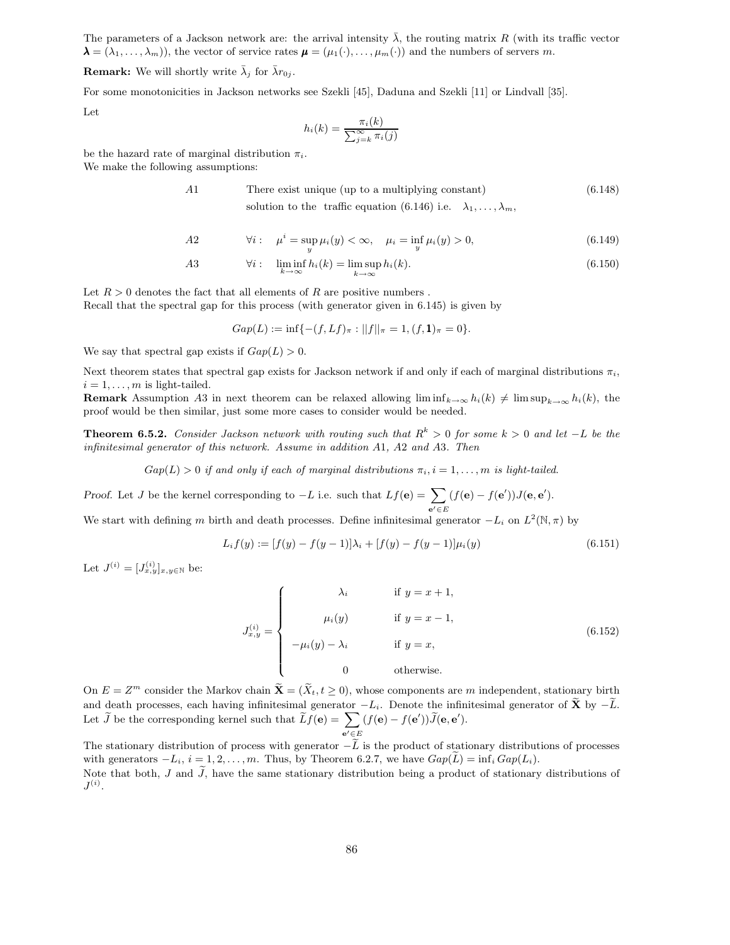The parameters of a Jackson network are: the arrival intensity  $\bar{\lambda}$ , the routing matrix R (with its traffic vector  $\lambda = (\lambda_1, \ldots, \lambda_m)$ , the vector of service rates  $\mu = (\mu_1(\cdot), \ldots, \mu_m(\cdot))$  and the numbers of servers m.

**Remark:** We will shortly write  $\bar{\lambda}_j$  for  $\bar{\lambda}r_{0j}$ .

For some monotonicities in Jackson networks see Szekli [45], Daduna and Szekli [11] or Lindvall [35].

Let

$$
h_i(k) = \frac{\pi_i(k)}{\sum_{j=k}^{\infty} \pi_i(j)}
$$

be the hazard rate of marginal distribution  $\pi_i$ .

We make the following assumptions:

A1 There exist unique (up to a multiplying constant) (6.148) solution to the traffic equation (6.146) i.e.  $\lambda_1, \ldots, \lambda_m$ ,

A2 
$$
\forall i: \quad \mu^i = \sup_y \mu_i(y) < \infty, \quad \mu_i = \inf_y \mu_i(y) > 0,
$$
 (6.149)

A3 
$$
\forall i: \liminf_{k \to \infty} h_i(k) = \limsup_{k \to \infty} h_i(k).
$$
 (6.150)

Let  $R > 0$  denotes the fact that all elements of R are positive numbers. Recall that the spectral gap for this process (with generator given in 6.145) is given by

$$
Gap(L) := \inf\{-(f, Lf)_{\pi} : ||f||_{\pi} = 1, (f, \mathbf{1})_{\pi} = 0\}.
$$

We say that spectral gap exists if  $Gap(L) > 0$ .

Next theorem states that spectral gap exists for Jackson network if and only if each of marginal distributions  $\pi_i$ ,  $i = 1, \ldots, m$  is light-tailed.

**Remark** Assumption A3 in next theorem can be relaxed allowing  $\liminf_{k\to\infty} h_i(k) \neq \limsup_{k\to\infty} h_i(k)$ , the proof would be then similar, just some more cases to consider would be needed.

**Theorem 6.5.2.** Consider Jackson network with routing such that  $R^k > 0$  for some  $k > 0$  and let  $-L$  be the infinitesimal generator of this network. Assume in addition A1, A2 and A3. Then

 $Gap(L) > 0$  if and only if each of marginal distributions  $\pi_i, i = 1, \ldots, m$  is light-tailed.

Proof. Let J be the kernel corresponding to  $-L$  i.e. such that  $Lf(\mathbf{e}) = \sum$  $e' \in E$  $(f(\mathbf{e}) - f(\mathbf{e}'))J(\mathbf{e},\mathbf{e}').$ 

We start with defining m birth and death processes. Define infinitesimal generator  $-L_i$  on  $L^2(\mathbb{N}, \pi)$  by

$$
L_i f(y) := [f(y) - f(y-1)]\lambda_i + [f(y) - f(y-1)]\mu_i(y)
$$
\n(6.151)

Let  $J^{(i)} = [J_{x,y}^{(i)}]_{x,y \in \mathbb{N}}$  be:

$$
J_{x,y}^{(i)} = \begin{cases} \lambda_i & \text{if } y = x + 1, \\ \mu_i(y) & \text{if } y = x - 1, \\ -\mu_i(y) - \lambda_i & \text{if } y = x, \\ 0 & \text{otherwise.} \end{cases}
$$
(6.152)

On  $E = Z^m$  consider the Markov chain  $\widetilde{\mathbf{X}} = (\widetilde{X}_t, t \geq 0)$ , whose components are m independent, stationary birth and death processes, each having infinitesimal generator  $-L_i$ . Denote the infinitesimal generator of  $\tilde{\mathbf{X}}$  by  $-\tilde{L}$ . Let  $\widetilde{J}$  be the corresponding kernel such that  $\widetilde{L}f(\mathbf{e}) = \sum$  $\mathbf{e}'\!\in\!E$  $(f(\mathbf{e}) - f(\mathbf{e}'))J(\mathbf{e},\mathbf{e}').$ 

The stationary distribution of process with generator  $-\tilde{L}$  is the product of stationary distributions of processes with generators  $-L_i$ ,  $i = 1, 2, ..., m$ . Thus, by Theorem 6.2.7, we have  $Gap(L) = inf_i Gap(L_i)$ . Note that both, J and  $\tilde{J}$ , have the same stationary distribution being a product of stationary distributions of  $J^{(i)}$ .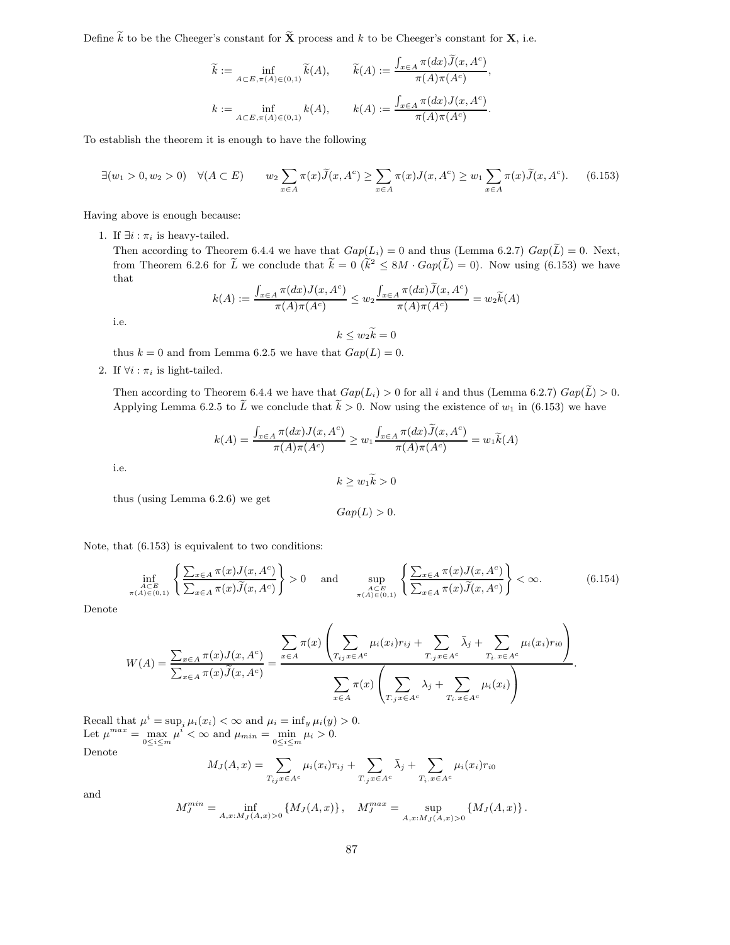Define  $\widetilde{k}$  to be the Cheeger's constant for  $\widetilde{\mathbf{X}}$  process and k to be Cheeger's constant for **X**, i.e.

$$
\widetilde{k} := \inf_{A \subset E, \pi(A) \in (0,1)} \widetilde{k}(A), \qquad \widetilde{k}(A) := \frac{\int_{x \in A} \pi(dx) \widetilde{J}(x, A^c)}{\pi(A) \pi(A^c)},
$$
\n
$$
k := \inf_{A \subset E, \pi(A) \in (0,1)} k(A), \qquad k(A) := \frac{\int_{x \in A} \pi(dx) J(x, A^c)}{\pi(A) \pi(A^c)}.
$$

To establish the theorem it is enough to have the following

$$
\exists (w_1 > 0, w_2 > 0) \quad \forall (A \subset E) \qquad w_2 \sum_{x \in A} \pi(x) \widetilde{J}(x, A^c) \ge \sum_{x \in A} \pi(x) J(x, A^c) \ge w_1 \sum_{x \in A} \pi(x) \widetilde{J}(x, A^c). \tag{6.153}
$$

Having above is enough because:

1. If  $\exists i : \pi_i$  is heavy-tailed.

Then according to Theorem 6.4.4 we have that  $Gap(L_i) = 0$  and thus (Lemma 6.2.7)  $Gap(\tilde{L}) = 0$ . Next, from Theorem 6.2.6 for  $\tilde{L}$  we conclude that  $\tilde{k} = 0$   $(\tilde{k}^2 \le 8M \cdot Gap(\tilde{L})=0)$ . Now using (6.153) we have that

$$
k(A) := \frac{\int_{x \in A} \pi(dx) J(x, A^c)}{\pi(A)\pi(A^c)} \le w_2 \frac{\int_{x \in A} \pi(dx) \widetilde{J}(x, A^c)}{\pi(A)\pi(A^c)} = w_2 \widetilde{k}(A)
$$

i.e.

 $k \leq w_2 k = 0$ 

thus  $k = 0$  and from Lemma 6.2.5 we have that  $Gap(L) = 0$ .

2. If  $\forall i : \pi_i$  is light-tailed.

Then according to Theorem 6.4.4 we have that  $Gap(L_i) > 0$  for all i and thus (Lemma 6.2.7)  $Gap(\tilde{L}) > 0$ . Applying Lemma 6.2.5 to  $\tilde{L}$  we conclude that  $\tilde{k} > 0$ . Now using the existence of  $w_1$  in (6.153) we have

$$
k(A) = \frac{\int_{x \in A} \pi(dx) J(x, A^c)}{\pi(A)\pi(A^c)} \ge w_1 \frac{\int_{x \in A} \pi(dx) \widetilde{J}(x, A^c)}{\pi(A)\pi(A^c)} = w_1 \widetilde{k}(A)
$$

i.e.

$$
k \ge w_1 \widetilde{k} > 0
$$

thus (using Lemma 6.2.6) we get

$$
Gap(L) > 0.
$$

Note, that (6.153) is equivalent to two conditions:

$$
\inf_{\substack{A \subset E \\ \pi(A) \in (0,1)}} \left\{ \frac{\sum_{x \in A} \pi(x) J(x, A^c)}{\sum_{x \in A} \pi(x) \widetilde{J}(x, A^c)} \right\} > 0 \quad \text{and} \quad \sup_{\substack{A \subset E \\ \pi(A) \in (0,1)}} \left\{ \frac{\sum_{x \in A} \pi(x) J(x, A^c)}{\sum_{x \in A} \pi(x) \widetilde{J}(x, A^c)} \right\} < \infty. \tag{6.154}
$$

.

Denote

$$
W(A) = \frac{\sum_{x \in A} \pi(x) J(x, A^c)}{\sum_{x \in A} \pi(x) \widetilde{J}(x, A^c)} = \frac{\sum_{x \in A} \pi(x) \left( \sum_{T_{ij} x \in A^c} \mu_i(x_i) r_{ij} + \sum_{T_{j} x \in A^c} \bar{\lambda}_j + \sum_{T_{i} x \in A^c} \mu_i(x_i) r_{i0} \right)}{\sum_{x \in A} \pi(x) \left( \sum_{T_{j} x \in A^c} \lambda_j + \sum_{T_{i} x \in A^c} \mu_i(x_i) \right)}
$$

Recall that  $\mu^i = \sup_i \mu_i(x_i) < \infty$  and  $\mu_i = \inf_y \mu_i(y) > 0$ . Let  $\mu^{max} = \max_{0 \le i \le m} \mu^i < \infty$  and  $\mu_{min} = \min_{0 \le i \le m} \mu_i > 0$ . Denote

$$
M_J(A,x) = \sum_{T_{ij}x \in A^c} \mu_i(x_i)r_{ij} + \sum_{T,jx \in A^c} \bar{\lambda}_j + \sum_{T_i.x \in A^c} \mu_i(x_i)r_{i0}
$$

and

$$
M_J^{min} = \inf_{A,x:M_J(A,x)>0} \left\{ M_J(A,x) \right\}, \quad M_J^{max} = \sup_{A,x:M_J(A,x)>0} \left\{ M_J(A,x) \right\}.
$$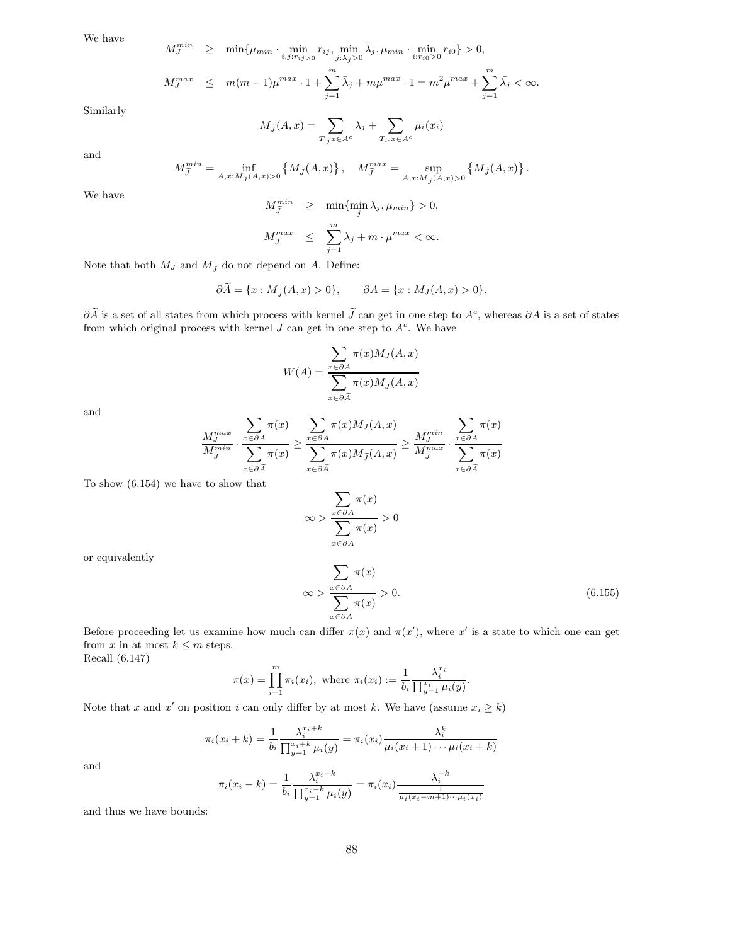We have

 $\sim$  min

$$
M_J^{min} \geq \min \{ \mu_{min} \cdot \min_{i,j: r_{ij} > 0} r_{ij}, \min_{j: \bar{\lambda}_j > 0} \bar{\lambda}_j, \mu_{min} \cdot \min_{i: r_{i0} > 0} r_{i0} \} > 0,
$$
  

$$
M_J^{max} \leq m(m-1)\mu^{max} \cdot 1 + \sum_{j=1}^m \bar{\lambda}_j + m\mu^{max} \cdot 1 = m^2 \mu^{max} + \sum_{j=1}^m \bar{\lambda}_j < \infty.
$$

Similarly

$$
M_{\tilde{J}}(A,x) = \sum_{T, jx \in A^c} \lambda_j + \sum_{T_i, x \in A^c} \mu_i(x_i)
$$

and

$$
M^{min}_{\tilde{J}} = \inf_{A,x:M_{\tilde{J}}(A,x)>0} \left\{M_{\tilde{J}}(A,x)\right\}, \quad M^{max}_{\tilde{J}} = \sup_{A,x:M_{\tilde{J}}(A,x)>0} \left\{M_{\tilde{J}}(A,x)\right\}.
$$

We have

$$
M_j^{min} \geq \min\{\min_j \lambda_j, \mu_{min}\} > 0,
$$
  

$$
M_{\ell}^{max} < \sum_{j=1}^{m} \lambda_j + m \cdot \mu_{\ell}^{max} < \infty
$$

$$
M_j^{max} \leq \sum_{j=1}^{\infty} \lambda_j + m \cdot \mu^{max} < \infty.
$$

Note that both  $M_J$  and  $M_{\tilde{J}}$  do not depend on A. Define:

$$
\partial \widetilde{A} = \{x : M_{\widetilde{J}}(A, x) > 0\}, \qquad \partial A = \{x : M_J(A, x) > 0\}.
$$

 $\partial \tilde{A}$  is a set of all states from which process with kernel  $\tilde{J}$  can get in one step to  $A^c$ , whereas  $\partial A$  is a set of states from which original process with kernel  $J$  can get in one step to  $A<sup>c</sup>$ . We have

$$
W(A) = \frac{\sum_{x \in \partial A} \pi(x) M_J(A, x)}{\sum_{x \in \partial \tilde{A}} \pi(x) M_{\tilde{J}}(A, x)}
$$

and

$$
\frac{M_J^{max}}{M_J^{min}} \cdot \frac{\sum_{x \in \partial A} \pi(x)}{\sum_{x \in \partial \tilde{A}} \pi(x)} \ge \frac{\sum_{x \in \partial A} \pi(x) M_J(A, x)}{\sum_{x \in \partial \tilde{A}} \pi(x) M_{\tilde{J}}(A, x)} \ge \frac{M_J^{min}}{M_J^{max}} \cdot \frac{\sum_{x \in \partial A} \pi(x)}{\sum_{x \in \partial \tilde{A}} \pi(x)}
$$

To show (6.154) we have to show that

$$
\infty > \frac{\sum_{x \in \partial A} \pi(x)}{\sum_{x \in \partial \tilde{A}} \pi(x)} > 0
$$

or equivalently

$$
\infty > \frac{\sum_{x \in \partial \tilde{A}} \pi(x)}{\sum_{x \in \partial A} \pi(x)} > 0.
$$
\n(6.155)

Before proceeding let us examine how much can differ  $\pi(x)$  and  $\pi(x')$ , where x' is a state to which one can get from  $x$  in at most  $k \leq m$  steps.

Recall (6.147)

$$
\pi(x) = \prod_{i=1}^{m} \pi_i(x_i)
$$
, where  $\pi_i(x_i) := \frac{1}{b_i} \frac{\lambda_i^{x_i}}{\prod_{y=1}^{x_i} \mu_i(y)}$ .

Note that x and x' on position i can only differ by at most k. We have (assume  $x_i \geq k$ )

$$
\pi_i(x_i + k) = \frac{1}{b_i} \frac{\lambda_i^{x_i + k}}{\prod_{y=1}^{x_i + k} \mu_i(y)} = \pi_i(x_i) \frac{\lambda_i^k}{\mu_i(x_i + 1) \cdots \mu_i(x_i + k)}
$$

and

$$
\pi_i(x_i - k) = \frac{1}{b_i} \frac{\lambda_i^{x_i - k}}{\prod_{y=1}^{x_i - k} \mu_i(y)} = \pi_i(x_i) \frac{\lambda_i^{-k}}{\frac{1}{\mu_i(x_i - m + 1) \cdots \mu_i(x_i)}}
$$

and thus we have bounds: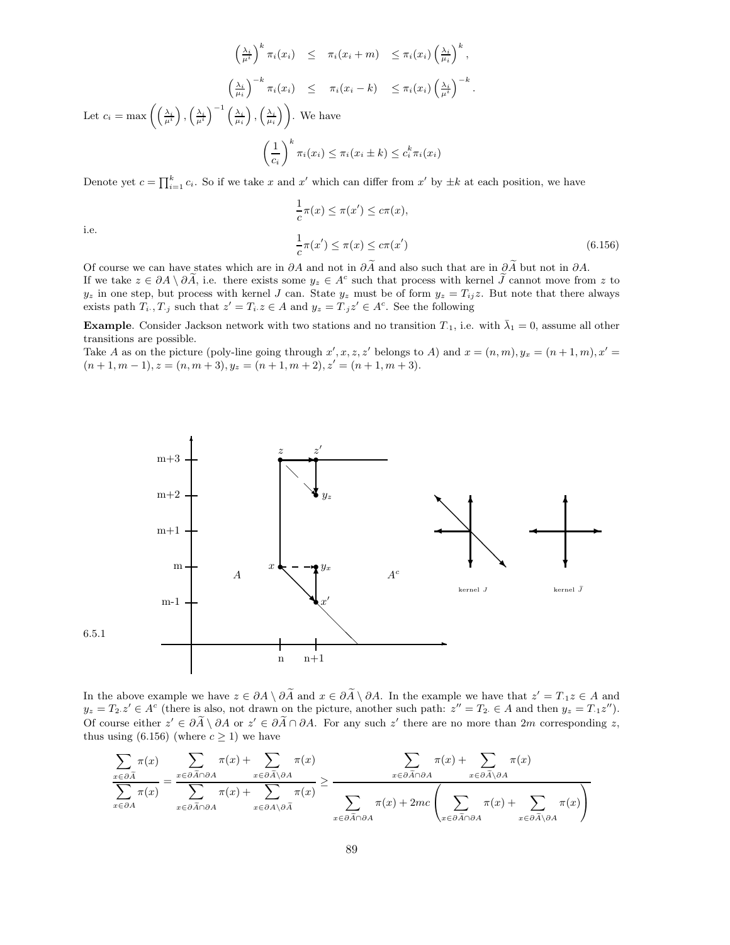$$
\left(\frac{\lambda_i}{\mu^i}\right)^k \pi_i(x_i) \leq \pi_i(x_i + m) \leq \pi_i(x_i) \left(\frac{\lambda_i}{\mu_i}\right)^k,
$$
\n
$$
\left(\frac{\lambda_i}{\mu_i}\right)^{-k} \pi_i(x_i) \leq \pi_i(x_i - k) \leq \pi_i(x_i) \left(\frac{\lambda_i}{\mu^i}\right)^{-k}.
$$
\nLet  $c_i = \max \left( \left(\frac{\lambda_i}{\mu^i}\right), \left(\frac{\lambda_i}{\mu^i}\right), \left(\frac{\lambda_i}{\mu_i}\right) \right)$ . We have\n
$$
\left(\frac{1}{c_i}\right)^k \pi_i(x_i) \leq \pi_i(x_i \pm k) \leq c_i^k \pi_i(x_i)
$$

Denote yet  $c = \prod_{i=1}^{k} c_i$ . So if we take x and x' which can differ from x' by  $\pm k$  at each position, we have

$$
\frac{1}{c}\pi(x) \le \pi(x') \le c\pi(x),
$$
  

$$
\frac{1}{c}\pi(x') \le \pi(x) \le c\pi(x')
$$
 (6.156)

i.e.

Of course we can have states which are in ∂A and not in ∂A and also such that are in ∂A but not in ∂A. If we take  $z \in \partial A \setminus \partial \tilde{A}$ , i.e. there exists some  $y_z \in A^c$  such that process with kernel  $\tilde{J}$  cannot move from z to  $y_z$  in one step, but process with kernel J can. State  $y_z$  must be of form  $y_z = T_{ij}z$ . But note that there always exists path  $T_i$ ,  $T_j$  such that  $z' = T_i z \in A$  and  $y_z = T_j z' \in A^c$ . See the following

**Example.** Consider Jackson network with two stations and no transition  $T_1$ , i.e. with  $\bar{\lambda}_1 = 0$ , assume all other transitions are possible.

Take A as on the picture (poly-line going through  $x', x, z, z'$  belongs to A) and  $x = (n, m), y_x = (n + 1, m), x' =$  $(n+1, m-1), z = (n, m+3), y_z = (n+1, m+2), z' = (n+1, m+3).$ 



In the above example we have  $z \in \partial A \setminus \partial A$  and  $x \in \partial A \setminus \partial A$ . In the example we have that  $z' = T_1 z \in A$  and  $y_z = T_2 z' \in A^c$  (there is also, not drawn on the picture, another such path:  $z'' = T_2 \in A$  and then  $y_z = T_1 z''$ ). Of course either  $z' \in \partial A \setminus \partial A$  or  $z' \in \partial A \cap \partial A$ . For any such  $z'$  there are no more than 2m corresponding z, thus using (6.156) (where  $c \ge 1$ ) we have

$$
\frac{\displaystyle\sum_{x \in \partial \tilde{A}} \pi(x)}{\displaystyle\sum_{x \in \partial A} \pi(x)} = \frac{\displaystyle\sum_{x \in \partial \tilde{A} \cap \partial A} \pi(x) + \displaystyle\sum_{x \in \partial \tilde{A} \setminus \partial A} \pi(x)}{\displaystyle\sum_{x \in \partial \tilde{A} \cap \partial A} \pi(x) + \displaystyle\sum_{x \in \partial A \setminus \partial \tilde{A}} \pi(x)} \ge \frac{\displaystyle\sum_{x \in \partial \tilde{A} \cap \partial A} \pi(x) + \displaystyle\sum_{x \in \partial \tilde{A} \cap \partial A} \pi(x)}{\displaystyle\sum_{x \in \partial \tilde{A} \cap \partial A} \pi(x) + 2mc \left(\displaystyle\sum_{x \in \partial \tilde{A} \cap \partial A} \pi(x) + \displaystyle\sum_{x \in \partial \tilde{A} \setminus \partial A} \pi(x)\right)}
$$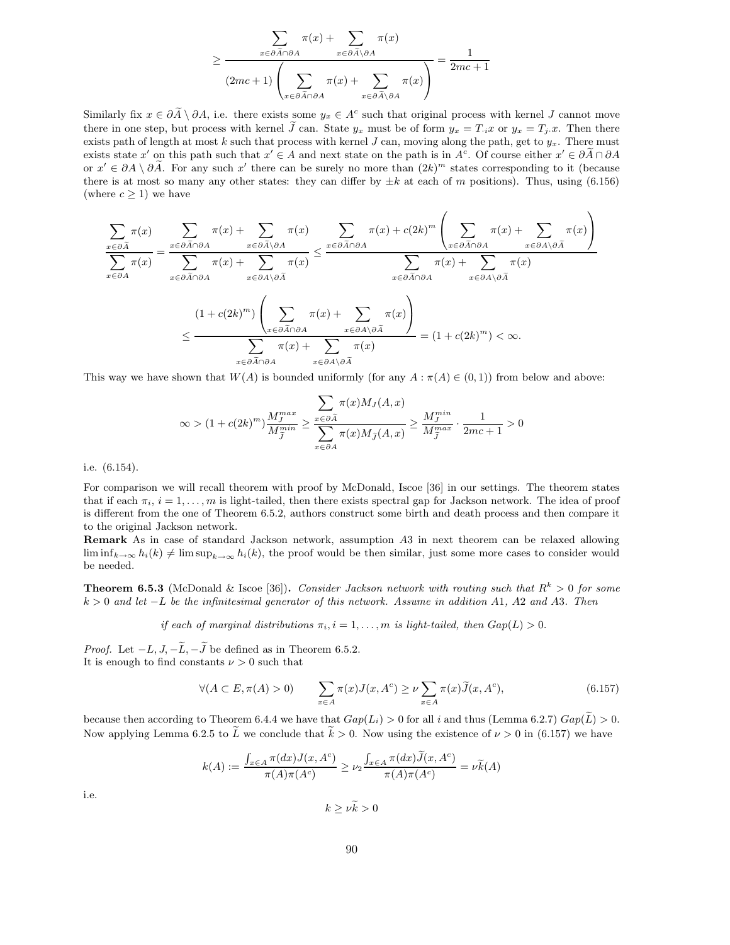$$
\geq \frac{\displaystyle\sum_{x\in \partial \widetilde{A}\cap \partial A}\pi(x)+\sum_{x\in \partial \widetilde{A}\setminus \partial A}\pi(x)}{(2mc+1)\left(\displaystyle\sum_{x\in \partial \widetilde{A}\cap \partial A}\pi(x)+\sum_{x\in \partial \widetilde{A}\setminus \partial A}\pi(x)\right)}=\frac{1}{2mc+1}
$$

Similarly fix  $x \in \partial \tilde{A} \setminus \partial A$ , i.e. there exists some  $y_x \in A^c$  such that original process with kernel J cannot move there in one step, but process with kernel  $\tilde{J}$  can. State  $y_x$  must be of form  $y_x = T_i x$  or  $y_x = T_j x$ . Then there exists path of length at most k such that process with kernel  $J$  can, moving along the path, get to  $y_x$ . There must exists state x' on this path such that  $x' \in A$  and next state on the path is in  $A^c$ . Of course either  $x' \in \partial \tilde{A} \cap \partial A$ or  $x' \in \partial A \setminus \partial \tilde{A}$ . For any such  $x'$  there can be surely no more than  $(2k)^m$  states corresponding to it (because there is at most so many any other states: they can differ by  $\pm k$  at each of m positions). Thus, using (6.156) (where  $c \geq 1$ ) we have

$$
\sum_{x \in \partial \tilde{A}} \pi(x) = \sum_{x \in \partial \tilde{A} \cap \partial A} \pi(x) + \sum_{x \in \partial \tilde{A} \setminus \partial A} \pi(x) \le \sum_{x \in \partial \tilde{A} \cap \partial A} \pi(x) + c(2k)^m \left( \sum_{x \in \partial \tilde{A} \cap \partial A} \pi(x) + \sum_{x \in \partial A \setminus \partial \tilde{A}} \pi(x) \right)
$$

$$
\sum_{x \in \partial \tilde{A} \cap \partial A} \pi(x) = \sum_{x \in \partial \tilde{A} \cap \partial A} \pi(x) + \sum_{x \in \partial A \setminus \partial \tilde{A}} \pi(x) + \sum_{x \in \partial \tilde{A} \cap \partial A} \pi(x) + \sum_{x \in \partial \tilde{A} \cap \partial A} \pi(x) + \sum_{x \in \partial A \setminus \partial \tilde{A}} \pi(x) + \sum_{x \in \partial A \setminus \partial \tilde{A}} \pi(x) \le \sum_{x \in \partial \tilde{A} \cap \partial A} \pi(x) + \sum_{x \in \partial \tilde{A} \cap \partial \tilde{A}} \pi(x) + \sum_{x \in \partial \tilde{A} \cap \partial \tilde{A}} \pi(x) + \sum_{x \in \partial A \setminus \partial \tilde{A}} \pi(x) = (1 + c(2k)^m) < \infty.
$$

This way we have shown that  $W(A)$  is bounded uniformly (for any  $A : \pi(A) \in (0,1)$ ) from below and above:

$$
\infty > (1 + c(2k)^m) \frac{M_j^{max}}{M_j^{min}} \ge \frac{\sum_{x \in \partial \tilde{A}} \pi(x) M_J(A, x)}{\sum_{x \in \partial A} \pi(x) M_{\tilde{J}}(A, x)} \ge \frac{M_j^{min}}{M_j^{max}} \cdot \frac{1}{2mc + 1} > 0
$$

i.e. (6.154).

For comparison we will recall theorem with proof by McDonald, Iscoe [36] in our settings. The theorem states that if each  $\pi_i$ ,  $i = 1, \ldots, m$  is light-tailed, then there exists spectral gap for Jackson network. The idea of proof is different from the one of Theorem 6.5.2, authors construct some birth and death process and then compare it to the original Jackson network.

Remark As in case of standard Jackson network, assumption A3 in next theorem can be relaxed allowing  $\liminf_{k\to\infty} h_i(k) \neq \limsup_{k\to\infty} h_i(k)$ , the proof would be then similar, just some more cases to consider would be needed.

**Theorem 6.5.3** (McDonald & Iscoe [36]). Consider Jackson network with routing such that  $R^k > 0$  for some  $k > 0$  and let  $-L$  be the infinitesimal generator of this network. Assume in addition A1, A2 and A3. Then

if each of marginal distributions  $\pi_i$ ,  $i = 1, \ldots, m$  is light-tailed, then  $Gap(L) > 0$ .

*Proof.* Let  $-L, J, -\widetilde{L}, -\widetilde{J}$  be defined as in Theorem 6.5.2. It is enough to find constants  $\nu > 0$  such that

$$
\forall (A \subset E, \pi(A) > 0) \qquad \sum_{x \in A} \pi(x) J(x, A^c) \ge \nu \sum_{x \in A} \pi(x) \widetilde{J}(x, A^c), \tag{6.157}
$$

because then according to Theorem 6.4.4 we have that  $Gap(L_i) > 0$  for all i and thus (Lemma 6.2.7)  $Gap(\tilde{L}) > 0$ . Now applying Lemma 6.2.5 to  $\tilde{L}$  we conclude that  $\tilde{k} > 0$ . Now using the existence of  $\nu > 0$  in (6.157) we have

$$
k(A) := \frac{\int_{x \in A} \pi(dx) J(x, A^c)}{\pi(A)\pi(A^c)} \ge \nu_2 \frac{\int_{x \in A} \pi(dx) \widetilde{J}(x, A^c)}{\pi(A)\pi(A^c)} = \nu \widetilde{k}(A)
$$

i.e.

$$
k \ge \nu \widetilde{k} > 0
$$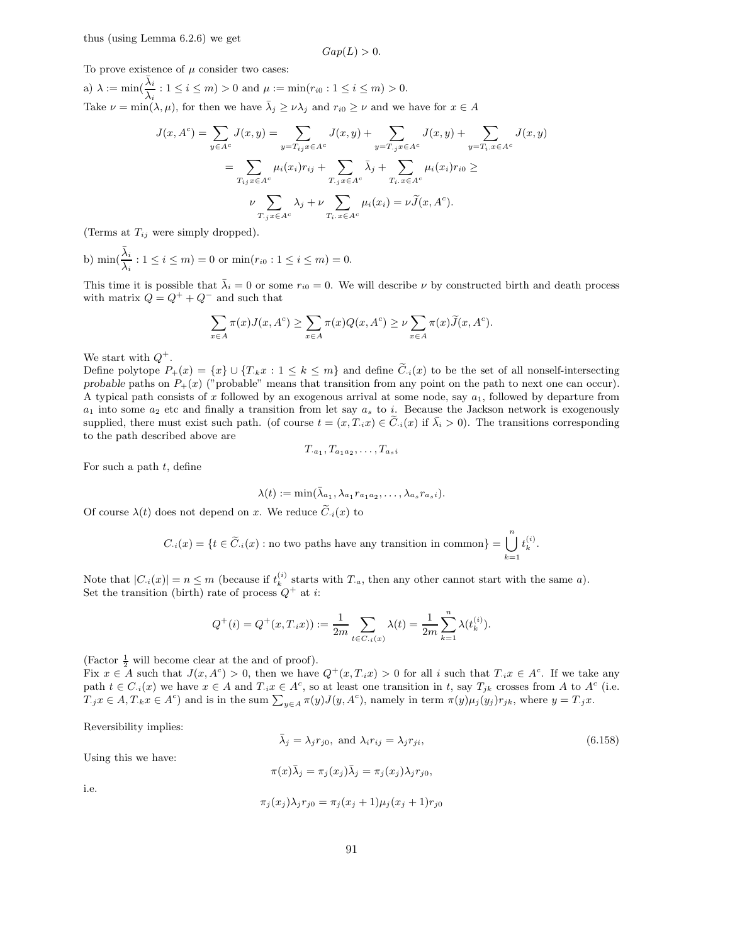$$
Gap(L) > 0.
$$

To prove existence of  $\mu$  consider two cases:

a)  $\lambda := \min(\frac{\bar{\lambda}_i}{\lambda_i} : 1 \le i \le m) > 0$  and  $\mu := \min(r_{i0} : 1 \le i \le m) > 0$ . Take  $\nu = \min(\lambda, \mu)$ , for then we have  $\overline{\lambda}_j \geq \nu \lambda_j$  and  $r_{i0} \geq \nu$  and we have for  $x \in A$ 

$$
J(x, Ac) = \sum_{y \in Ac} J(x, y) = \sum_{y=T_{ij}x \in Ac} J(x, y) + \sum_{y=T_{.j}x \in Ac} J(x, y) + \sum_{y=T_{i}x \in Ac} J(x, y)
$$
  

$$
= \sum_{T_{ij}x \in Ac} \mu_{i}(x_{i})r_{ij} + \sum_{T_{.j}x \in Ac} \bar{\lambda}_{j} + \sum_{T_{i}.x \in Ac} \mu_{i}(x_{i})r_{i0} \ge
$$
  

$$
\nu \sum_{T_{.j}x \in Ac} \lambda_{j} + \nu \sum_{T_{i}.x \in Ac} \mu_{i}(x_{i}) = \nu \tilde{J}(x, Ac).
$$

(Terms at  $T_{ij}$  were simply dropped).

b)  $\min(\frac{\bar{\lambda}_i}{\lambda_i} : 1 \le i \le m) = 0$  or  $\min(r_{i0} : 1 \le i \le m) = 0$ .

This time it is possible that  $\bar{\lambda}_i = 0$  or some  $r_{i0} = 0$ . We will describe  $\nu$  by constructed birth and death process with matrix  $Q = Q^+ + Q^-$  and such that

$$
\sum_{x \in A} \pi(x) J(x, A^c) \ge \sum_{x \in A} \pi(x) Q(x, A^c) \ge \nu \sum_{x \in A} \pi(x) \widetilde{J}(x, A^c).
$$

We start with  $Q^+$ .

Define polytope  $P_+(x) = \{x\} \cup \{T_k x : 1 \leq k \leq m\}$  and define  $\tilde{C}_{i}(x)$  to be the set of all nonself-intersecting probable paths on  $P_+(x)$  ("probable" means that transition from any point on the path to next one can occur). A typical path consists of x followed by an exogenous arrival at some node, say  $a_1$ , followed by departure from  $a_1$  into some  $a_2$  etc and finally a transition from let say  $a_s$  to i. Because the Jackson network is exogenously supplied, there must exist such path. (of course  $t = (x, T_i x) \in C_i(x)$  if  $\overline{\lambda}_i > 0$ ). The transitions corresponding to the path described above are

$$
T_{a_1}, T_{a_1a_2}, \ldots, T_{a_s i}
$$

For such a path  $t$ , define

$$
\lambda(t) := \min(\bar{\lambda}_{a_1}, \lambda_{a_1} r_{a_1 a_2}, \dots, \lambda_{a_s} r_{a_s i}).
$$

Of course  $\lambda(t)$  does not depend on x. We reduce  $\tilde{C}_{i}(x)$  to

$$
C_i(x) = \{t \in \widetilde{C}_i(x) : \text{no two paths have any transition in common}\} = \bigcup_{k=1}^n t_k^{(i)}.
$$

Note that  $|C_i(x)| = n \leq m$  (because if  $t_k^{(i)}$  starts with  $T_a$ , then any other cannot start with the same a). Set the transition (birth) rate of process  $Q^+$  at i:

$$
Q^+(i) = Q^+(x, T_{i}x)) := \frac{1}{2m} \sum_{t \in C_{i}(x)} \lambda(t) = \frac{1}{2m} \sum_{k=1}^{n} \lambda(t_k^{(i)}).
$$

(Factor  $\frac{1}{2}$  will become clear at the and of proof).

Fix  $x \in A$  such that  $J(x, A^c) > 0$ , then we have  $Q^+(x, T_i x) > 0$  for all i such that  $T_i x \in A^c$ . If we take any path  $t \in C_i(x)$  we have  $x \in A$  and  $T_i x \in A^c$ , so at least one transition in t, say  $T_{jk}$  crosses from A to  $A^c$  (i.e.  $T_jx \in A, T_kx \in A^c$  and is in the sum  $\sum_{y \in A} \pi(y)J(y, A^c)$ , namely in term  $\pi(y)\mu_j(y_j)r_{jk}$ , where  $y = T_jx$ .

Reversibility implies:

$$
\bar{\lambda}_j = \lambda_j r_{j0}, \text{ and } \lambda_i r_{ij} = \lambda_j r_{ji}, \tag{6.158}
$$

Using this we have:

$$
\pi(x)\overline{\lambda}_j = \pi_j(x_j)\overline{\lambda}_j = \pi_j(x_j)\lambda_j r_{j0},
$$

i.e.

$$
\pi_j(x_j)\lambda_j r_{j0} = \pi_j(x_j + 1)\mu_j(x_j + 1)r_{j0}
$$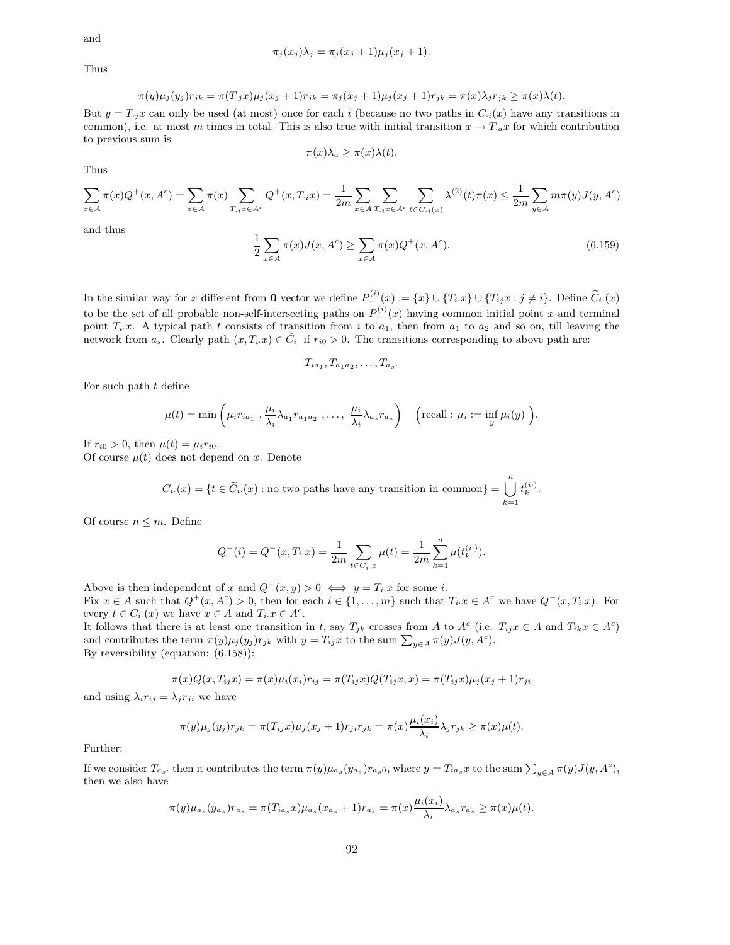and

$$
\pi_j(x_j)\lambda_j = \pi_j(x_j+1)\mu_j(x_j+1).
$$

Thus

$$
\pi(y)\mu_j(y_j)r_{jk} = \pi(T_{\cdot j}x)\mu_j(x_j+1)r_{jk} = \pi_j(x_j+1)\mu_j(x_j+1)r_{jk} = \pi(x)\lambda_jr_{jk} \ge \pi(x)\lambda(t).
$$

But  $y = T_{i,j}x$  can only be used (at most) once for each i (because no two paths in  $C_{i}(x)$  have any transitions in common), i.e. at most m times in total. This is also true with initial transition  $x \to T_a x$  for which contribution to previous sum is

$$
\pi(x)\bar{\lambda}_a \geq \pi(x)\lambda(t).
$$

Thus

$$
\sum_{x \in A} \pi(x) Q^{+}(x, A^{c}) = \sum_{x \in A} \pi(x) \sum_{T_{i} x \in A^{c}} Q^{+}(x, T_{i}x) = \frac{1}{2m} \sum_{x \in A} \sum_{T_{i} x \in A^{c}} \sum_{t \in C_{i} (x)} \lambda^{(2)}(t) \pi(x) \leq \frac{1}{2m} \sum_{y \in A} m \pi(y) J(y, A^{c})
$$

and thus

$$
\frac{1}{2} \sum_{x \in A} \pi(x) J(x, A^c) \ge \sum_{x \in A} \pi(x) Q^+(x, A^c). \tag{6.159}
$$

In the similar way for x different from 0 vector we define  $P_{-}^{(i)}(x) := \{x\} \cup \{T_i x\} \cup \{T_{ij} x : j \neq i\}$ . Define  $\widetilde{C}_i(x)$ to be the set of all probable non-self-intersecting paths on  $P_{-}^{(i)}(x)$  having common initial point x and terminal point  $T_i.x$ . A typical path t consists of transition from i to  $a_1$ , then from  $a_1$  to  $a_2$  and so on, till leaving the network from  $a_s$ . Clearly path  $(x,T_i.x) \in \widetilde{C}_i$  if  $r_{i0} > 0$ . The transitions corresponding to above path are:

$$
T_{ia_1}, T_{a_1a_2}, \ldots, T_{a_s}.
$$

For such path  $t$  define

$$
\mu(t) = \min\left(\mu_i r_{ia_1}, \frac{\mu_i}{\lambda_i} \lambda_{a_1} r_{a_1 a_2}, \dots, \frac{\mu_i}{\lambda_i} \lambda_{a_s} r_{a_s}\right) \quad \left(\text{recall} : \mu_i := \inf_y \mu_i(y)\right).
$$

If  $r_{i0} > 0$ , then  $\mu(t) = \mu_i r_{i0}$ .

Of course  $\mu(t)$  does not depend on x. Denote

$$
C_i \cdot (x) = \{ t \in \widetilde{C}_i \cdot (x) : \text{no two paths have any transition in common} \} = \bigcup_{k=1}^n t_k^{(i)}.
$$

Of course  $n \leq m$ . Define

$$
Q^{-}(i) = Q^{-}(x, T_i \cdot x) = \frac{1}{2m} \sum_{t \in C_i \cdot x} \mu(t) = \frac{1}{2m} \sum_{k=1}^n \mu(t_k^{(i)}).
$$

Above is then independent of x and  $Q^-(x, y) > 0 \iff y = T_i \cdot x$  for some i. Fix  $x \in A$  such that  $Q^+(x, A^c) > 0$ , then for each  $i \in \{1, ..., m\}$  such that  $T_i x \in A^c$  we have  $Q^-(x, T_i x)$ . For every  $t \in C_i(x)$  we have  $x \in A$  and  $T_i x \in A^c$ .

It follows that there is at least one transition in t, say  $T_{jk}$  crosses from A to  $A^c$  (i.e.  $T_{ij}x \in A$  and  $T_{ik}x \in A^c$ ) and contributes the term  $\pi(y)\mu_j(y_j)r_{jk}$  with  $y=T_{ij}x$  to the sum  $\sum_{y\in A}\pi(y)J(y,A^c)$ . By reversibility (equation: (6.158)):

$$
\pi(x)Q(x,T_{ij}x) = \pi(x)\mu_i(x_i)r_{ij} = \pi(T_{ij}x)Q(T_{ij}x,x) = \pi(T_{ij}x)\mu_j(x_j+1)r_{ji}
$$

and using  $\lambda_i r_{ij} = \lambda_j r_{ji}$  we have

$$
\pi(y)\mu_j(y_j)r_{jk} = \pi(T_{ij}x)\mu_j(x_j+1)r_{ji}r_{jk} = \pi(x)\frac{\mu_i(x_i)}{\lambda_i}\lambda_jr_{jk} \ge \pi(x)\mu(t).
$$

Further:

If we consider  $T_{a_s}$ , then it contributes the term  $\pi(y)\mu_{a_s}(y_{a_s})r_{a_s0}$ , where  $y = T_{ia_s}x$  to the sum  $\sum_{y \in A} \pi(y)J(y, A^c)$ , then we also have

$$
\pi(y)\mu_{a_s}(y_{a_s})r_{a_s} = \pi(T_{ia_s}x)\mu_{a_s}(x_{a_s}+1)r_{a_s} = \pi(x)\frac{\mu_i(x_i)}{\lambda_i}\lambda_{a_s}r_{a_s} \ge \pi(x)\mu(t).
$$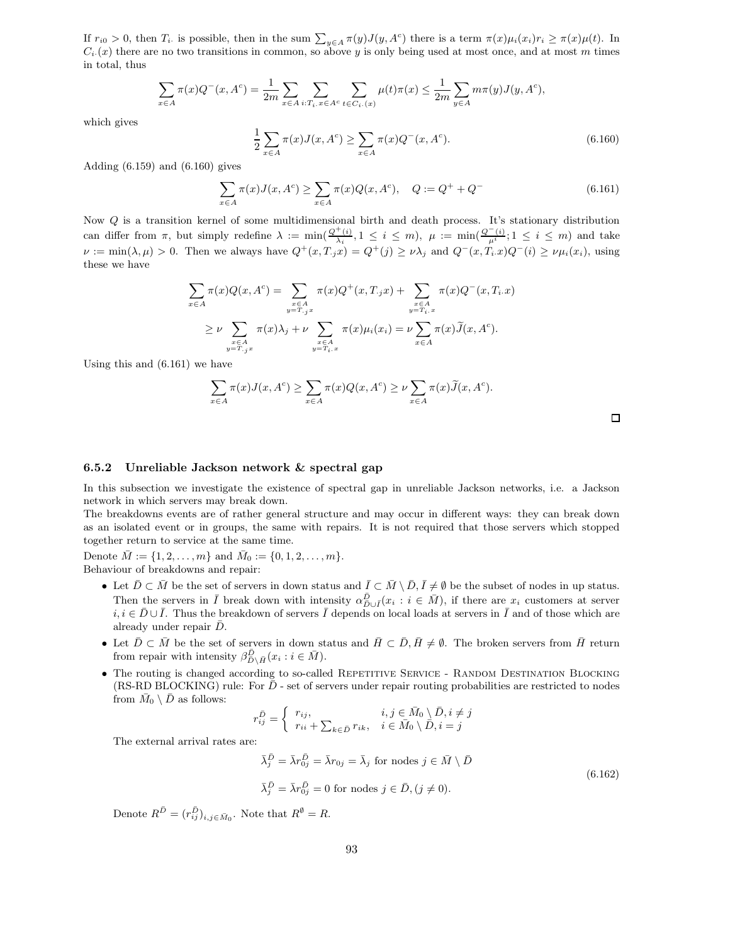If  $r_{i0} > 0$ , then  $T_i$  is possible, then in the sum  $\sum_{y \in A} \pi(y) J(y, A^c)$  there is a term  $\pi(x) \mu_i(x_i) r_i \geq \pi(x) \mu(t)$ . In  $C_i(x)$  there are no two transitions in common, so above y is only being used at most once, and at most m times in total, thus

$$
\sum_{x \in A} \pi(x) Q^{-}(x, A^{c}) = \frac{1}{2m} \sum_{x \in A} \sum_{i: T_{i}. x \in A^{c}} \sum_{t \in C_{i}.(x)} \mu(t) \pi(x) \leq \frac{1}{2m} \sum_{y \in A} m \pi(y) J(y, A^{c}),
$$

which gives

$$
\frac{1}{2} \sum_{x \in A} \pi(x) J(x, A^c) \ge \sum_{x \in A} \pi(x) Q^-(x, A^c). \tag{6.160}
$$

Adding (6.159) and (6.160) gives

$$
\sum_{x \in A} \pi(x) J(x, A^c) \ge \sum_{x \in A} \pi(x) Q(x, A^c), \quad Q := Q^+ + Q^-
$$
\n(6.161)

Now Q is a transition kernel of some multidimensional birth and death process. It's stationary distribution can differ from  $\pi$ , but simply redefine  $\lambda := \min(\frac{Q^+(i)}{\lambda_i}, 1 \leq i \leq m)$ ,  $\mu := \min(\frac{Q^-(i)}{\mu^i}; 1 \leq i \leq m)$  and take  $\nu := \min(\lambda, \mu) > 0$ . Then we always have  $Q^+(x, T, x) = Q^+(y) \ge \nu \lambda_j$  and  $Q^-(x, T_i, x)Q^-(i) \ge \nu \mu_i(x_i)$ , using these we have

$$
\sum_{x \in A} \pi(x) Q(x, A^c) = \sum_{\substack{x \in A \\ y = T, jx}} \pi(x) Q^+(x, T, jx) + \sum_{\substack{x \in A \\ y = T_i.x}} \pi(x) Q^-(x, T_i.x)
$$
  

$$
\geq \nu \sum_{\substack{x \in A \\ y = T, jx}} \pi(x) \lambda_j + \nu \sum_{\substack{x \in A \\ y = T_i.x}} \pi(x) \mu_i(x_i) = \nu \sum_{x \in A} \pi(x) \widetilde{J}(x, A^c).
$$

Using this and (6.161) we have

$$
\sum_{x \in A} \pi(x) J(x, A^c) \ge \sum_{x \in A} \pi(x) Q(x, A^c) \ge \nu \sum_{x \in A} \pi(x) \widetilde{J}(x, A^c).
$$

#### 6.5.2 Unreliable Jackson network & spectral gap

In this subsection we investigate the existence of spectral gap in unreliable Jackson networks, i.e. a Jackson network in which servers may break down.

The breakdowns events are of rather general structure and may occur in different ways: they can break down as an isolated event or in groups, the same with repairs. It is not required that those servers which stopped together return to service at the same time.

Denote  $\bar{M} := \{1, 2, \ldots, m\}$  and  $\bar{M}_0 := \{0, 1, 2, \ldots, m\}.$ Behaviour of breakdowns and repair:

- Let  $\overline{D} \subset \overline{M}$  be the set of servers in down status and  $\overline{I} \subset \overline{M} \setminus \overline{D}, \overline{I} \neq \emptyset$  be the subset of nodes in up status. Then the servers in  $\overline{I}$  break down with intensity  $\alpha_{D\cup\overline{I}}^{\overline{D}}(x_i : i \in \overline{M})$ , if there are  $x_i$  customers at server  $i, i \in \bar{D} \cup \bar{I}$ . Thus the breakdown of servers  $\bar{I}$  depends on local loads at servers in  $\bar{I}$  and of those which are already under repair  $\bar{D}$ .
- Let  $\overline{D} \subset \overline{M}$  be the set of servers in down status and  $\overline{H} \subset \overline{D}, \overline{H} \neq \emptyset$ . The broken servers from  $\overline{H}$  return from repair with intensity  $\beta_{\bar{D}\setminus\bar{H}}^{\bar{D}}(x_i : i \in \bar{M}).$
- The routing is changed according to so-called REPETITIVE SERVICE RANDOM DESTINATION BLOCKING  $(RS-RD BLOGKING)$  rule: For  $D$  - set of servers under repair routing probabilities are restricted to nodes from  $\bar{M}_0 \setminus \bar{D}$  as follows:

$$
r_{ij}^{\bar{D}} = \begin{cases} r_{ij}, & i, j \in \bar{M}_0 \setminus \bar{D}, i \neq j \\ r_{ii} + \sum_{k \in \bar{D}} r_{ik}, & i \in \bar{M}_0 \setminus \bar{D}, i = j \end{cases}
$$
  
The external arrival rates are:  

$$
\bar{\lambda}_j^{\bar{D}} = \bar{\lambda} r_{0j}^{\bar{D}} = \bar{\lambda} r_{0j} = \bar{\lambda}_j \text{ for nodes } j \in \bar{M} \setminus \bar{D}
$$
(6.162)

$$
\bar{\lambda}_j^{\bar{D}} = \bar{\lambda}r_{0j}^{\bar{D}} = 0
$$
 for nodes  $j \in \bar{D}, (j \neq 0)$ .

Denote  $R^{\bar{D}} = (r_{ij}^{\bar{D}})_{i,j \in \bar{M}_0}$ . Note that  $R^{\emptyset} = R$ .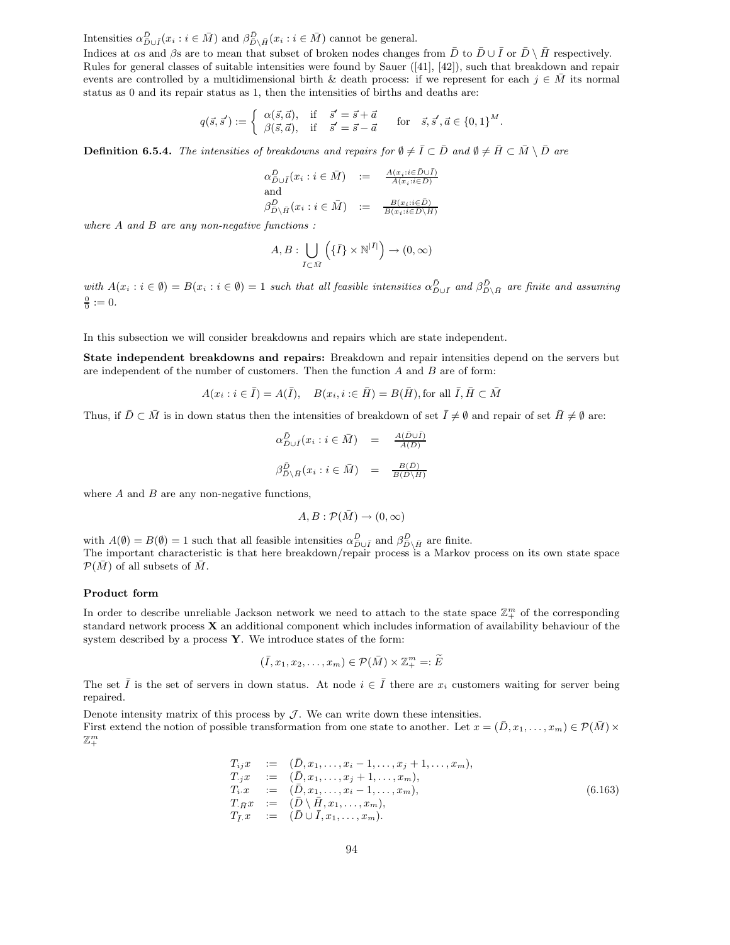Intensities  $\alpha_{\bar{D}\cup\bar{I}}^{\bar{D}}(x_i : i \in \bar{M})$  and  $\beta_{\bar{D}\setminus\bar{H}}^{\bar{D}}(x_i : i \in \bar{M})$  cannot be general.

Indices at  $\alpha$ s and  $\beta$ s are to mean that subset of broken nodes changes from  $\bar{D}$  to  $\bar{D} \cup \bar{I}$  or  $\bar{D} \setminus \bar{H}$  respectively. Rules for general classes of suitable intensities were found by Sauer ([41], [42]), such that breakdown and repair events are controlled by a multidimensional birth & death process: if we represent for each  $j \in \overline{M}$  its normal status as 0 and its repair status as 1, then the intensities of births and deaths are:

$$
q(\vec{s}, \vec{s}') := \begin{cases} \alpha(\vec{s}, \vec{a}), & \text{if } \vec{s}' = \vec{s} + \vec{a} \\ \beta(\vec{s}, \vec{a}), & \text{if } \vec{s}' = \vec{s} - \vec{a} \end{cases} \quad \text{for } \vec{s}, \vec{s}', \vec{a} \in \{0, 1\}^M.
$$

**Definition 6.5.4.** The intensities of breakdowns and repairs for  $\emptyset \neq \overline{I} \subset \overline{D}$  and  $\emptyset \neq \overline{H} \subset \overline{M} \setminus \overline{D}$  are

$$
\alpha_{D\cup\overline{I}}^{\overline{D}}(x_i : i \in \overline{M}) \quad := \quad \frac{A(x_i : i \in \overline{D} \cup \overline{I})}{A(x_i : i \in \overline{D})}
$$
\nand\n
$$
\beta_{D\setminus\overline{H}}^{\overline{D}}(x_i : i \in \overline{M}) \quad := \quad \frac{B(x_i : i \in \overline{D})}{B(x_i : i \in \overline{D} \setminus H)}
$$

where  $A$  and  $B$  are any non-negative functions :

$$
A, B: \bigcup_{\bar{I} \subset \bar{M}} \left( {\{\bar{I}\} \times \mathbb{N}^{|\bar{I}|}} \right) \to (0, \infty)
$$

with  $A(x_i : i \in \emptyset) = B(x_i : i \in \emptyset) = 1$  such that all feasible intensities  $\alpha_{\bar{D}\cup\bar{I}}^{\bar{D}}$  and  $\beta_{\bar{D}\setminus\bar{H}}^{\bar{D}}$  are finite and assuming  $\frac{0}{0} := 0.$ 

In this subsection we will consider breakdowns and repairs which are state independent.

State independent breakdowns and repairs: Breakdown and repair intensities depend on the servers but are independent of the number of customers. Then the function  $A$  and  $B$  are of form:

$$
A(x_i : i \in \overline{I}) = A(\overline{I}), \quad B(x_i, i \in \overline{H}) = B(\overline{H}), \text{for all } \overline{I}, \overline{H} \subset \overline{M}
$$

Thus, if  $\overline{D} \subset \overline{M}$  is in down status then the intensities of breakdown of set  $\overline{I} \neq \emptyset$  and repair of set  $\overline{H} \neq \emptyset$  are:

$$
\alpha_{\bar{D}\cup\bar{I}}^{\bar{D}}(x_i : i \in \bar{M}) = \frac{A(\bar{D}\cup\bar{I})}{A(\bar{D})}
$$

$$
\beta_{\bar{D}\setminus\bar{H}}^{\bar{D}}(x_i : i \in \bar{M}) = \frac{B(\bar{D})}{B(\bar{D}\setminus\bar{H})}
$$

where  $A$  and  $B$  are any non-negative functions,

$$
A,B:\mathcal{P}(\bar{M})\to (0,\infty)
$$

with  $A(\emptyset) = B(\emptyset) = 1$  such that all feasible intensities  $\alpha_{\overline{D}\cup \overline{I}}^{\overline{D}}$  and  $\beta_{\overline{D}\setminus \overline{H}}^{\overline{D}}$  are finite. The important characteristic is that here breakdown/repair process is a Markov process on its own state space  $\mathcal{P}(\overline{M})$  of all subsets of  $\overline{M}$ .

#### Product form

In order to describe unreliable Jackson network we need to attach to the state space  $\mathbb{Z}_+^m$  of the corresponding standard network process X an additional component which includes information of availability behaviour of the system described by a process Y. We introduce states of the form:

$$
(\overline{I}, x_1, x_2, \dots, x_m) \in \mathcal{P}(\overline{M}) \times \mathbb{Z}_+^m =: \widetilde{E}
$$

The set  $\overline{I}$  is the set of servers in down status. At node  $i \in \overline{I}$  there are  $x_i$  customers waiting for server being repaired.

Denote intensity matrix of this process by  $J$ . We can write down these intensities. First extend the notion of possible transformation from one state to another. Let  $x = (\bar{D}, x_1, \ldots, x_m) \in \mathcal{P}(\bar{M}) \times$  $\mathbb{Z}_{+}^m$ 

$$
T_{ij}x := (\bar{D}, x_1, \dots, x_i - 1, \dots, x_j + 1, \dots, x_m),
$$
  
\n
$$
T_{j}x := (\bar{D}, x_1, \dots, x_j + 1, \dots, x_m),
$$
  
\n
$$
T_{i}x := (\bar{D}, x_1, \dots, x_i - 1, \dots, x_m),
$$
  
\n
$$
T_{\bar{H}}x := (\bar{D} \setminus \bar{H}, x_1, \dots, x_m),
$$
  
\n
$$
T_{\bar{I}}x := (\bar{D} \cup \bar{I}, x_1, \dots, x_m).
$$
\n(6.163)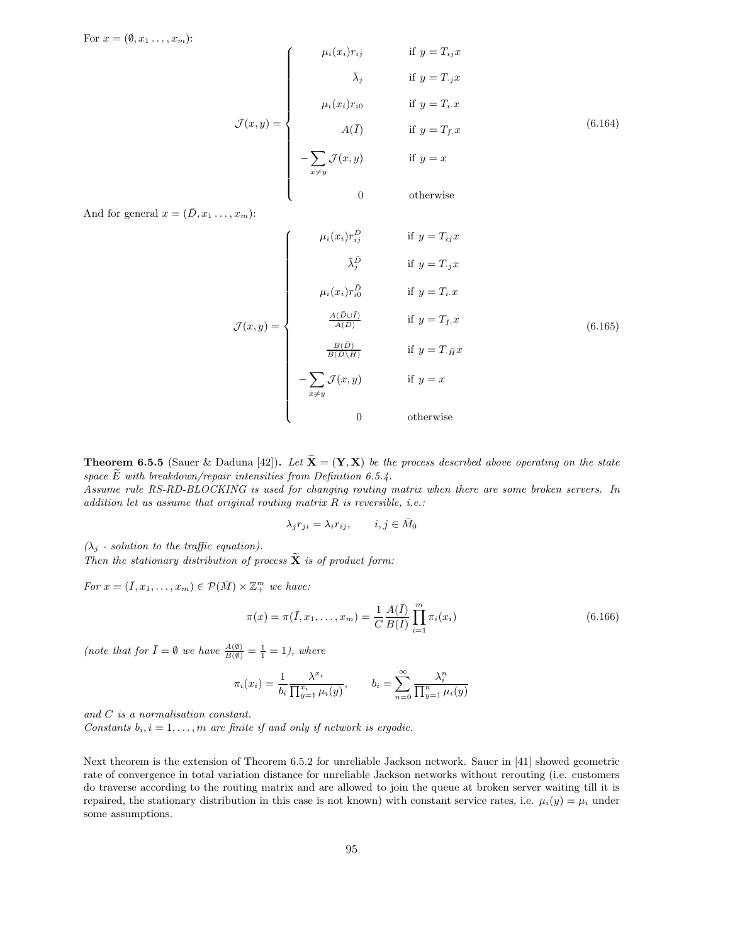For  $x = (\emptyset, x_1, \ldots, x_m)$ :

$$
\mathcal{J}(x,y) = \begin{cases}\n\mu_i(x_i)r_{ij} & \text{if } y = T_{ij}x \\
\bar{\lambda}_j & \text{if } y = T_{\cdot j}x \\
\mu_i(x_i)r_{i0} & \text{if } y = T_i.x \\
A(\bar{I}) & \text{if } y = T_{\bar{I}}.x\n\end{cases}
$$
\n(6.164)\n
$$
-\sum_{x \neq y} \mathcal{J}(x,y) \quad \text{if } y = x
$$

And for general  $x = (\bar{D}, x_1 \ldots, x_m)$ :

$$
\mathcal{J}(x,y) = \begin{cases}\n\mu_i(x_i)r_{ij}^{\bar{D}} & \text{if } y = T_{ij}x \\
\bar{\lambda}_j^{\bar{D}} & \text{if } y = T_jx \\
\mu_i(x_i)r_{i0}^{\bar{D}} & \text{if } y = T_i.x \\
\frac{A(\bar{D}\cup\bar{I})}{A(D)} & \text{if } y = T_{\bar{I}}.x \\
\frac{B(\bar{D})}{B(D\setminus H)} & \text{if } y = T_{\bar{H}}x \\
-\sum_{x \neq y} \mathcal{J}(x,y) & \text{if } y = x \\
0 & \text{otherwise}\n\end{cases}
$$
\n(6.165)

**Theorem 6.5.5** (Sauer & Daduna [42]). Let  $\tilde{\mathbf{X}} = (\mathbf{Y}, \mathbf{X})$  be the process described above operating on the state space  $\widetilde{E}$  with breakdown/repair intensities from Definition 6.5.4.

Assume rule RS-RD-BLOCKING is used for changing routing matrix when there are some broken servers. In addition let us assume that original routing matrix  $R$  is reversible, i.e.:

$$
\lambda_j r_{ji} = \lambda_i r_{ij}, \qquad i, j \in \bar{M}_0
$$

 $(\lambda_i$  - solution to the traffic equation).

Then the stationary distribution of process  $\widetilde{\mathbf{X}}$  is of product form:

For  $x = (\overline{I}, x_1, \ldots, x_m) \in \mathcal{P}(\overline{M}) \times \mathbb{Z}_+^m$  we have:

$$
\pi(x) = \pi(\bar{I}, x_1, \dots, x_m) = \frac{1}{C} \frac{A(\bar{I})}{B(\bar{I})} \prod_{i=1}^m \pi_i(x_i)
$$
\n(6.166)

(note that for  $\bar{I} = \emptyset$  we have  $\frac{A(\emptyset)}{B(\emptyset)} = \frac{1}{1} = 1$ ), where

$$
\pi_i(x_i) = \frac{1}{b_i} \frac{\lambda^{x_i}}{\prod_{y=1}^{x_i} \mu_i(y)}, \qquad b_i = \sum_{n=0}^{\infty} \frac{\lambda_i^n}{\prod_{y=1}^n \mu_i(y)}
$$

and C is a normalisation constant.

Constants  $b_i$ ,  $i = 1, \ldots, m$  are finite if and only if network is ergodic.

Next theorem is the extension of Theorem 6.5.2 for unreliable Jackson network. Sauer in [41] showed geometric rate of convergence in total variation distance for unreliable Jackson networks without rerouting (i.e. customers do traverse according to the routing matrix and are allowed to join the queue at broken server waiting till it is repaired, the stationary distribution in this case is not known) with constant service rates, i.e.  $\mu_i(y) = \mu_i$  under some assumptions.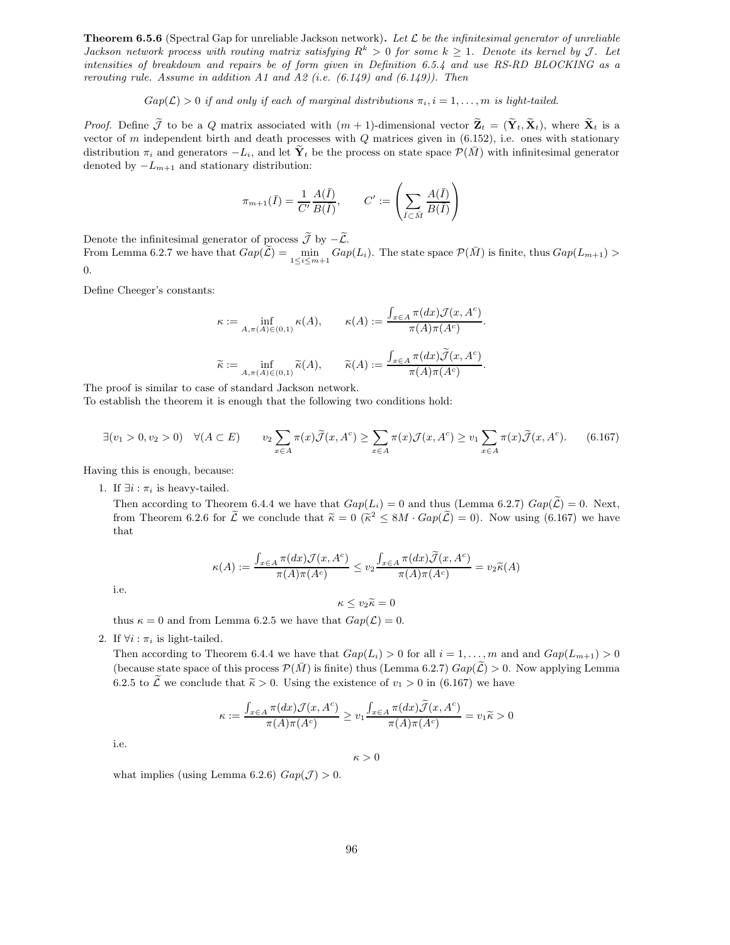**Theorem 6.5.6** (Spectral Gap for unreliable Jackson network). Let  $\mathcal{L}$  be the infinitesimal generator of unreliable Jackson network process with routing matrix satisfying  $R^k > 0$  for some  $k \ge 1$ . Denote its kernel by J. Let intensities of breakdown and repairs be of form given in Definition 6.5.4 and use RS-RD BLOCKING as a rerouting rule. Assume in addition A1 and A2 (i.e.  $(6.149)$  and  $(6.149)$ ). Then

 $Gap(\mathcal{L}) > 0$  if and only if each of marginal distributions  $\pi_i, i = 1, \ldots, m$  is light-tailed.

*Proof.* Define  $\widetilde{\mathcal{J}}$  to be a Q matrix associated with  $(m+1)$ -dimensional vector  $\widetilde{\mathbf{Z}}_t = (\widetilde{\mathbf{Y}}_t, \widetilde{\mathbf{X}}_t)$ , where  $\widetilde{\mathbf{X}}_t$  is a vector of m independent birth and death processes with  $Q$  matrices given in  $(6.152)$ , i.e. ones with stationary distribution  $\pi_i$  and generators  $-L_i$ , and let  $\tilde{\mathbf{Y}}_t$  be the process on state space  $\mathcal{P}(\bar{M})$  with infinitesimal generator denoted by  $-L_{m+1}$  and stationary distribution:

$$
\pi_{m+1}(\bar{I}) = \frac{1}{C'} \frac{A(\bar{I})}{B(\bar{I})}, \qquad C' := \left(\sum_{\bar{I} \subset \bar{M}} \frac{A(\bar{I})}{B(\bar{I})}\right)
$$

Denote the infinitesimal generator of process  $\widetilde{\mathcal{J}}$  by  $-\widetilde{\mathcal{L}}$ .

From Lemma 6.2.7 we have that  $Gap(\tilde{L}) = \min_{1 \leq i \leq m+1} Gap(L_i)$ . The state space  $\mathcal{P}(\bar{M})$  is finite, thus  $Gap(L_{m+1}) >$ 0.

Define Cheeger's constants:

$$
\kappa := \inf_{A,\pi(A) \in (0,1)} \kappa(A), \qquad \kappa(A) := \frac{\int_{x \in A} \pi(dx) \mathcal{J}(x, A^c)}{\pi(A)\pi(A^c)}.
$$

$$
\widetilde{\kappa} := \inf_{A,\pi(A) \in (0,1)} \widetilde{\kappa}(A), \qquad \widetilde{\kappa}(A) := \frac{\int_{x \in A} \pi(dx) \widetilde{\mathcal{J}}(x, A^c)}{\pi(A)\pi(A^c)}.
$$

The proof is similar to case of standard Jackson network.

To establish the theorem it is enough that the following two conditions hold:

$$
\exists (v_1 > 0, v_2 > 0) \quad \forall (A \subset E) \qquad v_2 \sum_{x \in A} \pi(x) \widetilde{\mathcal{J}}(x, A^c) \ge \sum_{x \in A} \pi(x) \mathcal{J}(x, A^c) \ge v_1 \sum_{x \in A} \pi(x) \widetilde{\mathcal{J}}(x, A^c). \tag{6.167}
$$

Having this is enough, because:

1. If  $\exists i : \pi_i$  is heavy-tailed.

Then according to Theorem 6.4.4 we have that  $Gap(L_i) = 0$  and thus (Lemma 6.2.7)  $Gap(\mathcal{L}) = 0$ . Next, from Theorem 6.2.6 for  $\tilde{\mathcal{L}}$  we conclude that  $\tilde{\kappa} = 0$  ( $\tilde{\kappa}^2 \le 8M \cdot Gap(\tilde{\mathcal{L}})=0$ ). Now using (6.167) we have that

$$
\kappa(A) := \frac{\int_{x \in A} \pi(dx) \mathcal{J}(x, A^c)}{\pi(A)\pi(A^c)} \le v_2 \frac{\int_{x \in A} \pi(dx) \widetilde{\mathcal{J}}(x, A^c)}{\pi(A)\pi(A^c)} = v_2 \widetilde{\kappa}(A)
$$

i.e.

$$
\kappa \leq v_2 \widetilde{\kappa} = 0
$$

thus  $\kappa = 0$  and from Lemma 6.2.5 we have that  $Gap(\mathcal{L}) = 0$ .

2. If  $\forall i : \pi_i$  is light-tailed.

Then according to Theorem 6.4.4 we have that  $Gap(L_i) > 0$  for all  $i = 1, ..., m$  and and  $Gap(L_{m+1}) > 0$ (because state space of this process  $\mathcal{P}(\overline{M})$  is finite) thus (Lemma 6.2.7)  $Gap(\mathcal{L}) > 0$ . Now applying Lemma 6.2.5 to  $\widetilde{\mathcal{L}}$  we conclude that  $\widetilde{\kappa} > 0$ . Using the existence of  $v_1 > 0$  in (6.167) we have

$$
\kappa := \frac{\int_{x \in A} \pi(dx) \mathcal{J}(x, A^c)}{\pi(A)\pi(A^c)} \ge v_1 \frac{\int_{x \in A} \pi(dx) \widetilde{\mathcal{J}}(x, A^c)}{\pi(A)\pi(A^c)} = v_1 \widetilde{\kappa} > 0
$$

i.e.

 $\kappa>0$ 

what implies (using Lemma 6.2.6)  $Gap(\mathcal{J}) > 0$ .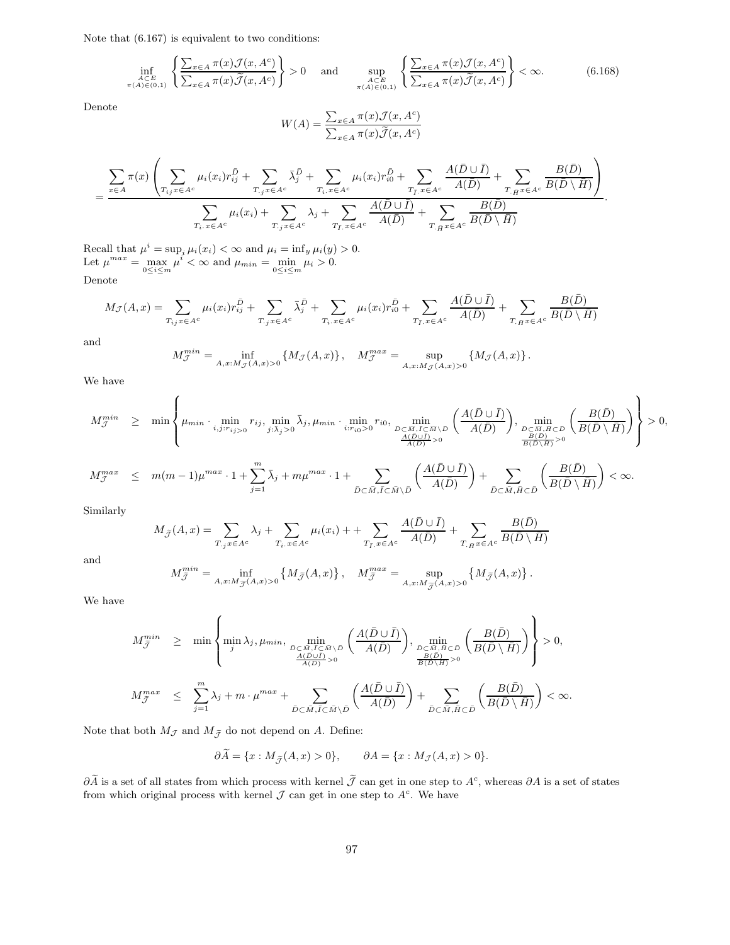Note that (6.167) is equivalent to two conditions:

$$
\inf_{\substack{A \subset E \\ \pi(A) \in (0,1)}} \left\{ \frac{\sum_{x \in A} \pi(x) \mathcal{J}(x, A^c)}{\sum_{x \in A} \pi(x) \widetilde{\mathcal{J}}(x, A^c)} \right\} > 0 \quad \text{and} \quad \sup_{\substack{A \subset E \\ \pi(A) \in (0,1)}} \left\{ \frac{\sum_{x \in A} \pi(x) \mathcal{J}(x, A^c)}{\sum_{x \in A} \pi(x) \widetilde{\mathcal{J}}(x, A^c)} \right\} < \infty.
$$
 (6.168)

.

.

Denote

$$
W(A) = \frac{\sum_{x \in A} \pi(x) \mathcal{J}(x, A^c)}{\sum_{x \in A} \pi(x) \widetilde{\mathcal{J}}(x, A^c)}
$$

$$
=\frac{\sum\limits_{x\in A}\pi(x)\left(\sum\limits_{T_{ij}x\in A^c}\mu_i(x_i)r_{ij}^{\bar{D}}+\sum\limits_{T_{\cdot j}x\in A^c}\bar{\lambda}_j^{\bar{D}}+\sum\limits_{T_{i\cdot}x\in A^c}\mu_i(x_i)r_{i0}^{\bar{D}}+\sum\limits_{T_{\bar{I}\cdot}x\in A^c}\frac{A(\bar{D}\cup\bar{I})}{A(\bar{D})}+\sum\limits_{T_{\cdot \bar{H}}x\in A^c}\frac{B(\bar{D})}{B(\bar{D}\setminus\bar{H})}\right)}{\sum\limits_{T_{i\cdot}x\in A^c}\mu_i(x_i)+\sum\limits_{T_{\cdot j}x\in A^c}\lambda_j+\sum\limits_{T_{\bar{I}\cdot}x\in A^c}\frac{A(\bar{D}\cup\bar{I})}{A(\bar{D})}+\sum\limits_{T_{\cdot \bar{H}}x\in A^c}\frac{B(\bar{D})}{B(\bar{D}\setminus\bar{H})}}
$$

Recall that  $\mu^i = \sup_i \mu_i(x_i) < \infty$  and  $\mu_i = \inf_y \mu_i(y) > 0$ . Let  $\mu^{max} = \max_{0 \le i \le m} \mu^i < \infty$  and  $\mu_{min} = \min_{0 \le i \le m} \mu_i > 0$ . Denote

$$
M_{\mathcal{J}}(A,x) = \sum_{T_{ij}x \in A^c} \mu_i(x_i) r_{ij}^{\bar{D}} + \sum_{T_{j}x \in A^c} \bar{\lambda}_j^{\bar{D}} + \sum_{T_i, x \in A^c} \mu_i(x_i) r_{i0}^{\bar{D}} + \sum_{T_{\bar{I}}, x \in A^c} \frac{A(\bar{D} \cup \bar{I})}{A(\bar{D})} + \sum_{T_{\bar{H}}x \in A^c} \frac{B(\bar{D})}{B(\bar{D} \setminus \bar{H})}
$$

and

$$
M_{\mathcal{J}}^{min} = \inf_{A,x:M_{\mathcal{J}}(A,x)>0} \left\{ M_{\mathcal{J}}(A,x) \right\}, \quad M_{\mathcal{J}}^{max} = \sup_{A,x:M_{\mathcal{J}}(A,x)>0} \left\{ M_{\mathcal{J}}(A,x) \right\}.
$$

We have

$$
\label{eq:optimalM} \begin{array}{rcl} M_{\mathcal{J}}^{min} & \geq & \min \left\{ \mu_{min} \cdot \min_{i,j: r_{ij} > 0} r_{ij}, \min_{j: \bar{\lambda}_j > 0} \bar{\lambda}_j, \mu_{min} \cdot \min_{i: r_{i0} > 0} r_{i0}, \min_{\bar{D} \subset \bar{M}, \bar{I} \subset \bar{M} \backslash \bar{D}} \left( \frac{A(\bar{D} \cup \bar{I})}{A(\bar{D})} \right), \min_{\substack{\bar{D} \subset \bar{M}, \bar{B} \subset \bar{D} \\ \frac{B(\bar{D})}{B(\bar{D} \backslash \bar{H})} > 0}} \left( \frac{B(\bar{D})}{B(\bar{D} \backslash \bar{H})} \right) \right\} > 0, \\ M_{\mathcal{J}}^{max} & \leq & \displaystyle m(m-1) \mu^{max} \cdot 1 + \sum_{j=1}^m \bar{\lambda}_j + m \mu^{max} \cdot 1 + \sum_{\bar{D} \subset \bar{M}, \bar{I} \subset \bar{M} \backslash \bar{D}} \left( \frac{A(\bar{D} \cup \bar{I})}{A(\bar{D})} \right) + \sum_{\bar{D} \subset \bar{M}, \bar{H} \subset \bar{D}} \left( \frac{B(\bar{D})}{B(\bar{D} \backslash \bar{H})} \right) < \infty. \end{array}
$$

Similarly

$$
M_{\tilde{\mathcal{J}}}(A,x) = \sum_{T,jx \in A^c} \lambda_j + \sum_{T_i.x \in A^c} \mu_i(x_i) + \sum_{T_{\bar{I}},x \in A^c} \frac{A(\bar{D} \cup \bar{I})}{A(\bar{D})} + \sum_{T_{\bar{H}}x \in A^c} \frac{B(\bar{D})}{B(\bar{D} \setminus \bar{H})}
$$

and

$$
M^{min}_{\tilde{\mathcal{J}}} = \inf_{A,x:M_{\tilde{\mathcal{J}}}(A,x)>0} \left\{ M_{\tilde{\mathcal{J}}}(A,x) \right\}, \quad M^{max}_{\tilde{\mathcal{J}}} = \sup_{A,x:M_{\tilde{\mathcal{J}}}(A,x)>0} \left\{ M_{\tilde{\mathcal{J}}}(A,x) \right\}
$$

We have

$$
\label{eq:optimalM} \begin{array}{rcl} M_{\tilde{\mathcal{J}}}^{min} & \geq & \min\left\{ \min_j \lambda_j, \mu_{min}, \min_{\overset{\tilde{D} \subset \tilde{M}, \tilde{I} \subset \tilde{M} \backslash \tilde{D}}{\tilde{A}(\tilde{D})}} \left( \frac{\bar{A}(\bar{D} \cup \bar{I})}{\bar{A}(\bar{D})} \right), \min_{\overset{\tilde{D} \subset \tilde{M}, \tilde{H} \subset \tilde{D}}{\tilde{B}(\tilde{D})} \backslash \tilde{D}} \left( \frac{\bar{B}(\bar{D})}{\bar{B}(\bar{D} \backslash \bar{H})} \right) \right\} > 0, \\ M_{\tilde{\mathcal{J}}}^{max} & \leq & \sum_{j=1}^m \lambda_j + m \cdot \mu^{max} + \sum_{\tilde{D} \subset \tilde{M}, \tilde{I} \subset \tilde{M} \backslash \tilde{D}} \left( \frac{\bar{A}(\bar{D} \cup \bar{I})}{\bar{A}(\bar{D})} \right) + \sum_{\tilde{D} \subset \tilde{M}, \tilde{H} \subset \tilde{D}} \left( \frac{\bar{B}(\bar{D})}{\bar{B}(\bar{D} \backslash \bar{H})} \right) < \infty. \end{array}
$$

Note that both  $M_{\mathcal{J}}$  and  $M_{\tilde{\mathcal{J}}}$  do not depend on A. Define:

$$
\partial \widetilde{A} = \{x : M_{\widetilde{\mathcal{J}}}(A, x) > 0\}, \qquad \partial A = \{x : M_{\mathcal{J}}(A, x) > 0\}.
$$

 $\partial \tilde{A}$  is a set of all states from which process with kernel  $\tilde{J}$  can get in one step to  $A^c$ , whereas  $\partial A$  is a set of states from which original process with kernel  $\mathcal J$  can get in one step to  $A^c$ . We have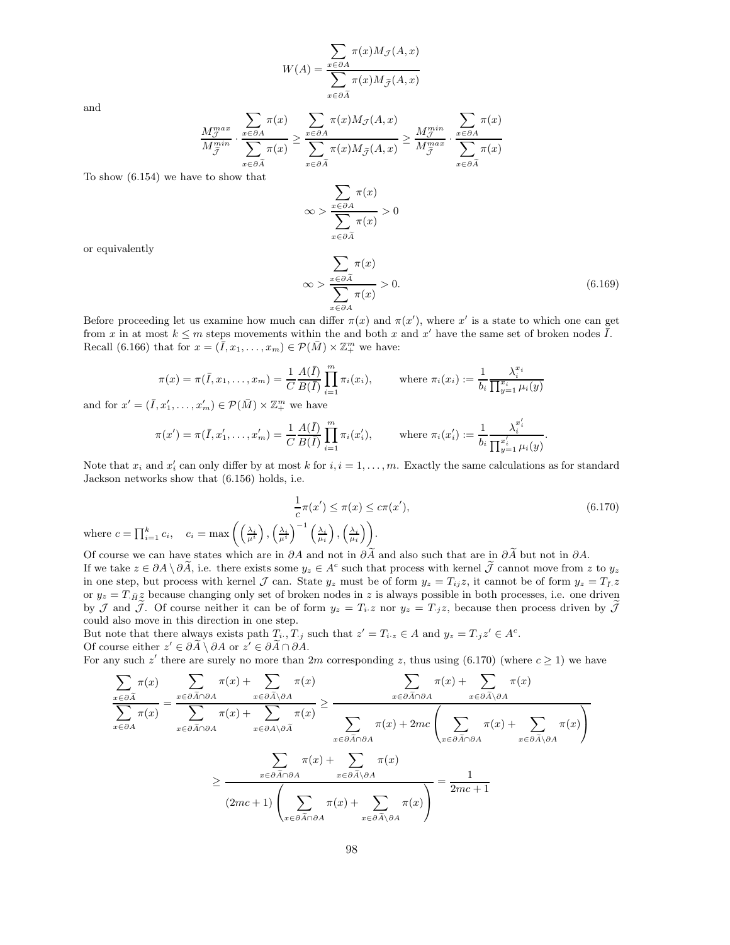$$
W(A) = \frac{\sum_{x \in \partial A} \pi(x) M_{\mathcal{J}}(A, x)}{\sum_{x \in \partial \tilde{A}} \pi(x) M_{\tilde{\mathcal{J}}}(A, x)}
$$

and

$$
\frac{M_{\mathcal{J}}^{max}}{M_{\tilde{\mathcal{J}}}^{min}} \cdot \frac{\sum_{x \in \partial A} \pi(x)}{\sum_{x \in \partial \tilde{A}} \pi(x)} \ge \frac{\sum_{x \in \partial A} \pi(x) M_{\mathcal{J}}(A, x)}{\sum_{x \in \partial \tilde{A}} \pi(x) M_{\tilde{\mathcal{J}}}(A, x)} \ge \frac{M_{\mathcal{J}}^{min}}{M_{\tilde{\mathcal{J}}}^{max}} \cdot \frac{\sum_{x \in \partial A} \pi(x)}{\sum_{x \in \partial \tilde{A}} \pi(x)}
$$

To show (6.154) we have to show that

 $\infty$  $\overline{\phantom{0}}$ x∈∂A  $\pi(x)$  $\overline{\mathcal{L}}$  $x\in \partial A$  $\pi(x)$  $> 0$ 

or equivalently

$$
\infty > \frac{\sum_{x \in \partial \tilde{A}} \pi(x)}{\sum_{x \in \partial A} \pi(x)} > 0.
$$
\n(6.169)

Before proceeding let us examine how much can differ  $\pi(x)$  and  $\pi(x')$ , where x' is a state to which one can get from x in at most  $k \leq m$  steps movements within the and both x and x' have the same set of broken nodes  $\overline{I}$ . Recall (6.166) that for  $x = (\bar{I}, x_1, \ldots, x_m) \in \mathcal{P}(\bar{M}) \times \mathbb{Z}_{+}^m$  we have:

$$
\pi(x) = \pi(\bar{I}, x_1, \dots, x_m) = \frac{1}{C} \frac{A(\bar{I})}{B(\bar{I})} \prod_{i=1}^m \pi_i(x_i), \quad \text{where } \pi_i(x_i) := \frac{1}{b_i} \frac{\lambda_i^{x_i}}{\prod_{y=1}^{x_i} \mu_i(y)}
$$

and for  $x' = (\bar{I}, x'_1, \ldots, x'_m) \in \mathcal{P}(\bar{M}) \times \mathbb{Z}_+^m$  we have

$$
\pi(x') = \pi(\bar{I}, x'_1, \dots, x'_m) = \frac{1}{C} \frac{A(\bar{I})}{B(\bar{I})} \prod_{i=1}^m \pi_i(x'_i), \quad \text{where } \pi_i(x'_i) := \frac{1}{b_i} \frac{\lambda_i^{x'_i}}{\prod_{y'=1}^{x'_i} \mu_i(y)}.
$$

Note that  $x_i$  and  $x'_i$  can only differ by at most k for  $i, i = 1, \ldots, m$ . Exactly the same calculations as for standard Jackson networks show that (6.156) holds, i.e.

$$
\frac{1}{c}\pi(x') \le \pi(x) \le c\pi(x'),\tag{6.170}
$$
\n
$$
\left(\left(\frac{\lambda_i}{\mu^i}\right), \left(\frac{\lambda_i}{\mu^i}\right)^{-1}\left(\frac{\lambda_i}{\mu_i}\right), \left(\frac{\lambda_i}{\mu_i}\right)\right).
$$

where  $c = \prod_{i=1}^{k} c_i$ ,  $c_i = \max \left( \left( \right)$ Of course we can have states which are in  $\partial A$  and not in  $\partial \tilde{A}$  and also such that are in  $\partial \tilde{A}$  but not in  $\partial A$ .

If we take  $z \in \partial A \setminus \partial \widetilde{A}$ , i.e. there exists some  $y_z \in A^c$  such that process with kernel  $\widetilde{J}$  cannot move from z to  $y_z$ in one step, but process with kernel  $\mathcal J$  can. State  $y_z$  must be of form  $y_z = T_{ij}z$ , it cannot be of form  $y_z = T_{\bar l}z$ or  $y_z = T_{\bar{H}}z$  because changing only set of broken nodes in z is always possible in both processes, i.e. one driven by J and J. Of course neither it can be of form  $y_z = T_i z$  nor  $y_z = T_j z$ , because then process driven by J could also move in this direction in one step.

But note that there always exists path  $T_i$ ,  $T_j$  such that  $z' = T_{i \cdot z} \in A$  and  $y_z = T_{i \cdot z'} \in A^c$ . Of course either  $z' \in \partial A \setminus \partial A$  or  $z' \in \partial A \cap \partial A$ .

For any such  $z'$  there are surely no more than  $2m$  corresponding  $z$ , thus using  $(6.170)$  (where  $c \ge 1$ ) we have

$$
\sum_{x \in \partial \tilde{A}} \pi(x) = \sum_{x \in \partial \tilde{A} \cap \partial A} \pi(x) + \sum_{x \in \partial \tilde{A} \setminus \partial A} \pi(x) \ge \sum_{x \in \partial \tilde{A} \cap \partial A} \pi(x) + \sum_{x \in \partial \tilde{A} \cap \partial A} \pi(x)
$$
\n
$$
\sum_{x \in \partial \tilde{A} \cap \partial A} \pi(x) = \sum_{x \in \partial \tilde{A} \cap \partial A} \pi(x) + \sum_{x \in \partial \tilde{A} \cap \partial A} \pi(x) \ge \sum_{x \in \partial \tilde{A} \cap \partial A} \pi(x) + 2mc \left( \sum_{x \in \partial \tilde{A} \cap \partial A} \pi(x) + \sum_{x \in \partial \tilde{A} \setminus \partial A} \pi(x) \right)
$$
\n
$$
\ge \sum_{x \in \partial \tilde{A} \cap \partial A} \pi(x) + \sum_{x \in \partial \tilde{A} \setminus \partial A} \pi(x) \ge \sum_{x \in \partial \tilde{A} \setminus \partial A} \pi(x) + \sum_{x \in \partial \tilde{A} \setminus \partial A} \pi(x) \ge \frac{1}{2mc + 1}
$$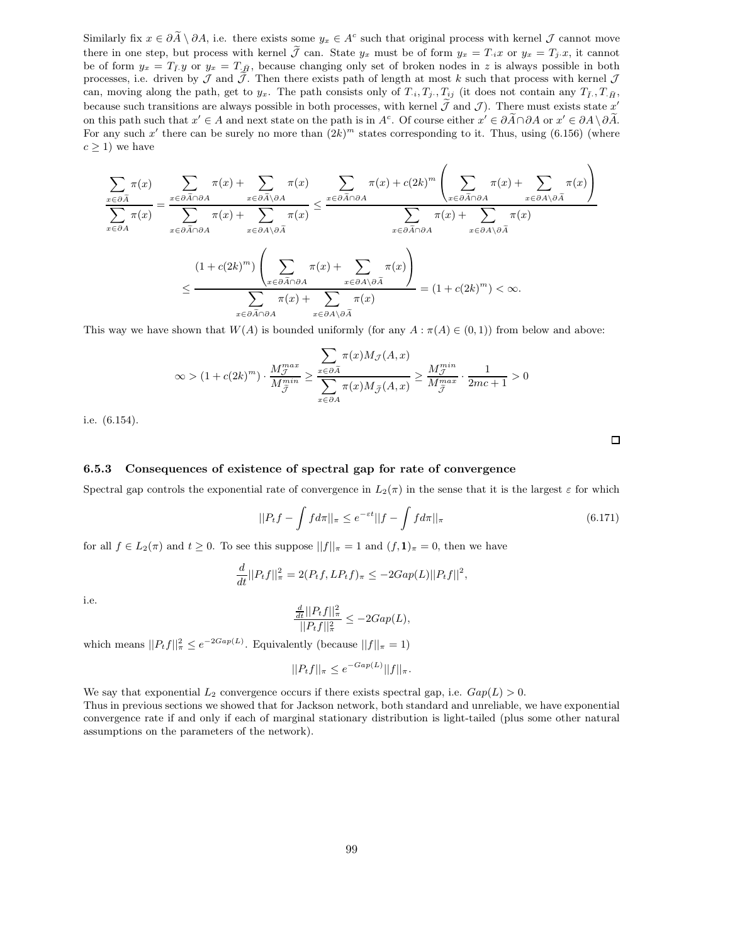Similarly fix  $x \in \partial \tilde{A} \setminus \partial A$ , i.e. there exists some  $y_x \in A^c$  such that original process with kernel  $\mathcal J$  cannot move there in one step, but process with kernel  $\tilde{\mathcal{J}}$  can. State  $y_x$  must be of form  $y_x = T_i x$  or  $y_x = T_j x$ , it cannot be of form  $y_x = T_{\bar{f}}$ , because changing only set of broken nodes in z is always possible in both processes, i.e. driven by  $\mathcal J$  and  $\tilde{\mathcal J}$ . Then there exists path of length at most k such that process with kernel  $\mathcal J$ can, moving along the path, get to  $y_x$ . The path consists only of  $T_{\cdot i}, T_j, T_{ij}$  (it does not contain any  $T_{\bar{I}}, T_{\cdot \bar{H}},$ because such transitions are always possible in both processes, with kernel  $\mathcal J$  and  $\mathcal J$ ). There must exists state  $x'$ on this path such that  $x' \in A$  and next state on the path is in  $A^c$ . Of course either  $x' \in \partial \tilde{A} \cap \partial A$  or  $x' \in \partial A \setminus \partial \tilde{A}$ . For any such x' there can be surely no more than  $(2k)^m$  states corresponding to it. Thus, using  $(6.156)$  (where  $c \geq 1$ ) we have

$$
\frac{\sum_{x \in \partial \tilde{A}} \pi(x)}{\sum_{x \in \partial \tilde{A} \cap \partial A} \pi(x)} = \frac{\sum_{x \in \partial \tilde{A} \cap \partial A} \pi(x) + \sum_{x \in \partial \tilde{A} \setminus \partial A} \pi(x)}{\sum_{x \in \partial \tilde{A} \cap \partial A} \pi(x) + \sum_{x \in \partial \tilde{A} \setminus \partial \tilde{A}} \pi(x)} \leq \frac{\sum_{x \in \partial \tilde{A} \cap \partial A} \pi(x) + c(2k)^m \left(\sum_{x \in \partial \tilde{A} \cap \partial A} \pi(x) + \sum_{x \in \partial A \setminus \partial \tilde{A}} \pi(x)\right)}{\sum_{x \in \partial \tilde{A} \cap \partial A} \pi(x) + \sum_{x \in \partial \tilde{A} \cap \partial A} \pi(x)} \pi(x)} \leq \frac{(1 + c(2k)^m) \left(\sum_{x \in \partial \tilde{A} \cap \partial A} \pi(x) + \sum_{x \in \partial A \setminus \partial \tilde{A}} \pi(x)\right)}{\sum_{x \in \partial \tilde{A} \cap \partial A} \pi(x) + \sum_{x \in \partial A \setminus \partial \tilde{A}} \pi(x)} = (1 + c(2k)^m) < \infty.
$$

This way we have shown that  $W(A)$  is bounded uniformly (for any  $A : \pi(A) \in (0,1)$ ) from below and above:

$$
\infty > (1 + c(2k)^m) \cdot \frac{M_{\tilde{J}}^{max}}{M_{\tilde{J}}^{min}} \ge \frac{\sum_{x \in \partial \tilde{A}} \pi(x) M_{\tilde{J}}(A, x)}{\sum_{x \in \partial A} \pi(x) M_{\tilde{J}}(A, x)} \ge \frac{M_{\tilde{J}}^{min}}{M_{\tilde{J}}^{max}} \cdot \frac{1}{2mc + 1} > 0
$$

i.e. (6.154).

#### $\Box$

#### 6.5.3 Consequences of existence of spectral gap for rate of convergence

Spectral gap controls the exponential rate of convergence in  $L_2(\pi)$  in the sense that it is the largest  $\varepsilon$  for which

$$
||P_t f - \int f d\pi||_\pi \le e^{-\varepsilon t} ||f - \int f d\pi||_\pi
$$
\n(6.171)

for all  $f \in L_2(\pi)$  and  $t \geq 0$ . To see this suppose  $||f||_{\pi} = 1$  and  $(f, 1)_{\pi} = 0$ , then we have

$$
\frac{d}{dt}||P_t f||_{\pi}^2 = 2(P_t f, LP_t f)_{\pi} \le -2Gap(L)||P_t f||^2,
$$

i.e.

$$
\frac{\frac{d}{dt}||P_tf||_\pi^2}{||P_tf||_\pi^2} \le -2Gap(L),
$$

which means  $||P_t f||^2_{\pi} \le e^{-2Gap(L)}$ . Equivalently (because  $||f||_{\pi} = 1$ )

$$
||P_t f||_{\pi} \le e^{-Gap(L)} ||f||_{\pi}.
$$

We say that exponential  $L_2$  convergence occurs if there exists spectral gap, i.e.  $Gap(L) > 0$ . Thus in previous sections we showed that for Jackson network, both standard and unreliable, we have exponential convergence rate if and only if each of marginal stationary distribution is light-tailed (plus some other natural assumptions on the parameters of the network).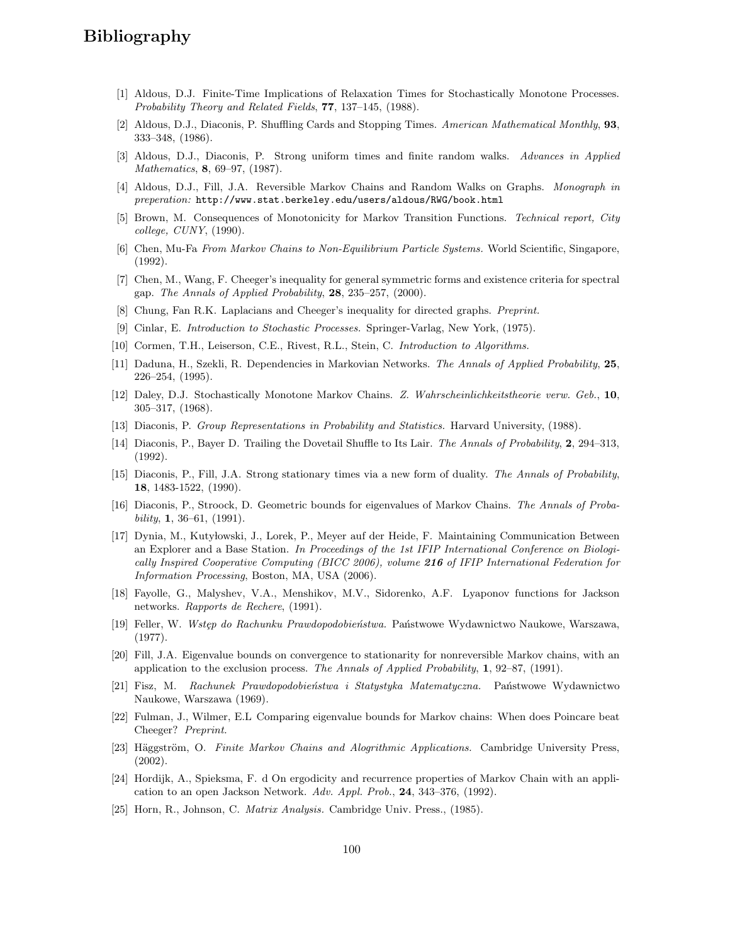## Bibliography

- [1] Aldous, D.J. Finite-Time Implications of Relaxation Times for Stochastically Monotone Processes. Probability Theory and Related Fields, 77, 137–145, (1988).
- [2] Aldous, D.J., Diaconis, P. Shuffling Cards and Stopping Times. American Mathematical Monthly, 93, 333–348, (1986).
- [3] Aldous, D.J., Diaconis, P. Strong uniform times and finite random walks. Advances in Applied Mathematics, 8, 69–97, (1987).
- [4] Aldous, D.J., Fill, J.A. Reversible Markov Chains and Random Walks on Graphs. Monograph in preperation: http://www.stat.berkeley.edu/users/aldous/RWG/book.html
- [5] Brown, M. Consequences of Monotonicity for Markov Transition Functions. Technical report, City college, CUNY, (1990).
- [6] Chen, Mu-Fa From Markov Chains to Non-Equilibrium Particle Systems. World Scientific, Singapore, (1992).
- [7] Chen, M., Wang, F. Cheeger's inequality for general symmetric forms and existence criteria for spectral gap. The Annals of Applied Probability, 28, 235–257, (2000).
- [8] Chung, Fan R.K. Laplacians and Cheeger's inequality for directed graphs. Preprint.
- [9] Cinlar, E. Introduction to Stochastic Processes. Springer-Varlag, New York, (1975).
- [10] Cormen, T.H., Leiserson, C.E., Rivest, R.L., Stein, C. Introduction to Algorithms.
- [11] Daduna, H., Szekli, R. Dependencies in Markovian Networks. The Annals of Applied Probability, 25, 226–254, (1995).
- [12] Daley, D.J. Stochastically Monotone Markov Chains. Z. Wahrscheinlichkeitstheorie verw. Geb., 10, 305–317, (1968).
- [13] Diaconis, P. Group Representations in Probability and Statistics. Harvard University, (1988).
- [14] Diaconis, P., Bayer D. Trailing the Dovetail Shuffle to Its Lair. The Annals of Probability, 2, 294–313, (1992).
- [15] Diaconis, P., Fill, J.A. Strong stationary times via a new form of duality. The Annals of Probability, 18, 1483-1522, (1990).
- [16] Diaconis, P., Stroock, D. Geometric bounds for eigenvalues of Markov Chains. The Annals of Proba $bility, 1, 36–61, (1991).$
- [17] Dynia, M., Kuty lowski, J., Lorek, P., Meyer auf der Heide, F. Maintaining Communication Between an Explorer and a Base Station. In Proceedings of the 1st IFIP International Conference on Biologically Inspired Cooperative Computing (BICC 2006), volume 216 of IFIP International Federation for Information Processing, Boston, MA, USA (2006).
- [18] Fayolle, G., Malyshev, V.A., Menshikov, M.V., Sidorenko, A.F. Lyaponov functions for Jackson networks. Rapports de Rechere, (1991).
- [19] Feller, W. Wstęp do Rachunku Prawdopodobieństwa. Państwowe Wydawnictwo Naukowe, Warszawa, (1977).
- [20] Fill, J.A. Eigenvalue bounds on convergence to stationarity for nonreversible Markov chains, with an application to the exclusion process. The Annals of Applied Probability, 1, 92–87, (1991).
- [21] Fisz, M. Rachunek Prawdopodobieństwa i Statystyka Matematyczna. Państwowe Wydawnictwo Naukowe, Warszawa (1969).
- [22] Fulman, J., Wilmer, E.L Comparing eigenvalue bounds for Markov chains: When does Poincare beat Cheeger? Preprint.
- [23] Häggström, O. Finite Markov Chains and Alogrithmic Applications. Cambridge University Press, (2002).
- [24] Hordijk, A., Spieksma, F. d On ergodicity and recurrence properties of Markov Chain with an application to an open Jackson Network. Adv. Appl. Prob., 24, 343–376, (1992).
- [25] Horn, R., Johnson, C. Matrix Analysis. Cambridge Univ. Press., (1985).